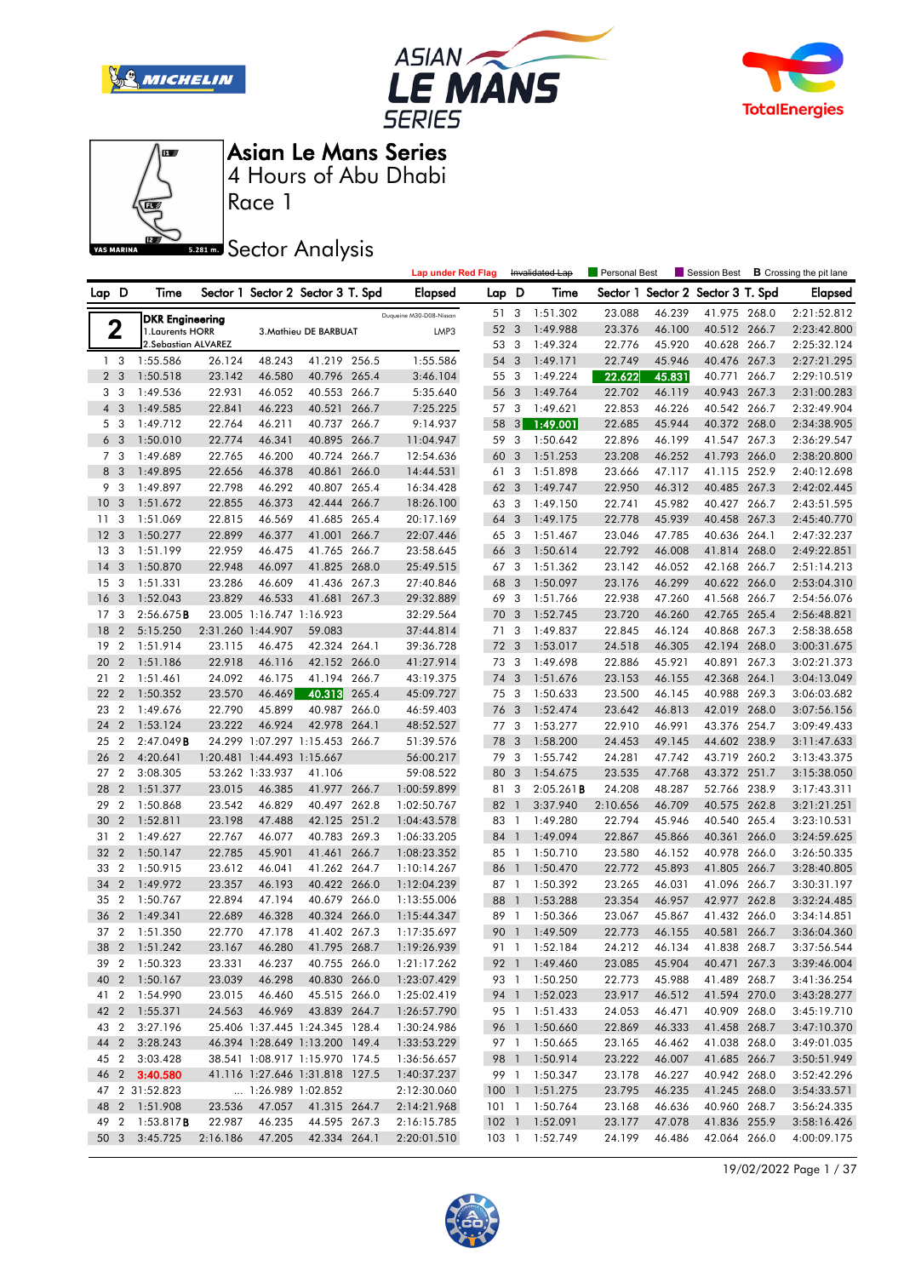







Race 1

**Sector Analysis** 

|                |                         |                        |                  |                            |                                   |       | <b>Lap under Red Flag</b> |       |                         | Invalidated Lap | Personal Best |        | Session Best                      |       | <b>B</b> Crossing the pit lane |
|----------------|-------------------------|------------------------|------------------|----------------------------|-----------------------------------|-------|---------------------------|-------|-------------------------|-----------------|---------------|--------|-----------------------------------|-------|--------------------------------|
| Lap D          |                         | Time                   |                  |                            | Sector 1 Sector 2 Sector 3 T. Spd |       | <b>Elapsed</b>            | Lap D |                         | Time            |               |        | Sector 1 Sector 2 Sector 3 T. Spd |       | <b>Elapsed</b>                 |
|                |                         | <b>DKR Engineering</b> |                  |                            |                                   |       | Duqueine M30-D08-Nissan   | 51 3  |                         | 1:51.302        | 23.088        | 46.239 | 41.975 268.0                      |       | 2:21:52.812                    |
|                | $\mathbf 2$             | 1. Laurents HORR       |                  |                            | 3. Mathieu DE BARBUAT             |       | LMP3                      | 52    | 3                       | 1:49.988        | 23.376        | 46.100 | 40.512 266.7                      |       | 2:23:42.800                    |
|                |                         | 2.Sebastian ALVAREZ    |                  |                            |                                   |       |                           | 53 3  |                         | 1:49.324        | 22.776        | 45.920 | 40.628                            | 266.7 | 2:25:32.124                    |
|                | 1 <sub>3</sub>          | 1:55.586               | 26.124           | 48.243                     | 41.219 256.5                      |       | 1:55.586                  | 54    | 3                       | 1:49.171        | 22.749        | 45.946 | 40.476 267.3                      |       | 2:27:21.295                    |
|                | 2 <sub>3</sub>          | 1:50.518               | 23.142           | 46.580                     | 40.796 265.4                      |       | 3:46.104                  | 55 3  |                         | 1:49.224        | 22.622        | 45.831 | 40.771                            | 266.7 | 2:29:10.519                    |
|                | 3 3                     | 1:49.536               | 22.931           | 46.052                     | 40.553 266.7                      |       | 5:35.640                  | 56    | 3                       | 1:49.764        | 22.702        | 46.119 | 40.943                            | 267.3 | 2:31:00.283                    |
| $\overline{4}$ | 3                       | 1:49.585               | 22.841           | 46.223                     | 40.521                            | 266.7 | 7:25.225                  | 57    | 3                       | 1:49.621        | 22.853        | 46.226 | 40.542 266.7                      |       | 2:32:49.904                    |
|                | 5 <sub>3</sub>          | 1:49.712               | 22.764           | 46.211                     | 40.737 266.7                      |       | 9:14.937                  | 58    | 3                       | 1:49.001        | 22.685        | 45.944 | 40.372 268.0                      |       | 2:34:38.905                    |
| 6              | -3                      | 1:50.010               | 22.774           | 46.341                     | 40.895 266.7                      |       | 11:04.947                 | 59 3  |                         | 1:50.642        | 22.896        | 46.199 | 41.547 267.3                      |       | 2:36:29.547                    |
|                | 7 <sub>3</sub>          | 1:49.689               | 22.765           | 46.200                     | 40.724 266.7                      |       | 12:54.636                 | 60    | 3                       | 1:51.253        | 23.208        | 46.252 | 41.793 266.0                      |       | 2:38:20.800                    |
| 8              | 3                       | 1:49.895               | 22.656           | 46.378                     | 40.861                            | 266.0 | 14:44.531                 | 61    | 3                       | 1:51.898        | 23.666        | 47.117 | 41.115 252.9                      |       | 2:40:12.698                    |
| 9              | -3                      | 1:49.897               | 22.798           | 46.292                     | 40.807 265.4                      |       | 16:34.428                 | 62    | 3                       | 1:49.747        | 22.950        | 46.312 | 40.485 267.3                      |       | 2:42:02.445                    |
| 10             | 3                       | 1:51.672               | 22.855           | 46.373                     | 42.444                            | 266.7 | 18:26.100                 | 63 3  |                         | 1:49.150        | 22.741        | 45.982 | 40.427                            | 266.7 | 2:43:51.595                    |
| 11             | 3                       | 1:51.069               | 22.815           | 46.569                     | 41.685 265.4                      |       | 20:17.169                 | 64    | 3                       | 1:49.175        | 22.778        | 45.939 | 40.458                            | 267.3 | 2:45:40.770                    |
| 12             | 3                       | 1:50.277               | 22.899           | 46.377                     | 41.001                            | 266.7 | 22:07.446                 | 65 3  |                         | 1:51.467        | 23.046        | 47.785 | 40.636 264.1                      |       | 2:47:32.237                    |
| 13             | $\overline{\mathbf{3}}$ | 1:51.199               | 22.959           | 46.475                     | 41.765 266.7                      |       | 23:58.645                 | 66    | 3                       | 1:50.614        | 22.792        | 46.008 | 41.814 268.0                      |       | 2:49:22.851                    |
| 14             | 3                       | 1:50.870               | 22.948           | 46.097                     | 41.825 268.0                      |       | 25:49.515                 | 67 3  |                         | 1:51.362        | 23.142        | 46.052 | 42.168 266.7                      |       | 2:51:14.213                    |
| 15             | 3                       | 1:51.331               | 23.286           | 46.609                     | 41.436 267.3                      |       | 27:40.846                 | 68    | 3                       | 1:50.097        | 23.176        | 46.299 | 40.622 266.0                      |       | 2:53:04.310                    |
| 16             | 3                       | 1:52.043               | 23.829           | 46.533                     | 41.681                            | 267.3 | 29:32.889                 | 69    | $\overline{\mathbf{3}}$ | 1:51.766        | 22.938        | 47.260 | 41.568                            | 266.7 | 2:54:56.076                    |
| 17             | 3                       | 2:56.675B              |                  | 23.005 1:16.747 1:16.923   |                                   |       | 32:29.564                 | 70    | 3                       | 1:52.745        | 23.720        | 46.260 | 42.765 265.4                      |       | 2:56:48.821                    |
| 18             | $\overline{2}$          | 5:15.250               |                  | 2:31.260 1:44.907          | 59.083                            |       | 37:44.814                 | 71    | 3                       | 1:49.837        | 22.845        | 46.124 | 40.868 267.3                      |       | 2:58:38.658                    |
| 19             | $\overline{2}$          | 1:51.914               | 23.115           | 46.475                     | 42.324 264.1                      |       | 39:36.728                 | 72    | 3                       | 1:53.017        | 24.518        | 46.305 | 42.194 268.0                      |       | 3:00:31.675                    |
| 20             | $\overline{2}$          | 1:51.186               | 22.918           | 46.116                     | 42.152 266.0                      |       | 41:27.914                 | 73 3  |                         | 1:49.698        | 22.886        | 45.921 | 40.891                            | 267.3 | 3:02:21.373                    |
| 21             | $\overline{2}$          | 1:51.461               | 24.092           | 46.175                     | 41.194 266.7                      |       | 43:19.375                 | 74    | 3                       | 1:51.676        | 23.153        | 46.155 | 42.368 264.1                      |       | 3:04:13.049                    |
| 22             | $\overline{2}$          | 1:50.352               | 23.570           | 46.469                     | 40.313                            | 265.4 | 45:09.727                 | 75 3  |                         | 1:50.633        | 23.500        | 46.145 | 40.988 269.3                      |       | 3:06:03.682                    |
| 23             | $\overline{2}$          | 1:49.676               | 22.790           | 45.899                     | 40.987                            | 266.0 | 46:59.403                 | 76    | 3                       | 1:52.474        | 23.642        | 46.813 | 42.019                            | 268.0 | 3:07:56.156                    |
| 24             | $\overline{2}$          | 1:53.124               | 23.222           | 46.924                     | 42.978 264.1                      |       | 48:52.527                 | 77 3  |                         | 1:53.277        | 22.910        | 46.991 | 43.376 254.7                      |       | 3:09:49.433                    |
| 25             | $\overline{2}$          | 2:47.049B              |                  |                            | 24.299 1:07.297 1:15.453 266.7    |       | 51:39.576                 | 78    | 3                       | 1:58.200        | 24.453        | 49.145 | 44.602 238.9                      |       | 3:11:47.633                    |
| 26             | $\overline{2}$          | 4:20.641               |                  | 1:20.481 1:44.493 1:15.667 |                                   |       | 56:00.217                 | 79    | 3                       | 1:55.742        | 24.281        | 47.742 | 43.719 260.2                      |       | 3:13:43.375                    |
| 27             | $\overline{2}$          | 3:08.305               |                  | 53.262 1:33.937            | 41.106                            |       |                           | 80    | 3                       | 1:54.675        | 23.535        |        |                                   | 251.7 |                                |
|                | $\overline{2}$          |                        |                  |                            |                                   |       | 59:08.522                 |       |                         | 2:05.261B       | 24.208        | 47.768 | 43.372                            |       | 3:15:38.050                    |
| 28             |                         | 1:51.377               | 23.015           | 46.385                     | 41.977 266.7                      |       | 1:00:59.899               | 81    | 3                       |                 |               | 48.287 | 52.766 238.9                      |       | 3:17:43.311                    |
| 29             | 2                       | 1:50.868               | 23.542           | 46.829                     | 40.497 262.8                      |       | 1:02:50.767               | 82 1  |                         | 3:37.940        | 2:10.656      | 46.709 | 40.575 262.8                      |       | 3:21:21.251                    |
| 30             | $\overline{2}$          | 1:52.811               | 23.198           | 47.488                     | 42.125 251.2                      |       | 1:04:43.578               | 83 1  |                         | 1:49.280        | 22.794        | 45.946 | 40.540 265.4                      |       | 3:23:10.531                    |
| 31             | 2                       | 1:49.627               | 22.767<br>22.785 | 46.077                     | 40.783                            | 269.3 | 1:06:33.205               | 84    | $\overline{1}$          | 1:49.094        | 22.867        | 45.866 | 40.361<br>40.978 266.0            | 266.0 | 3:24:59.625                    |
| 32             | $\overline{2}$          | 1:50.147               |                  | 45.901                     | 41.461                            | 266.7 | 1:08:23.352               | 85 1  |                         | 1:50.710        | 23.580        | 46.152 |                                   |       | 3:26:50.335                    |
| 33             | 2                       | 1:50.915               | 23.612           | 46.041                     | 41.262 264.7                      |       | 1:10:14.267               | 86 1  |                         | 1:50.470        | 22.772        | 45.893 | 41.805 266.7                      |       | 3:28:40.805                    |
| 34             | $\overline{2}$          | 1:49.972               | 23.357           | 46.193                     | 40.422 266.0                      |       | 1:12:04.239               | 87 1  |                         | 1:50.392        | 23.265        | 46.031 | 41.096 266.7                      |       | 3:30:31.197                    |
| 35             | $\overline{2}$          | 1:50.767               | 22.894           | 47.194                     | 40.679                            | 266.0 | 1:13:55.006               | 88    | $\overline{1}$          | 1:53.288        | 23.354        | 46.957 | 42.977                            | 262.8 | 3:32:24.485                    |
| 36             | $\overline{2}$          | 1:49.341               | 22.689           | 46.328                     | 40.324 266.0                      |       | 1:15:44.347               | 89    | $\overline{1}$          | 1:50.366        | 23.067        | 45.867 | 41.432 266.0                      |       | 3:34:14.851                    |
|                |                         | 37 2 1:51.350          | 22.770           | 47.178                     | 41.402 267.3                      |       | 1:17:35.697               | 90 1  |                         | 1:49.509        | 22.773        | 46.155 | 40.581 266.7                      |       | 3:36:04.360                    |
|                |                         | 38 2 1:51.242          | 23.167           | 46.280                     | 41.795 268.7                      |       | 1:19:26.939               |       |                         | 91 1 1:52.184   | 24.212        | 46.134 | 41.838 268.7                      |       | 3:37:56.544                    |
|                |                         | 39 2 1:50.323          | 23.331           | 46.237                     | 40.755 266.0                      |       | 1:21:17.262               |       |                         | 92 1 1:49.460   | 23.085        | 45.904 | 40.471 267.3                      |       | 3:39:46.004                    |
|                |                         | 40 2 1:50.167          | 23.039           | 46.298                     | 40.830 266.0                      |       | 1:23:07.429               |       |                         | 93 1 1:50.250   | 22.773        | 45.988 | 41.489 268.7                      |       | 3:41:36.254                    |
|                |                         | 41 2 1:54.990          | 23.015           | 46.460                     | 45.515 266.0                      |       | 1:25:02.419               |       |                         | 94 1 1:52.023   | 23.917        | 46.512 | 41.594 270.0                      |       | 3:43:28.277                    |
|                |                         | 42 2 1:55.371          | 24.563           | 46.969                     | 43.839 264.7                      |       | 1:26:57.790               |       |                         | 95 1 1:51.433   | 24.053        | 46.471 | 40.909 268.0                      |       | 3:45:19.710                    |
|                |                         | 43 2 3:27.196          |                  |                            | 25.406 1:37.445 1:24.345 128.4    |       | 1:30:24.986               |       |                         | 96 1 1:50.660   | 22.869        | 46.333 | 41.458 268.7                      |       | 3:47:10.370                    |
|                |                         | 44 2 3:28.243          |                  |                            | 46.394 1:28.649 1:13.200 149.4    |       | 1:33:53.229               |       |                         | 97 1 1:50.665   | 23.165        | 46.462 | 41.038 268.0                      |       | 3:49:01.035                    |
|                |                         | 45 2 3:03.428          |                  |                            | 38.541 1:08.917 1:15.970 174.5    |       | 1:36:56.657               |       |                         | 98 1 1:50.914   | 23.222        | 46.007 | 41.685 266.7                      |       | 3:50:51.949                    |
|                |                         | 46 2 3:40.580          |                  |                            | 41.116 1:27.646 1:31.818 127.5    |       | 1:40:37.237               |       |                         | 99 1 1:50.347   | 23.178        | 46.227 | 40.942 268.0                      |       | 3:52:42.296                    |
|                |                         | 47 2 31:52.823         |                  | $\ldots$ 1:26.989 1:02.852 |                                   |       | 2:12:30.060               |       |                         | 100 1 1:51.275  | 23.795        | 46.235 | 41.245 268.0                      |       | 3:54:33.571                    |
|                |                         | 48 2 1:51.908          | 23.536           | 47.057                     | 41.315 264.7                      |       | 2:14:21.968               |       |                         | 101 1 1:50.764  | 23.168        | 46.636 | 40.960 268.7                      |       | 3:56:24.335                    |
|                |                         | 49 2 1:53.817 <b>B</b> | 22.987           | 46.235                     | 44.595 267.3                      |       | 2:16:15.785               |       |                         | 102 1 1:52.091  | 23.177        | 47.078 | 41.836 255.9                      |       | 3:58:16.426                    |
|                | 50 3                    | 3:45.725               | 2:16.186         | 47.205                     | 42.334 264.1                      |       | 2:20:01.510               |       |                         | 103 1 1:52.749  | 24.199        | 46.486 | 42.064 266.0                      |       | 4:00:09.175                    |

19/02/2022 Page 1 / 37

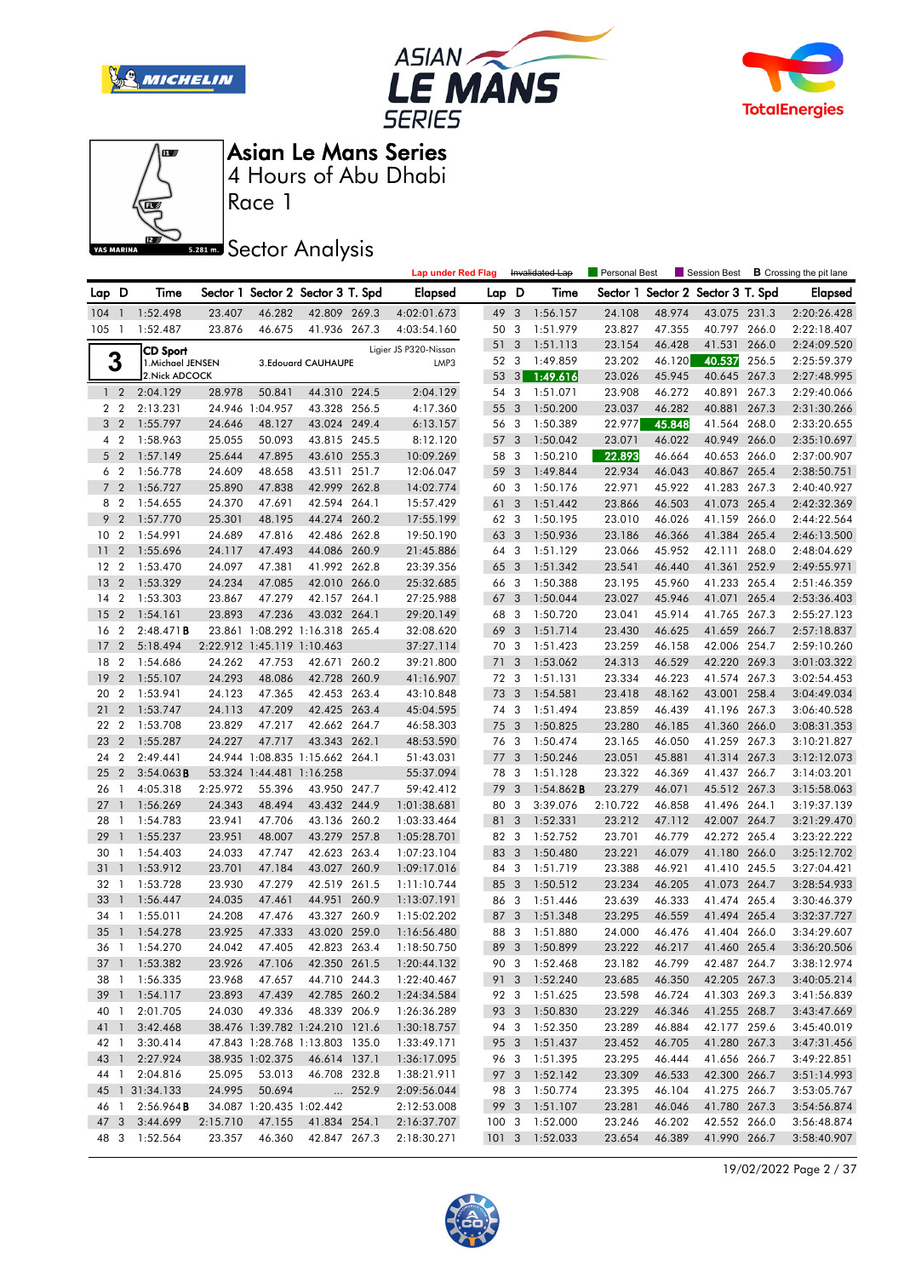







Race 1

## **Sector Analysis**

|                 |                |                      |                  |                            |                                                                  |       | <b>Lap under Red Flag</b>  |      |              | Invalidated Lap           | Personal Best    |                  | Session Best                 |       | <b>B</b> Crossing the pit lane |
|-----------------|----------------|----------------------|------------------|----------------------------|------------------------------------------------------------------|-------|----------------------------|------|--------------|---------------------------|------------------|------------------|------------------------------|-------|--------------------------------|
| Lap D           |                | Time                 |                  |                            | Sector 1 Sector 2 Sector 3 T. Spd                                |       | <b>Elapsed</b>             | Lap. | D            | Time                      | Sector 1         |                  | Sector 2 Sector 3 T. Spd     |       | <b>Elapsed</b>                 |
| 104             | $\overline{1}$ | 1:52.498             | 23.407           | 46.282                     | 42.809 269.3                                                     |       | 4:02:01.673                | 49   | 3            | 1:56.157                  | 24.108           | 48.974           | 43.075 231.3                 |       | 2:20:26.428                    |
| 105             | -1             | 1:52.487             | 23.876           | 46.675                     | 41.936 267.3                                                     |       | 4:03:54.160                | 50   | 3            | 1:51.979                  | 23.827           | 47.355           | 40.797 266.0                 |       | 2:22:18.407                    |
|                 |                | <b>CD Sport</b>      |                  |                            |                                                                  |       | Ligier JS P320-Nissan      | 51   | 3            | 1:51.113                  | 23.154           | 46.428           | 41.531                       | 266.0 | 2:24:09.520                    |
|                 | 3              | 1. Michael JENSEN    |                  |                            | 3. Edouard CAUHAUPE                                              |       | LMP3                       | 52   | 3            | 1:49.859                  | 23.202           | 46.120           | 40.537                       | 256.5 | 2:25:59.379                    |
|                 |                | 2. Nick ADCOCK       |                  |                            |                                                                  |       |                            | 53   | 3            | 1:49.616                  | 23.026           | 45.945           | 40.645 267.3                 |       | 2:27:48.995                    |
|                 | 1 <sub>2</sub> | 2:04.129             | 28.978           | 50.841                     | 44.310 224.5                                                     |       | 2:04.129                   | 54   | -3           | 1:51.071                  | 23.908           | 46.272           | 40.891 267.3                 |       | 2:29:40.066                    |
|                 | 2 <sub>2</sub> | 2:13.231             |                  | 24.946 1:04.957            | 43.328 256.5                                                     |       | 4:17.360                   | 55   | 3            | 1:50.200                  | 23.037           | 46.282           | 40.881 267.3                 |       | 2:31:30.266                    |
|                 | 3 <sub>2</sub> | 1:55.797             | 24.646           | 48.127                     | 43.024 249.4                                                     |       | 6:13.157                   | 56 3 |              | 1:50.389                  | 22.977           | 45.848           | 41.564 268.0                 |       | 2:33:20.655                    |
|                 | 4 <sup>2</sup> | 1:58.963             | 25.055           | 50.093                     | 43.815 245.5                                                     |       | 8:12.120                   | 57   | 3            | 1:50.042                  | 23.071           | 46.022           | 40.949                       | 266.0 | 2:35:10.697                    |
|                 | 5 <sub>2</sub> | 1:57.149             | 25.644           | 47.895                     | 43.610 255.3                                                     |       | 10:09.269                  | 58   | $\mathbf{3}$ | 1:50.210                  | 22.893           | 46.664           | 40.653 266.0                 |       | 2:37:00.907                    |
|                 | 6 <sub>2</sub> | 1:56.778             | 24.609           | 48.658                     | 43.511 251.7                                                     |       | 12:06.047                  | 59   | 3            | 1:49.844                  | 22.934           | 46.043           | 40.867                       | 265.4 | 2:38:50.751                    |
| $7^{\circ}$     | $\overline{2}$ | 1:56.727             | 25.890           | 47.838                     | 42.999 262.8                                                     |       | 14:02.774                  | 60 3 |              | 1:50.176                  | 22.971           | 45.922           | 41.283 267.3                 |       | 2:40:40.927                    |
|                 | 8 2            | 1:54.655             | 24.370           | 47.691                     | 42.594 264.1                                                     |       | 15:57.429                  | 61   | 3            | 1:51.442                  | 23.866           | 46.503           | 41.073                       | 265.4 | 2:42:32.369                    |
|                 | 9 <sub>2</sub> | 1:57.770             | 25.301           | 48.195                     | 44.274 260.2                                                     |       | 17:55.199                  | 62 3 |              | 1:50.195                  | 23.010           | 46.026           | 41.159 266.0                 |       | 2:44:22.564                    |
| 10 <sub>2</sub> |                | 1:54.991             | 24.689           | 47.816                     | 42.486 262.8                                                     |       | 19:50.190                  | 63   | 3            | 1:50.936                  | 23.186           | 46.366           | 41.384 265.4                 |       | 2:46:13.500                    |
| 11              | $\overline{2}$ | 1:55.696             | 24.117           | 47.493                     | 44.086 260.9                                                     |       | 21:45.886                  | 64 3 |              | 1:51.129                  | 23.066           | 45.952           | 42.111                       | 268.0 | 2:48:04.629                    |
| 12              | $\overline{2}$ | 1:53.470             | 24.097           | 47.381                     | 41.992 262.8                                                     |       | 23:39.356                  | 65 3 |              | 1:51.342                  | 23.541           | 46.440           | 41.361                       | 252.9 | 2:49:55.971                    |
| 13              | $\overline{2}$ | 1:53.329             | 24.234           | 47.085                     | 42.010 266.0                                                     |       | 25:32.685                  | 66 3 |              | 1:50.388                  | 23.195           | 45.960           | 41.233 265.4                 |       | 2:51:46.359                    |
| 14              | $\overline{2}$ | 1:53.303             | 23.867           | 47.279                     | 42.157 264.1                                                     |       | 27:25.988                  | 67   | 3            | 1:50.044                  | 23.027           | 45.946           | 41.071                       | 265.4 | 2:53:36.403                    |
| 15              | $\overline{2}$ | 1:54.161             | 23.893           | 47.236                     | 43.032 264.1                                                     |       | 29:20.149                  | 68 3 |              | 1:50.720                  | 23.041           | 45.914           | 41.765 267.3                 |       | 2:55:27.123                    |
| 16              | $\overline{2}$ | 2:48.471B            |                  |                            | 23.861 1:08.292 1:16.318                                         | 265.4 | 32:08.620                  | 69   | 3            | 1:51.714                  | 23.430           | 46.625           | 41.659                       | 266.7 | 2:57:18.837                    |
| 17              | $\overline{2}$ | 5:18.494             |                  | 2:22.912 1:45.119 1:10.463 |                                                                  |       | 37:27.114                  | 70 3 |              | 1:51.423                  | 23.259           | 46.158           | 42.006 254.7                 |       | 2:59:10.260                    |
| 18              | $\overline{2}$ | 1:54.686             | 24.262           | 47.753                     | 42.671 260.2                                                     |       | 39:21.800                  | 71   | 3            | 1:53.062                  | 24.313           | 46.529           | 42.220 269.3                 |       | 3:01:03.322                    |
| 19              | $\overline{2}$ | 1:55.107             | 24.293           | 48.086                     | 42.728 260.9                                                     |       | 41:16.907                  | 72   | 3            | 1:51.131                  | 23.334           | 46.223           | 41.574 267.3                 |       | 3:02:54.453                    |
| 20              | $\overline{2}$ | 1:53.941             | 24.123           | 47.365                     | 42.453                                                           | 263.4 | 43:10.848                  | 73   | 3            | 1:54.581                  | 23.418           | 48.162           | 43.001                       | 258.4 | 3:04:49.034                    |
| 21              | $\overline{2}$ | 1:53.747             | 24.113           | 47.209                     | 42.425 263.4                                                     |       | 45:04.595                  | 74 3 |              | 1:51.494                  | 23.859           | 46.439           | 41.196 267.3                 |       | 3:06:40.528                    |
| 22              | $\overline{2}$ | 1:53.708             | 23.829           | 47.217                     | 42.662 264.7                                                     |       | 46:58.303                  | 75 3 |              | 1:50.825                  | 23.280           | 46.185           | 41.360 266.0                 |       | 3:08:31.353                    |
| 23              | $\overline{2}$ | 1:55.287             | 24.227           | 47.717                     | 43.343 262.1                                                     |       | 48:53.590                  | 76   | 3            | 1:50.474                  | 23.165           | 46.050           | 41.259                       | 267.3 | 3:10:21.827                    |
| 24              | $\overline{2}$ | 2:49.441             |                  |                            | 24.944 1:08.835 1:15.662 264.1                                   |       | 51:43.031                  | 77   | 3            | 1:50.246                  | 23.051           | 45.881           | 41.314                       | 267.3 | 3:12:12.073                    |
| 25              | $\overline{2}$ | $3:54.063$ B         |                  | 53.324 1:44.481 1:16.258   |                                                                  |       | 55:37.094                  | 78   | 3            | 1:51.128                  | 23.322           | 46.369           | 41.437 266.7                 |       | 3:14:03.201                    |
| 26              | -1             | 4:05.318             | 2:25.972         | 55.396                     | 43.950 247.7                                                     |       | 59:42.412                  | 79 3 |              | 1:54.862 B                | 23.279           | 46.071           | 45.512 267.3                 |       | 3:15:58.063                    |
| 27              | $\overline{1}$ | 1:56.269             | 24.343           | 48.494                     | 43.432 244.9                                                     |       | 1:01:38.681                | 80   | 3            | 3:39.076                  | 2:10.722         | 46.858           | 41.496 264.1                 |       | 3:19:37.139                    |
| 28              | $\mathbf{1}$   | 1:54.783             | 23.941           | 47.706                     | 43.136                                                           | 260.2 | 1:03:33.464                | 81   | 3            | 1:52.331                  | 23.212           | 47.112           | 42.007 264.7                 |       | 3:21:29.470                    |
| 29              | $\mathbf{1}$   | 1:55.237             | 23.951           | 48.007                     | 43.279 257.8                                                     |       | 1:05:28.701                | 82 3 |              | 1:52.752                  | 23.701           | 46.779           | 42.272 265.4                 |       | 3:23:22.222                    |
| 30              | $\overline{1}$ | 1:54.403             | 24.033           | 47.747                     | 42.623 263.4                                                     |       | 1:07:23.104                | 83 3 |              | 1:50.480                  | 23.221           | 46.079           | 41.180 266.0                 |       | 3:25:12.702                    |
| 31              | $\overline{1}$ | 1:53.912             | 23.701           | 47.184                     | 43.027 260.9                                                     |       | 1:09:17.016                | 84   | 3            | 1:51.719                  | 23.388           | 46.921           | 41.410                       | 245.5 | 3:27:04.421                    |
| 32              | -1             | 1:53.728             | 23.930           | 47.279                     | 42.519 261.5                                                     |       | 1:11:10.744                | 85 3 |              | 1:50.512                  | 23.234           | 46.205           | 41.073 264.7                 |       | 3:28:54.933                    |
| 33              | $\mathbf{1}$   | 1:56.447             | 24.035           | 47.461                     | 44.951 260.9                                                     |       | 1:13:07.191                | 86   | 3            | 1:51.446                  | 23.639           | 46.333           | 41.474 265.4                 |       | 3:30:46.379                    |
| 34              | $\overline{1}$ | 1:55.011             | 24.208           | 47.476                     | 43.327 260.9                                                     |       | 1:15:02.202                | 87   | 3            | 1:51.348                  | 23.295           | 46.559           | 41.494 265.4                 |       | 3:32:37.727                    |
| 35              | $\overline{1}$ | 1:54.278             | 23.925           | 47.333                     | 43.020 259.0                                                     |       | 1:16:56.480                | 88 3 |              | 1:51.880                  | 24.000           | 46.476           | 41.404 266.0                 |       | 3:34:29.607                    |
|                 |                | 36 1 1:54.270        | 24.042           | 47.405                     | 42.823 263.4                                                     |       | 1:18:50.750                |      |              | 89 3 1:50.899             | 23.222           | 46.217           | 41.460 265.4                 |       | 3:36:20.506                    |
|                 |                | 37 1 1:53.382        | 23.926           | 47.106                     | 42.350 261.5                                                     |       | 1:20:44.132                |      |              | 90 3 1:52.468             | 23.182           | 46.799           | 42.487 264.7                 |       | 3:38:12.974                    |
|                 |                | 38 1 1:56.335        | 23.968<br>23.893 | 47.657                     | 44.710 244.3                                                     |       | 1:22:40.467                |      |              | 91 3 1:52.240             | 23.685<br>23.598 | 46.350           | 42.205 267.3                 |       | 3:40:05.214                    |
|                 |                | 39 1 1:54.117        |                  | 47.439                     | 42.785 260.2                                                     |       | 1:24:34.584                |      | 92 3         | 1:51.625                  |                  | 46.724           | 41.303 269.3                 |       | 3:41:56.839                    |
| 40 1            | 41 1           | 2:01.705<br>3:42.468 | 24.030           | 49.336                     | 48.339 206.9                                                     |       | 1:26:36.289                |      | 93 3         | 1:50.830<br>94 3 1:52.350 | 23.229           | 46.346           | 41.255 268.7<br>42.177 259.6 |       | 3:43:47.669                    |
| 42 1            |                | 3:30.414             |                  |                            | 38.476 1:39.782 1:24.210 121.6<br>47.843 1:28.768 1:13.803 135.0 |       | 1:30:18.757                |      |              |                           | 23.289<br>23.452 | 46.884<br>46.705 |                              |       | 3:45:40.019                    |
|                 |                |                      |                  |                            |                                                                  |       | 1:33:49.171                |      |              | 95 3 1:51.437             |                  |                  | 41.280 267.3                 |       | 3:47:31.456                    |
|                 | 43 1<br>44 1   | 2:27.924<br>2:04.816 | 25.095           | 38.935 1:02.375<br>53.013  | 46.614 137.1<br>46.708 232.8                                     |       | 1:36:17.095<br>1:38:21.911 |      | 96 3<br>97 3 | 1:51.395<br>1:52.142      | 23.295<br>23.309 | 46.444<br>46.533 | 41.656 266.7<br>42.300 266.7 |       | 3:49:22.851<br>3:51:14.993     |
|                 |                | 45 1 31:34.133       | 24.995           | 50.694                     |                                                                  | 252.9 | 2:09:56.044                |      |              | 98 3 1:50.774             | 23.395           | 46.104           | 41.275 266.7                 |       | 3:53:05.767                    |
| 46 1            |                | 2:56.964B            |                  |                            | 34.087 1:20.435 1:02.442                                         |       | 2:12:53.008                |      |              | 99 3 1:51.107             | 23.281           | 46.046           | 41.780 267.3                 |       | 3:54:56.874                    |
|                 |                | 47 3 3:44.699        | 2:15.710         | 47.155                     | 41.834 254.1                                                     |       | 2:16:37.707                |      |              | 100 3 1:52.000            | 23.246           | 46.202           | 42.552 266.0                 |       | 3:56:48.874                    |
|                 |                | 48 3 1:52.564        | 23.357           | 46.360                     | 42.847 267.3                                                     |       | 2:18:30.271                |      |              | 101 3 1:52.033            | 23.654           | 46.389           | 41.990 266.7                 |       | 3:58:40.907                    |
|                 |                |                      |                  |                            |                                                                  |       |                            |      |              |                           |                  |                  |                              |       |                                |

19/02/2022 Page 2 / 37

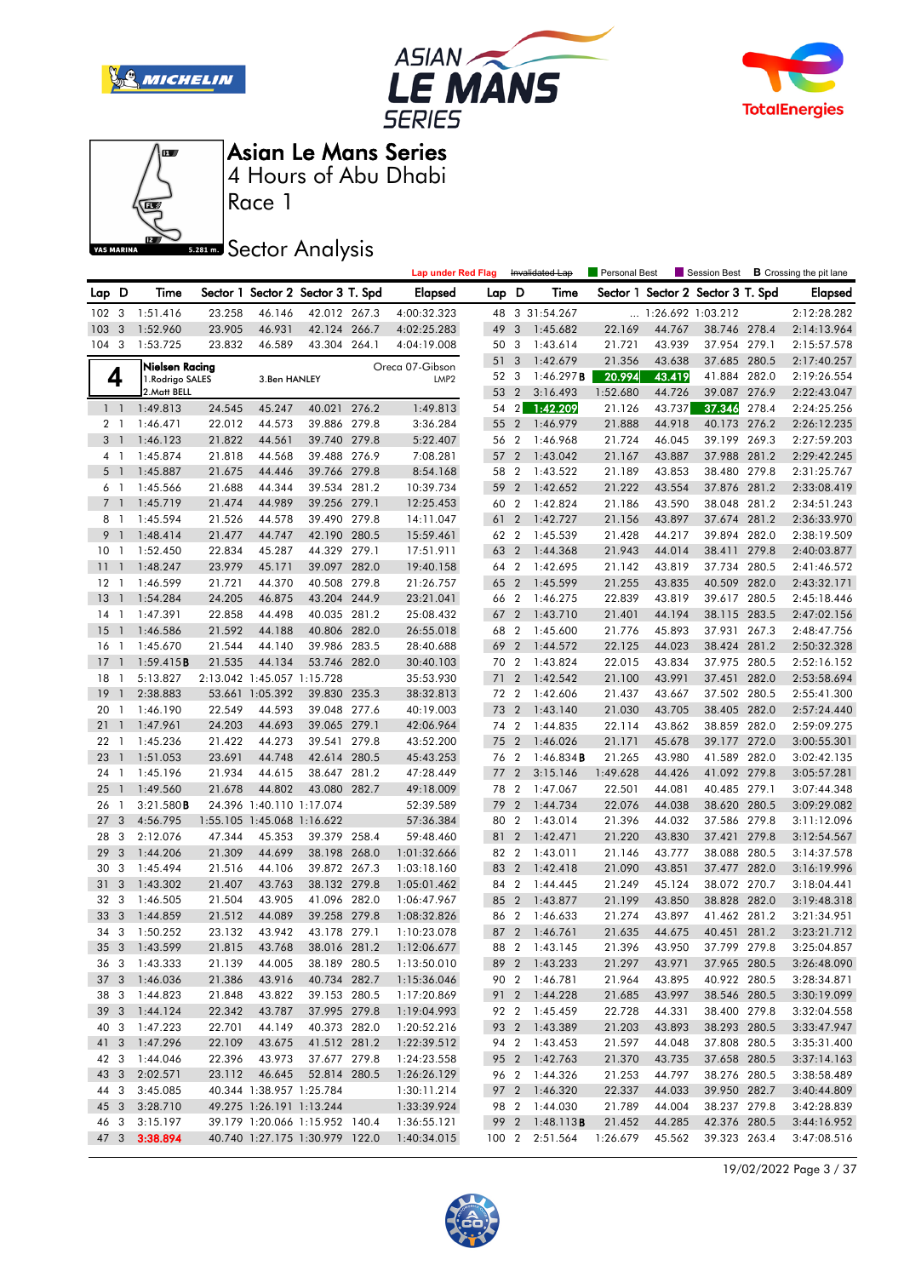







Race 1

**Sector Analysis** 

| Lap D<br>Time<br>Sector 1 Sector 2 Sector 3 T. Spd<br><b>Elapsed</b><br>Lap D<br>Sector 1 Sector 2 Sector 3 T. Spd<br>Time<br>23.258<br>42.012 267.3<br>4:00:32.323<br>48 3 31:54.267<br>102 <sub>3</sub><br>1:51.416<br>46.146<br>$\ldots$ 1:26.692 1:03.212<br>$\overline{\mathbf{3}}$<br>103<br>1:52.960<br>23.905<br>46.931<br>42.124 266.7<br>49<br>3<br>1:45.682<br>22.169<br>44.767<br>38.746 278.4<br>4:02:25.283<br>$\overline{\mathbf{3}}$<br>23.832<br>43.939<br>37.954 279.1<br>104<br>1:53.725<br>46.589<br>43.304 264.1<br>4:04:19.008<br>50 3<br>1:43.614<br>21.721<br>2:15:57.578<br>1:42.679<br>21.356<br>37.685 280.5<br>51<br>3<br>43.638<br>2:17:40.257<br>Oreca 07-Gibson<br>Nielsen Racing<br>4<br>52<br>3<br>1:46.297B<br>20.994<br>43.419<br>41.884 282.0<br>2:19:26.554<br>1. Rodrigo SALES<br>3.Ben HANLEY<br>LMP <sub>2</sub><br>2. Matt BELL<br>$\overline{2}$<br>44.726<br>39.087<br>276.9<br>53<br>3:16.493<br>1:52.680<br>2:22:43.047<br>1:49.813<br>$\overline{2}$<br>1:42.209<br>37.346<br>$1\quad$<br>1:49.813<br>24.545<br>45.247<br>40.021 276.2<br>54<br>21.126<br>43.737<br>278.4<br>2:24:25.256<br>39.886 279.8<br>1:46.471<br>22.012<br>44.573<br>3:36.284<br>55<br>$\overline{2}$<br>1:46.979<br>21.888<br>44.918<br>40.173 276.2<br>2 1<br>39.740 279.8<br>3 <sup>1</sup><br>1:46.123<br>21.822<br>44.561<br>5:22.407<br>56 2<br>1:46.968<br>21.724<br>46.045<br>39.199 269.3<br>2:27:59.203<br>39.488 276.9<br>$\overline{2}$<br>37.988 281.2<br>4 1<br>1:45.874<br>21.818<br>44.568<br>7:08.281<br>57<br>1:43.042<br>21.167<br>43.887<br>39.766 279.8<br>5<br>$\overline{1}$<br>1:45.887<br>21.675<br>44.446<br>8:54.168<br>58 2<br>1:43.522<br>21.189<br>43.853<br>38.480 279.8<br>21.688<br>39.534 281.2<br>10:39.734<br>59<br>$\overline{2}$<br>21.222<br>37.876 281.2<br>2:33:08.419<br>1:45.566<br>44.344<br>1:42.652<br>43.554<br>6 1<br>1:45.719<br>21.474<br>44.989<br>39.256 279.1<br>12:25.453<br>60 2<br>7 <sup>1</sup><br>1:42.824<br>21.186<br>43.590<br>38.048 281.2<br>39.490 279.8<br>$\overline{2}$<br>8 1<br>1:45.594<br>21.526<br>44.578<br>14:11.047<br>61<br>1:42.727<br>21.156<br>43.897<br>37.674<br>281.2<br>2:36:33.970<br>21.477<br>44.747<br>42.190 280.5<br>15:59.461<br>62 2<br>1:45.539<br>21.428<br>39.894 282.0<br>9<br>$\overline{1}$<br>1:48.414<br>44.217<br>2:38:19.509<br>22.834<br>44.329 279.1<br>21.943<br>1:52.450<br>45.287<br>17:51.911<br>63<br>$\overline{2}$<br>1:44.368<br>44.014<br>38.411 279.8<br>2:40:03.877<br>10 <sub>1</sub><br>39.097 282.0<br>1:48.247<br>23.979<br>64 2<br>1:42.695<br>11<br>45.171<br>19:40.158<br>21.142<br>43.819<br>37.734 280.5<br>2:41:46.572<br>$\overline{1}$<br>21.721<br>44.370<br>40.508 279.8<br>$\overline{2}$<br>1:45.599<br>40.509<br>282.0<br>2:43:32.171<br>12<br>$\overline{1}$<br>1:46.599<br>21:26.757<br>65<br>21.255<br>43.835<br>13<br>24.205<br>46.875<br>43.204 244.9<br>$\overline{1}$<br>1:54.284<br>23:21.041<br>66 2<br>22.839<br>280.5<br>1:46.275<br>43.819<br>39.617<br>22.858<br>40.035 281.2<br>67<br>$\overline{2}$<br>14<br>$\overline{1}$<br>1:47.391<br>44.498<br>25:08.432<br>1:43.710<br>21.401<br>44.194<br>38.115 283.5<br>2:47:02.156<br>15<br>21.592<br>40.806 282.0<br>68 2<br>37.931 267.3<br>$\overline{\phantom{a}}$<br>1:46.586<br>44.188<br>26:55.018<br>1:45.600<br>21.776<br>45.893<br>2:48:47.756<br>21.544<br>39.986 283.5<br>69<br>$\overline{2}$<br>38.424<br>281.2<br>16<br>$\overline{1}$<br>1:45.670<br>44.140<br>28:40.688<br>1:44.572<br>22.125<br>44.023<br>17<br>21.535<br>44.134<br>53.746 282.0<br>70 2<br>1:43.824<br>22.015<br>43.834<br>37.975 280.5<br>1:59.415B<br>30:40.103<br>2:52:16.152<br>$\mathbf{1}$<br>2:13.042 1:45.057 1:15.728<br>$\overline{2}$<br>18<br>5:13.827<br>35:53.930<br>71<br>1:42.542<br>21.100<br>43.991<br>37.451 282.0<br>2:53:58.694<br>-1<br>19<br>2:38.883<br>53.661 1:05.392<br>39.830 235.3<br>38:32.813<br>72 2<br>1:42.606<br>37.502 280.5<br>$\overline{\phantom{a}}$<br>21.437<br>43.667<br>2:55:41.300<br>1:46.190<br>22.549<br>44.593<br>39.048 277.6<br>73<br>$\overline{2}$<br>21.030<br>38.405<br>282.0<br>2:57:24.440<br>20<br>$\mathbf{1}$<br>40:19.003<br>1:43.140<br>43.705<br>24.203<br>44.693<br>39.065 279.1<br>21<br>1:47.961<br>42:06.964<br>74 2<br>1:44.835<br>22.114<br>43.862<br>38.859 282.0<br>2:59:09.275<br>$\mathbf{1}$<br>44.273<br>39.541 279.8<br>$\overline{2}$<br>39.177 272.0<br>22 1<br>1:45.236<br>21.422<br>43:52.200<br>75<br>1:46.026<br>21.171<br>45.678<br>3:00:55.301<br>23<br>23.691<br>44.748<br>42.614 280.5<br>76 2<br>41.589 282.0<br>$\overline{1}$<br>1:51.053<br>45:43.253<br>$1:46.834$ <b>B</b><br>21.265<br>43.980<br>3:02:42.135<br>21.934<br>$\overline{2}$<br>41.092<br>279.8<br>24<br>- 1<br>1:45.196<br>44.615<br>38.647 281.2<br>47:28.449<br>77<br>3:15.146<br>1:49.628<br>44.426<br>3:05:57.281<br>21.678<br>44.802<br>43.080 282.7<br>78 2<br>22.501<br>25<br>1:49.560<br>49:18.009<br>1:47.067<br>44.081<br>40.485 279.1<br>3:07:44.348<br>$\mathbf{1}$<br>24.396 1:40.110 1:17.074<br>79<br>$\overline{2}$<br>22.076<br>26<br>3:21.580B<br>52:39.589<br>1:44.734<br>44.038<br>38.620 280.5<br>3:09:29.082<br>- 1<br>27<br>3<br>4:56.795<br>1:55.105 1:45.068 1:16.622<br>80 2<br>21.396<br>37.586 279.8<br>57:36.384<br>1:43.014<br>44.032<br>3:11:12.096<br>28<br>3<br>2:12.076<br>47.344<br>45.353<br>39.379 258.4<br>59:48.460<br>$\overline{2}$<br>21.220<br>37.421<br>279.8<br>81<br>1:42.471<br>43.830<br>3:12:54.567<br>29<br>21.309<br>38.198 268.0<br>82 2<br>3<br>1:44.206<br>44.699<br>1:01:32.666<br>1:43.011<br>21.146<br>43.777<br>38.088 280.5<br>3:14:37.578<br>30<br>3<br>1:45.494<br>21.516<br>44.106<br>39.872 267.3<br>1:03:18.160<br>83 2<br>1:42.418<br>21.090<br>43.851<br>37.477 282.0<br>3:16:19.996<br>31<br>3<br>38.132 279.8<br>84 2<br>1:43.302<br>21.407<br>43.763<br>1:05:01.462<br>1:44.445<br>21.249<br>45.124<br>38.072 270.7<br>3:18:04.441<br>$\overline{2}$<br>38.828 282.0<br>32<br>-3<br>1:46.505<br>21.504<br>43.905<br>41.096 282.0<br>1:06:47.967<br>85<br>1:43.877<br>21.199<br>43.850<br>3:19:48.318<br>33<br>$\overline{\mathbf{3}}$<br>39.258 279.8<br>86 2<br>1:46.633<br>41.462 281.2<br>1:44.859<br>21.512<br>44.089<br>1:08:32.826<br>21.274<br>43.897<br>3:21:34.951<br>87 2 1:46.761<br>21.635<br>40.451 281.2<br>34 3<br>1:50.252<br>23.132<br>43.942<br>43.178 279.1<br>1:10:23.078<br>44.675<br>3:23:21.712<br>35 3 1:43.599<br>43.768<br>38.016 281.2<br>88 2 1:43.145<br>21.396<br>37.799 279.8<br>21.815<br>1:12:06.677<br>43.950<br>3:25:04.857<br>36 3 1:43.333<br>21.139<br>44.005<br>38.189 280.5<br>1:13:50.010<br>37.965 280.5<br>89 2 1:43.233<br>21.297<br>43.971<br>3:26:48.090<br>40.922 280.5<br>37 3 1:46.036<br>21.386<br>43.916<br>40.734 282.7<br>1:15:36.046<br>90 2 1:46.781<br>21.964<br>43.895<br>3:28:34.871<br>38 3 1:44.823<br>21.848<br>43.822<br>39.153 280.5<br>1:17:20.869<br>91 2 1:44.228<br>21.685<br>43.997<br>38.546 280.5<br>3:30:19.099<br>22.342<br>43.787<br>37.995 279.8<br>92 2 1:45.459<br>22.728<br>38.400 279.8<br>39 3 1:44.124<br>1:19:04.993<br>44.331<br>3:32:04.558<br>22.701<br>93 2 1:43.389<br>21.203<br>38.293 280.5<br>40 3<br>1:47.223<br>44.149<br>40.373 282.0<br>1:20:52.216<br>43.893<br>3:33:47.947<br>1:47.296<br>22.109<br>41.512 281.2<br>21.597<br>41 3<br>43.675<br>1:22:39.512<br>94 2 1:43.453<br>44.048<br>37.808 280.5<br>3:35:31.400<br>22.396<br>43.973<br>37.677 279.8<br>21.370<br>37.658 280.5<br>42 3<br>1:44.046<br>1:24:23.558<br>95 2 1:42.763<br>43.735<br>3:37:14.163 |  |  |  | <b>Lap under Red Flag</b> |  | Invalidated Lap | Personal Best | Session Best | <b>B</b> Crossing the pit lane |
|------------------------------------------------------------------------------------------------------------------------------------------------------------------------------------------------------------------------------------------------------------------------------------------------------------------------------------------------------------------------------------------------------------------------------------------------------------------------------------------------------------------------------------------------------------------------------------------------------------------------------------------------------------------------------------------------------------------------------------------------------------------------------------------------------------------------------------------------------------------------------------------------------------------------------------------------------------------------------------------------------------------------------------------------------------------------------------------------------------------------------------------------------------------------------------------------------------------------------------------------------------------------------------------------------------------------------------------------------------------------------------------------------------------------------------------------------------------------------------------------------------------------------------------------------------------------------------------------------------------------------------------------------------------------------------------------------------------------------------------------------------------------------------------------------------------------------------------------------------------------------------------------------------------------------------------------------------------------------------------------------------------------------------------------------------------------------------------------------------------------------------------------------------------------------------------------------------------------------------------------------------------------------------------------------------------------------------------------------------------------------------------------------------------------------------------------------------------------------------------------------------------------------------------------------------------------------------------------------------------------------------------------------------------------------------------------------------------------------------------------------------------------------------------------------------------------------------------------------------------------------------------------------------------------------------------------------------------------------------------------------------------------------------------------------------------------------------------------------------------------------------------------------------------------------------------------------------------------------------------------------------------------------------------------------------------------------------------------------------------------------------------------------------------------------------------------------------------------------------------------------------------------------------------------------------------------------------------------------------------------------------------------------------------------------------------------------------------------------------------------------------------------------------------------------------------------------------------------------------------------------------------------------------------------------------------------------------------------------------------------------------------------------------------------------------------------------------------------------------------------------------------------------------------------------------------------------------------------------------------------------------------------------------------------------------------------------------------------------------------------------------------------------------------------------------------------------------------------------------------------------------------------------------------------------------------------------------------------------------------------------------------------------------------------------------------------------------------------------------------------------------------------------------------------------------------------------------------------------------------------------------------------------------------------------------------------------------------------------------------------------------------------------------------------------------------------------------------------------------------------------------------------------------------------------------------------------------------------------------------------------------------------------------------------------------------------------------------------------------------------------------------------------------------------------------------------------------------------------------------------------------------------------------------------------------------------------------------------------------------------------------------------------------------------------------------------------------------------------------------------------------------------------------------------------------------------------------------------------------------------------------------------------------------------------------------------------------------------------------------------------------------------------------------------------------------------------------------------------------------------------------------------------------------------------------------------------------------------------------------------------------------------------------------------------------------------------------------------------------------------------------------------------------------------------------------------------------------------------------------------------------------------------------------------------------------------------------------------------------------------------------------------------------------------------------------------------------------------------------------------------------------------------------------------------------------------------------------------------------------------------------------------------------------------------------------------------------------------------------------------------------------------------------------------------------------------------------------------------------------------------------------------------------------------------------------------------------------------------------------------------------------------------------------------------------------------------------------------------------------------------------------------------------------------------------------------------------------------------------------------------------------------------------------------------------------------------------------------------|--|--|--|---------------------------|--|-----------------|---------------|--------------|--------------------------------|
|                                                                                                                                                                                                                                                                                                                                                                                                                                                                                                                                                                                                                                                                                                                                                                                                                                                                                                                                                                                                                                                                                                                                                                                                                                                                                                                                                                                                                                                                                                                                                                                                                                                                                                                                                                                                                                                                                                                                                                                                                                                                                                                                                                                                                                                                                                                                                                                                                                                                                                                                                                                                                                                                                                                                                                                                                                                                                                                                                                                                                                                                                                                                                                                                                                                                                                                                                                                                                                                                                                                                                                                                                                                                                                                                                                                                                                                                                                                                                                                                                                                                                                                                                                                                                                                                                                                                                                                                                                                                                                                                                                                                                                                                                                                                                                                                                                                                                                                                                                                                                                                                                                                                                                                                                                                                                                                                                                                                                                                                                                                                                                                                                                                                                                                                                                                                                                                                                                                                                                                                                                                                                                                                                                                                                                                                                                                                                                                                                                                                                                                                                                                                                                                                                                                                                                                                                                                                                                                                                                                                                                                                                                                                                                                                                                                                                                                                                                                                                                                                                                                                                                                                      |  |  |  |                           |  |                 |               |              | <b>Elapsed</b>                 |
|                                                                                                                                                                                                                                                                                                                                                                                                                                                                                                                                                                                                                                                                                                                                                                                                                                                                                                                                                                                                                                                                                                                                                                                                                                                                                                                                                                                                                                                                                                                                                                                                                                                                                                                                                                                                                                                                                                                                                                                                                                                                                                                                                                                                                                                                                                                                                                                                                                                                                                                                                                                                                                                                                                                                                                                                                                                                                                                                                                                                                                                                                                                                                                                                                                                                                                                                                                                                                                                                                                                                                                                                                                                                                                                                                                                                                                                                                                                                                                                                                                                                                                                                                                                                                                                                                                                                                                                                                                                                                                                                                                                                                                                                                                                                                                                                                                                                                                                                                                                                                                                                                                                                                                                                                                                                                                                                                                                                                                                                                                                                                                                                                                                                                                                                                                                                                                                                                                                                                                                                                                                                                                                                                                                                                                                                                                                                                                                                                                                                                                                                                                                                                                                                                                                                                                                                                                                                                                                                                                                                                                                                                                                                                                                                                                                                                                                                                                                                                                                                                                                                                                                                      |  |  |  |                           |  |                 |               |              | 2:12:28.282                    |
|                                                                                                                                                                                                                                                                                                                                                                                                                                                                                                                                                                                                                                                                                                                                                                                                                                                                                                                                                                                                                                                                                                                                                                                                                                                                                                                                                                                                                                                                                                                                                                                                                                                                                                                                                                                                                                                                                                                                                                                                                                                                                                                                                                                                                                                                                                                                                                                                                                                                                                                                                                                                                                                                                                                                                                                                                                                                                                                                                                                                                                                                                                                                                                                                                                                                                                                                                                                                                                                                                                                                                                                                                                                                                                                                                                                                                                                                                                                                                                                                                                                                                                                                                                                                                                                                                                                                                                                                                                                                                                                                                                                                                                                                                                                                                                                                                                                                                                                                                                                                                                                                                                                                                                                                                                                                                                                                                                                                                                                                                                                                                                                                                                                                                                                                                                                                                                                                                                                                                                                                                                                                                                                                                                                                                                                                                                                                                                                                                                                                                                                                                                                                                                                                                                                                                                                                                                                                                                                                                                                                                                                                                                                                                                                                                                                                                                                                                                                                                                                                                                                                                                                                      |  |  |  |                           |  |                 |               |              | 2:14:13.964                    |
|                                                                                                                                                                                                                                                                                                                                                                                                                                                                                                                                                                                                                                                                                                                                                                                                                                                                                                                                                                                                                                                                                                                                                                                                                                                                                                                                                                                                                                                                                                                                                                                                                                                                                                                                                                                                                                                                                                                                                                                                                                                                                                                                                                                                                                                                                                                                                                                                                                                                                                                                                                                                                                                                                                                                                                                                                                                                                                                                                                                                                                                                                                                                                                                                                                                                                                                                                                                                                                                                                                                                                                                                                                                                                                                                                                                                                                                                                                                                                                                                                                                                                                                                                                                                                                                                                                                                                                                                                                                                                                                                                                                                                                                                                                                                                                                                                                                                                                                                                                                                                                                                                                                                                                                                                                                                                                                                                                                                                                                                                                                                                                                                                                                                                                                                                                                                                                                                                                                                                                                                                                                                                                                                                                                                                                                                                                                                                                                                                                                                                                                                                                                                                                                                                                                                                                                                                                                                                                                                                                                                                                                                                                                                                                                                                                                                                                                                                                                                                                                                                                                                                                                                      |  |  |  |                           |  |                 |               |              |                                |
|                                                                                                                                                                                                                                                                                                                                                                                                                                                                                                                                                                                                                                                                                                                                                                                                                                                                                                                                                                                                                                                                                                                                                                                                                                                                                                                                                                                                                                                                                                                                                                                                                                                                                                                                                                                                                                                                                                                                                                                                                                                                                                                                                                                                                                                                                                                                                                                                                                                                                                                                                                                                                                                                                                                                                                                                                                                                                                                                                                                                                                                                                                                                                                                                                                                                                                                                                                                                                                                                                                                                                                                                                                                                                                                                                                                                                                                                                                                                                                                                                                                                                                                                                                                                                                                                                                                                                                                                                                                                                                                                                                                                                                                                                                                                                                                                                                                                                                                                                                                                                                                                                                                                                                                                                                                                                                                                                                                                                                                                                                                                                                                                                                                                                                                                                                                                                                                                                                                                                                                                                                                                                                                                                                                                                                                                                                                                                                                                                                                                                                                                                                                                                                                                                                                                                                                                                                                                                                                                                                                                                                                                                                                                                                                                                                                                                                                                                                                                                                                                                                                                                                                                      |  |  |  |                           |  |                 |               |              |                                |
|                                                                                                                                                                                                                                                                                                                                                                                                                                                                                                                                                                                                                                                                                                                                                                                                                                                                                                                                                                                                                                                                                                                                                                                                                                                                                                                                                                                                                                                                                                                                                                                                                                                                                                                                                                                                                                                                                                                                                                                                                                                                                                                                                                                                                                                                                                                                                                                                                                                                                                                                                                                                                                                                                                                                                                                                                                                                                                                                                                                                                                                                                                                                                                                                                                                                                                                                                                                                                                                                                                                                                                                                                                                                                                                                                                                                                                                                                                                                                                                                                                                                                                                                                                                                                                                                                                                                                                                                                                                                                                                                                                                                                                                                                                                                                                                                                                                                                                                                                                                                                                                                                                                                                                                                                                                                                                                                                                                                                                                                                                                                                                                                                                                                                                                                                                                                                                                                                                                                                                                                                                                                                                                                                                                                                                                                                                                                                                                                                                                                                                                                                                                                                                                                                                                                                                                                                                                                                                                                                                                                                                                                                                                                                                                                                                                                                                                                                                                                                                                                                                                                                                                                      |  |  |  |                           |  |                 |               |              |                                |
|                                                                                                                                                                                                                                                                                                                                                                                                                                                                                                                                                                                                                                                                                                                                                                                                                                                                                                                                                                                                                                                                                                                                                                                                                                                                                                                                                                                                                                                                                                                                                                                                                                                                                                                                                                                                                                                                                                                                                                                                                                                                                                                                                                                                                                                                                                                                                                                                                                                                                                                                                                                                                                                                                                                                                                                                                                                                                                                                                                                                                                                                                                                                                                                                                                                                                                                                                                                                                                                                                                                                                                                                                                                                                                                                                                                                                                                                                                                                                                                                                                                                                                                                                                                                                                                                                                                                                                                                                                                                                                                                                                                                                                                                                                                                                                                                                                                                                                                                                                                                                                                                                                                                                                                                                                                                                                                                                                                                                                                                                                                                                                                                                                                                                                                                                                                                                                                                                                                                                                                                                                                                                                                                                                                                                                                                                                                                                                                                                                                                                                                                                                                                                                                                                                                                                                                                                                                                                                                                                                                                                                                                                                                                                                                                                                                                                                                                                                                                                                                                                                                                                                                                      |  |  |  |                           |  |                 |               |              |                                |
|                                                                                                                                                                                                                                                                                                                                                                                                                                                                                                                                                                                                                                                                                                                                                                                                                                                                                                                                                                                                                                                                                                                                                                                                                                                                                                                                                                                                                                                                                                                                                                                                                                                                                                                                                                                                                                                                                                                                                                                                                                                                                                                                                                                                                                                                                                                                                                                                                                                                                                                                                                                                                                                                                                                                                                                                                                                                                                                                                                                                                                                                                                                                                                                                                                                                                                                                                                                                                                                                                                                                                                                                                                                                                                                                                                                                                                                                                                                                                                                                                                                                                                                                                                                                                                                                                                                                                                                                                                                                                                                                                                                                                                                                                                                                                                                                                                                                                                                                                                                                                                                                                                                                                                                                                                                                                                                                                                                                                                                                                                                                                                                                                                                                                                                                                                                                                                                                                                                                                                                                                                                                                                                                                                                                                                                                                                                                                                                                                                                                                                                                                                                                                                                                                                                                                                                                                                                                                                                                                                                                                                                                                                                                                                                                                                                                                                                                                                                                                                                                                                                                                                                                      |  |  |  |                           |  |                 |               |              |                                |
|                                                                                                                                                                                                                                                                                                                                                                                                                                                                                                                                                                                                                                                                                                                                                                                                                                                                                                                                                                                                                                                                                                                                                                                                                                                                                                                                                                                                                                                                                                                                                                                                                                                                                                                                                                                                                                                                                                                                                                                                                                                                                                                                                                                                                                                                                                                                                                                                                                                                                                                                                                                                                                                                                                                                                                                                                                                                                                                                                                                                                                                                                                                                                                                                                                                                                                                                                                                                                                                                                                                                                                                                                                                                                                                                                                                                                                                                                                                                                                                                                                                                                                                                                                                                                                                                                                                                                                                                                                                                                                                                                                                                                                                                                                                                                                                                                                                                                                                                                                                                                                                                                                                                                                                                                                                                                                                                                                                                                                                                                                                                                                                                                                                                                                                                                                                                                                                                                                                                                                                                                                                                                                                                                                                                                                                                                                                                                                                                                                                                                                                                                                                                                                                                                                                                                                                                                                                                                                                                                                                                                                                                                                                                                                                                                                                                                                                                                                                                                                                                                                                                                                                                      |  |  |  |                           |  |                 |               |              | 2:26:12.235                    |
|                                                                                                                                                                                                                                                                                                                                                                                                                                                                                                                                                                                                                                                                                                                                                                                                                                                                                                                                                                                                                                                                                                                                                                                                                                                                                                                                                                                                                                                                                                                                                                                                                                                                                                                                                                                                                                                                                                                                                                                                                                                                                                                                                                                                                                                                                                                                                                                                                                                                                                                                                                                                                                                                                                                                                                                                                                                                                                                                                                                                                                                                                                                                                                                                                                                                                                                                                                                                                                                                                                                                                                                                                                                                                                                                                                                                                                                                                                                                                                                                                                                                                                                                                                                                                                                                                                                                                                                                                                                                                                                                                                                                                                                                                                                                                                                                                                                                                                                                                                                                                                                                                                                                                                                                                                                                                                                                                                                                                                                                                                                                                                                                                                                                                                                                                                                                                                                                                                                                                                                                                                                                                                                                                                                                                                                                                                                                                                                                                                                                                                                                                                                                                                                                                                                                                                                                                                                                                                                                                                                                                                                                                                                                                                                                                                                                                                                                                                                                                                                                                                                                                                                                      |  |  |  |                           |  |                 |               |              |                                |
|                                                                                                                                                                                                                                                                                                                                                                                                                                                                                                                                                                                                                                                                                                                                                                                                                                                                                                                                                                                                                                                                                                                                                                                                                                                                                                                                                                                                                                                                                                                                                                                                                                                                                                                                                                                                                                                                                                                                                                                                                                                                                                                                                                                                                                                                                                                                                                                                                                                                                                                                                                                                                                                                                                                                                                                                                                                                                                                                                                                                                                                                                                                                                                                                                                                                                                                                                                                                                                                                                                                                                                                                                                                                                                                                                                                                                                                                                                                                                                                                                                                                                                                                                                                                                                                                                                                                                                                                                                                                                                                                                                                                                                                                                                                                                                                                                                                                                                                                                                                                                                                                                                                                                                                                                                                                                                                                                                                                                                                                                                                                                                                                                                                                                                                                                                                                                                                                                                                                                                                                                                                                                                                                                                                                                                                                                                                                                                                                                                                                                                                                                                                                                                                                                                                                                                                                                                                                                                                                                                                                                                                                                                                                                                                                                                                                                                                                                                                                                                                                                                                                                                                                      |  |  |  |                           |  |                 |               |              | 2:29:42.245                    |
|                                                                                                                                                                                                                                                                                                                                                                                                                                                                                                                                                                                                                                                                                                                                                                                                                                                                                                                                                                                                                                                                                                                                                                                                                                                                                                                                                                                                                                                                                                                                                                                                                                                                                                                                                                                                                                                                                                                                                                                                                                                                                                                                                                                                                                                                                                                                                                                                                                                                                                                                                                                                                                                                                                                                                                                                                                                                                                                                                                                                                                                                                                                                                                                                                                                                                                                                                                                                                                                                                                                                                                                                                                                                                                                                                                                                                                                                                                                                                                                                                                                                                                                                                                                                                                                                                                                                                                                                                                                                                                                                                                                                                                                                                                                                                                                                                                                                                                                                                                                                                                                                                                                                                                                                                                                                                                                                                                                                                                                                                                                                                                                                                                                                                                                                                                                                                                                                                                                                                                                                                                                                                                                                                                                                                                                                                                                                                                                                                                                                                                                                                                                                                                                                                                                                                                                                                                                                                                                                                                                                                                                                                                                                                                                                                                                                                                                                                                                                                                                                                                                                                                                                      |  |  |  |                           |  |                 |               |              | 2:31:25.767                    |
|                                                                                                                                                                                                                                                                                                                                                                                                                                                                                                                                                                                                                                                                                                                                                                                                                                                                                                                                                                                                                                                                                                                                                                                                                                                                                                                                                                                                                                                                                                                                                                                                                                                                                                                                                                                                                                                                                                                                                                                                                                                                                                                                                                                                                                                                                                                                                                                                                                                                                                                                                                                                                                                                                                                                                                                                                                                                                                                                                                                                                                                                                                                                                                                                                                                                                                                                                                                                                                                                                                                                                                                                                                                                                                                                                                                                                                                                                                                                                                                                                                                                                                                                                                                                                                                                                                                                                                                                                                                                                                                                                                                                                                                                                                                                                                                                                                                                                                                                                                                                                                                                                                                                                                                                                                                                                                                                                                                                                                                                                                                                                                                                                                                                                                                                                                                                                                                                                                                                                                                                                                                                                                                                                                                                                                                                                                                                                                                                                                                                                                                                                                                                                                                                                                                                                                                                                                                                                                                                                                                                                                                                                                                                                                                                                                                                                                                                                                                                                                                                                                                                                                                                      |  |  |  |                           |  |                 |               |              |                                |
|                                                                                                                                                                                                                                                                                                                                                                                                                                                                                                                                                                                                                                                                                                                                                                                                                                                                                                                                                                                                                                                                                                                                                                                                                                                                                                                                                                                                                                                                                                                                                                                                                                                                                                                                                                                                                                                                                                                                                                                                                                                                                                                                                                                                                                                                                                                                                                                                                                                                                                                                                                                                                                                                                                                                                                                                                                                                                                                                                                                                                                                                                                                                                                                                                                                                                                                                                                                                                                                                                                                                                                                                                                                                                                                                                                                                                                                                                                                                                                                                                                                                                                                                                                                                                                                                                                                                                                                                                                                                                                                                                                                                                                                                                                                                                                                                                                                                                                                                                                                                                                                                                                                                                                                                                                                                                                                                                                                                                                                                                                                                                                                                                                                                                                                                                                                                                                                                                                                                                                                                                                                                                                                                                                                                                                                                                                                                                                                                                                                                                                                                                                                                                                                                                                                                                                                                                                                                                                                                                                                                                                                                                                                                                                                                                                                                                                                                                                                                                                                                                                                                                                                                      |  |  |  |                           |  |                 |               |              | 2:34:51.243                    |
|                                                                                                                                                                                                                                                                                                                                                                                                                                                                                                                                                                                                                                                                                                                                                                                                                                                                                                                                                                                                                                                                                                                                                                                                                                                                                                                                                                                                                                                                                                                                                                                                                                                                                                                                                                                                                                                                                                                                                                                                                                                                                                                                                                                                                                                                                                                                                                                                                                                                                                                                                                                                                                                                                                                                                                                                                                                                                                                                                                                                                                                                                                                                                                                                                                                                                                                                                                                                                                                                                                                                                                                                                                                                                                                                                                                                                                                                                                                                                                                                                                                                                                                                                                                                                                                                                                                                                                                                                                                                                                                                                                                                                                                                                                                                                                                                                                                                                                                                                                                                                                                                                                                                                                                                                                                                                                                                                                                                                                                                                                                                                                                                                                                                                                                                                                                                                                                                                                                                                                                                                                                                                                                                                                                                                                                                                                                                                                                                                                                                                                                                                                                                                                                                                                                                                                                                                                                                                                                                                                                                                                                                                                                                                                                                                                                                                                                                                                                                                                                                                                                                                                                                      |  |  |  |                           |  |                 |               |              |                                |
|                                                                                                                                                                                                                                                                                                                                                                                                                                                                                                                                                                                                                                                                                                                                                                                                                                                                                                                                                                                                                                                                                                                                                                                                                                                                                                                                                                                                                                                                                                                                                                                                                                                                                                                                                                                                                                                                                                                                                                                                                                                                                                                                                                                                                                                                                                                                                                                                                                                                                                                                                                                                                                                                                                                                                                                                                                                                                                                                                                                                                                                                                                                                                                                                                                                                                                                                                                                                                                                                                                                                                                                                                                                                                                                                                                                                                                                                                                                                                                                                                                                                                                                                                                                                                                                                                                                                                                                                                                                                                                                                                                                                                                                                                                                                                                                                                                                                                                                                                                                                                                                                                                                                                                                                                                                                                                                                                                                                                                                                                                                                                                                                                                                                                                                                                                                                                                                                                                                                                                                                                                                                                                                                                                                                                                                                                                                                                                                                                                                                                                                                                                                                                                                                                                                                                                                                                                                                                                                                                                                                                                                                                                                                                                                                                                                                                                                                                                                                                                                                                                                                                                                                      |  |  |  |                           |  |                 |               |              |                                |
|                                                                                                                                                                                                                                                                                                                                                                                                                                                                                                                                                                                                                                                                                                                                                                                                                                                                                                                                                                                                                                                                                                                                                                                                                                                                                                                                                                                                                                                                                                                                                                                                                                                                                                                                                                                                                                                                                                                                                                                                                                                                                                                                                                                                                                                                                                                                                                                                                                                                                                                                                                                                                                                                                                                                                                                                                                                                                                                                                                                                                                                                                                                                                                                                                                                                                                                                                                                                                                                                                                                                                                                                                                                                                                                                                                                                                                                                                                                                                                                                                                                                                                                                                                                                                                                                                                                                                                                                                                                                                                                                                                                                                                                                                                                                                                                                                                                                                                                                                                                                                                                                                                                                                                                                                                                                                                                                                                                                                                                                                                                                                                                                                                                                                                                                                                                                                                                                                                                                                                                                                                                                                                                                                                                                                                                                                                                                                                                                                                                                                                                                                                                                                                                                                                                                                                                                                                                                                                                                                                                                                                                                                                                                                                                                                                                                                                                                                                                                                                                                                                                                                                                                      |  |  |  |                           |  |                 |               |              |                                |
|                                                                                                                                                                                                                                                                                                                                                                                                                                                                                                                                                                                                                                                                                                                                                                                                                                                                                                                                                                                                                                                                                                                                                                                                                                                                                                                                                                                                                                                                                                                                                                                                                                                                                                                                                                                                                                                                                                                                                                                                                                                                                                                                                                                                                                                                                                                                                                                                                                                                                                                                                                                                                                                                                                                                                                                                                                                                                                                                                                                                                                                                                                                                                                                                                                                                                                                                                                                                                                                                                                                                                                                                                                                                                                                                                                                                                                                                                                                                                                                                                                                                                                                                                                                                                                                                                                                                                                                                                                                                                                                                                                                                                                                                                                                                                                                                                                                                                                                                                                                                                                                                                                                                                                                                                                                                                                                                                                                                                                                                                                                                                                                                                                                                                                                                                                                                                                                                                                                                                                                                                                                                                                                                                                                                                                                                                                                                                                                                                                                                                                                                                                                                                                                                                                                                                                                                                                                                                                                                                                                                                                                                                                                                                                                                                                                                                                                                                                                                                                                                                                                                                                                                      |  |  |  |                           |  |                 |               |              |                                |
|                                                                                                                                                                                                                                                                                                                                                                                                                                                                                                                                                                                                                                                                                                                                                                                                                                                                                                                                                                                                                                                                                                                                                                                                                                                                                                                                                                                                                                                                                                                                                                                                                                                                                                                                                                                                                                                                                                                                                                                                                                                                                                                                                                                                                                                                                                                                                                                                                                                                                                                                                                                                                                                                                                                                                                                                                                                                                                                                                                                                                                                                                                                                                                                                                                                                                                                                                                                                                                                                                                                                                                                                                                                                                                                                                                                                                                                                                                                                                                                                                                                                                                                                                                                                                                                                                                                                                                                                                                                                                                                                                                                                                                                                                                                                                                                                                                                                                                                                                                                                                                                                                                                                                                                                                                                                                                                                                                                                                                                                                                                                                                                                                                                                                                                                                                                                                                                                                                                                                                                                                                                                                                                                                                                                                                                                                                                                                                                                                                                                                                                                                                                                                                                                                                                                                                                                                                                                                                                                                                                                                                                                                                                                                                                                                                                                                                                                                                                                                                                                                                                                                                                                      |  |  |  |                           |  |                 |               |              |                                |
|                                                                                                                                                                                                                                                                                                                                                                                                                                                                                                                                                                                                                                                                                                                                                                                                                                                                                                                                                                                                                                                                                                                                                                                                                                                                                                                                                                                                                                                                                                                                                                                                                                                                                                                                                                                                                                                                                                                                                                                                                                                                                                                                                                                                                                                                                                                                                                                                                                                                                                                                                                                                                                                                                                                                                                                                                                                                                                                                                                                                                                                                                                                                                                                                                                                                                                                                                                                                                                                                                                                                                                                                                                                                                                                                                                                                                                                                                                                                                                                                                                                                                                                                                                                                                                                                                                                                                                                                                                                                                                                                                                                                                                                                                                                                                                                                                                                                                                                                                                                                                                                                                                                                                                                                                                                                                                                                                                                                                                                                                                                                                                                                                                                                                                                                                                                                                                                                                                                                                                                                                                                                                                                                                                                                                                                                                                                                                                                                                                                                                                                                                                                                                                                                                                                                                                                                                                                                                                                                                                                                                                                                                                                                                                                                                                                                                                                                                                                                                                                                                                                                                                                                      |  |  |  |                           |  |                 |               |              | 2:45:18.446                    |
|                                                                                                                                                                                                                                                                                                                                                                                                                                                                                                                                                                                                                                                                                                                                                                                                                                                                                                                                                                                                                                                                                                                                                                                                                                                                                                                                                                                                                                                                                                                                                                                                                                                                                                                                                                                                                                                                                                                                                                                                                                                                                                                                                                                                                                                                                                                                                                                                                                                                                                                                                                                                                                                                                                                                                                                                                                                                                                                                                                                                                                                                                                                                                                                                                                                                                                                                                                                                                                                                                                                                                                                                                                                                                                                                                                                                                                                                                                                                                                                                                                                                                                                                                                                                                                                                                                                                                                                                                                                                                                                                                                                                                                                                                                                                                                                                                                                                                                                                                                                                                                                                                                                                                                                                                                                                                                                                                                                                                                                                                                                                                                                                                                                                                                                                                                                                                                                                                                                                                                                                                                                                                                                                                                                                                                                                                                                                                                                                                                                                                                                                                                                                                                                                                                                                                                                                                                                                                                                                                                                                                                                                                                                                                                                                                                                                                                                                                                                                                                                                                                                                                                                                      |  |  |  |                           |  |                 |               |              |                                |
|                                                                                                                                                                                                                                                                                                                                                                                                                                                                                                                                                                                                                                                                                                                                                                                                                                                                                                                                                                                                                                                                                                                                                                                                                                                                                                                                                                                                                                                                                                                                                                                                                                                                                                                                                                                                                                                                                                                                                                                                                                                                                                                                                                                                                                                                                                                                                                                                                                                                                                                                                                                                                                                                                                                                                                                                                                                                                                                                                                                                                                                                                                                                                                                                                                                                                                                                                                                                                                                                                                                                                                                                                                                                                                                                                                                                                                                                                                                                                                                                                                                                                                                                                                                                                                                                                                                                                                                                                                                                                                                                                                                                                                                                                                                                                                                                                                                                                                                                                                                                                                                                                                                                                                                                                                                                                                                                                                                                                                                                                                                                                                                                                                                                                                                                                                                                                                                                                                                                                                                                                                                                                                                                                                                                                                                                                                                                                                                                                                                                                                                                                                                                                                                                                                                                                                                                                                                                                                                                                                                                                                                                                                                                                                                                                                                                                                                                                                                                                                                                                                                                                                                                      |  |  |  |                           |  |                 |               |              |                                |
|                                                                                                                                                                                                                                                                                                                                                                                                                                                                                                                                                                                                                                                                                                                                                                                                                                                                                                                                                                                                                                                                                                                                                                                                                                                                                                                                                                                                                                                                                                                                                                                                                                                                                                                                                                                                                                                                                                                                                                                                                                                                                                                                                                                                                                                                                                                                                                                                                                                                                                                                                                                                                                                                                                                                                                                                                                                                                                                                                                                                                                                                                                                                                                                                                                                                                                                                                                                                                                                                                                                                                                                                                                                                                                                                                                                                                                                                                                                                                                                                                                                                                                                                                                                                                                                                                                                                                                                                                                                                                                                                                                                                                                                                                                                                                                                                                                                                                                                                                                                                                                                                                                                                                                                                                                                                                                                                                                                                                                                                                                                                                                                                                                                                                                                                                                                                                                                                                                                                                                                                                                                                                                                                                                                                                                                                                                                                                                                                                                                                                                                                                                                                                                                                                                                                                                                                                                                                                                                                                                                                                                                                                                                                                                                                                                                                                                                                                                                                                                                                                                                                                                                                      |  |  |  |                           |  |                 |               |              | 2:50:32.328                    |
|                                                                                                                                                                                                                                                                                                                                                                                                                                                                                                                                                                                                                                                                                                                                                                                                                                                                                                                                                                                                                                                                                                                                                                                                                                                                                                                                                                                                                                                                                                                                                                                                                                                                                                                                                                                                                                                                                                                                                                                                                                                                                                                                                                                                                                                                                                                                                                                                                                                                                                                                                                                                                                                                                                                                                                                                                                                                                                                                                                                                                                                                                                                                                                                                                                                                                                                                                                                                                                                                                                                                                                                                                                                                                                                                                                                                                                                                                                                                                                                                                                                                                                                                                                                                                                                                                                                                                                                                                                                                                                                                                                                                                                                                                                                                                                                                                                                                                                                                                                                                                                                                                                                                                                                                                                                                                                                                                                                                                                                                                                                                                                                                                                                                                                                                                                                                                                                                                                                                                                                                                                                                                                                                                                                                                                                                                                                                                                                                                                                                                                                                                                                                                                                                                                                                                                                                                                                                                                                                                                                                                                                                                                                                                                                                                                                                                                                                                                                                                                                                                                                                                                                                      |  |  |  |                           |  |                 |               |              |                                |
|                                                                                                                                                                                                                                                                                                                                                                                                                                                                                                                                                                                                                                                                                                                                                                                                                                                                                                                                                                                                                                                                                                                                                                                                                                                                                                                                                                                                                                                                                                                                                                                                                                                                                                                                                                                                                                                                                                                                                                                                                                                                                                                                                                                                                                                                                                                                                                                                                                                                                                                                                                                                                                                                                                                                                                                                                                                                                                                                                                                                                                                                                                                                                                                                                                                                                                                                                                                                                                                                                                                                                                                                                                                                                                                                                                                                                                                                                                                                                                                                                                                                                                                                                                                                                                                                                                                                                                                                                                                                                                                                                                                                                                                                                                                                                                                                                                                                                                                                                                                                                                                                                                                                                                                                                                                                                                                                                                                                                                                                                                                                                                                                                                                                                                                                                                                                                                                                                                                                                                                                                                                                                                                                                                                                                                                                                                                                                                                                                                                                                                                                                                                                                                                                                                                                                                                                                                                                                                                                                                                                                                                                                                                                                                                                                                                                                                                                                                                                                                                                                                                                                                                                      |  |  |  |                           |  |                 |               |              |                                |
|                                                                                                                                                                                                                                                                                                                                                                                                                                                                                                                                                                                                                                                                                                                                                                                                                                                                                                                                                                                                                                                                                                                                                                                                                                                                                                                                                                                                                                                                                                                                                                                                                                                                                                                                                                                                                                                                                                                                                                                                                                                                                                                                                                                                                                                                                                                                                                                                                                                                                                                                                                                                                                                                                                                                                                                                                                                                                                                                                                                                                                                                                                                                                                                                                                                                                                                                                                                                                                                                                                                                                                                                                                                                                                                                                                                                                                                                                                                                                                                                                                                                                                                                                                                                                                                                                                                                                                                                                                                                                                                                                                                                                                                                                                                                                                                                                                                                                                                                                                                                                                                                                                                                                                                                                                                                                                                                                                                                                                                                                                                                                                                                                                                                                                                                                                                                                                                                                                                                                                                                                                                                                                                                                                                                                                                                                                                                                                                                                                                                                                                                                                                                                                                                                                                                                                                                                                                                                                                                                                                                                                                                                                                                                                                                                                                                                                                                                                                                                                                                                                                                                                                                      |  |  |  |                           |  |                 |               |              |                                |
|                                                                                                                                                                                                                                                                                                                                                                                                                                                                                                                                                                                                                                                                                                                                                                                                                                                                                                                                                                                                                                                                                                                                                                                                                                                                                                                                                                                                                                                                                                                                                                                                                                                                                                                                                                                                                                                                                                                                                                                                                                                                                                                                                                                                                                                                                                                                                                                                                                                                                                                                                                                                                                                                                                                                                                                                                                                                                                                                                                                                                                                                                                                                                                                                                                                                                                                                                                                                                                                                                                                                                                                                                                                                                                                                                                                                                                                                                                                                                                                                                                                                                                                                                                                                                                                                                                                                                                                                                                                                                                                                                                                                                                                                                                                                                                                                                                                                                                                                                                                                                                                                                                                                                                                                                                                                                                                                                                                                                                                                                                                                                                                                                                                                                                                                                                                                                                                                                                                                                                                                                                                                                                                                                                                                                                                                                                                                                                                                                                                                                                                                                                                                                                                                                                                                                                                                                                                                                                                                                                                                                                                                                                                                                                                                                                                                                                                                                                                                                                                                                                                                                                                                      |  |  |  |                           |  |                 |               |              |                                |
|                                                                                                                                                                                                                                                                                                                                                                                                                                                                                                                                                                                                                                                                                                                                                                                                                                                                                                                                                                                                                                                                                                                                                                                                                                                                                                                                                                                                                                                                                                                                                                                                                                                                                                                                                                                                                                                                                                                                                                                                                                                                                                                                                                                                                                                                                                                                                                                                                                                                                                                                                                                                                                                                                                                                                                                                                                                                                                                                                                                                                                                                                                                                                                                                                                                                                                                                                                                                                                                                                                                                                                                                                                                                                                                                                                                                                                                                                                                                                                                                                                                                                                                                                                                                                                                                                                                                                                                                                                                                                                                                                                                                                                                                                                                                                                                                                                                                                                                                                                                                                                                                                                                                                                                                                                                                                                                                                                                                                                                                                                                                                                                                                                                                                                                                                                                                                                                                                                                                                                                                                                                                                                                                                                                                                                                                                                                                                                                                                                                                                                                                                                                                                                                                                                                                                                                                                                                                                                                                                                                                                                                                                                                                                                                                                                                                                                                                                                                                                                                                                                                                                                                                      |  |  |  |                           |  |                 |               |              |                                |
|                                                                                                                                                                                                                                                                                                                                                                                                                                                                                                                                                                                                                                                                                                                                                                                                                                                                                                                                                                                                                                                                                                                                                                                                                                                                                                                                                                                                                                                                                                                                                                                                                                                                                                                                                                                                                                                                                                                                                                                                                                                                                                                                                                                                                                                                                                                                                                                                                                                                                                                                                                                                                                                                                                                                                                                                                                                                                                                                                                                                                                                                                                                                                                                                                                                                                                                                                                                                                                                                                                                                                                                                                                                                                                                                                                                                                                                                                                                                                                                                                                                                                                                                                                                                                                                                                                                                                                                                                                                                                                                                                                                                                                                                                                                                                                                                                                                                                                                                                                                                                                                                                                                                                                                                                                                                                                                                                                                                                                                                                                                                                                                                                                                                                                                                                                                                                                                                                                                                                                                                                                                                                                                                                                                                                                                                                                                                                                                                                                                                                                                                                                                                                                                                                                                                                                                                                                                                                                                                                                                                                                                                                                                                                                                                                                                                                                                                                                                                                                                                                                                                                                                                      |  |  |  |                           |  |                 |               |              |                                |
|                                                                                                                                                                                                                                                                                                                                                                                                                                                                                                                                                                                                                                                                                                                                                                                                                                                                                                                                                                                                                                                                                                                                                                                                                                                                                                                                                                                                                                                                                                                                                                                                                                                                                                                                                                                                                                                                                                                                                                                                                                                                                                                                                                                                                                                                                                                                                                                                                                                                                                                                                                                                                                                                                                                                                                                                                                                                                                                                                                                                                                                                                                                                                                                                                                                                                                                                                                                                                                                                                                                                                                                                                                                                                                                                                                                                                                                                                                                                                                                                                                                                                                                                                                                                                                                                                                                                                                                                                                                                                                                                                                                                                                                                                                                                                                                                                                                                                                                                                                                                                                                                                                                                                                                                                                                                                                                                                                                                                                                                                                                                                                                                                                                                                                                                                                                                                                                                                                                                                                                                                                                                                                                                                                                                                                                                                                                                                                                                                                                                                                                                                                                                                                                                                                                                                                                                                                                                                                                                                                                                                                                                                                                                                                                                                                                                                                                                                                                                                                                                                                                                                                                                      |  |  |  |                           |  |                 |               |              |                                |
|                                                                                                                                                                                                                                                                                                                                                                                                                                                                                                                                                                                                                                                                                                                                                                                                                                                                                                                                                                                                                                                                                                                                                                                                                                                                                                                                                                                                                                                                                                                                                                                                                                                                                                                                                                                                                                                                                                                                                                                                                                                                                                                                                                                                                                                                                                                                                                                                                                                                                                                                                                                                                                                                                                                                                                                                                                                                                                                                                                                                                                                                                                                                                                                                                                                                                                                                                                                                                                                                                                                                                                                                                                                                                                                                                                                                                                                                                                                                                                                                                                                                                                                                                                                                                                                                                                                                                                                                                                                                                                                                                                                                                                                                                                                                                                                                                                                                                                                                                                                                                                                                                                                                                                                                                                                                                                                                                                                                                                                                                                                                                                                                                                                                                                                                                                                                                                                                                                                                                                                                                                                                                                                                                                                                                                                                                                                                                                                                                                                                                                                                                                                                                                                                                                                                                                                                                                                                                                                                                                                                                                                                                                                                                                                                                                                                                                                                                                                                                                                                                                                                                                                                      |  |  |  |                           |  |                 |               |              |                                |
|                                                                                                                                                                                                                                                                                                                                                                                                                                                                                                                                                                                                                                                                                                                                                                                                                                                                                                                                                                                                                                                                                                                                                                                                                                                                                                                                                                                                                                                                                                                                                                                                                                                                                                                                                                                                                                                                                                                                                                                                                                                                                                                                                                                                                                                                                                                                                                                                                                                                                                                                                                                                                                                                                                                                                                                                                                                                                                                                                                                                                                                                                                                                                                                                                                                                                                                                                                                                                                                                                                                                                                                                                                                                                                                                                                                                                                                                                                                                                                                                                                                                                                                                                                                                                                                                                                                                                                                                                                                                                                                                                                                                                                                                                                                                                                                                                                                                                                                                                                                                                                                                                                                                                                                                                                                                                                                                                                                                                                                                                                                                                                                                                                                                                                                                                                                                                                                                                                                                                                                                                                                                                                                                                                                                                                                                                                                                                                                                                                                                                                                                                                                                                                                                                                                                                                                                                                                                                                                                                                                                                                                                                                                                                                                                                                                                                                                                                                                                                                                                                                                                                                                                      |  |  |  |                           |  |                 |               |              |                                |
|                                                                                                                                                                                                                                                                                                                                                                                                                                                                                                                                                                                                                                                                                                                                                                                                                                                                                                                                                                                                                                                                                                                                                                                                                                                                                                                                                                                                                                                                                                                                                                                                                                                                                                                                                                                                                                                                                                                                                                                                                                                                                                                                                                                                                                                                                                                                                                                                                                                                                                                                                                                                                                                                                                                                                                                                                                                                                                                                                                                                                                                                                                                                                                                                                                                                                                                                                                                                                                                                                                                                                                                                                                                                                                                                                                                                                                                                                                                                                                                                                                                                                                                                                                                                                                                                                                                                                                                                                                                                                                                                                                                                                                                                                                                                                                                                                                                                                                                                                                                                                                                                                                                                                                                                                                                                                                                                                                                                                                                                                                                                                                                                                                                                                                                                                                                                                                                                                                                                                                                                                                                                                                                                                                                                                                                                                                                                                                                                                                                                                                                                                                                                                                                                                                                                                                                                                                                                                                                                                                                                                                                                                                                                                                                                                                                                                                                                                                                                                                                                                                                                                                                                      |  |  |  |                           |  |                 |               |              |                                |
|                                                                                                                                                                                                                                                                                                                                                                                                                                                                                                                                                                                                                                                                                                                                                                                                                                                                                                                                                                                                                                                                                                                                                                                                                                                                                                                                                                                                                                                                                                                                                                                                                                                                                                                                                                                                                                                                                                                                                                                                                                                                                                                                                                                                                                                                                                                                                                                                                                                                                                                                                                                                                                                                                                                                                                                                                                                                                                                                                                                                                                                                                                                                                                                                                                                                                                                                                                                                                                                                                                                                                                                                                                                                                                                                                                                                                                                                                                                                                                                                                                                                                                                                                                                                                                                                                                                                                                                                                                                                                                                                                                                                                                                                                                                                                                                                                                                                                                                                                                                                                                                                                                                                                                                                                                                                                                                                                                                                                                                                                                                                                                                                                                                                                                                                                                                                                                                                                                                                                                                                                                                                                                                                                                                                                                                                                                                                                                                                                                                                                                                                                                                                                                                                                                                                                                                                                                                                                                                                                                                                                                                                                                                                                                                                                                                                                                                                                                                                                                                                                                                                                                                                      |  |  |  |                           |  |                 |               |              |                                |
|                                                                                                                                                                                                                                                                                                                                                                                                                                                                                                                                                                                                                                                                                                                                                                                                                                                                                                                                                                                                                                                                                                                                                                                                                                                                                                                                                                                                                                                                                                                                                                                                                                                                                                                                                                                                                                                                                                                                                                                                                                                                                                                                                                                                                                                                                                                                                                                                                                                                                                                                                                                                                                                                                                                                                                                                                                                                                                                                                                                                                                                                                                                                                                                                                                                                                                                                                                                                                                                                                                                                                                                                                                                                                                                                                                                                                                                                                                                                                                                                                                                                                                                                                                                                                                                                                                                                                                                                                                                                                                                                                                                                                                                                                                                                                                                                                                                                                                                                                                                                                                                                                                                                                                                                                                                                                                                                                                                                                                                                                                                                                                                                                                                                                                                                                                                                                                                                                                                                                                                                                                                                                                                                                                                                                                                                                                                                                                                                                                                                                                                                                                                                                                                                                                                                                                                                                                                                                                                                                                                                                                                                                                                                                                                                                                                                                                                                                                                                                                                                                                                                                                                                      |  |  |  |                           |  |                 |               |              |                                |
|                                                                                                                                                                                                                                                                                                                                                                                                                                                                                                                                                                                                                                                                                                                                                                                                                                                                                                                                                                                                                                                                                                                                                                                                                                                                                                                                                                                                                                                                                                                                                                                                                                                                                                                                                                                                                                                                                                                                                                                                                                                                                                                                                                                                                                                                                                                                                                                                                                                                                                                                                                                                                                                                                                                                                                                                                                                                                                                                                                                                                                                                                                                                                                                                                                                                                                                                                                                                                                                                                                                                                                                                                                                                                                                                                                                                                                                                                                                                                                                                                                                                                                                                                                                                                                                                                                                                                                                                                                                                                                                                                                                                                                                                                                                                                                                                                                                                                                                                                                                                                                                                                                                                                                                                                                                                                                                                                                                                                                                                                                                                                                                                                                                                                                                                                                                                                                                                                                                                                                                                                                                                                                                                                                                                                                                                                                                                                                                                                                                                                                                                                                                                                                                                                                                                                                                                                                                                                                                                                                                                                                                                                                                                                                                                                                                                                                                                                                                                                                                                                                                                                                                                      |  |  |  |                           |  |                 |               |              |                                |
|                                                                                                                                                                                                                                                                                                                                                                                                                                                                                                                                                                                                                                                                                                                                                                                                                                                                                                                                                                                                                                                                                                                                                                                                                                                                                                                                                                                                                                                                                                                                                                                                                                                                                                                                                                                                                                                                                                                                                                                                                                                                                                                                                                                                                                                                                                                                                                                                                                                                                                                                                                                                                                                                                                                                                                                                                                                                                                                                                                                                                                                                                                                                                                                                                                                                                                                                                                                                                                                                                                                                                                                                                                                                                                                                                                                                                                                                                                                                                                                                                                                                                                                                                                                                                                                                                                                                                                                                                                                                                                                                                                                                                                                                                                                                                                                                                                                                                                                                                                                                                                                                                                                                                                                                                                                                                                                                                                                                                                                                                                                                                                                                                                                                                                                                                                                                                                                                                                                                                                                                                                                                                                                                                                                                                                                                                                                                                                                                                                                                                                                                                                                                                                                                                                                                                                                                                                                                                                                                                                                                                                                                                                                                                                                                                                                                                                                                                                                                                                                                                                                                                                                                      |  |  |  |                           |  |                 |               |              |                                |
|                                                                                                                                                                                                                                                                                                                                                                                                                                                                                                                                                                                                                                                                                                                                                                                                                                                                                                                                                                                                                                                                                                                                                                                                                                                                                                                                                                                                                                                                                                                                                                                                                                                                                                                                                                                                                                                                                                                                                                                                                                                                                                                                                                                                                                                                                                                                                                                                                                                                                                                                                                                                                                                                                                                                                                                                                                                                                                                                                                                                                                                                                                                                                                                                                                                                                                                                                                                                                                                                                                                                                                                                                                                                                                                                                                                                                                                                                                                                                                                                                                                                                                                                                                                                                                                                                                                                                                                                                                                                                                                                                                                                                                                                                                                                                                                                                                                                                                                                                                                                                                                                                                                                                                                                                                                                                                                                                                                                                                                                                                                                                                                                                                                                                                                                                                                                                                                                                                                                                                                                                                                                                                                                                                                                                                                                                                                                                                                                                                                                                                                                                                                                                                                                                                                                                                                                                                                                                                                                                                                                                                                                                                                                                                                                                                                                                                                                                                                                                                                                                                                                                                                                      |  |  |  |                           |  |                 |               |              |                                |
|                                                                                                                                                                                                                                                                                                                                                                                                                                                                                                                                                                                                                                                                                                                                                                                                                                                                                                                                                                                                                                                                                                                                                                                                                                                                                                                                                                                                                                                                                                                                                                                                                                                                                                                                                                                                                                                                                                                                                                                                                                                                                                                                                                                                                                                                                                                                                                                                                                                                                                                                                                                                                                                                                                                                                                                                                                                                                                                                                                                                                                                                                                                                                                                                                                                                                                                                                                                                                                                                                                                                                                                                                                                                                                                                                                                                                                                                                                                                                                                                                                                                                                                                                                                                                                                                                                                                                                                                                                                                                                                                                                                                                                                                                                                                                                                                                                                                                                                                                                                                                                                                                                                                                                                                                                                                                                                                                                                                                                                                                                                                                                                                                                                                                                                                                                                                                                                                                                                                                                                                                                                                                                                                                                                                                                                                                                                                                                                                                                                                                                                                                                                                                                                                                                                                                                                                                                                                                                                                                                                                                                                                                                                                                                                                                                                                                                                                                                                                                                                                                                                                                                                                      |  |  |  |                           |  |                 |               |              |                                |
|                                                                                                                                                                                                                                                                                                                                                                                                                                                                                                                                                                                                                                                                                                                                                                                                                                                                                                                                                                                                                                                                                                                                                                                                                                                                                                                                                                                                                                                                                                                                                                                                                                                                                                                                                                                                                                                                                                                                                                                                                                                                                                                                                                                                                                                                                                                                                                                                                                                                                                                                                                                                                                                                                                                                                                                                                                                                                                                                                                                                                                                                                                                                                                                                                                                                                                                                                                                                                                                                                                                                                                                                                                                                                                                                                                                                                                                                                                                                                                                                                                                                                                                                                                                                                                                                                                                                                                                                                                                                                                                                                                                                                                                                                                                                                                                                                                                                                                                                                                                                                                                                                                                                                                                                                                                                                                                                                                                                                                                                                                                                                                                                                                                                                                                                                                                                                                                                                                                                                                                                                                                                                                                                                                                                                                                                                                                                                                                                                                                                                                                                                                                                                                                                                                                                                                                                                                                                                                                                                                                                                                                                                                                                                                                                                                                                                                                                                                                                                                                                                                                                                                                                      |  |  |  |                           |  |                 |               |              |                                |
|                                                                                                                                                                                                                                                                                                                                                                                                                                                                                                                                                                                                                                                                                                                                                                                                                                                                                                                                                                                                                                                                                                                                                                                                                                                                                                                                                                                                                                                                                                                                                                                                                                                                                                                                                                                                                                                                                                                                                                                                                                                                                                                                                                                                                                                                                                                                                                                                                                                                                                                                                                                                                                                                                                                                                                                                                                                                                                                                                                                                                                                                                                                                                                                                                                                                                                                                                                                                                                                                                                                                                                                                                                                                                                                                                                                                                                                                                                                                                                                                                                                                                                                                                                                                                                                                                                                                                                                                                                                                                                                                                                                                                                                                                                                                                                                                                                                                                                                                                                                                                                                                                                                                                                                                                                                                                                                                                                                                                                                                                                                                                                                                                                                                                                                                                                                                                                                                                                                                                                                                                                                                                                                                                                                                                                                                                                                                                                                                                                                                                                                                                                                                                                                                                                                                                                                                                                                                                                                                                                                                                                                                                                                                                                                                                                                                                                                                                                                                                                                                                                                                                                                                      |  |  |  |                           |  |                 |               |              |                                |
|                                                                                                                                                                                                                                                                                                                                                                                                                                                                                                                                                                                                                                                                                                                                                                                                                                                                                                                                                                                                                                                                                                                                                                                                                                                                                                                                                                                                                                                                                                                                                                                                                                                                                                                                                                                                                                                                                                                                                                                                                                                                                                                                                                                                                                                                                                                                                                                                                                                                                                                                                                                                                                                                                                                                                                                                                                                                                                                                                                                                                                                                                                                                                                                                                                                                                                                                                                                                                                                                                                                                                                                                                                                                                                                                                                                                                                                                                                                                                                                                                                                                                                                                                                                                                                                                                                                                                                                                                                                                                                                                                                                                                                                                                                                                                                                                                                                                                                                                                                                                                                                                                                                                                                                                                                                                                                                                                                                                                                                                                                                                                                                                                                                                                                                                                                                                                                                                                                                                                                                                                                                                                                                                                                                                                                                                                                                                                                                                                                                                                                                                                                                                                                                                                                                                                                                                                                                                                                                                                                                                                                                                                                                                                                                                                                                                                                                                                                                                                                                                                                                                                                                                      |  |  |  |                           |  |                 |               |              |                                |
|                                                                                                                                                                                                                                                                                                                                                                                                                                                                                                                                                                                                                                                                                                                                                                                                                                                                                                                                                                                                                                                                                                                                                                                                                                                                                                                                                                                                                                                                                                                                                                                                                                                                                                                                                                                                                                                                                                                                                                                                                                                                                                                                                                                                                                                                                                                                                                                                                                                                                                                                                                                                                                                                                                                                                                                                                                                                                                                                                                                                                                                                                                                                                                                                                                                                                                                                                                                                                                                                                                                                                                                                                                                                                                                                                                                                                                                                                                                                                                                                                                                                                                                                                                                                                                                                                                                                                                                                                                                                                                                                                                                                                                                                                                                                                                                                                                                                                                                                                                                                                                                                                                                                                                                                                                                                                                                                                                                                                                                                                                                                                                                                                                                                                                                                                                                                                                                                                                                                                                                                                                                                                                                                                                                                                                                                                                                                                                                                                                                                                                                                                                                                                                                                                                                                                                                                                                                                                                                                                                                                                                                                                                                                                                                                                                                                                                                                                                                                                                                                                                                                                                                                      |  |  |  |                           |  |                 |               |              |                                |
|                                                                                                                                                                                                                                                                                                                                                                                                                                                                                                                                                                                                                                                                                                                                                                                                                                                                                                                                                                                                                                                                                                                                                                                                                                                                                                                                                                                                                                                                                                                                                                                                                                                                                                                                                                                                                                                                                                                                                                                                                                                                                                                                                                                                                                                                                                                                                                                                                                                                                                                                                                                                                                                                                                                                                                                                                                                                                                                                                                                                                                                                                                                                                                                                                                                                                                                                                                                                                                                                                                                                                                                                                                                                                                                                                                                                                                                                                                                                                                                                                                                                                                                                                                                                                                                                                                                                                                                                                                                                                                                                                                                                                                                                                                                                                                                                                                                                                                                                                                                                                                                                                                                                                                                                                                                                                                                                                                                                                                                                                                                                                                                                                                                                                                                                                                                                                                                                                                                                                                                                                                                                                                                                                                                                                                                                                                                                                                                                                                                                                                                                                                                                                                                                                                                                                                                                                                                                                                                                                                                                                                                                                                                                                                                                                                                                                                                                                                                                                                                                                                                                                                                                      |  |  |  |                           |  |                 |               |              |                                |
|                                                                                                                                                                                                                                                                                                                                                                                                                                                                                                                                                                                                                                                                                                                                                                                                                                                                                                                                                                                                                                                                                                                                                                                                                                                                                                                                                                                                                                                                                                                                                                                                                                                                                                                                                                                                                                                                                                                                                                                                                                                                                                                                                                                                                                                                                                                                                                                                                                                                                                                                                                                                                                                                                                                                                                                                                                                                                                                                                                                                                                                                                                                                                                                                                                                                                                                                                                                                                                                                                                                                                                                                                                                                                                                                                                                                                                                                                                                                                                                                                                                                                                                                                                                                                                                                                                                                                                                                                                                                                                                                                                                                                                                                                                                                                                                                                                                                                                                                                                                                                                                                                                                                                                                                                                                                                                                                                                                                                                                                                                                                                                                                                                                                                                                                                                                                                                                                                                                                                                                                                                                                                                                                                                                                                                                                                                                                                                                                                                                                                                                                                                                                                                                                                                                                                                                                                                                                                                                                                                                                                                                                                                                                                                                                                                                                                                                                                                                                                                                                                                                                                                                                      |  |  |  |                           |  |                 |               |              |                                |
|                                                                                                                                                                                                                                                                                                                                                                                                                                                                                                                                                                                                                                                                                                                                                                                                                                                                                                                                                                                                                                                                                                                                                                                                                                                                                                                                                                                                                                                                                                                                                                                                                                                                                                                                                                                                                                                                                                                                                                                                                                                                                                                                                                                                                                                                                                                                                                                                                                                                                                                                                                                                                                                                                                                                                                                                                                                                                                                                                                                                                                                                                                                                                                                                                                                                                                                                                                                                                                                                                                                                                                                                                                                                                                                                                                                                                                                                                                                                                                                                                                                                                                                                                                                                                                                                                                                                                                                                                                                                                                                                                                                                                                                                                                                                                                                                                                                                                                                                                                                                                                                                                                                                                                                                                                                                                                                                                                                                                                                                                                                                                                                                                                                                                                                                                                                                                                                                                                                                                                                                                                                                                                                                                                                                                                                                                                                                                                                                                                                                                                                                                                                                                                                                                                                                                                                                                                                                                                                                                                                                                                                                                                                                                                                                                                                                                                                                                                                                                                                                                                                                                                                                      |  |  |  |                           |  |                 |               |              |                                |
|                                                                                                                                                                                                                                                                                                                                                                                                                                                                                                                                                                                                                                                                                                                                                                                                                                                                                                                                                                                                                                                                                                                                                                                                                                                                                                                                                                                                                                                                                                                                                                                                                                                                                                                                                                                                                                                                                                                                                                                                                                                                                                                                                                                                                                                                                                                                                                                                                                                                                                                                                                                                                                                                                                                                                                                                                                                                                                                                                                                                                                                                                                                                                                                                                                                                                                                                                                                                                                                                                                                                                                                                                                                                                                                                                                                                                                                                                                                                                                                                                                                                                                                                                                                                                                                                                                                                                                                                                                                                                                                                                                                                                                                                                                                                                                                                                                                                                                                                                                                                                                                                                                                                                                                                                                                                                                                                                                                                                                                                                                                                                                                                                                                                                                                                                                                                                                                                                                                                                                                                                                                                                                                                                                                                                                                                                                                                                                                                                                                                                                                                                                                                                                                                                                                                                                                                                                                                                                                                                                                                                                                                                                                                                                                                                                                                                                                                                                                                                                                                                                                                                                                                      |  |  |  |                           |  |                 |               |              |                                |
|                                                                                                                                                                                                                                                                                                                                                                                                                                                                                                                                                                                                                                                                                                                                                                                                                                                                                                                                                                                                                                                                                                                                                                                                                                                                                                                                                                                                                                                                                                                                                                                                                                                                                                                                                                                                                                                                                                                                                                                                                                                                                                                                                                                                                                                                                                                                                                                                                                                                                                                                                                                                                                                                                                                                                                                                                                                                                                                                                                                                                                                                                                                                                                                                                                                                                                                                                                                                                                                                                                                                                                                                                                                                                                                                                                                                                                                                                                                                                                                                                                                                                                                                                                                                                                                                                                                                                                                                                                                                                                                                                                                                                                                                                                                                                                                                                                                                                                                                                                                                                                                                                                                                                                                                                                                                                                                                                                                                                                                                                                                                                                                                                                                                                                                                                                                                                                                                                                                                                                                                                                                                                                                                                                                                                                                                                                                                                                                                                                                                                                                                                                                                                                                                                                                                                                                                                                                                                                                                                                                                                                                                                                                                                                                                                                                                                                                                                                                                                                                                                                                                                                                                      |  |  |  |                           |  |                 |               |              |                                |
|                                                                                                                                                                                                                                                                                                                                                                                                                                                                                                                                                                                                                                                                                                                                                                                                                                                                                                                                                                                                                                                                                                                                                                                                                                                                                                                                                                                                                                                                                                                                                                                                                                                                                                                                                                                                                                                                                                                                                                                                                                                                                                                                                                                                                                                                                                                                                                                                                                                                                                                                                                                                                                                                                                                                                                                                                                                                                                                                                                                                                                                                                                                                                                                                                                                                                                                                                                                                                                                                                                                                                                                                                                                                                                                                                                                                                                                                                                                                                                                                                                                                                                                                                                                                                                                                                                                                                                                                                                                                                                                                                                                                                                                                                                                                                                                                                                                                                                                                                                                                                                                                                                                                                                                                                                                                                                                                                                                                                                                                                                                                                                                                                                                                                                                                                                                                                                                                                                                                                                                                                                                                                                                                                                                                                                                                                                                                                                                                                                                                                                                                                                                                                                                                                                                                                                                                                                                                                                                                                                                                                                                                                                                                                                                                                                                                                                                                                                                                                                                                                                                                                                                                      |  |  |  |                           |  |                 |               |              |                                |
| 43 3<br>23.112<br>46.645<br>52.814 280.5<br>21.253<br>44.797<br>38.276 280.5<br>2:02.571<br>1:26:26.129<br>96 2 1:44.326                                                                                                                                                                                                                                                                                                                                                                                                                                                                                                                                                                                                                                                                                                                                                                                                                                                                                                                                                                                                                                                                                                                                                                                                                                                                                                                                                                                                                                                                                                                                                                                                                                                                                                                                                                                                                                                                                                                                                                                                                                                                                                                                                                                                                                                                                                                                                                                                                                                                                                                                                                                                                                                                                                                                                                                                                                                                                                                                                                                                                                                                                                                                                                                                                                                                                                                                                                                                                                                                                                                                                                                                                                                                                                                                                                                                                                                                                                                                                                                                                                                                                                                                                                                                                                                                                                                                                                                                                                                                                                                                                                                                                                                                                                                                                                                                                                                                                                                                                                                                                                                                                                                                                                                                                                                                                                                                                                                                                                                                                                                                                                                                                                                                                                                                                                                                                                                                                                                                                                                                                                                                                                                                                                                                                                                                                                                                                                                                                                                                                                                                                                                                                                                                                                                                                                                                                                                                                                                                                                                                                                                                                                                                                                                                                                                                                                                                                                                                                                                                             |  |  |  |                           |  |                 |               |              | 3:38:58.489                    |
| 40.344 1:38.957 1:25.784<br>44 3<br>3:45.085<br>1:30:11.214<br>97 2 1:46.320<br>22.337<br>39.950 282.7<br>44.033                                                                                                                                                                                                                                                                                                                                                                                                                                                                                                                                                                                                                                                                                                                                                                                                                                                                                                                                                                                                                                                                                                                                                                                                                                                                                                                                                                                                                                                                                                                                                                                                                                                                                                                                                                                                                                                                                                                                                                                                                                                                                                                                                                                                                                                                                                                                                                                                                                                                                                                                                                                                                                                                                                                                                                                                                                                                                                                                                                                                                                                                                                                                                                                                                                                                                                                                                                                                                                                                                                                                                                                                                                                                                                                                                                                                                                                                                                                                                                                                                                                                                                                                                                                                                                                                                                                                                                                                                                                                                                                                                                                                                                                                                                                                                                                                                                                                                                                                                                                                                                                                                                                                                                                                                                                                                                                                                                                                                                                                                                                                                                                                                                                                                                                                                                                                                                                                                                                                                                                                                                                                                                                                                                                                                                                                                                                                                                                                                                                                                                                                                                                                                                                                                                                                                                                                                                                                                                                                                                                                                                                                                                                                                                                                                                                                                                                                                                                                                                                                                     |  |  |  |                           |  |                 |               |              | 3:40:44.809                    |
| 49.275 1:26.191 1:13.244<br>38.237 279.8<br>45 3<br>3:28.710<br>1:33:39.924<br>98 2 1:44.030<br>21.789<br>44.004                                                                                                                                                                                                                                                                                                                                                                                                                                                                                                                                                                                                                                                                                                                                                                                                                                                                                                                                                                                                                                                                                                                                                                                                                                                                                                                                                                                                                                                                                                                                                                                                                                                                                                                                                                                                                                                                                                                                                                                                                                                                                                                                                                                                                                                                                                                                                                                                                                                                                                                                                                                                                                                                                                                                                                                                                                                                                                                                                                                                                                                                                                                                                                                                                                                                                                                                                                                                                                                                                                                                                                                                                                                                                                                                                                                                                                                                                                                                                                                                                                                                                                                                                                                                                                                                                                                                                                                                                                                                                                                                                                                                                                                                                                                                                                                                                                                                                                                                                                                                                                                                                                                                                                                                                                                                                                                                                                                                                                                                                                                                                                                                                                                                                                                                                                                                                                                                                                                                                                                                                                                                                                                                                                                                                                                                                                                                                                                                                                                                                                                                                                                                                                                                                                                                                                                                                                                                                                                                                                                                                                                                                                                                                                                                                                                                                                                                                                                                                                                                                     |  |  |  |                           |  |                 |               |              | 3:42:28.839                    |
| 39.179 1:20.066 1:15.952 140.4<br>99 2 1:48.113B<br>21.452<br>42.376 280.5<br>46 3<br>3:15.197<br>1:36:55.121<br>44.285                                                                                                                                                                                                                                                                                                                                                                                                                                                                                                                                                                                                                                                                                                                                                                                                                                                                                                                                                                                                                                                                                                                                                                                                                                                                                                                                                                                                                                                                                                                                                                                                                                                                                                                                                                                                                                                                                                                                                                                                                                                                                                                                                                                                                                                                                                                                                                                                                                                                                                                                                                                                                                                                                                                                                                                                                                                                                                                                                                                                                                                                                                                                                                                                                                                                                                                                                                                                                                                                                                                                                                                                                                                                                                                                                                                                                                                                                                                                                                                                                                                                                                                                                                                                                                                                                                                                                                                                                                                                                                                                                                                                                                                                                                                                                                                                                                                                                                                                                                                                                                                                                                                                                                                                                                                                                                                                                                                                                                                                                                                                                                                                                                                                                                                                                                                                                                                                                                                                                                                                                                                                                                                                                                                                                                                                                                                                                                                                                                                                                                                                                                                                                                                                                                                                                                                                                                                                                                                                                                                                                                                                                                                                                                                                                                                                                                                                                                                                                                                                              |  |  |  |                           |  |                 |               |              | 3:44:16.952                    |
| 47 3 3:38.894<br>1:40:34.015<br>100 2 2:51.564<br>1:26.679<br>45.562<br>39.323 263.4<br>40.740 1:27.175 1:30.979 122.0                                                                                                                                                                                                                                                                                                                                                                                                                                                                                                                                                                                                                                                                                                                                                                                                                                                                                                                                                                                                                                                                                                                                                                                                                                                                                                                                                                                                                                                                                                                                                                                                                                                                                                                                                                                                                                                                                                                                                                                                                                                                                                                                                                                                                                                                                                                                                                                                                                                                                                                                                                                                                                                                                                                                                                                                                                                                                                                                                                                                                                                                                                                                                                                                                                                                                                                                                                                                                                                                                                                                                                                                                                                                                                                                                                                                                                                                                                                                                                                                                                                                                                                                                                                                                                                                                                                                                                                                                                                                                                                                                                                                                                                                                                                                                                                                                                                                                                                                                                                                                                                                                                                                                                                                                                                                                                                                                                                                                                                                                                                                                                                                                                                                                                                                                                                                                                                                                                                                                                                                                                                                                                                                                                                                                                                                                                                                                                                                                                                                                                                                                                                                                                                                                                                                                                                                                                                                                                                                                                                                                                                                                                                                                                                                                                                                                                                                                                                                                                                                               |  |  |  |                           |  |                 |               |              | 3:47:08.516                    |

19/02/2022 Page 3 / 37

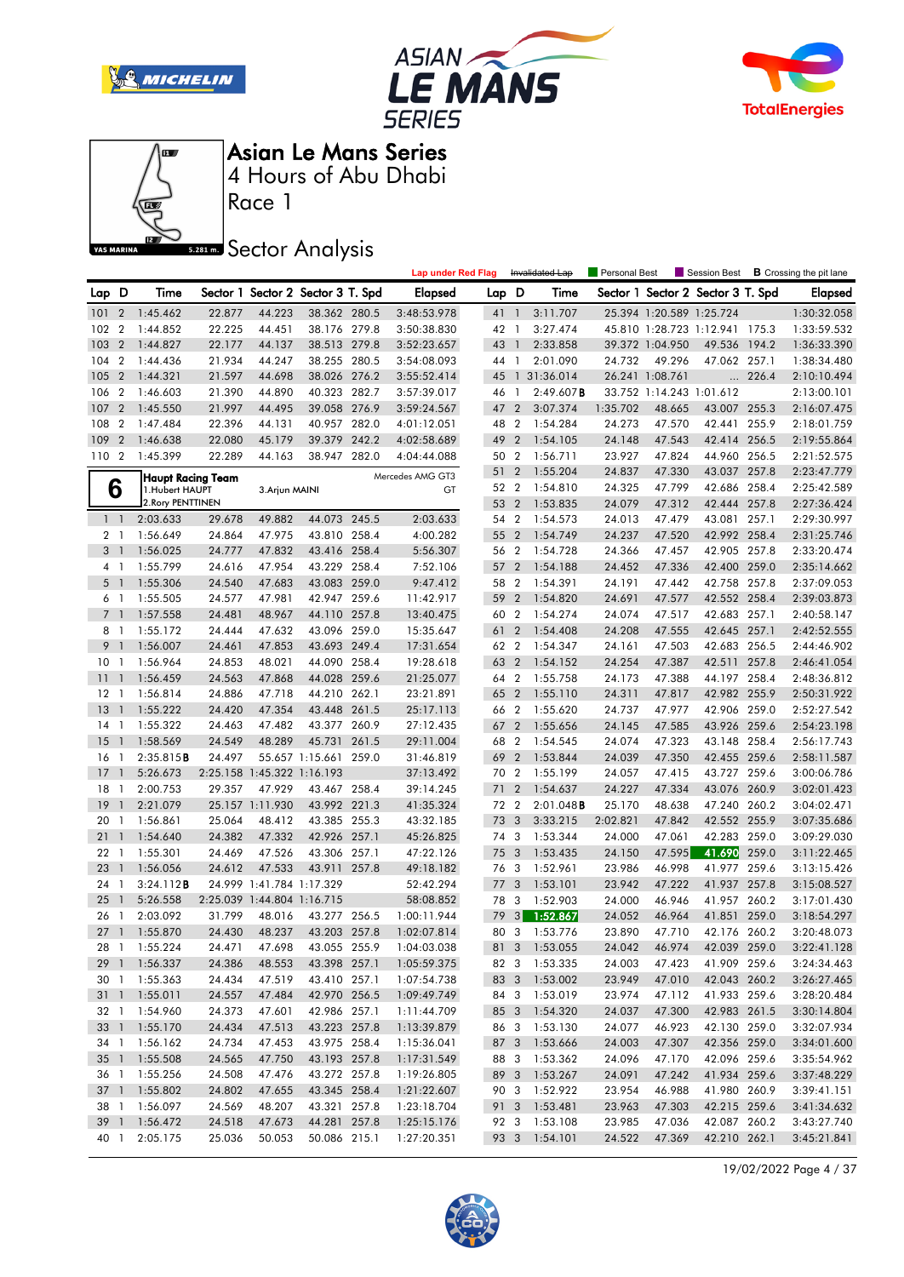







Race 1

## **Sector Analysis**

|                |                              |                           |        |                                                        |                                   | <b>Lap under Red Flag</b> |          |                | Invalidated Lap                | Personal Best    |                          | Session Best                      |       | <b>B</b> Crossing the pit lane |
|----------------|------------------------------|---------------------------|--------|--------------------------------------------------------|-----------------------------------|---------------------------|----------|----------------|--------------------------------|------------------|--------------------------|-----------------------------------|-------|--------------------------------|
| Lap D          |                              | Time                      |        |                                                        | Sector 1 Sector 2 Sector 3 T. Spd | <b>Elapsed</b>            | Lap D    |                | Time                           |                  |                          | Sector 1 Sector 2 Sector 3 T. Spd |       | <b>Elapsed</b>                 |
|                |                              | 101 2 1:45.462            | 22.877 | 44.223                                                 | 38.362 280.5                      | 3:48:53.978               | 41 1     |                | 3:11.707                       |                  | 25.394 1:20.589 1:25.724 |                                   |       | 1:30:32.058                    |
| 102            | $\overline{2}$               | 1:44.852                  | 22.225 | 44.451                                                 | 38.176 279.8                      | 3:50:38.830               | 42 1     |                | 3:27.474                       |                  |                          | 45.810 1:28.723 1:12.941 175.3    |       | 1:33:59.532                    |
| 103            | $\overline{2}$               | 1:44.827                  | 22.177 | 44.137                                                 | 38.513 279.8                      | 3:52:23.657               | 43 1     |                | 2:33.858                       |                  | 39.372 1:04.950          | 49.536 194.2                      |       | 1:36:33.390                    |
| 104            | $\overline{2}$               | 1:44.436                  | 21.934 | 44.247                                                 | 38.255 280.5                      | 3:54:08.093               | 44 1     |                | 2:01.090                       | 24.732           | 49.296                   | 47.062 257.1                      |       | 1:38:34.480                    |
| 105            | $\overline{2}$               | 1:44.321                  | 21.597 | 44.698                                                 | 38.026 276.2                      | 3:55:52.414               |          |                | 45 1 31:36.014                 |                  | 26.241 1:08.761          | $\cdots$                          | 226.4 | 2:10:10.494                    |
| 106            | $\overline{2}$               | 1:46.603                  | 21.390 | 44.890                                                 | 40.323 282.7                      | 3:57:39.017               | 46       | $\overline{1}$ | 2:49.607B                      |                  | 33.752 1:14.243 1:01.612 |                                   |       | 2:13:00.101                    |
| 107            | $\overline{2}$               | 1:45.550                  | 21.997 | 44.495                                                 | 39.058 276.9                      | 3:59:24.567               | 47       | $\overline{2}$ | 3:07.374                       | 1:35.702         | 48.665                   | 43.007 255.3                      |       | 2:16:07.475                    |
| 108            | $\overline{2}$               | 1:47.484                  | 22.396 | 44.131                                                 | 40.957 282.0                      | 4:01:12.051               | 48 2     |                | 1:54.284                       | 24.273           | 47.570                   | 42.441 255.9                      |       | 2:18:01.759                    |
| 109            | $\overline{2}$               | 1:46.638                  | 22.080 | 45.179                                                 | 39.379 242.2                      | 4:02:58.689               | 49 2     |                | 1:54.105                       | 24.148           | 47.543                   | 42.414 256.5                      |       | 2:19:55.864                    |
| 110            | $\overline{2}$               | 1:45.399                  | 22.289 | 44.163                                                 | 38.947 282.0                      | 4:04:44.088               | 50 2     |                | 1:56.711                       | 23.927           | 47.824                   | 44.960 256.5                      |       | 2:21:52.575                    |
|                |                              | <b>Haupt Racing Team</b>  |        |                                                        |                                   | Mercedes AMG GT3          | 51       | $\overline{2}$ | 1:55.204                       | 24.837           | 47.330                   | 43.037 257.8                      |       | 2:23:47.779                    |
|                | 6                            | 1.Hubert HAUPT            |        | 3. Arjun MAINI                                         |                                   | GT                        | 52 2     |                | 1:54.810                       | 24.325           | 47.799                   | 42.686 258.4                      |       | 2:25:42.589                    |
|                |                              | 2. Rory PENTTINEN         |        |                                                        |                                   |                           | 53 2     |                | 1:53.835                       | 24.079           | 47.312                   | 42.444                            | 257.8 | 2:27:36.424                    |
|                | $1\quad$                     | 2:03.633                  | 29.678 | 49.882                                                 | 44.073 245.5                      | 2:03.633                  | 54       | $\overline{2}$ | 1:54.573                       | 24.013           | 47.479                   | 43.081                            | 257.1 | 2:29:30.997                    |
| 2 1            |                              | 1:56.649                  | 24.864 | 47.975                                                 | 43.810 258.4                      | 4:00.282                  | 55       | $\overline{2}$ | 1:54.749                       | 24.237           | 47.520                   | 42.992 258.4                      |       | 2:31:25.746                    |
| 3 1            |                              | 1:56.025                  | 24.777 | 47.832                                                 | 43.416 258.4                      | 5:56.307                  | 56 2     |                | 1:54.728                       | 24.366           | 47.457                   | 42.905 257.8                      |       | 2:33:20.474                    |
|                | 4 1                          | 1:55.799                  | 24.616 | 47.954                                                 | 43.229 258.4                      | 7:52.106                  | 57 2     |                | 1:54.188                       | 24.452           | 47.336                   | 42.400 259.0                      |       | 2:35:14.662                    |
| 5              | $\overline{1}$               | 1:55.306                  | 24.540 | 47.683                                                 | 43.083 259.0                      | 9:47.412                  | 58 2     |                | 1:54.391                       | 24.191           | 47.442                   | 42.758 257.8                      |       | 2:37:09.053                    |
| 6 <sub>1</sub> |                              | 1:55.505                  | 24.577 | 47.981                                                 | 42.947 259.6                      | 11:42.917                 | 59       | $\overline{2}$ | 1:54.820                       | 24.691           | 47.577                   | 42.552 258.4                      |       | 2:39:03.873                    |
| 7 <sup>1</sup> |                              | 1:57.558                  | 24.481 | 48.967                                                 | 44.110 257.8                      | 13:40.475                 | 60 2     |                | 1:54.274                       | 24.074           | 47.517                   | 42.683 257.1                      |       | 2:40:58.147                    |
| 8 1            |                              | 1:55.172                  | 24.444 | 47.632                                                 | 43.096 259.0                      | 15:35.647                 | 61       | $\overline{2}$ | 1:54.408                       | 24.208           | 47.555                   | 42.645 257.1                      |       | 2:42:52.555                    |
| 9              | $\overline{\phantom{a}}$     | 1:56.007                  | 24.461 | 47.853                                                 | 43.693 249.4                      | 17:31.654                 | 62 2     |                | 1:54.347                       | 24.161           | 47.503                   | 42.683 256.5                      |       | 2:44:46.902                    |
| 10             | $\mathbf{1}$                 | 1:56.964                  | 24.853 | 48.021                                                 | 44.090 258.4                      | 19:28.618                 | 63 2     |                | 1:54.152                       | 24.254           | 47.387                   | 42.511                            | 257.8 | 2:46:41.054                    |
| 11             | $\overline{1}$               | 1:56.459                  | 24.563 | 47.868                                                 | 44.028 259.6                      | 21:25.077                 | 64 2     |                | 1:55.758                       | 24.173           | 47.388                   | 44.197 258.4                      |       | 2:48:36.812                    |
| $12 \,$        | $\mathbf{1}$                 | 1:56.814                  | 24.886 | 47.718                                                 | 44.210 262.1                      | 23:21.891                 | 65 2     |                | 1:55.110                       | 24.311           | 47.817                   | 42.982 255.9                      |       | 2:50:31.922                    |
| 13             | $\overline{1}$               | 1:55.222                  | 24.420 | 47.354                                                 | 43.448 261.5                      | 25:17.113                 | 66 2     |                | 1:55.620                       | 24.737           | 47.977                   | 42.906 259.0                      |       | 2:52:27.542                    |
| 14             | $\mathbf{1}$                 | 1:55.322                  | 24.463 | 47.482                                                 | 43.377 260.9                      | 27:12.435                 | 67       | $\overline{2}$ | 1:55.656                       | 24.145           | 47.585                   | 43.926 259.6                      |       | 2:54:23.198                    |
| 15             | $\overline{1}$               | 1:58.569                  | 24.549 | 48.289                                                 | 45.731 261.5                      | 29:11.004                 | 68       | $\overline{2}$ | 1:54.545                       | 24.074           | 47.323                   | 43.148 258.4                      |       | 2:56:17.743                    |
| 16             | $\mathbf{1}$                 | 2:35.815B                 | 24.497 |                                                        | 55.657 1:15.661 259.0             | 31:46.819                 | 69 2     |                | 1:53.844                       | 24.039           | 47.350                   | 42.455 259.6                      |       | 2:58:11.587                    |
| 17             | $\mathbf{1}$                 | 5:26.673                  |        | 2:25.158 1:45.322 1:16.193                             |                                   | 37:13.492                 | 70 2     |                | 1:55.199                       | 24.057           | 47.415                   | 43.727                            | 259.6 | 3:00:06.786                    |
| 18             | $\mathbf{1}$                 | 2:00.753                  | 29.357 | 47.929                                                 | 43.467 258.4                      | 39:14.245                 | 71       | $\overline{2}$ | 1:54.637                       | 24.227           | 47.334                   | 43.076 260.9                      |       | 3:02:01.423                    |
| 19             | $\mathbf{1}$                 | 2:21.079                  |        | 25.157 1:11.930                                        | 43.992 221.3                      | 41:35.324                 | 72 2     |                | 2:01.048B                      | 25.170           | 48.638                   | 47.240 260.2                      |       | 3:04:02.471                    |
| 20             | $\mathbf{1}$                 | 1:56.861                  | 25.064 | 48.412                                                 | 43.385 255.3                      | 43:32.185                 | 73 3     |                | 3:33.215                       | 2:02.821         | 47.842                   | 42.552 255.9                      |       | 3:07:35.686                    |
| 21             | $\mathbf{1}$                 | 1:54.640                  | 24.382 | 47.332                                                 | 42.926 257.1                      | 45:26.825                 | 74 3     |                | 1:53.344                       | 24.000           | 47.061                   | 42.283 259.0                      |       | 3:09:29.030                    |
| 22             | $\overline{1}$               | 1:55.301                  | 24.469 | 47.526<br>47.533                                       | 43.306 257.1                      | 47:22.126                 | 75       | 3              | 1:53.435                       | 24.150           | 47.595                   | 41.690                            | 259.0 | 3:11:22.465                    |
| 23             | $\mathbf{1}$<br>$\mathbf{1}$ | 1:56.056                  | 24.612 |                                                        | 43.911 257.8                      | 49:18.182                 | 76 3     |                | 1:52.961                       | 23.986           | 46.998                   | 41.977 259.6<br>41.937            |       | 3:13:15.426                    |
| 24             | $\mathbf{1}$                 | 3:24.112B                 |        | 24.999 1:41.784 1:17.329<br>2:25.039 1:44.804 1:16.715 |                                   | 52:42.294<br>58:08.852    | 77       | 3<br>3         | 1:53.101                       | 23.942           | 47.222                   |                                   | 257.8 | 3:15:08.527                    |
| 25<br>26       | -1                           | 5:26.558                  | 31.799 | 48.016                                                 |                                   | 1:00:11.944               | 78<br>79 | 3              | 1:52.903<br>1:52.867           | 24.000<br>24.052 | 46.946<br>46.964         | 41.957 260.2<br>41.851            | 259.0 | 3:17:01.430<br>3:18:54.297     |
|                |                              | 2:03.092<br>27 1 1:55.870 | 24.430 | 48.237                                                 | 43.277 256.5<br>43.203 257.8      | 1:02:07.814               | 80 3     |                | 1:53.776                       | 23.890           | 47.710                   | 42.176 260.2                      |       | 3:20:48.073                    |
|                |                              | 28 1 1:55.224             | 24.471 | 47.698                                                 | 43.055 255.9                      | 1:04:03.038               |          |                | 81 3 1:53.055                  | 24.042           | 46.974                   | 42.039 259.0                      |       | 3:22:41.128                    |
|                |                              | 29 1 1:56.337             | 24.386 | 48.553                                                 | 43.398 257.1                      | 1:05:59.375               |          |                |                                | 24.003           | 47.423                   | 41.909 259.6                      |       |                                |
|                |                              | 30 1 1:55.363             | 24.434 | 47.519                                                 | 43.410 257.1                      | 1:07:54.738               |          |                | 82 3 1:53.335<br>83 3 1:53.002 | 23.949           | 47.010                   | 42.043 260.2                      |       | 3:24:34.463<br>3:26:27.465     |
|                |                              | 31 1 1:55.011             | 24.557 | 47.484                                                 | 42.970 256.5                      | 1:09:49.749               |          |                | 84 3 1:53.019                  | 23.974           | 47.112                   | 41.933 259.6                      |       | 3:28:20.484                    |
|                |                              | 32 1 1:54.960             | 24.373 | 47.601                                                 | 42.986 257.1                      | 1:11:44.709               |          |                | 85 3 1:54.320                  | 24.037           | 47.300                   | 42.983 261.5                      |       | 3:30:14.804                    |
|                |                              | 33 1 1:55.170             | 24.434 | 47.513                                                 | 43.223 257.8                      | 1:13:39.879               | 86 3     |                | 1:53.130                       | 24.077           | 46.923                   | 42.130 259.0                      |       | 3:32:07.934                    |
|                |                              | 34 1 1:56.162             | 24.734 | 47.453                                                 | 43.975 258.4                      | 1:15:36.041               |          |                | 87 3 1:53.666                  | 24.003           | 47.307                   | 42.356 259.0                      |       | 3:34:01.600                    |
|                |                              | 35 1 1:55.508             | 24.565 | 47.750                                                 | 43.193 257.8                      | 1:17:31.549               |          |                | 88 3 1:53.362                  | 24.096           | 47.170                   | 42.096 259.6                      |       | 3:35:54.962                    |
|                |                              | 36 1 1:55.256             | 24.508 | 47.476                                                 | 43.272 257.8                      | 1:19:26.805               |          |                | 89 3 1:53.267                  | 24.091           | 47.242                   | 41.934 259.6                      |       | 3:37:48.229                    |
|                |                              | 37 1 1:55.802             | 24.802 | 47.655                                                 | 43.345 258.4                      | 1:21:22.607               | 90 3     |                | 1:52.922                       | 23.954           | 46.988                   | 41.980 260.9                      |       | 3:39:41.151                    |
|                |                              | 38 1 1:56.097             | 24.569 | 48.207                                                 | 43.321 257.8                      | 1:23:18.704               |          |                | 91 3 1:53.481                  | 23.963           | 47.303                   | 42.215 259.6                      |       | 3:41:34.632                    |
|                |                              | 39 1 1:56.472             | 24.518 | 47.673                                                 | 44.281 257.8                      | 1:25:15.176               |          |                | 92 3 1:53.108                  | 23.985           | 47.036                   | 42.087 260.2                      |       | 3:43:27.740                    |
|                |                              | 40 1 2:05.175             | 25.036 | 50.053                                                 | 50.086 215.1                      | 1:27:20.351               |          |                | 93 3 1:54.101                  | 24.522           | 47.369                   | 42.210 262.1                      |       | 3:45:21.841                    |
|                |                              |                           |        |                                                        |                                   |                           |          |                |                                |                  |                          |                                   |       |                                |

19/02/2022 Page 4 / 37

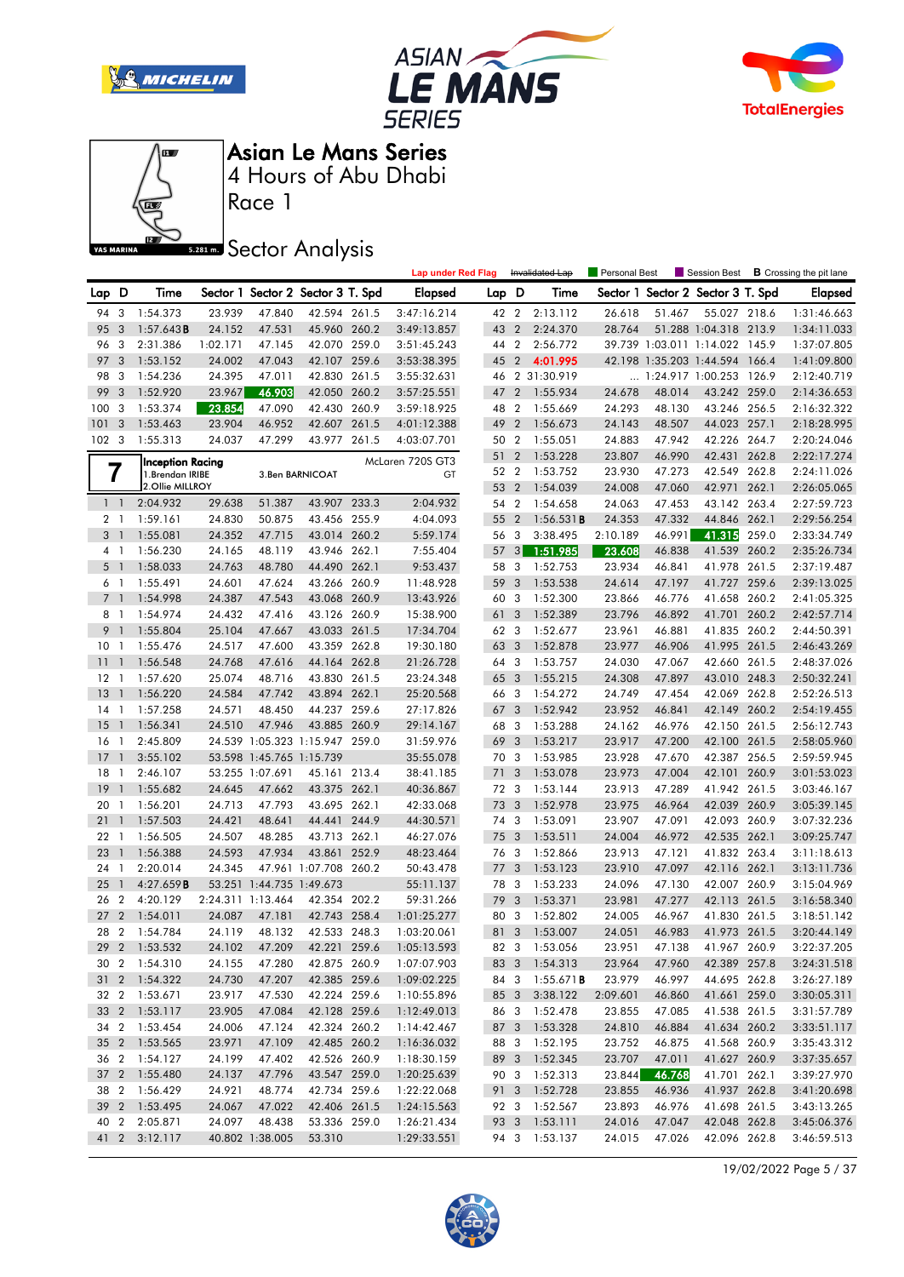







Race 1

## **Sector Analysis**

|                |                          |                                            |                  |                          |                                   |       | <b>Lap under Red Flag</b> |       |                | Invalidated Lap        | Personal Best |        | Session Best                      |       | <b>B</b> Crossing the pit lane |
|----------------|--------------------------|--------------------------------------------|------------------|--------------------------|-----------------------------------|-------|---------------------------|-------|----------------|------------------------|---------------|--------|-----------------------------------|-------|--------------------------------|
| Lap D          |                          | Time                                       |                  |                          | Sector 1 Sector 2 Sector 3 T. Spd |       | <b>Elapsed</b>            | Lap D |                | Time                   |               |        | Sector 1 Sector 2 Sector 3 T. Spd |       | <b>Elapsed</b>                 |
| 94 3           |                          | 1:54.373                                   | 23.939           | 47.840                   | 42.594 261.5                      |       | 3:47:16.214               | 42 2  |                | 2:13.112               | 26.618        | 51.467 | 55.027 218.6                      |       | 1:31:46.663                    |
| 95             | 3                        | 1:57.643B                                  | 24.152           | 47.531                   | 45.960 260.2                      |       | 3:49:13.857               | 43 2  |                | 2:24.370               | 28.764        |        | 51.288 1:04.318 213.9             |       | 1:34:11.033                    |
| 96             | 3                        | 2:31.386                                   | 1:02.171         | 47.145                   | 42.070 259.0                      |       | 3:51:45.243               | 44 2  |                | 2:56.772               |               |        | 39.739 1:03.011 1:14.022 145.9    |       | 1:37:07.805                    |
| 97             | 3                        | 1:53.152                                   | 24.002           | 47.043                   | 42.107 259.6                      |       | 3:53:38.395               | 45    | $\overline{2}$ | 4:01.995               |               |        | 42.198 1:35.203 1:44.594 166.4    |       | 1:41:09.800                    |
| 98             | 3                        | 1:54.236                                   | 24.395           | 47.011                   | 42.830 261.5                      |       | 3:55:32.631               |       |                | 46 2 31:30.919         |               |        | 1:24.917 1:00.253 126.9           |       | 2:12:40.719                    |
| 99             | 3                        | 1:52.920                                   | 23.967           | 46.903                   | 42.050 260.2                      |       | 3:57:25.551               | 47    | $\overline{2}$ | 1:55.934               | 24.678        | 48.014 | 43.242 259.0                      |       | 2:14:36.653                    |
| 100            | 3                        | 1:53.374                                   | 23.854           | 47.090                   | 42.430                            | 260.9 | 3:59:18.925               | 48 2  |                | 1:55.669               | 24.293        | 48.130 | 43.246 256.5                      |       | 2:16:32.322                    |
| 101            | 3                        | 1:53.463                                   | 23.904           | 46.952                   | 42.607 261.5                      |       | 4:01:12.388               | 49    | $\overline{2}$ | 1:56.673               | 24.143        | 48.507 | 44.023 257.1                      |       | 2:18:28.995                    |
| 1023           |                          | 1:55.313                                   | 24.037           | 47.299                   | 43.977 261.5                      |       | 4:03:07.701               | 50 2  |                | 1:55.051               | 24.883        | 47.942 | 42.226 264.7                      |       | 2:20:24.046                    |
|                |                          |                                            |                  |                          |                                   |       |                           | 51    | $\overline{2}$ | 1:53.228               | 23.807        | 46.990 | 42.431                            | 262.8 | 2:22:17.274                    |
|                |                          | <b>Inception Racing</b><br>1.Brendan IRIBE |                  |                          | 3. Ben BARNICOAT                  |       | McLaren 720S GT3<br>GT    | 52 2  |                | 1:53.752               | 23.930        | 47.273 | 42.549 262.8                      |       | 2:24:11.026                    |
|                | I                        | 2.Ollie MILLROY                            |                  |                          |                                   |       |                           | 53    | $\overline{2}$ | 1:54.039               | 24.008        | 47.060 | 42.971                            | 262.1 | 2:26:05.065                    |
| 1 <sup>1</sup> |                          | 2:04.932                                   | 29.638           | 51.387                   | 43.907 233.3                      |       | 2:04.932                  | 54 2  |                | 1:54.658               | 24.063        | 47.453 | 43.142 263.4                      |       | 2:27:59.723                    |
|                | 2 1                      | 1:59.161                                   | 24.830           | 50.875                   | 43.456 255.9                      |       | 4:04.093                  | 55    | $\overline{2}$ | 1:56.531B              | 24.353        | 47.332 | 44.846                            | 262.1 | 2:29:56.254                    |
| 3 <sup>1</sup> |                          | 1:55.081                                   | 24.352           | 47.715                   | 43.014 260.2                      |       | 5:59.174                  | 56    | 3              | 3:38.495               | 2:10.189      | 46.991 | 41.315                            | 259.0 | 2:33:34.749                    |
|                | 4 1                      | 1:56.230                                   | 24.165           | 48.119                   | 43.946 262.1                      |       | 7:55.404                  | 57    | 3              | 1:51.985               | 23.608        | 46.838 | 41.539 260.2                      |       | 2:35:26.734                    |
| 5 <sub>1</sub> |                          | 1:58.033                                   | 24.763           | 48.780                   | 44.490 262.1                      |       | 9:53.437                  | 58 3  |                | 1:52.753               | 23.934        | 46.841 | 41.978 261.5                      |       | 2:37:19.487                    |
|                | 6 1                      | 1:55.491                                   | 24.601           | 47.624                   | 43.266 260.9                      |       | 11:48.928                 | 59    | 3              | 1:53.538               | 24.614        | 47.197 | 41.727                            | 259.6 | 2:39:13.025                    |
| $\overline{7}$ | $\overline{\phantom{a}}$ | 1:54.998                                   | 24.387           | 47.543                   | 43.068 260.9                      |       | 13:43.926                 | 60 3  |                | 1:52.300               | 23.866        | 46.776 | 41.658                            | 260.2 | 2:41:05.325                    |
|                | 8 1                      | 1:54.974                                   | 24.432           | 47.416                   | 43.126 260.9                      |       | 15:38.900                 | 61    | 3              | 1:52.389               | 23.796        | 46.892 | 41.701                            | 260.2 | 2:42:57.714                    |
|                | 9 <sub>1</sub>           | 1:55.804                                   | 25.104           | 47.667                   | 43.033 261.5                      |       | 17:34.704                 | 62 3  |                | 1:52.677               | 23.961        | 46.881 | 41.835 260.2                      |       | 2:44:50.391                    |
| 10             | $\overline{1}$           | 1:55.476                                   | 24.517           | 47.600                   | 43.359                            | 262.8 | 19:30.180                 | 63    | 3              | 1:52.878               | 23.977        | 46.906 | 41.995 261.5                      |       | 2:46:43.269                    |
| 11             | $\mathbf{1}$             | 1:56.548                                   | 24.768           | 47.616                   | 44.164 262.8                      |       | 21:26.728                 | 64 3  |                | 1:53.757               | 24.030        | 47.067 | 42.660 261.5                      |       | 2:48:37.026                    |
| $12-1$         |                          | 1:57.620                                   | 25.074           | 48.716                   | 43.830 261.5                      |       | 23:24.348                 | 65    | 3              |                        | 24.308        | 47.897 | 43.010 248.3                      |       |                                |
|                |                          |                                            |                  |                          | 43.894 262.1                      |       |                           |       |                | 1:55.215               |               | 47.454 |                                   |       | 2:50:32.241<br>2:52:26.513     |
| 13             | $\overline{1}$           | 1:56.220                                   | 24.584           | 47.742                   |                                   |       | 25:20.568                 | 66 3  |                | 1:54.272               | 24.749        |        | 42.069 262.8                      |       |                                |
| 14             | $\overline{1}$           | 1:57.258                                   | 24.571<br>24.510 | 48.450<br>47.946         | 44.237 259.6<br>43.885 260.9      |       | 27:17.826                 | 67    | 3              | 1:52.942               | 23.952        | 46.841 | 42.149                            | 260.2 | 2:54:19.455                    |
| 15             | $\overline{1}$           | 1:56.341                                   |                  |                          |                                   |       | 29:14.167                 | 68    | -3             | 1:53.288               | 24.162        | 46.976 | 42.150 261.5                      |       | 2:56:12.743                    |
| 16             | -1                       | 2:45.809                                   |                  |                          | 24.539 1:05.323 1:15.947 259.0    |       | 31:59.976                 | 69    | 3              | 1:53.217               | 23.917        | 47.200 | 42.100 261.5                      |       | 2:58:05.960                    |
| 17             | $\overline{\phantom{a}}$ | 3:55.102                                   |                  | 53.598 1:45.765 1:15.739 |                                   |       | 35:55.078                 | 70 3  |                | 1:53.985               | 23.928        | 47.670 | 42.387 256.5                      |       | 2:59:59.945                    |
| 18             | $\mathbf{1}$             | 2:46.107                                   |                  | 53.255 1:07.691          | 45.161                            | 213.4 | 38:41.185                 | 71    | 3              | 1:53.078               | 23.973        | 47.004 | 42.101                            | 260.9 | 3:01:53.023                    |
| 19             | $\overline{1}$           | 1:55.682                                   | 24.645           | 47.662                   | 43.375 262.1                      |       | 40:36.867                 | 72 3  |                | 1:53.144               | 23.913        | 47.289 | 41.942 261.5                      |       | 3:03:46.167                    |
| 20             | - 1                      | 1:56.201                                   | 24.713           | 47.793                   | 43.695 262.1                      |       | 42:33.068                 | 73    | 3              | 1:52.978               | 23.975        | 46.964 | 42.039                            | 260.9 | 3:05:39.145                    |
| 21             | $\overline{1}$           | 1:57.503                                   | 24.421           | 48.641                   | 44.441                            | 244.9 | 44:30.571                 | 74 3  |                | 1:53.091               | 23.907        | 47.091 | 42.093 260.9                      |       | 3:07:32.236                    |
| 22             | -1                       | 1:56.505                                   | 24.507           | 48.285                   | 43.713                            | 262.1 | 46:27.076                 | 75    | 3              | 1:53.511               | 24.004        | 46.972 | 42.535                            | 262.1 | 3:09:25.747                    |
| 23             | $\mathbf{1}$             | 1:56.388                                   | 24.593           | 47.934                   | 43.861                            | 252.9 | 48:23.464                 | 76 3  |                | 1:52.866               | 23.913        | 47.121 | 41.832 263.4                      |       | 3:11:18.613                    |
| 24             | -1                       | 2:20.014                                   | 24.345           |                          | 47.961 1:07.708 260.2             |       | 50:43.478                 | 77    | 3              | 1:53.123               | 23.910        | 47.097 | 42.116 262.1                      |       | 3:13:11.736                    |
| 25             | $\mathbf{1}$             | 4:27.659B                                  |                  | 53.251 1:44.735 1:49.673 |                                   |       | 55:11.137                 | 78    | 3              | 1:53.233               | 24.096        | 47.130 | 42.007 260.9                      |       | 3:15:04.969                    |
| 26             | $\overline{2}$           | 4:20.129                                   |                  | 2:24.311 1:13.464        | 42.354                            | 202.2 | 59:31.266                 | 79    | 3              | 1:53.371               | 23.981        | 47.277 | 42.113 261.5                      |       | 3:16:58.340                    |
| 27             | $\overline{2}$           | 1:54.011                                   | 24.087           | 47.181                   | 42.743 258.4                      |       | 1:01:25.277               | 80    | 3              | 1:52.802               | 24.005        | 46.967 | 41.830 261.5                      |       | 3:18:51.142                    |
| 28 2           |                          | 1:54.784                                   | 24.119           | 48.132                   | 42.533 248.3                      |       | 1:03:20.061               | 81 3  |                | 1:53.007               | 24.051        | 46.983 | 41.973 261.5                      |       | 3:20:44.149                    |
|                |                          | 29 2 1:53.532                              | 24.102           | 47.209                   | 42.221 259.6                      |       | 1:05:13.593               |       |                | 82 3 1:53.056          | 23.951        | 47.138 | 41.967 260.9                      |       | 3:22:37.205                    |
|                |                          | 30 2 1:54.310                              | 24.155           | 47.280                   | 42.875 260.9                      |       | 1:07:07.903               |       |                | 83 3 1:54.313          | 23.964        | 47.960 | 42.389 257.8                      |       | 3:24:31.518                    |
|                |                          | 31 2 1:54.322                              | 24.730           | 47.207                   | 42.385 259.6                      |       | 1:09:02.225               |       |                | 84 3 1:55.671 <b>B</b> | 23.979        | 46.997 | 44.695 262.8                      |       | 3:26:27.189                    |
|                |                          | 32 2 1:53.671                              | 23.917           | 47.530                   | 42.224 259.6                      |       | 1:10:55.896               |       |                | 85 3 3:38.122          | 2:09.601      | 46.860 | 41.661 259.0                      |       | 3:30:05.311                    |
|                |                          | 33 2 1:53.117                              | 23.905           | 47.084                   | 42.128 259.6                      |       | 1:12:49.013               |       |                | 86 3 1:52.478          | 23.855        | 47.085 | 41.538 261.5                      |       | 3:31:57.789                    |
|                |                          | 34 2 1:53.454                              | 24.006           | 47.124                   | 42.324 260.2                      |       | 1:14:42.467               |       |                | 87 3 1:53.328          | 24.810        | 46.884 | 41.634 260.2                      |       | 3:33:51.117                    |
|                |                          | 35 2 1:53.565                              | 23.971           | 47.109                   | 42.485 260.2                      |       | 1:16:36.032               |       |                | 88 3 1:52.195          | 23.752        | 46.875 | 41.568 260.9                      |       | 3:35:43.312                    |
|                |                          | 36 2 1:54.127                              | 24.199           | 47.402                   | 42.526 260.9                      |       | 1:18:30.159               |       |                | 89 3 1:52.345          | 23.707        | 47.011 | 41.627 260.9                      |       | 3:37:35.657                    |
|                |                          | 37 2 1:55.480                              | 24.137           | 47.796                   | 43.547 259.0                      |       | 1:20:25.639               |       |                | 90 3 1:52.313          | 23.844        | 46.768 | 41.701 262.1                      |       | 3:39:27.970                    |
|                |                          | 38 2 1:56.429                              | 24.921           | 48.774                   | 42.734 259.6                      |       | 1:22:22.068               |       |                | 91 3 1:52.728          | 23.855        | 46.936 | 41.937 262.8                      |       | 3:41:20.698                    |
|                |                          | 39 2 1:53.495                              | 24.067           | 47.022                   | 42.406 261.5                      |       | 1:24:15.563               |       |                | 92 3 1:52.567          | 23.893        | 46.976 | 41.698 261.5                      |       | 3:43:13.265                    |
|                |                          | 40 2 2:05.871                              | 24.097           | 48.438                   | 53.336 259.0                      |       | 1:26:21.434               |       |                | 93 3 1:53.111          | 24.016        | 47.047 | 42.048 262.8                      |       | 3:45:06.376                    |
|                |                          | 41 2 3:12.117                              |                  | 40.802 1:38.005          | 53.310                            |       | 1:29:33.551               |       |                | 94 3 1:53.137          | 24.015        | 47.026 | 42.096 262.8                      |       | 3:46:59.513                    |

19/02/2022 Page 5 / 37

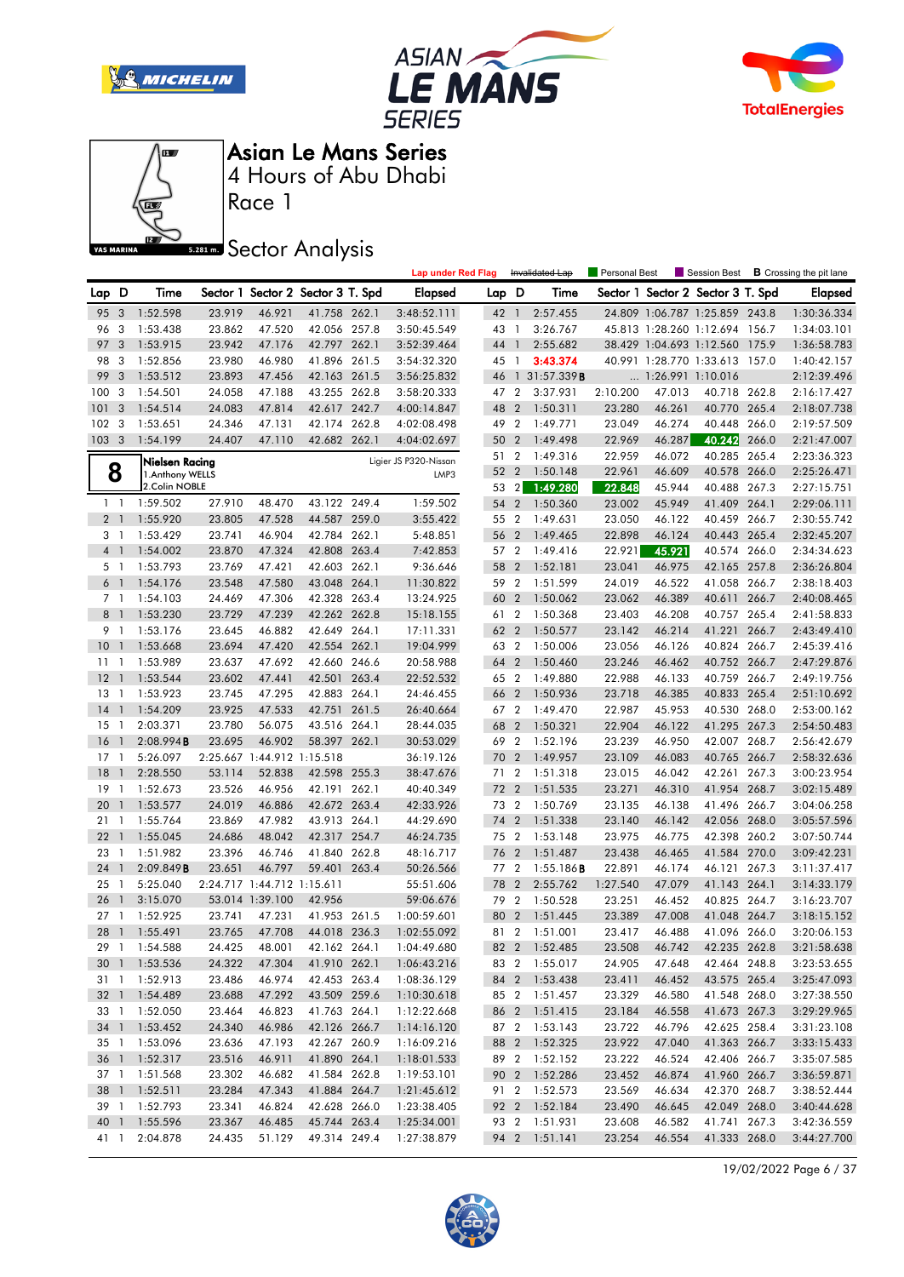







Race 1

# **Sector Analysis**

|                |                |                 |        |                            |                                   |       | <b>Lap under Red Flag</b> |       |                | Invalidated Lap      | Personal Best |        | Session Best                      |       | <b>B</b> Crossing the pit lane |
|----------------|----------------|-----------------|--------|----------------------------|-----------------------------------|-------|---------------------------|-------|----------------|----------------------|---------------|--------|-----------------------------------|-------|--------------------------------|
| Lap D          |                | Time            |        |                            | Sector 1 Sector 2 Sector 3 T. Spd |       | <b>Elapsed</b>            | Lap D |                | Time                 |               |        | Sector 1 Sector 2 Sector 3 T. Spd |       | <b>Elapsed</b>                 |
| 95             | 3              | 1:52.598        | 23.919 | 46.921                     | 41.758 262.1                      |       | 3:48:52.111               |       | 42 1           | 2:57.455             |               |        | 24.809 1:06.787 1:25.859 243.8    |       | 1:30:36.334                    |
| 96             | 3              | 1:53.438        | 23.862 | 47.520                     | 42.056 257.8                      |       | 3:50:45.549               | 43    | $\overline{1}$ | 3:26.767             |               |        | 45.813 1:28.260 1:12.694 156.7    |       | 1:34:03.101                    |
| 97             | 3              | 1:53.915        | 23.942 | 47.176                     | 42.797 262.1                      |       | 3:52:39.464               | 44    | $\overline{1}$ | 2:55.682             |               |        | 38.429 1:04.693 1:12.560 175.9    |       | 1:36:58.783                    |
| 98             | 3              | 1:52.856        | 23.980 | 46.980                     | 41.896 261.5                      |       | 3:54:32.320               |       | 45 1           | 3:43.374             |               |        | 40.991 1:28.770 1:33.613 157.0    |       | 1:40:42.157                    |
| 99             | 3              | 1:53.512        | 23.893 | 47.456                     | 42.163 261.5                      |       | 3:56:25.832               | 46    |                | 1 31:57.339 <b>B</b> |               |        | $\ldots$ 1:26.991 1:10.016        |       | 2:12:39.496                    |
| 100            | 3              | 1:54.501        | 24.058 | 47.188                     | 43.255 262.8                      |       | 3:58:20.333               | 47    | $\overline{2}$ | 3:37.931             | 2:10.200      | 47.013 | 40.718 262.8                      |       | 2:16:17.427                    |
| 101            | 3              | 1:54.514        | 24.083 | 47.814                     | 42.617 242.7                      |       | 4:00:14.847               | 48    | $\overline{2}$ | 1:50.311             | 23.280        | 46.261 | 40.770 265.4                      |       | 2:18:07.738                    |
| 102            | 3              | 1:53.651        | 24.346 | 47.131                     | 42.174 262.8                      |       | 4:02:08.498               |       | 49 2           | 1:49.771             | 23.049        | 46.274 | 40.448 266.0                      |       | 2:19:57.509                    |
| 103            | 3              | 1:54.199        | 24.407 | 47.110                     | 42.682 262.1                      |       | 4:04:02.697               | 50    | $\overline{2}$ | 1:49.498             | 22.969        | 46.287 | 40.242                            | 266.0 | 2:21:47.007                    |
|                |                | Nielsen Racing  |        |                            |                                   |       | Ligier JS P320-Nissan     | 51    | $\overline{2}$ | 1:49.316             | 22.959        | 46.072 | 40.285 265.4                      |       | 2:23:36.323                    |
|                | 8              | 1.Anthony WELLS |        |                            |                                   |       | LMP3                      | 52    | $\overline{2}$ | 1:50.148             | 22.961        | 46.609 | 40.578 266.0                      |       | 2:25:26.471                    |
|                |                | 2.Colin NOBLE   |        |                            |                                   |       |                           | 53    | $\vert$ 2      | 1:49.280             | 22.848        | 45.944 | 40.488 267.3                      |       | 2:27:15.751                    |
| $1\quad$       |                | 1:59.502        | 27.910 | 48.470                     | 43.122 249.4                      |       | 1:59.502                  | 54    | $\overline{2}$ | 1:50.360             | 23.002        | 45.949 | 41.409                            | 264.1 | 2:29:06.111                    |
| 2 <sub>1</sub> |                | 1:55.920        | 23.805 | 47.528                     | 44.587 259.0                      |       | 3:55.422                  |       | 55 2           | 1:49.631             | 23.050        | 46.122 | 40.459 266.7                      |       | 2:30:55.742                    |
| 31             |                | 1:53.429        | 23.741 | 46.904                     | 42.784 262.1                      |       | 5:48.851                  | 56    | $\overline{2}$ | 1:49.465             | 22.898        | 46.124 | 40.443 265.4                      |       | 2:32:45.207                    |
| 4 <sup>1</sup> |                | 1:54.002        | 23.870 | 47.324                     | 42.808 263.4                      |       | 7:42.853                  |       | 57 2           | 1:49.416             | 22.921        | 45.921 | 40.574 266.0                      |       | 2:34:34.623                    |
| 5 1            |                | 1:53.793        | 23.769 | 47.421                     | 42.603 262.1                      |       | 9:36.646                  | 58    | $\overline{2}$ | 1:52.181             | 23.041        | 46.975 | 42.165 257.8                      |       | 2:36:26.804                    |
| 6              | $\mathbf{1}$   | 1:54.176        | 23.548 | 47.580                     | 43.048 264.1                      |       | 11:30.822                 | 59    | $\overline{2}$ | 1:51.599             | 24.019        | 46.522 | 41.058 266.7                      |       | 2:38:18.403                    |
| 7 <sub>1</sub> |                | 1:54.103        | 24.469 | 47.306                     | 42.328 263.4                      |       | 13:24.925                 | 60    | $\overline{2}$ | 1:50.062             | 23.062        | 46.389 | 40.611                            | 266.7 | 2:40:08.465                    |
| 8              | $\overline{1}$ | 1:53.230        | 23.729 | 47.239                     | 42.262 262.8                      |       | 15:18.155                 | 61    | $\overline{2}$ | 1:50.368             | 23.403        | 46.208 | 40.757 265.4                      |       | 2:41:58.833                    |
| 9              | $\overline{1}$ | 1:53.176        | 23.645 | 46.882                     | 42.649 264.1                      |       | 17:11.331                 |       | 62 2           | 1:50.577             | 23.142        | 46.214 | 41.221                            | 266.7 | 2:43:49.410                    |
| 10             | $\mathbf{1}$   | 1:53.668        | 23.694 | 47.420                     | 42.554 262.1                      |       | 19:04.999                 |       | 63 2           | 1:50.006             | 23.056        | 46.126 | 40.824 266.7                      |       | 2:45:39.416                    |
| 11             | - 1            | 1:53.989        | 23.637 | 47.692                     | 42.660 246.6                      |       | 20:58.988                 |       | 64 2           | 1:50.460             | 23.246        | 46.462 | 40.752 266.7                      |       | 2:47:29.876                    |
| 12             | $\mathbf{1}$   | 1:53.544        | 23.602 | 47.441                     | 42.501                            | 263.4 | 22:52.532                 |       | 65 2           | 1:49.880             | 22.988        | 46.133 | 40.759 266.7                      |       | 2:49:19.756                    |
| 13             | $\overline{1}$ | 1:53.923        | 23.745 | 47.295                     | 42.883                            | 264.1 | 24:46.455                 | 66    | $\overline{2}$ | 1:50.936             | 23.718        | 46.385 | 40.833 265.4                      |       | 2:51:10.692                    |
| 14             | $\mathbf{1}$   | 1:54.209        | 23.925 | 47.533                     | 42.751 261.5                      |       | 26:40.664                 |       | 67 2           | 1:49.470             | 22.987        | 45.953 | 40.530 268.0                      |       | 2:53:00.162                    |
| 15             | -1             | 2:03.371        | 23.780 | 56.075                     | 43.516 264.1                      |       | 28:44.035                 | 68    | $\overline{2}$ | 1:50.321             | 22.904        | 46.122 | 41.295 267.3                      |       | 2:54:50.483                    |
| <b>16</b>      | $\mathbf{1}$   | 2:08.994B       | 23.695 | 46.902                     | 58.397 262.1                      |       | 30:53.029                 | 69    | $\overline{2}$ | 1:52.196             | 23.239        | 46.950 | 42.007 268.7                      |       | 2:56:42.679                    |
| 17             | -1             | 5:26.097        |        | 2:25.667 1:44.912 1:15.518 |                                   |       | 36:19.126                 | 70    | $\overline{2}$ | 1:49.957             | 23.109        | 46.083 | 40.765 266.7                      |       | 2:58:32.636                    |
| 18             | -1             | 2:28.550        | 53.114 | 52.838                     | 42.598 255.3                      |       | 38:47.676                 |       | 71 2           | 1:51.318             | 23.015        | 46.042 | 42.261 267.3                      |       | 3:00:23.954                    |
| 19             | -1             | 1:52.673        | 23.526 | 46.956                     | 42.191 262.1                      |       | 40:40.349                 |       | 72 2           | 1:51.535             | 23.271        | 46.310 | 41.954 268.7                      |       | 3:02:15.489                    |
| 20             | $\mathbf{1}$   | 1:53.577        | 24.019 | 46.886                     | 42.672 263.4                      |       | 42:33.926                 |       | 73 2           | 1:50.769             | 23.135        | 46.138 | 41.496 266.7                      |       | 3:04:06.258                    |
| 21             | $\mathbf{1}$   | 1:55.764        | 23.869 | 47.982                     | 43.913 264.1                      |       | 44:29.690                 | 74    | $\overline{2}$ | 1:51.338             | 23.140        | 46.142 | 42.056 268.0                      |       | 3:05:57.596                    |
| 22             | $\overline{1}$ | 1:55.045        | 24.686 | 48.042                     | 42.317 254.7                      |       | 46:24.735                 |       | 75 2           | 1:53.148             | 23.975        | 46.775 | 42.398 260.2                      |       | 3:07:50.744                    |
| 23             | $\mathbf{1}$   | 1:51.982        | 23.396 | 46.746                     | 41.840 262.8                      |       | 48:16.717                 |       | 76 2           | 1:51.487             | 23.438        | 46.465 | 41.584 270.0                      |       | 3:09:42.231                    |
| 24             | $\mathbf{1}$   | 2:09.849B       | 23.651 | 46.797                     | 59.401                            | 263.4 | 50:26.566                 | 77    | $\overline{2}$ | $1:55.186$ B         | 22.891        | 46.174 | 46.121                            | 267.3 | 3:11:37.417                    |
| 25             | -1             | 5:25.040        |        | 2:24.717 1:44.712 1:15.611 |                                   |       | 55:51.606                 | 78    | $\overline{2}$ | 2:55.762             | 1:27.540      | 47.079 | 41.143 264.1                      |       | 3:14:33.179                    |
| 26             | $\overline{1}$ | 3:15.070        |        | 53.014 1:39.100            | 42.956                            |       | 59:06.676                 | 79    | $\overline{2}$ | 1:50.528             | 23.251        | 46.452 | 40.825 264.7                      |       | 3:16:23.707                    |
| 27             | -1             | 1:52.925        | 23.741 | 47.231                     | 41.953 261.5                      |       | 1:00:59.601               | 80    | $\overline{2}$ | 1:51.445             | 23.389        | 47.008 | 41.048 264.7                      |       | 3:18:15.152                    |
| 28             | $\overline{1}$ | 1:55.491        | 23.765 | 47.708                     | 44.018 236.3                      |       | 1:02:55.092               |       | 81 2           | 1:51.001             | 23.417        | 46.488 | 41.096 266.0                      |       | 3:20:06.153                    |
|                |                | 29 1 1:54.588   | 24.425 | 48.001                     | 42.162 264.1                      |       | 1:04:49.680               |       |                | 82 2 1:52.485        | 23.508        | 46.742 | 42.235 262.8                      |       | 3:21:58.638                    |
|                |                | 30 1 1:53.536   | 24.322 | 47.304                     | 41.910 262.1                      |       | 1:06:43.216               |       |                | 83 2 1:55.017        | 24.905        | 47.648 | 42.464 248.8                      |       | 3:23:53.655                    |
|                |                | 31 1 1:52.913   | 23.486 | 46.974                     | 42.453 263.4                      |       | 1:08:36.129               |       |                | 84 2 1:53.438        | 23.411        | 46.452 | 43.575 265.4                      |       | 3:25:47.093                    |
|                |                | 32 1 1:54.489   | 23.688 | 47.292                     | 43.509 259.6                      |       | 1:10:30.618               |       |                | 85 2 1:51.457        | 23.329        | 46.580 | 41.548 268.0                      |       | 3:27:38.550                    |
|                |                | 33 1 1:52.050   | 23.464 | 46.823                     | 41.763 264.1                      |       | 1:12:22.668               |       |                | 86 2 1:51.415        | 23.184        | 46.558 | 41.673 267.3                      |       | 3:29:29.965                    |
|                |                | 34 1 1:53.452   | 24.340 | 46.986                     | 42.126 266.7                      |       | 1:14:16.120               |       |                | 87 2 1:53.143        | 23.722        | 46.796 | 42.625 258.4                      |       | 3:31:23.108                    |
| 35 1           |                | 1:53.096        | 23.636 | 47.193                     | 42.267 260.9                      |       | 1:16:09.216               |       |                | 88 2 1:52.325        | 23.922        | 47.040 | 41.363 266.7                      |       | 3:33:15.433                    |
| 36 1           |                | 1:52.317        | 23.516 | 46.911                     | 41.890 264.1                      |       | 1:18:01.533               |       |                | 89 2 1:52.152        | 23.222        | 46.524 | 42.406 266.7                      |       | 3:35:07.585                    |
| 37 1           |                | 1:51.568        | 23.302 | 46.682                     | 41.584 262.8                      |       | 1:19:53.101               |       |                | 90 2 1:52.286        | 23.452        | 46.874 | 41.960 266.7                      |       | 3:36:59.871                    |
| 38 1           |                | 1:52.511        | 23.284 | 47.343                     | 41.884 264.7                      |       | 1:21:45.612               |       |                | 91 2 1:52.573        | 23.569        | 46.634 | 42.370 268.7                      |       | 3:38:52.444                    |
| 39 1           |                | 1:52.793        | 23.341 | 46.824                     | 42.628 266.0                      |       | 1:23:38.405               |       |                | 92 2 1:52.184        | 23.490        | 46.645 | 42.049 268.0                      |       | 3:40:44.628                    |
| 40 1           |                | 1:55.596        | 23.367 | 46.485                     | 45.744 263.4                      |       | 1:25:34.001               |       |                | 93 2 1:51.931        | 23.608        | 46.582 | 41.741 267.3                      |       | 3:42:36.559                    |
| 41 1           |                | 2:04.878        | 24.435 | 51.129                     | 49.314 249.4                      |       | 1:27:38.879               |       |                | 94 2 1:51.141        | 23.254        | 46.554 | 41.333 268.0                      |       | 3:44:27.700                    |

19/02/2022 Page 6 / 37

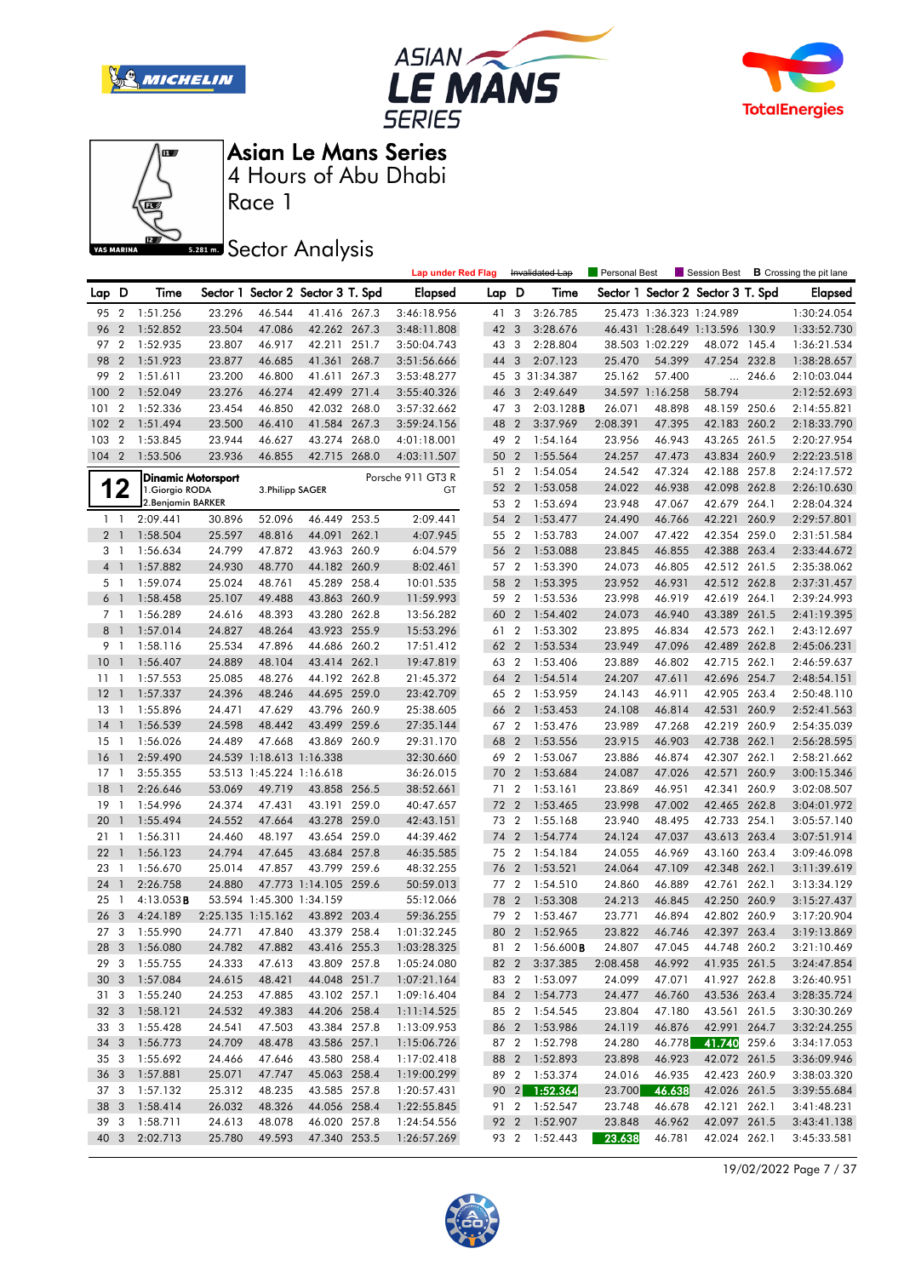







Race 1

## **Sector Analysis**

|                 |                                  |                                              |        |                          |                                   |       | <b>Lap under Red Flag</b> |       |                | Invalidated Lap      | Personal Best    |                          | Session Best                      |       | <b>B</b> Crossing the pit lane |
|-----------------|----------------------------------|----------------------------------------------|--------|--------------------------|-----------------------------------|-------|---------------------------|-------|----------------|----------------------|------------------|--------------------------|-----------------------------------|-------|--------------------------------|
| Lap D           |                                  | Time                                         |        |                          | Sector 1 Sector 2 Sector 3 T. Spd |       | <b>Elapsed</b>            | Lap D |                | Time                 |                  |                          | Sector 1 Sector 2 Sector 3 T. Spd |       | <b>Elapsed</b>                 |
| 95 2            |                                  | 1:51.256                                     | 23.296 | 46.544                   | 41.416 267.3                      |       | 3:46:18.956               | 41 3  |                | 3:26.785             |                  | 25.473 1:36.323 1:24.989 |                                   |       | 1:30:24.054                    |
| 96              | $\overline{2}$                   | 1:52.852                                     | 23.504 | 47.086                   | 42.262 267.3                      |       | 3:48:11.808               | 42 3  |                | 3:28.676             |                  |                          | 46.431 1:28.649 1:13.596 130.9    |       | 1:33:52.730                    |
| 97              | $\overline{2}$                   | 1:52.935                                     | 23.807 | 46.917                   | 42.211                            | 251.7 | 3:50:04.743               | 43 3  |                | 2:28.804             |                  | 38.503 1:02.229          | 48.072 145.4                      |       | 1:36:21.534                    |
| 98              | $\overline{2}$                   | 1:51.923                                     | 23.877 | 46.685                   | 41.361 268.7                      |       | 3:51:56.666               | 44    | 3              | 2:07.123             | 25.470           | 54.399                   | 47.254 232.8                      |       | 1:38:28.657                    |
| 99              | 2                                | 1:51.611                                     | 23.200 | 46.800                   | 41.611 267.3                      |       | 3:53:48.277               |       |                | 45 3 31:34.387       | 25.162           | 57.400                   |                                   | 246.6 | 2:10:03.044                    |
| 100             | $\overline{2}$                   | 1:52.049                                     | 23.276 | 46.274                   | 42.499 271.4                      |       | 3:55:40.326               | 46    | 3              | 2:49.649             |                  | 34.597 1:16.258          | 58.794                            |       | 2:12:52.693                    |
| 101             | 2                                | 1:52.336                                     | 23.454 | 46.850                   | 42.032 268.0                      |       | 3:57:32.662               | 47 3  |                | 2:03.128B            | 26.071           | 48.898                   | 48.159 250.6                      |       | 2:14:55.821                    |
| 102             | $\overline{2}$                   | 1:51.494                                     | 23.500 | 46.410                   | 41.584 267.3                      |       | 3:59:24.156               | 48    | $\overline{2}$ | 3:37.969             | 2:08.391         | 47.395                   | 42.183 260.2                      |       | 2:18:33.790                    |
| 103             | $\overline{2}$                   | 1:53.845                                     | 23.944 | 46.627                   | 43.274 268.0                      |       | 4:01:18.001               | 49 2  |                | 1:54.164             | 23.956           | 46.943                   | 43.265 261.5                      |       | 2:20:27.954                    |
| 104             | $\overline{2}$                   | 1:53.506                                     | 23.936 | 46.855                   | 42.715 268.0                      |       | 4:03:11.507               | 50 2  |                | 1:55.564             | 24.257           | 47.473                   | 43.834 260.9                      |       | 2:22:23.518                    |
|                 |                                  |                                              |        |                          |                                   |       |                           | 51 2  |                | 1:54.054             | 24.542           | 47.324                   | 42.188 257.8                      |       | 2:24:17.572                    |
|                 | 12                               | <b>Dinamic Motorsport</b><br>1. Giorgio RODA |        | 3. Philipp SAGER         |                                   |       | Porsche 911 GT3 R<br>GT   | 52    | $\overline{2}$ | 1:53.058             | 24.022           | 46.938                   | 42.098 262.8                      |       | 2:26:10.630                    |
|                 |                                  | 2. Benjamin BARKER                           |        |                          |                                   |       |                           | 53 2  |                | 1:53.694             | 23.948           | 47.067                   | 42.679 264.1                      |       | 2:28:04.324                    |
|                 | $1\quad1$                        | 2:09.441                                     | 30.896 | 52.096                   | 46.449 253.5                      |       | 2:09.441                  | 54    | $\overline{2}$ | 1:53.477             | 24.490           | 46.766                   | 42.221                            | 260.9 | 2:29:57.801                    |
| 2 <sub>1</sub>  |                                  | 1:58.504                                     | 25.597 | 48.816                   | 44.091                            | 262.1 | 4:07.945                  | 55 2  |                | 1:53.783             | 24.007           | 47.422                   | 42.354 259.0                      |       | 2:31:51.584                    |
|                 | 3 1                              | 1:56.634                                     | 24.799 | 47.872                   | 43.963 260.9                      |       | 6:04.579                  | 56    | $\overline{2}$ | 1:53.088             | 23.845           | 46.855                   | 42.388 263.4                      |       | 2:33:44.672                    |
|                 | 4 <sup>1</sup>                   | 1:57.882                                     | 24.930 | 48.770                   | 44.182 260.9                      |       | 8:02.461                  | 57 2  |                | 1:53.390             | 24.073           | 46.805                   | 42.512 261.5                      |       | 2:35:38.062                    |
|                 | 5 1                              | 1:59.074                                     | 25.024 | 48.761                   | 45.289 258.4                      |       | 10:01.535                 | 58    | $\overline{2}$ | 1:53.395             | 23.952           | 46.931                   | 42.512 262.8                      |       | 2:37:31.457                    |
| 6 <sup>1</sup>  |                                  | 1:58.458                                     | 25.107 | 49.488                   | 43.863 260.9                      |       | 11:59.993                 | 59 2  |                | 1:53.536             | 23.998           | 46.919                   | 42.619 264.1                      |       | 2:39:24.993                    |
|                 | 7 1                              | 1:56.289                                     | 24.616 | 48.393                   | 43.280 262.8                      |       | 13:56.282                 | 60    | $\overline{2}$ | 1:54.402             | 24.073           | 46.940                   | 43.389 261.5                      |       | 2:41:19.395                    |
| $8-1$           |                                  | 1:57.014                                     | 24.827 | 48.264                   | 43.923 255.9                      |       | 15:53.296                 | 61 2  |                | 1:53.302             | 23.895           | 46.834                   | 42.573 262.1                      |       | 2:43:12.697                    |
| 9               | $\overline{1}$                   | 1:58.116                                     | 25.534 | 47.896                   | 44.686 260.2                      |       | 17:51.412                 | 62 2  |                | 1:53.534             | 23.949           | 47.096                   | 42.489 262.8                      |       | 2:45:06.231                    |
| 10              | $\mathbf{1}$                     | 1:56.407                                     | 24.889 | 48.104                   | 43.414 262.1                      |       | 19:47.819                 | 63 2  |                | 1:53.406             | 23.889           | 46.802                   | 42.715 262.1                      |       | 2:46:59.637                    |
| $11-1$          |                                  | 1:57.553                                     | 25.085 | 48.276                   | 44.192 262.8                      |       | 21:45.372                 | 64    | $\overline{2}$ | 1:54.514             | 24.207           | 47.611                   | 42.696 254.7                      |       | 2:48:54.151                    |
| 12              | $\overline{1}$                   | 1:57.337                                     | 24.396 | 48.246                   | 44.695 259.0                      |       | 23:42.709                 | 65 2  |                | 1:53.959             | 24.143           | 46.911                   | 42.905 263.4                      |       | 2:50:48.110                    |
|                 | $\overline{1}$                   | 1:55.896                                     | 24.471 | 47.629                   | 43.796 260.9                      |       |                           | 66 2  |                | 1:53.453             |                  |                          | 42.531                            | 260.9 |                                |
| 13<br>14        | $\mathbf{1}$                     | 1:56.539                                     | 24.598 | 48.442                   | 43.499 259.6                      |       | 25:38.605<br>27:35.144    | 67 2  |                | 1:53.476             | 24.108<br>23.989 | 46.814<br>47.268         | 42.219 260.9                      |       | 2:52:41.563<br>2:54:35.039     |
| 15              |                                  |                                              | 24.489 | 47.668                   | 43.869 260.9                      |       | 29:31.170                 | 68    | $\overline{2}$ |                      | 23.915           |                          | 42.738 262.1                      |       |                                |
| 16              | $\overline{1}$<br>$\overline{1}$ | 1:56.026                                     |        | 24.539 1:18.613 1:16.338 |                                   |       |                           | 69 2  |                | 1:53.556<br>1:53.067 | 23.886           | 46.903<br>46.874         | 42.307 262.1                      |       | 2:56:28.595                    |
|                 | $\overline{1}$                   | 2:59.490                                     |        |                          |                                   |       | 32:30.660                 |       | $\overline{2}$ |                      | 24.087           |                          |                                   |       | 2:58:21.662                    |
| 17              |                                  | 3:55.355                                     |        | 53.513 1:45.224 1:16.618 |                                   |       | 36:26.015                 | 70    |                | 1:53.684             |                  | 47.026                   | 42.571                            | 260.9 | 3:00:15.346                    |
| 18              | $\mathbf{1}$                     | 2:26.646                                     | 53.069 | 49.719                   | 43.858 256.5                      |       | 38:52.661                 | 71 2  |                | 1:53.161             | 23.869           | 46.951                   | 42.341 260.9                      |       | 3:02:08.507                    |
| 19              | $\overline{1}$                   | 1:54.996                                     | 24.374 | 47.431                   | 43.191 259.0                      |       | 40:47.657                 | 72 2  |                | 1:53.465             | 23.998           | 47.002                   | 42.465 262.8                      |       | 3:04:01.972                    |
| 20              | $\mathbf{1}$                     | 1:55.494                                     | 24.552 | 47.664                   | 43.278 259.0                      |       | 42:43.151                 | 73 2  |                | 1:55.168             | 23.940           | 48.495                   | 42.733 254.1                      |       | 3:05:57.140                    |
| 21              | $\mathbf{1}$                     | 1:56.311                                     | 24.460 | 48.197<br>47.645         | 43.654 259.0<br>43.684 257.8      |       | 44:39.462                 | 74    | $\overline{2}$ | 1:54.774             | 24.124           | 47.037                   | 43.613                            | 263.4 | 3:07:51.914                    |
| 22              | $\mathbf{1}$                     | 1:56.123                                     | 24.794 |                          |                                   |       | 46:35.585                 | 75 2  |                | 1:54.184             | 24.055<br>24.064 | 46.969                   | 43.160 263.4                      |       | 3:09:46.098                    |
| 23              | $\overline{1}$                   | 1:56.670                                     | 25.014 | 47.857                   | 43.799 259.6                      |       | 48:32.255                 | 76 2  |                | 1:53.521             |                  | 47.109                   | 42.348 262.1                      |       | 3:11:39.619                    |
| 24              | $\overline{1}$                   | 2:26.758                                     | 24.880 |                          | 47.773 1:14.105 259.6             |       | 50:59.013                 | 77 2  |                | 1:54.510             | 24.860           | 46.889                   | 42.761 262.1                      |       | 3:13:34.129                    |
| 25              | $\mathbf{1}$                     | $4:13.053$ <b>B</b>                          |        | 53.594 1:45.300 1:34.159 |                                   |       | 55:12.066                 | 78    | $\overline{2}$ | 1:53.308             | 24.213           | 46.845                   | 42.250 260.9                      |       | 3:15:27.437                    |
| 26              | -3                               | 4:24.189                                     |        | 2:25.135 1:15.162        | 43.892 203.4                      |       | 59:36.255                 | 79 2  |                | 1:53.467             | 23.771           | 46.894                   | 42.802 260.9                      |       | 3:17:20.904                    |
| 27 3            |                                  | 1:55.990                                     | 24.771 | 47.840                   | 43.379 258.4                      |       | 1:01:32.245               |       |                | 80 2 1:52.965        | 23.822           | 46.746                   | 42.397 263.4                      |       | 3:19:13.869                    |
|                 |                                  | 28 3 1:56.080                                |        | 24.782 47.882            | 43.416 255.3                      |       | 1:03:28.325               |       |                | 81 2 1:56.600 B      | 24.807           | 47.045                   | 44.748 260.2                      |       | 3:21:10.469                    |
|                 |                                  | 29 3 1:55.755                                | 24.333 | 47.613                   | 43.809 257.8                      |       | 1:05:24.080               |       |                | 82 2 3:37.385        | 2:08.458         | 46.992                   | 41.935 261.5                      |       | 3:24:47.854                    |
| 30 <sub>3</sub> |                                  | 1:57.084                                     | 24.615 | 48.421                   | 44.048 251.7                      |       | 1:07:21.164               |       |                | 83 2 1:53.097        | 24.099           | 47.071                   | 41.927 262.8                      |       | 3:26:40.951                    |
|                 |                                  | 31 3 1:55.240                                | 24.253 | 47.885                   | 43.102 257.1                      |       | 1:09:16.404               |       |                | 84 2 1:54.773        | 24.477           | 46.760                   | 43.536 263.4                      |       | 3:28:35.724                    |
|                 |                                  | 32 3 1:58.121                                | 24.532 | 49.383                   | 44.206 258.4                      |       | 1:11:14.525               |       |                | 85 2 1:54.545        | 23.804           | 47.180                   | 43.561 261.5                      |       | 3:30:30.269                    |
| 33 3            |                                  | 1:55.428                                     | 24.541 | 47.503                   | 43.384 257.8                      |       | 1:13:09.953               |       |                | 86 2 1:53.986        | 24.119           | 46.876                   | 42.991 264.7                      |       | 3:32:24.255                    |
|                 |                                  | 34 3 1:56.773                                | 24.709 | 48.478                   | 43.586 257.1                      |       | 1:15:06.726               |       |                | 87 2 1:52.798        | 24.280           | 46.778                   | 41.740 259.6                      |       | 3:34:17.053                    |
| 35 3            |                                  | 1:55.692                                     | 24.466 | 47.646                   | 43.580 258.4                      |       | 1:17:02.418               |       |                | 88 2 1:52.893        | 23.898           | 46.923                   | 42.072 261.5                      |       | 3:36:09.946                    |
|                 |                                  | 36 3 1:57.881                                | 25.071 | 47.747                   | 45.063 258.4                      |       | 1:19:00.299               |       |                | 89 2 1:53.374        | 24.016           | 46.935                   | 42.423 260.9                      |       | 3:38:03.320                    |
| 37 3            |                                  | 1:57.132                                     | 25.312 | 48.235                   | 43.585 257.8                      |       | 1:20:57.431               |       |                | 90 2 1:52.364        | 23.700           | 46.638                   | 42.026 261.5                      |       | 3:39:55.684                    |
| 38 3            |                                  | 1:58.414                                     | 26.032 | 48.326                   | 44.056 258.4                      |       | 1:22:55.845               |       |                | 91 2 1:52.547        | 23.748           | 46.678                   | 42.121 262.1                      |       | 3:41:48.231                    |
| 39 3            |                                  | 1:58.711                                     | 24.613 | 48.078                   | 46.020 257.8                      |       | 1:24:54.556               |       |                | 92 2 1:52.907        | 23.848           | 46.962                   | 42.097 261.5                      |       | 3:43:41.138                    |
|                 | 40 3                             | 2:02.713                                     | 25.780 | 49.593                   | 47.340 253.5                      |       | 1:26:57.269               |       |                | 93 2 1:52.443        | 23.638           | 46.781                   | 42.024 262.1                      |       | 3:45:33.581                    |

19/02/2022 Page 7 / 37

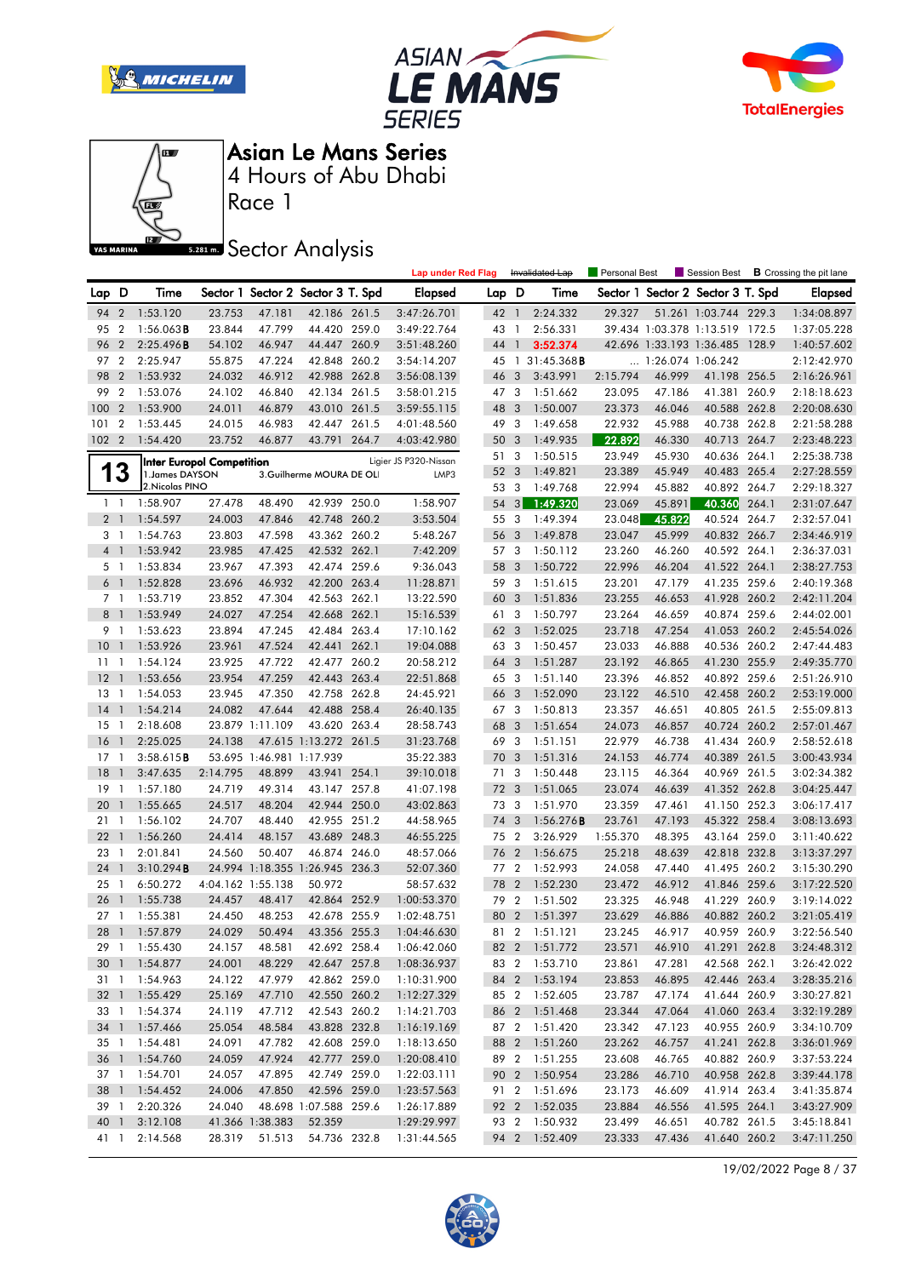







Race 1

## **Sector Analysis**

|                 |                          |                     |                                  |                          |                                   | <b>Lap under Red Flag</b> |       |                | Invalidated Lap         | Personal Best |                   | Session Best                      |       | <b>B</b> Crossing the pit lane |
|-----------------|--------------------------|---------------------|----------------------------------|--------------------------|-----------------------------------|---------------------------|-------|----------------|-------------------------|---------------|-------------------|-----------------------------------|-------|--------------------------------|
| Lap D           |                          | Time                |                                  |                          | Sector 1 Sector 2 Sector 3 T. Spd | <b>Elapsed</b>            | Lap D |                | Time                    |               |                   | Sector 1 Sector 2 Sector 3 T. Spd |       | <b>Elapsed</b>                 |
| 94 2            |                          | 1:53.120            | 23.753                           | 47.181                   | 42.186 261.5                      | 3:47:26.701               | 42 1  |                | 2:24.332                | 29.327        |                   | 51.261 1:03.744 229.3             |       | 1:34:08.897                    |
| 95              | $\overline{2}$           | $1:56.063$ <b>B</b> | 23.844                           | 47.799                   | 44.420 259.0                      | 3:49:22.764               | 43 1  |                | 2:56.331                |               |                   | 39.434 1:03.378 1:13.519 172.5    |       | 1:37:05.228                    |
| 96              | $\overline{2}$           | 2:25.496B           | 54.102                           | 46.947                   | 44.447 260.9                      | 3:51:48.260               | 44 1  |                | 3:52.374                |               |                   | 42.696 1:33.193 1:36.485 128.9    |       | 1:40:57.602                    |
| 97              | $\overline{2}$           | 2:25.947            | 55.875                           | 47.224                   | 42.848 260.2                      | 3:54:14.207               |       |                | 45 1 31:45.368 <b>B</b> |               | 1:26.074 1:06.242 |                                   |       | 2:12:42.970                    |
| 98              | $\overline{2}$           | 1:53.932            | 24.032                           | 46.912                   | 42.988 262.8                      | 3:56:08.139               | 46    | 3              | 3:43.991                | 2:15.794      | 46.999            | 41.198 256.5                      |       | 2:16:26.961                    |
| 99              | $\overline{2}$           | 1:53.076            | 24.102                           | 46.840                   | 42.134 261.5                      | 3:58:01.215               | 47 3  |                | 1:51.662                | 23.095        | 47.186            | 41.381 260.9                      |       | 2:18:18.623                    |
| 100             | $\overline{2}$           | 1:53.900            | 24.011                           | 46.879                   | 43.010 261.5                      | 3:59:55.115               | 48    | 3              | 1:50.007                | 23.373        | 46.046            | 40.588 262.8                      |       | 2:20:08.630                    |
| 101             | $\overline{2}$           | 1:53.445            | 24.015                           | 46.983                   | 42.447 261.5                      | 4:01:48.560               | 49 3  |                | 1:49.658                | 22.932        | 45.988            | 40.738 262.8                      |       | 2:21:58.288                    |
| 102             | $\overline{2}$           | 1:54.420            | 23.752                           | 46.877                   | 43.791 264.7                      | 4:03:42.980               | 50 3  |                | 1:49.935                | 22.892        | 46.330            | 40.713 264.7                      |       | 2:23:48.223                    |
|                 |                          |                     | <b>Inter Europol Competition</b> |                          |                                   | Ligier JS P320-Nissan     | 51    | 3              | 1:50.515                | 23.949        | 45.930            | 40.636 264.1                      |       | 2:25:38.738                    |
| 1               | 3                        | 1. James DAYSON     |                                  |                          | 3.Guilherme MOURA DE OLI          | LMP3                      | 52    | 3              | 1:49.821                | 23.389        | 45.949            | 40.483 265.4                      |       | 2:27:28.559                    |
|                 |                          | 2. Nicolas PINO     |                                  |                          |                                   |                           | 53    | 3              | 1:49.768                | 22.994        | 45.882            | 40.892 264.7                      |       | 2:29:18.327                    |
| $1\quad$        |                          | 1:58.907            | 27.478                           | 48.490                   | 42.939 250.0                      | 1:58.907                  | 54    | 3              | 1:49.320                | 23.069        | 45.891            | 40.360                            | 264.1 | 2:31:07.647                    |
| 2 <sub>1</sub>  |                          | 1:54.597            | 24.003                           | 47.846                   | 42.748 260.2                      | 3:53.504                  | 55    | 3              | 1:49.394                | 23.048        | 45.822            | 40.524 264.7                      |       | 2:32:57.041                    |
| 3 <sup>1</sup>  |                          | 1:54.763            | 23.803                           | 47.598                   | 43.362 260.2                      | 5:48.267                  | 56    | 3              | 1:49.878                | 23.047        | 45.999            | 40.832 266.7                      |       | 2:34:46.919                    |
| 4 1             |                          | 1:53.942            | 23.985                           | 47.425                   | 42.532 262.1                      | 7:42.209                  | 57 3  |                | 1:50.112                | 23.260        | 46.260            | 40.592 264.1                      |       | 2:36:37.031                    |
|                 | 5 1                      | 1:53.834            | 23.967                           | 47.393                   | 42.474 259.6                      | 9:36.043                  | 58 3  |                | 1:50.722                | 22.996        | 46.204            | 41.522 264.1                      |       | 2:38:27.753                    |
| 6 1             |                          | 1:52.828            | 23.696                           | 46.932                   | 42.200 263.4                      | 11:28.871                 | 59 3  |                | 1:51.615                | 23.201        | 47.179            | 41.235 259.6                      |       | 2:40:19.368                    |
| 7 <sub>1</sub>  |                          | 1:53.719            | 23.852                           | 47.304                   | 42.563 262.1                      | 13:22.590                 | 60    | 3              | 1:51.836                | 23.255        | 46.653            | 41.928 260.2                      |       | 2:42:11.204                    |
| 8               | -1                       | 1:53.949            | 24.027                           | 47.254                   | 42.668 262.1                      | 15:16.539                 | 61    | 3              | 1:50.797                | 23.264        | 46.659            | 40.874 259.6                      |       | 2:44:02.001                    |
| 9 1             |                          | 1:53.623            | 23.894                           | 47.245                   | 42.484 263.4                      | 17:10.162                 | 62 3  |                | 1:52.025                | 23.718        | 47.254            | 41.053 260.2                      |       | 2:45:54.026                    |
| 10 <sub>1</sub> |                          | 1:53.926            | 23.961                           | 47.524                   | 42.441 262.1                      | 19:04.088                 | 63    | 3              | 1:50.457                | 23.033        | 46.888            | 40.536 260.2                      |       | 2:47:44.483                    |
| 11              | $\mathbf{1}$             | 1:54.124            | 23.925                           | 47.722                   | 42.477 260.2                      | 20:58.212                 | 64    | 3              | 1:51.287                | 23.192        | 46.865            | 41.230 255.9                      |       | 2:49:35.770                    |
| 12              | -1                       | 1:53.656            | 23.954                           | 47.259                   | 42.443 263.4                      | 22:51.868                 | 65 3  |                | 1:51.140                | 23.396        | 46.852            | 40.892 259.6                      |       | 2:51:26.910                    |
| 13              | $\mathbf{1}$             | 1:54.053            | 23.945                           | 47.350                   | 42.758 262.8                      | 24:45.921                 | 66 3  |                | 1:52.090                | 23.122        | 46.510            | 42.458 260.2                      |       | 2:53:19.000                    |
| 14              | $\overline{1}$           | 1:54.214            | 24.082                           | 47.644                   | 42.488 258.4                      | 26:40.135                 | 67 3  |                | 1:50.813                | 23.357        | 46.651            | 40.805 261.5                      |       | 2:55:09.813                    |
| 15              | $\mathbf{1}$             | 2:18.608            |                                  | 23.879 1:11.109          | 43.620 263.4                      | 28:58.743                 | 68    | 3              | 1:51.654                | 24.073        | 46.857            | 40.724 260.2                      |       | 2:57:01.467                    |
| 16              | $\mathbf{1}$             | 2:25.025            | 24.138                           |                          | 47.615 1:13.272 261.5             | 31:23.768                 | 69    | 3              | 1:51.151                | 22.979        | 46.738            | 41.434 260.9                      |       | 2:58:52.618                    |
| 17              | $\mathbf{1}$             | 3:58.615B           |                                  | 53.695 1:46.981 1:17.939 |                                   | 35:22.383                 | 70 3  |                | 1:51.316                | 24.153        | 46.774            | 40.389 261.5                      |       | 3:00:43.934                    |
| 18              | $\mathbf{1}$             | 3:47.635            | 2:14.795                         | 48.899                   | 43.941 254.1                      | 39:10.018                 | 71    | 3              | 1:50.448                | 23.115        | 46.364            | 40.969                            | 261.5 | 3:02:34.382                    |
| 19              | $\mathbf{1}$             | 1:57.180            | 24.719                           | 49.314                   | 43.147 257.8                      | 41:07.198                 | 72 3  |                | 1:51.065                | 23.074        | 46.639            | 41.352 262.8                      |       | 3:04:25.447                    |
| 20              | $\mathbf{1}$             | 1:55.665            | 24.517                           | 48.204                   | 42.944 250.0                      | 43:02.863                 | 73 3  |                | 1:51.970                | 23.359        | 47.461            | 41.150 252.3                      |       | 3:06:17.417                    |
| 21              | $\mathbf{1}$             | 1:56.102            | 24.707                           | 48.440                   | 42.955 251.2                      | 44:58.965                 | 74 3  |                | 1:56.276B               | 23.761        | 47.193            | 45.322 258.4                      |       | 3:08:13.693                    |
| 22              | $\overline{1}$           | 1:56.260            | 24.414                           | 48.157                   | 43.689 248.3                      | 46:55.225                 | 75 2  |                | 3:26.929                | 1:55.370      | 48.395            | 43.164 259.0                      |       | 3:11:40.622                    |
| 23              | $\mathbf{1}$             | 2:01.841            | 24.560                           | 50.407                   | 46.874 246.0                      | 48:57.066                 | 76    | $\overline{2}$ | 1:56.675                | 25.218        | 48.639            | 42.818 232.8                      |       | 3:13:37.297                    |
| 24              | $\overline{\phantom{a}}$ | 3:10.294B           |                                  |                          | 24.994 1:18.355 1:26.945 236.3    | 52:07.360                 | 77 2  |                | 1:52.993                | 24.058        | 47.440            | 41.495 260.2                      |       | 3:15:30.290                    |
| 25              | $\mathbf{1}$             | 6:50.272            |                                  | 4:04.162 1:55.138        | 50.972                            | 58:57.632                 | 78    | $\overline{2}$ | 1:52.230                | 23.472        | 46.912            | 41.846 259.6                      |       | 3:17:22.520                    |
| 26              | $\overline{1}$           | 1:55.738            | 24.457                           | 48.417                   | 42.864 252.9                      | 1:00:53.370               | 79 2  |                | 1:51.502                | 23.325        | 46.948            | 41.229 260.9                      |       | 3:19:14.022                    |
| 27              | $\overline{1}$           | 1:55.381            | 24.450                           | 48.253                   | 42.678 255.9                      | 1:02:48.751               | 80    | $\overline{2}$ | 1:51.397                | 23.629        | 46.886            | 40.882 260.2                      |       | 3:21:05.419                    |
| 28              |                          | 1 1:57.879          | 24.029                           | 50.494                   | 43.356 255.3                      | 1:04:46.630               | 81 2  |                | 1:51.121                | 23.245        | 46.917            | 40.959 260.9                      |       | 3:22:56.540                    |
|                 |                          | 29 1 1:55.430       | 24.157                           | 48.581                   | 42.692 258.4                      | 1:06:42.060               |       |                | 82 2 1:51.772           | 23.571        | 46.910            | 41.291 262.8                      |       | 3:24:48.312                    |
|                 |                          | 30 1 1:54.877       | 24.001                           | 48.229                   | 42.647 257.8                      | 1:08:36.937               |       |                | 83 2 1:53.710           | 23.861        | 47.281            | 42.568 262.1                      |       | 3:26:42.022                    |
|                 |                          | 31 1 1:54.963       | 24.122                           | 47.979                   | 42.862 259.0                      | 1:10:31.900               |       |                | 84 2 1:53.194           | 23.853        | 46.895            | 42.446 263.4                      |       | 3:28:35.216                    |
|                 |                          | 32 1 1:55.429       | 25.169                           | 47.710                   | 42.550 260.2                      | 1:12:27.329               |       |                | 85 2 1:52.605           | 23.787        | 47.174            | 41.644 260.9                      |       | 3:30:27.821                    |
|                 |                          | 33 1 1:54.374       | 24.119                           | 47.712                   | 42.543 260.2                      | 1:14:21.703               |       |                | 86 2 1:51.468           | 23.344        | 47.064            | 41.060 263.4                      |       | 3:32:19.289                    |
|                 |                          | 34 1 1:57.466       | 25.054                           | 48.584                   | 43.828 232.8                      | 1:16:19.169               |       |                | 87 2 1:51.420           | 23.342        | 47.123            | 40.955 260.9                      |       | 3:34:10.709                    |
|                 |                          | 35 1 1:54.481       | 24.091                           | 47.782                   | 42.608 259.0                      | 1:18:13.650               |       |                | 88 2 1:51.260           | 23.262        | 46.757            | 41.241 262.8                      |       | 3:36:01.969                    |
|                 |                          | 36 1 1:54.760       | 24.059                           | 47.924                   | 42.777 259.0                      | 1:20:08.410               |       |                | 89 2 1:51.255           | 23.608        | 46.765            | 40.882 260.9                      |       | 3:37:53.224                    |
|                 |                          | 37 1 1:54.701       | 24.057                           | 47.895                   | 42.749 259.0                      | 1:22:03.111               |       |                | 90 2 1:50.954           | 23.286        | 46.710            | 40.958 262.8                      |       | 3:39:44.178                    |
|                 |                          | 38 1 1:54.452       | 24.006                           | 47.850                   | 42.596 259.0                      | 1:23:57.563               |       |                | 91 2 1:51.696           | 23.173        | 46.609            | 41.914 263.4                      |       | 3:41:35.874                    |
|                 |                          | 39 1 2:20.326       | 24.040                           |                          | 48.698 1:07.588 259.6             | 1:26:17.889               |       |                | 92 2 1:52.035           | 23.884        | 46.556            | 41.595 264.1                      |       | 3:43:27.909                    |
| 40 1            |                          | 3:12.108            |                                  | 41.366 1:38.383          | 52.359                            | 1:29:29.997               |       |                | 93 2 1:50.932           | 23.499        | 46.651            | 40.782 261.5                      |       | 3:45:18.841                    |
|                 |                          | 41 1 2:14.568       | 28.319                           | 51.513                   | 54.736 232.8                      | 1:31:44.565               |       |                | 94 2 1:52.409           | 23.333        | 47.436            | 41.640 260.2                      |       | 3:47:11.250                    |

19/02/2022 Page 8 / 37

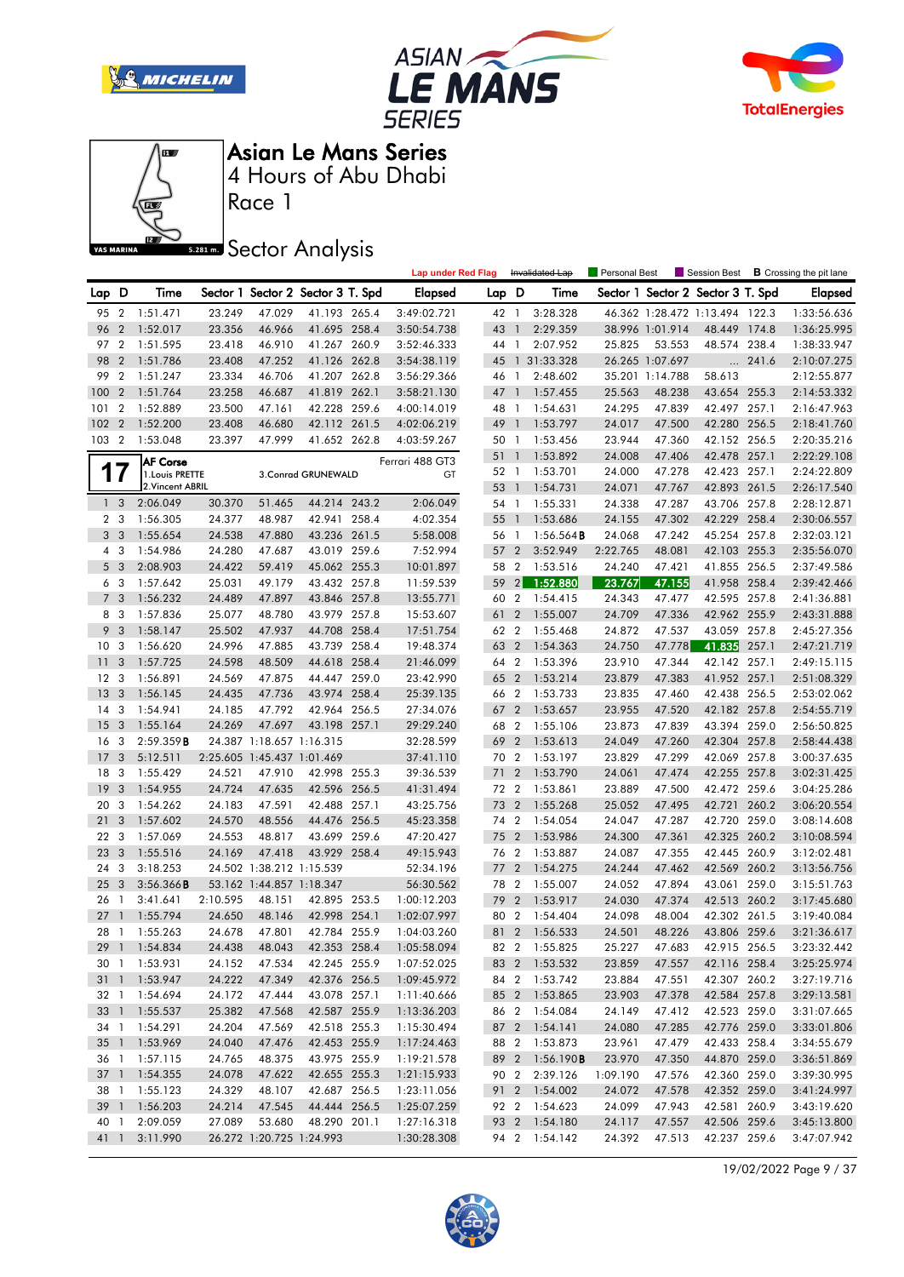







4 Hours of Abu Dhabi Asian Le Mans Series

Race 1

**Sector Analysis** 

|       |                |                 |        |        |                                   |       | <b>Lap under Red Flag</b> |     |   | Invalidated Lap | <b>Personal Best</b> |                                   | Session Best |               | <b>B</b> Crossing the pit lane |
|-------|----------------|-----------------|--------|--------|-----------------------------------|-------|---------------------------|-----|---|-----------------|----------------------|-----------------------------------|--------------|---------------|--------------------------------|
| Lap D |                | Time            |        |        | Sector 1 Sector 2 Sector 3 T. Spd |       | Elapsed                   | Lap | D | Time            |                      | Sector 1 Sector 2 Sector 3 T. Spd |              |               | Elapsed                        |
| 95    | 2              | 1:51.471        | 23.249 | 47.029 | 41.193                            | 265.4 | 3:49:02.721               | 42  |   | 3:28.328        | 46.362               | 1:28.472 1:13.494                 |              | 122.3         | 1:33:56.636                    |
| 96    | $\overline{2}$ | 1:52.017        | 23.356 | 46.966 | 41.695 258.4                      |       | 3:50:54.738               | 43  |   | 2:29.359        |                      | 38.996 1:01.914                   | 48.449       | 174.8         | 1:36:25.995                    |
| 97    | 2              | 1:51.595        | 23.418 | 46.910 | 41.267                            | 260.9 | 3:52:46.333               | 44  |   | 2:07.952        | 25.825               | 53.553                            | 48.574       | 238.4         | 1:38:33.947                    |
| 98    | 2              | 1:51.786        | 23,408 | 47.252 | 41.126 262.8                      |       | 3:54:38.119               | 45  |   | 31:33.328       |                      | 26.265 1:07.697                   |              | $\dots$ 241.6 | 2:10:07.275                    |
| 99    | $\overline{2}$ | 1:51.247        | 23.334 | 46.706 | 41.207                            | 262.8 | 3:56:29.366               | 46  |   | 2:48.602        | 35.201               | 1:14.788                          | 58.613       |               | 2:12:55.877                    |
| 100   | 2              | 1:51.764        | 23.258 | 46.687 | 41.819                            | 262.1 | 3:58:21.130               | 47  |   | 1:57.455        | 25.563               | 48.238                            | 43.654       | 255.3         | 2:14:53.332                    |
| 101   | $\mathcal{P}$  | 1:52.889        | 23.500 | 47.161 | 42.228 259.6                      |       | 4:00:14.019               | 48  |   | :54.631         | 24.295               | 47.839                            | 42.497       | 257.1         | 2:16:47.963                    |
| 102   | $\mathcal{P}$  | 1:52.200        | 23,408 | 46.680 | 42.112 261.5                      |       | 4:02:06.219               | 49  |   | 1:53.797        | 24.017               | 47.500                            | 42.280       | 256.5         | 2:18:41.760                    |
| 103   | $\overline{2}$ | 1:53.048        | 23.397 | 47.999 | 41.652 262.8                      |       | 4:03:59.267               | 50  |   | 1:53.456        | 23.944               | 47.360                            | 42.152 256.5 |               | 2:20:35.216                    |
|       |                | <b>AF Corse</b> |        |        |                                   |       | Ferrari 488 GT3           | 51  |   | 1:53.892        | 24.008               | 47.406                            | 42.478       | 257.1         | 2:22:29.108                    |
|       |                | Louis PRETTE    |        |        | 3. Conrad GRUNEWALD               |       | GT                        | 52  |   | 1:53.701        | 24,000               | 47.278                            | 42.423       | 257.1         | 2:24:22.809                    |
|       |                | 2.Vincent ABRIL |        |        |                                   |       |                           | 53  |   | 1:54.731        | 24.071               | 47.767                            | 42.893       | 261.5         | 2:26:17.540                    |
|       | 3              | 2:06.049        | 30.370 | 51.465 | 44.214                            | 243.2 | 2:06.049                  | 54  |   | 1:55.331        | 24.338               | 47.287                            | 43.706       | 257.8         | 2:28:12.871                    |

| 102            | $\overline{2}$           | 1:52.200         | 23.408   | 46.680                     | 42.112 261.5        |       | 4:02:06.219     | 49   | $\overline{1}$               | 1:53.797  | 24.017   | 47.500 | 42.280 256.5 |       | 2:18:41.760 |
|----------------|--------------------------|------------------|----------|----------------------------|---------------------|-------|-----------------|------|------------------------------|-----------|----------|--------|--------------|-------|-------------|
| 103 2          |                          | 1:53.048         | 23.397   | 47.999                     | 41.652 262.8        |       | 4:03:59.267     | 50 1 |                              | 1:53.456  | 23.944   | 47.360 | 42.152 256.5 |       | 2:20:35.216 |
|                |                          | <b>AF Corse</b>  |          |                            |                     |       | Ferrari 488 GT3 | 51   | $\overline{1}$               | 1:53.892  | 24.008   | 47.406 | 42.478 257.1 |       | 2:22:29.108 |
| 1              | 7                        | 1. Louis PRETTE  |          |                            | 3. Conrad GRUNEWALD |       | GT              | 52 1 |                              | 1:53.701  | 24.000   | 47.278 | 42.423 257.1 |       | 2:24:22.809 |
|                |                          | 2. Vincent ABRIL |          |                            |                     |       |                 | 53   | $\overline{1}$               | 1:54.731  | 24.071   | 47.767 | 42.893 261.5 |       | 2:26:17.540 |
| 1 <sub>3</sub> |                          | 2:06.049         | 30.370   | 51.465                     | 44.214 243.2        |       | 2:06.049        | 54 1 |                              | 1:55.331  | 24.338   | 47.287 | 43.706 257.8 |       | 2:28:12.871 |
| 2 <sub>3</sub> |                          | 1:56.305         | 24.377   | 48.987                     | 42.941 258.4        |       | 4:02.354        | 55   | $\overline{1}$               | 1:53.686  | 24.155   | 47.302 | 42.229 258.4 |       | 2:30:06.557 |
| 3 <sub>3</sub> |                          | 1:55.654         | 24.538   | 47.880                     | 43.236 261.5        |       | 5:58.008        | 56   | $\overline{1}$               | 1:56.564B | 24.068   | 47.242 | 45.254 257.8 |       | 2:32:03.121 |
|                | 4 3                      | 1:54.986         | 24.280   | 47.687                     | 43.019 259.6        |       | 7:52.994        | 57 2 |                              | 3:52.949  | 2:22.765 | 48.081 | 42.103 255.3 |       | 2:35:56.070 |
| 5              | 3                        | 2:08.903         | 24.422   | 59.419                     | 45.062 255.3        |       | 10:01.897       | 58   | $\overline{2}$               | 1:53.516  | 24.240   | 47.421 | 41.855 256.5 |       | 2:37:49.586 |
|                | 6 3                      | 1:57.642         | 25.031   | 49.179                     | 43.432 257.8        |       | 11:59.539       | 59   | $\left  \frac{2}{2} \right $ | 1:52.880  | 23.767   | 47.155 | 41.958 258.4 |       | 2:39:42.466 |
| $\overline{7}$ | 3                        | 1:56.232         | 24.489   | 47.897                     | 43.846 257.8        |       | 13:55.771       | 60   | $\overline{2}$               | 1:54.415  | 24.343   | 47.477 | 42.595 257.8 |       | 2:41:36.881 |
| 8              | $\mathbf{3}$             | 1:57.836         | 25.077   | 48.780                     | 43.979 257.8        |       | 15:53.607       | 61   | $\overline{2}$               | 1:55.007  | 24.709   | 47.336 | 42.962 255.9 |       | 2:43:31.888 |
| 9              | 3                        | 1:58.147         | 25.502   | 47.937                     | 44.708 258.4        |       | 17:51.754       | 62 2 |                              | 1:55.468  | 24.872   | 47.537 | 43.059 257.8 |       | 2:45:27.356 |
| 10             | 3                        | 1:56.620         | 24.996   | 47.885                     | 43.739 258.4        |       | 19:48.374       | 63 2 |                              | 1:54.363  | 24.750   | 47.778 | 41.835       | 257.1 | 2:47:21.719 |
| 11             | 3                        | 1:57.725         | 24.598   | 48.509                     | 44.618 258.4        |       | 21:46.099       | 64 2 |                              | 1:53.396  | 23.910   | 47.344 | 42.142 257.1 |       | 2:49:15.115 |
| 12             | 3                        | 1:56.891         | 24.569   | 47.875                     | 44.447 259.0        |       | 23:42.990       | 65   | $\overline{2}$               | 1:53.214  | 23.879   | 47.383 | 41.952 257.1 |       | 2:51:08.329 |
| 13             | 3                        | 1:56.145         | 24.435   | 47.736                     | 43.974 258.4        |       | 25:39.135       | 66 2 |                              | 1:53.733  | 23.835   | 47.460 | 42.438       | 256.5 | 2:53:02.062 |
| 14             | 3                        | 1:54.941         | 24.185   | 47.792                     | 42.964 256.5        |       | 27:34.076       | 67 2 |                              | 1:53.657  | 23.955   | 47.520 | 42.182 257.8 |       | 2:54:55.719 |
| 15             | 3                        | 1:55.164         | 24.269   | 47.697                     | 43.198              | 257.1 | 29:29.240       | 68 2 |                              | 1:55.106  | 23.873   | 47.839 | 43.394 259.0 |       | 2:56:50.825 |
| 16             | 3                        | 2:59.359B        |          | 24.387 1:18.657 1:16.315   |                     |       | 32:28.599       | 69   | $\overline{2}$               | 1:53.613  | 24.049   | 47.260 | 42.304 257.8 |       | 2:58:44.438 |
| 17             | 3                        | 5:12.511         |          | 2:25.605 1:45.437 1:01.469 |                     |       | 37:41.110       | 70 2 |                              | 1:53.197  | 23.829   | 47.299 | 42.069 257.8 |       | 3:00:37.635 |
| 18             | 3                        | 1:55.429         | 24.521   | 47.910                     | 42.998 255.3        |       | 39:36.539       | 71   | $\overline{2}$               | 1:53.790  | 24.061   | 47.474 | 42.255 257.8 |       | 3:02:31.425 |
| 19             | 3                        | 1:54.955         | 24.724   | 47.635                     | 42.596 256.5        |       | 41:31.494       | 72 2 |                              | 1:53.861  | 23.889   | 47.500 | 42.472 259.6 |       | 3:04:25.286 |
| 20             | 3                        | 1:54.262         | 24.183   | 47.591                     | 42.488 257.1        |       | 43:25.756       | 73   | $\overline{2}$               | 1:55.268  | 25.052   | 47.495 | 42.721       | 260.2 | 3:06:20.554 |
| 21             | 3                        | 1:57.602         | 24.570   | 48.556                     | 44.476 256.5        |       | 45:23.358       | 74 2 |                              | 1:54.054  | 24.047   | 47.287 | 42.720 259.0 |       | 3:08:14.608 |
| 22             | 3                        | 1:57.069         | 24.553   | 48.817                     | 43.699 259.6        |       | 47:20.427       | 75   | $\overline{2}$               | 1:53.986  | 24.300   | 47.361 | 42.325 260.2 |       | 3:10:08.594 |
| 23             | 3                        | 1:55.516         | 24.169   | 47.418                     | 43.929 258.4        |       | 49:15.943       | 76 2 |                              | 1:53.887  | 24.087   | 47.355 | 42.445 260.9 |       | 3:12:02.481 |
| 24             | 3                        | 3:18.253         |          | 24.502 1:38.212 1:15.539   |                     |       | 52:34.196       | 77   | $\overline{2}$               | 1:54.275  | 24.244   | 47.462 | 42.569 260.2 |       | 3:13:56.756 |
| 25             | 3                        | 3:56.366B        |          | 53.162 1:44.857 1:18.347   |                     |       | 56:30.562       | 78 2 |                              | 1:55.007  | 24.052   | 47.894 | 43.061 259.0 |       | 3:15:51.763 |
| 26             | $\mathbf{1}$             | 3:41.641         | 2:10.595 | 48.151                     | 42.895 253.5        |       | 1:00:12.203     | 79   | $\overline{2}$               | 1:53.917  | 24.030   | 47.374 | 42.513 260.2 |       | 3:17:45.680 |
| 27             | $\overline{\phantom{a}}$ | 1:55.794         | 24.650   | 48.146                     | 42.998 254.1        |       | 1:02:07.997     | 80   | $\overline{2}$               | 1:54.404  | 24.098   | 48.004 | 42.302 261.5 |       | 3:19:40.084 |
| 28             | $\overline{1}$           | 1:55.263         | 24.678   | 47.801                     | 42.784 255.9        |       | 1:04:03.260     | 81   | $\overline{2}$               | 1:56.533  | 24.501   | 48.226 | 43.806 259.6 |       | 3:21:36.617 |
| 29             | $\mathbf{1}$             | 1:54.834         | 24.438   | 48.043                     | 42.353 258.4        |       | 1:05:58.094     | 82 2 |                              | 1:55.825  | 25.227   | 47.683 | 42.915 256.5 |       | 3:23:32.442 |
| 30             | $\overline{1}$           | 1:53.931         | 24.152   | 47.534                     | 42.245 255.9        |       | 1:07:52.025     | 83 2 |                              | 1:53.532  | 23.859   | 47.557 | 42.116 258.4 |       | 3:25:25.974 |
| 31             | $\mathbf{1}$             | 1:53.947         | 24.222   | 47.349                     | 42.376 256.5        |       | 1:09:45.972     | 84   | $\overline{2}$               | 1:53.742  | 23.884   | 47.551 | 42.307 260.2 |       | 3:27:19.716 |
| 32             | $\overline{1}$           | 1:54.694         | 24.172   | 47.444                     | 43.078 257.1        |       | 1:11:40.666     | 85 2 |                              | 1:53.865  | 23.903   | 47.378 | 42.584 257.8 |       | 3:29:13.581 |
| 33             | $\overline{1}$           | 1:55.537         | 25.382   | 47.568                     | 42.587 255.9        |       | 1:13:36.203     | 86   | $\overline{2}$               | 1:54.084  | 24.149   | 47.412 | 42.523 259.0 |       | 3:31:07.665 |
| 34             | $\overline{1}$           | 1:54.291         | 24.204   | 47.569                     | 42.518 255.3        |       | 1:15:30.494     | 87   | $\overline{2}$               | 1:54.141  | 24.080   | 47.285 | 42.776 259.0 |       | 3:33:01.806 |
| 35             | $\mathbf{1}$             | 1:53.969         | 24.040   | 47.476                     | 42.453 255.9        |       | 1:17:24.463     | 88 2 |                              | 1:53.873  | 23.961   | 47.479 | 42.433 258.4 |       | 3:34:55.679 |
| 36             | $\overline{1}$           | 1:57.115         | 24.765   | 48.375                     | 43.975 255.9        |       | 1:19:21.578     | 89   | $\overline{2}$               | 1:56.190B | 23.970   | 47.350 | 44.870 259.0 |       | 3:36:51.869 |
| 37             | $\overline{\phantom{a}}$ | 1:54.355         | 24.078   | 47.622                     | 42.655 255.3        |       | 1:21:15.933     | 90   | $\overline{2}$               | 2:39.126  | 1:09.190 | 47.576 | 42.360 259.0 |       | 3:39:30.995 |
| 38             | $\mathbf{1}$             | 1:55.123         | 24.329   | 48.107                     | 42.687 256.5        |       | 1:23:11.056     | 91   | $\overline{2}$               | 1:54.002  | 24.072   | 47.578 | 42.352 259.0 |       | 3:41:24.997 |
| 39             | $\mathbf{1}$             | 1:56.203         | 24.214   | 47.545                     | 44.444 256.5        |       | 1:25:07.259     | 92 2 |                              | 1:54.623  | 24.099   | 47.943 | 42.581 260.9 |       | 3:43:19.620 |
| 40             | 1                        | 2:09.059         | 27.089   | 53.680                     | 48.290 201.1        |       | 1:27:16.318     | 93   | $\overline{2}$               | 1:54.180  | 24.117   | 47.557 | 42.506 259.6 |       | 3:45:13.800 |
| 41             | $\overline{1}$           | 3:11.990         |          | 26.272 1:20.725 1:24.993   |                     |       | 1:30:28.308     | 94 2 |                              | 1:54.142  | 24.392   | 47.513 | 42.237 259.6 |       | 3:47:07.942 |
|                |                          |                  |          |                            |                     |       |                 |      |                              |           |          |        |              |       |             |

19/02/2022 Page 9 / 37

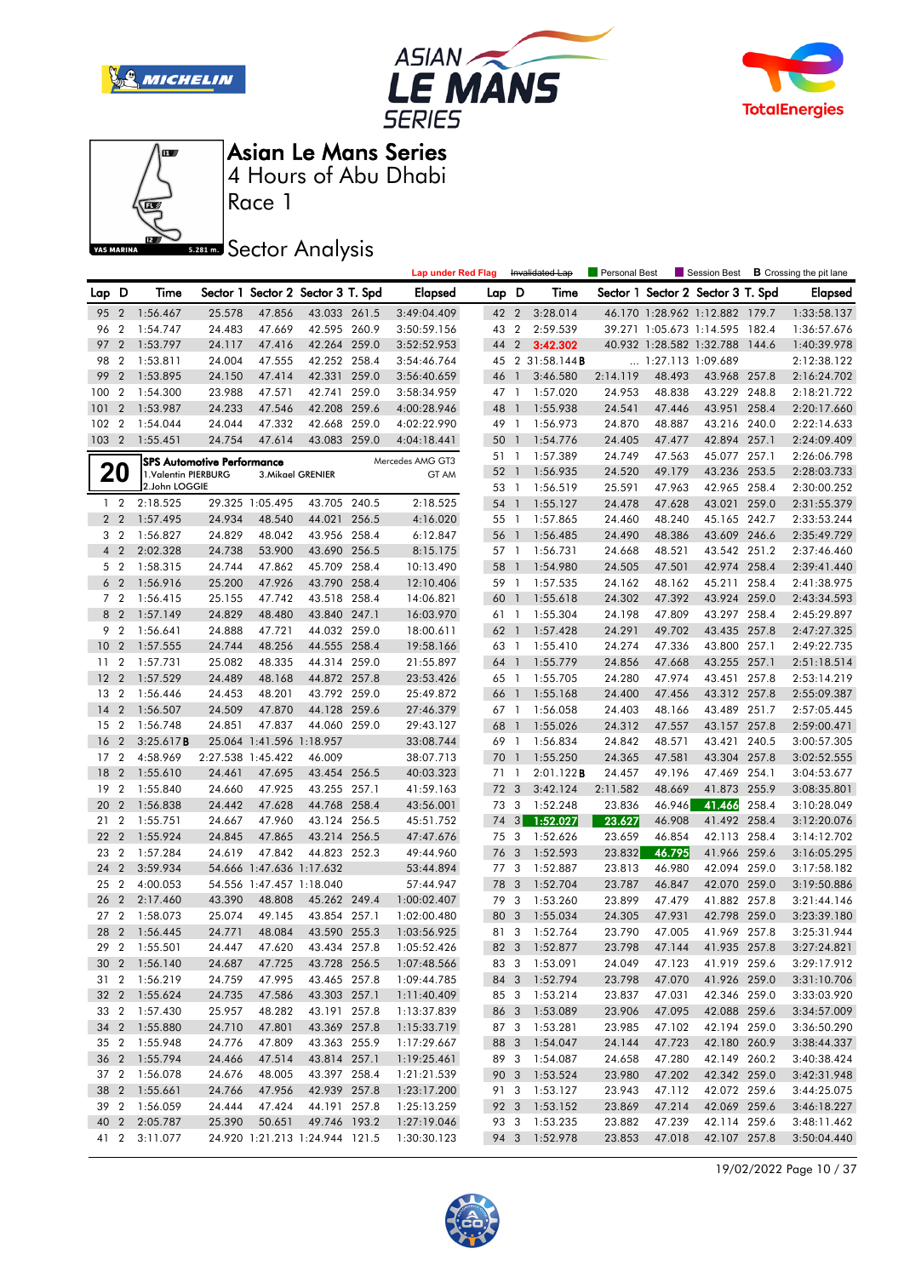







Race 1

**Sector Analysis** 

|                 |                |                                |                                   |                                   |                              |       | <b>Lap under Red Flag</b>  |       |                | Invalidated Lap                | Personal Best |                   | Session Best                      |       | <b>B</b> Crossing the pit lane |
|-----------------|----------------|--------------------------------|-----------------------------------|-----------------------------------|------------------------------|-------|----------------------------|-------|----------------|--------------------------------|---------------|-------------------|-----------------------------------|-------|--------------------------------|
| Lap D           |                | Time                           |                                   | Sector 1 Sector 2 Sector 3 T. Spd |                              |       | <b>Elapsed</b>             | Lap D |                | Time                           |               |                   | Sector 1 Sector 2 Sector 3 T. Spd |       | <b>Elapsed</b>                 |
| 95 2            |                | 1:56.467                       | 25.578                            | 47.856                            | 43.033 261.5                 |       | 3:49:04.409                | 42 2  |                | 3:28.014                       |               |                   | 46.170 1:28.962 1:12.882 179.7    |       | 1:33:58.137                    |
| 96              | $\overline{2}$ | 1:54.747                       | 24.483                            | 47.669                            | 42.595 260.9                 |       | 3:50:59.156                | 43 2  |                | 2:59.539                       |               |                   | 39.271 1:05.673 1:14.595 182.4    |       | 1:36:57.676                    |
| 97              | $\overline{2}$ | 1:53.797                       | 24.117                            | 47.416                            | 42.264 259.0                 |       | 3:52:52.953                | 44    | $\overline{2}$ | 3:42.302                       |               |                   | 40.932 1:28.582 1:32.788 144.6    |       | 1:40:39.978                    |
| 98              | $\overline{2}$ | 1:53.811                       | 24.004                            | 47.555                            | 42.252 258.4                 |       | 3:54:46.764                |       |                | 45 2 31:58.144 <b>B</b>        |               | 1:27.113 1:09.689 |                                   |       | 2:12:38.122                    |
| 99              | $\overline{2}$ | 1:53.895                       | 24.150                            | 47.414                            | 42.331 259.0                 |       | 3:56:40.659                | 46    | $\overline{1}$ | 3:46.580                       | 2:14.119      | 48.493            | 43.968 257.8                      |       | 2:16:24.702                    |
| 100             | $\overline{2}$ | 1:54.300                       | 23.988                            | 47.571                            | 42.741 259.0                 |       | 3:58:34.959                | 47 1  |                | 1:57.020                       | 24.953        | 48.838            | 43.229 248.8                      |       | 2:18:21.722                    |
| 101             | $\overline{2}$ | 1:53.987                       | 24.233                            | 47.546                            | 42.208 259.6                 |       | 4:00:28.946                | 48    | $\overline{1}$ | 1:55.938                       | 24.541        | 47.446            | 43.951                            | 258.4 | 2:20:17.660                    |
| 102             | $\overline{2}$ | 1:54.044                       | 24.044                            | 47.332                            | 42.668 259.0                 |       | 4:02:22.990                | 49 1  |                | 1:56.973                       | 24.870        | 48.887            | 43.216 240.0                      |       | 2:22:14.633                    |
| 103 2           |                | 1:55.451                       | 24.754                            | 47.614                            | 43.083 259.0                 |       | 4:04:18.441                | 50 1  |                | 1:54.776                       | 24.405        | 47.477            | 42.894 257.1                      |       | 2:24:09.409                    |
|                 |                |                                | <b>SPS Automotive Performance</b> |                                   |                              |       | Mercedes AMG GT3           | 51 1  |                | 1:57.389                       | 24.749        | 47.563            | 45.077 257.1                      |       | 2:26:06.798                    |
|                 | 20             | 1. Valentin PIERBURG           |                                   |                                   | 3. Mikael GRENIER            |       | GT AM                      | 52 1  |                | 1:56.935                       | 24.520        | 49.179            | 43.236 253.5                      |       | 2:28:03.733                    |
|                 |                | 2.John LOGGIE                  |                                   |                                   |                              |       |                            | 53 1  |                | 1:56.519                       | 25.591        | 47.963            | 42.965 258.4                      |       | 2:30:00.252                    |
|                 | 1 <sub>2</sub> | 2:18.525                       |                                   | 29.325 1:05.495                   | 43.705 240.5                 |       | 2:18.525                   | 54 1  |                | 1:55.127                       | 24.478        | 47.628            | 43.021                            | 259.0 | 2:31:55.379                    |
|                 | 2 <sub>2</sub> | 1:57.495                       | 24.934                            | 48.540                            | 44.021                       | 256.5 | 4:16.020                   | 55 1  |                | 1:57.865                       | 24.460        | 48.240            | 45.165 242.7                      |       | 2:33:53.244                    |
|                 | 3 <sub>2</sub> | 1:56.827                       | 24.829                            | 48.042                            | 43.956 258.4                 |       | 6:12.847                   | 56    | $\overline{1}$ | 1:56.485                       | 24.490        | 48.386            | 43.609 246.6                      |       | 2:35:49.729                    |
|                 | 4 <sub>2</sub> | 2:02.328                       | 24.738                            | 53.900                            | 43.690 256.5                 |       | 8:15.175                   | 57 1  |                | 1:56.731                       | 24.668        | 48.521            | 43.542 251.2                      |       | 2:37:46.460                    |
|                 | 5 <sub>2</sub> | 1:58.315                       | 24.744                            | 47.862                            | 45.709 258.4                 |       | 10:13.490                  | 58 1  |                | 1:54.980                       | 24.505        | 47.501            | 42.974 258.4                      |       | 2:39:41.440                    |
|                 | 6 <sub>2</sub> | 1:56.916                       | 25.200                            | 47.926                            | 43.790 258.4                 |       | 12:10.406                  | 59 1  |                | 1:57.535                       | 24.162        | 48.162            | 45.211                            | 258.4 | 2:41:38.975                    |
|                 | 7 <sub>2</sub> | 1:56.415                       | 25.155                            | 47.742                            | 43.518 258.4                 |       | 14:06.821                  | 60    | $\overline{1}$ | 1:55.618                       | 24.302        | 47.392            | 43.924 259.0                      |       | 2:43:34.593                    |
|                 | 8 2            | 1:57.149                       | 24.829                            | 48.480                            | 43.840 247.1                 |       | 16:03.970                  | 61 1  |                | 1:55.304                       | 24.198        | 47.809            | 43.297 258.4                      |       | 2:45:29.897                    |
| 9               | $\overline{2}$ | 1:56.641                       | 24.888                            | 47.721                            | 44.032 259.0                 |       | 18:00.611                  | 62 1  |                | 1:57.428                       | 24.291        | 49.702            | 43.435 257.8                      |       | 2:47:27.325                    |
| 10 <sub>2</sub> |                | 1:57.555                       | 24.744                            | 48.256                            | 44.555 258.4                 |       | 19:58.166                  | 63 1  |                | 1:55.410                       | 24.274        | 47.336            | 43.800 257.1                      |       | 2:49:22.735                    |
| 11              | $\overline{2}$ | 1:57.731                       | 25.082                            | 48.335                            | 44.314 259.0                 |       | 21:55.897                  | 64    | $\overline{1}$ | 1:55.779                       | 24.856        | 47.668            | 43.255 257.1                      |       | 2:51:18.514                    |
| 12              | $\overline{2}$ | 1:57.529                       | 24.489                            | 48.168                            | 44.872 257.8                 |       | 23:53.426                  | 65 1  |                | 1:55.705                       | 24.280        | 47.974            | 43.451 257.8                      |       | 2:53:14.219                    |
| 13              | $\overline{2}$ | 1:56.446                       | 24.453                            | 48.201                            | 43.792 259.0                 |       | 25:49.872                  | 66 1  |                | 1:55.168                       | 24.400        | 47.456            | 43.312 257.8                      |       | 2:55:09.387                    |
| 14              | $\overline{2}$ | 1:56.507                       | 24.509                            | 47.870                            | 44.128 259.6                 |       | 27:46.379                  | 67 1  |                | 1:56.058                       | 24.403        | 48.166            | 43.489 251.7                      |       | 2:57:05.445                    |
| 15              | $\overline{2}$ | 1:56.748                       | 24.851                            | 47.837                            | 44.060 259.0                 |       | 29:43.127                  | 68    | $\overline{1}$ | 1:55.026                       | 24.312        | 47.557            | 43.157 257.8                      |       | 2:59:00.471                    |
| 16              | $\overline{2}$ | 3:25.617B                      |                                   | 25.064 1:41.596 1:18.957          |                              |       | 33:08.744                  | 69 1  |                | 1:56.834                       | 24.842        | 48.571            | 43.421 240.5                      |       | 3:00:57.305                    |
| 17              | $\overline{2}$ | 4:58.969                       |                                   | 2:27.538 1:45.422                 | 46.009                       |       | 38:07.713                  | 70 1  |                | 1:55.250                       | 24.365        | 47.581            | 43.304 257.8                      |       | 3:02:52.555                    |
| 18              | $\overline{2}$ | 1:55.610                       | 24.461                            | 47.695                            | 43.454 256.5                 |       | 40:03.323                  | 71 1  |                | 2:01.122B                      | 24.457        | 49.196            | 47.469                            | 254.1 | 3:04:53.677                    |
| 19              | $\overline{2}$ | 1:55.840                       | 24.660                            | 47.925                            | 43.255 257.1                 |       | 41:59.163                  | 72    | 3              | 3:42.124                       | 2:11.582      | 48.669            | 41.873 255.9                      |       | 3:08:35.801                    |
| 20              | $\overline{2}$ | 1:56.838                       | 24.442                            | 47.628                            | 44.768 258.4                 |       | 43:56.001                  | 73 3  |                | 1:52.248                       | 23.836        | 46.946            | 41.466                            | 258.4 | 3:10:28.049                    |
| 21              | $\overline{2}$ | 1:55.751                       | 24.667                            | 47.960                            | 43.124 256.5                 |       | 45:51.752                  | 74    | 3              | 1:52.027                       | 23.627        | 46.908            | 41.492 258.4                      |       | 3:12:20.076                    |
| 22              | $\overline{2}$ | 1:55.924                       | 24.845                            | 47.865                            | 43.214 256.5                 |       | 47:47.676                  | 75 3  |                | 1:52.626                       | 23.659        | 46.854            | 42.113                            | 258.4 | 3:14:12.702                    |
| 23 2            |                | 1:57.284                       | 24.619                            | 47.842                            | 44.823 252.3                 |       | 49:44.960                  | 76    | 3              | 1:52.593                       | 23.832        | 46.795            | 41.966 259.6                      |       | 3:16:05.295                    |
| 24              | $\overline{2}$ | 3:59.934                       |                                   | 54.666 1:47.636 1:17.632          |                              |       | 53:44.894                  | 77 3  |                | 1:52.887                       | 23.813        | 46.980            | 42.094 259.0                      |       | 3:17:58.182                    |
| 25              | $\overline{2}$ | 4:00.053                       |                                   | 54.556 1:47.457 1:18.040          |                              |       | 57:44.947                  | 78    | 3              | 1:52.704                       | 23.787        | 46.847            | 42.070 259.0                      |       | 3:19:50.886                    |
| 26              | $\overline{2}$ | 2:17.460                       | 43.390                            | 48.808                            | 45.262 249.4                 |       | 1:00:02.407                | 79 3  |                | 1:53.260                       | 23.899        | 47.479            | 41.882 257.8                      |       | 3:21:44.146                    |
| 27 <sub>2</sub> |                | 1:58.073                       | 25.074                            | 49.145                            | 43.854 257.1                 |       | 1:02:00.480                | 80    | 3              | 1:55.034                       | 24.305        | 47.931            | 42.798 259.0                      |       | 3:23:39.180                    |
|                 |                | 28 2 1:56.445                  | 24.771                            | 48.084                            | 43.590 255.3                 |       | 1:03:56.925                | 81 3  |                | 1:52.764                       | 23.790        | 47.005            | 41.969 257.8                      |       | 3:25:31.944                    |
|                 |                | 29 2 1:55.501                  | 24.447                            | 47.620                            | 43.434 257.8                 |       | 1:05:52.426                |       |                | 82 3 1:52.877                  | 23.798        | 47.144            | 41.935 257.8                      |       | 3:27:24.821                    |
|                 |                | 30 2 1:56.140                  | 24.687                            | 47.725                            | 43.728 256.5                 |       | 1:07:48.566                |       |                | 83 3 1:53.091                  | 24.049        | 47.123            | 41.919 259.6                      |       | 3:29:17.912                    |
|                 |                | 31 2 1:56.219                  | 24.759                            | 47.995                            | 43.465 257.8                 |       | 1:09:44.785                |       |                | 84 3 1:52.794                  | 23.798        | 47.070            | 41.926 259.0                      |       | 3:31:10.706                    |
|                 |                | 32 2 1:55.624                  | 24.735                            | 47.586                            | 43.303 257.1                 |       | 1:11:40.409                |       |                | 85 3 1:53.214                  | 23.837        | 47.031            | 42.346 259.0                      |       | 3:33:03.920                    |
|                 |                | 33 2 1:57.430                  | 25.957                            | 48.282                            | 43.191 257.8                 |       | 1:13:37.839                |       |                | 86 3 1:53.089                  | 23.906        | 47.095            | 42.088 259.6                      |       | 3:34:57.009                    |
|                 |                | 34 2 1:55.880                  | 24.710                            | 47.801                            | 43.369 257.8                 |       | 1:15:33.719                | 87 3  |                | 1:53.281                       | 23.985        | 47.102            | 42.194 259.0                      |       | 3:36:50.290                    |
|                 |                |                                |                                   |                                   |                              |       |                            |       |                |                                |               |                   |                                   |       |                                |
|                 |                | 35 2 1:55.948<br>36 2 1:55.794 | 24.776                            | 47.809                            | 43.363 255.9                 |       | 1:17:29.667                |       |                | 88 3 1:54.047<br>89 3 1:54.087 | 24.144        | 47.723            | 42.180 260.9                      |       | 3:38:44.337                    |
|                 |                | 37 2 1:56.078                  | 24.466                            | 47.514                            | 43.814 257.1                 |       | 1:19:25.461                |       |                |                                | 24.658        | 47.280            | 42.149 260.2                      |       | 3:40:38.424                    |
|                 |                | 38 2 1:55.661                  | 24.676<br>24.766                  | 48.005<br>47.956                  | 43.397 258.4<br>42.939 257.8 |       | 1:21:21.539                |       |                | 90 3 1:53.524                  | 23.980        | 47.202            | 42.342 259.0                      |       | 3:42:31.948                    |
|                 |                | 39 2 1:56.059                  | 24.444                            |                                   |                              |       | 1:23:17.200<br>1:25:13.259 | 91 3  |                | 1:53.127                       | 23.943        | 47.112            | 42.072 259.6                      |       | 3:44:25.075<br>3:46:18.227     |
|                 |                | 40 2 2:05.787                  | 25.390                            | 47.424<br>50.651                  | 44.191 257.8<br>49.746 193.2 |       | 1:27:19.046                |       |                | 92 3 1:53.152                  | 23.869        | 47.214            | 42.069 259.6                      |       |                                |
|                 |                |                                |                                   |                                   |                              |       |                            |       |                | 93 3 1:53.235                  | 23.882        | 47.239            | 42.114 259.6                      |       | 3:48:11.462                    |
|                 |                | 41 2 3:11.077                  |                                   | 24.920 1:21.213 1:24.944 121.5    |                              |       | 1:30:30.123                |       |                | 94 3 1:52.978                  | 23.853        | 47.018            | 42.107 257.8                      |       | 3:50:04.440                    |

19/02/2022 Page 10 / 37

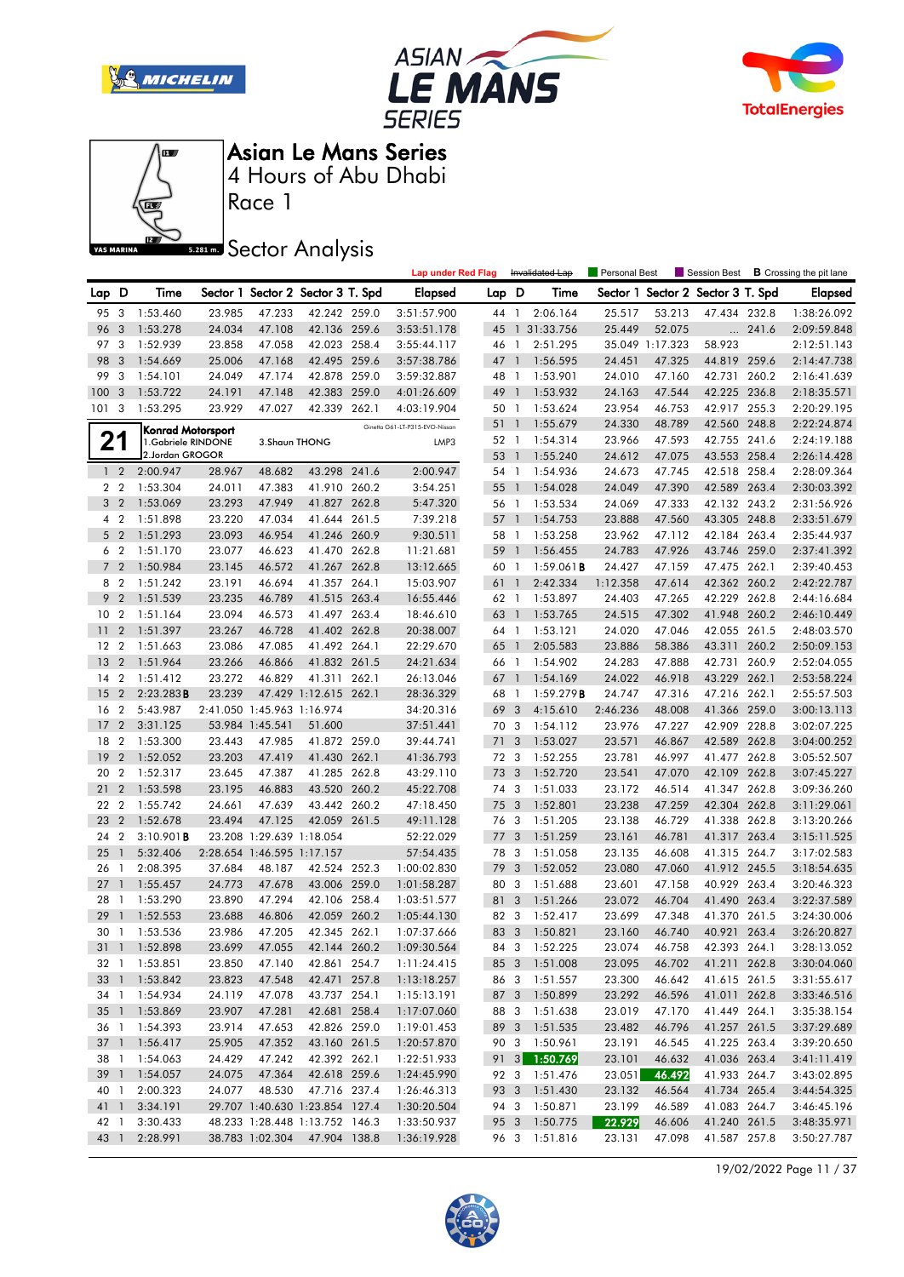







Race 1

## **Sector Analysis**

|                 |                  |                                         |        |                            |                                   | <b>Lap under Red Flag</b>      |       |                | Invalidated Lap      | Personal Best |                 | Session Best                      |       | <b>B</b> Crossing the pit lane |
|-----------------|------------------|-----------------------------------------|--------|----------------------------|-----------------------------------|--------------------------------|-------|----------------|----------------------|---------------|-----------------|-----------------------------------|-------|--------------------------------|
| Lap D           |                  | Time                                    |        |                            | Sector 1 Sector 2 Sector 3 T. Spd | <b>Elapsed</b>                 | Lap D |                | Time                 |               |                 | Sector 1 Sector 2 Sector 3 T. Spd |       | Elapsed                        |
| 95              | - 3              | 1:53.460                                | 23.985 | 47.233                     | 42.242 259.0                      | 3:51:57.900                    | 44 1  |                | 2:06.164             | 25.517        | 53.213          | 47.434 232.8                      |       | 1:38:26.092                    |
| 96              | 3                | 1:53.278                                | 24.034 | 47.108                     | 42.136 259.6                      | 3:53:51.178                    |       |                | 45 1 31:33.756       | 25.449        | 52.075          |                                   | 241.6 | 2:09:59.848                    |
| 97              | 3                | 1:52.939                                | 23.858 | 47.058                     | 42.023 258.4                      | 3:55:44.117                    | 46 1  |                | 2:51.295             |               | 35.049 1:17.323 | 58.923                            |       | 2:12:51.143                    |
| 98              | 3                | 1:54.669                                | 25.006 | 47.168                     | 42.495 259.6                      | 3:57:38.786                    | 47    | $\mathbf{1}$   | 1:56.595             | 24.451        | 47.325          | 44.819 259.6                      |       | 2:14:47.738                    |
| 99              | 3                | 1:54.101                                | 24.049 | 47.174                     | 42.878 259.0                      | 3:59:32.887                    | 48 1  |                | 1:53.901             | 24.010        | 47.160          | 42.731 260.2                      |       | 2:16:41.639                    |
| 100             | 3                | 1:53.722                                | 24.191 | 47.148                     | 42.383 259.0                      | 4:01:26.609                    | 49 1  |                | 1:53.932             | 24.163        | 47.544          | 42.225 236.8                      |       | 2:18:35.571                    |
| 101             | 3                | 1:53.295                                | 23.929 | 47.027                     | 42.339 262.1                      | 4:03:19.904                    | 50 1  |                | 1:53.624             | 23.954        | 46.753          | 42.917 255.3                      |       | 2:20:29.195                    |
|                 |                  |                                         |        |                            |                                   | Ginetta G61-LT-P315-EVO-Nissan | 51    | $\mathbf{1}$   | 1:55.679             | 24.330        | 48.789          | 42.560 248.8                      |       | 2:22:24.874                    |
| 21              |                  | Konrad Motorsport<br>1.Gabriele RINDONE |        | 3. Shaun THONG             |                                   | LMP3                           | 52 1  |                | 1:54.314             | 23.966        | 47.593          | 42.755 241.6                      |       | 2:24:19.188                    |
|                 |                  | 2.Jordan GROGOR                         |        |                            |                                   |                                | 53    | $\overline{1}$ | 1:55.240             | 24.612        | 47.075          | 43.553 258.4                      |       | 2:26:14.428                    |
|                 | $1\quad2$        | 2:00.947                                | 28.967 | 48.682                     | 43.298 241.6                      | 2:00.947                       | 54 1  |                | 1:54.936             | 24.673        | 47.745          | 42.518 258.4                      |       | 2:28:09.364                    |
|                 | 2 <sub>2</sub>   | 1:53.304                                | 24.011 | 47.383                     | 41.910 260.2                      | 3:54.251                       | 55    | $\mathbf{1}$   | 1:54.028             | 24.049        | 47.390          | 42.589 263.4                      |       | 2:30:03.392                    |
| 3               | $\overline{2}$   | 1:53.069                                | 23.293 | 47.949                     | 41.827 262.8                      | 5:47.320                       | 56 1  |                | 1:53.534             | 24.069        | 47.333          | 42.132 243.2                      |       | 2:31:56.926                    |
| 4               | $\overline{2}$   | 1:51.898                                | 23.220 | 47.034                     | 41.644 261.5                      | 7:39.218                       | 57 1  |                | 1:54.753             | 23.888        | 47.560          | 43.305 248.8                      |       | 2:33:51.679                    |
| 5               | $\overline{2}$   | 1:51.293                                | 23.093 | 46.954                     | 41.246 260.9                      | 9:30.511                       | 58 1  |                | 1:53.258             | 23.962        | 47.112          | 42.184                            | 263.4 | 2:35:44.937                    |
|                 | 6 2              | 1:51.170                                | 23.077 | 46.623                     | 41.470 262.8                      | 11:21.681                      | 59    | $\overline{1}$ | 1:56.455             | 24.783        | 47.926          | 43.746 259.0                      |       | 2:37:41.392                    |
|                 | 7 <sub>2</sub>   | 1:50.984                                | 23.145 | 46.572                     | 41.267 262.8                      | 13:12.665                      | 60 1  |                | 1:59.061B            | 24.427        | 47.159          | 47.475 262.1                      |       | 2:39:40.453                    |
| 8               | $\overline{2}$   | 1:51.242                                | 23.191 | 46.694                     | 41.357 264.1                      | 15:03.907                      | 61    | $\overline{1}$ | 2:42.334             | 1:12.358      | 47.614          | 42.362 260.2                      |       | 2:42:22.787                    |
| 9               | $\overline{2}$   | 1:51.539                                | 23.235 | 46.789                     | 41.515 263.4                      | 16:55.446                      | 62 1  |                | 1:53.897             | 24.403        | 47.265          | 42.229                            | 262.8 | 2:44:16.684                    |
| 10              | $\overline{2}$   | 1:51.164                                | 23.094 | 46.573                     | 41.497 263.4                      | 18:46.610                      | 63    | $\mathbf{1}$   | 1:53.765             | 24.515        | 47.302          | 41.948 260.2                      |       | 2:46:10.449                    |
| 11              | $\overline{2}$   | 1:51.397                                | 23.267 | 46.728                     | 41.402 262.8                      | 20:38.007                      | 64 1  |                | 1:53.121             | 24.020        | 47.046          | 42.055 261.5                      |       | 2:48:03.570                    |
| 12              | $\overline{2}$   | 1:51.663                                | 23.086 | 47.085                     | 41.492 264.1                      | 22:29.670                      | 65    | $\overline{1}$ | 2:05.583             | 23.886        | 58.386          | 43.311                            | 260.2 | 2:50:09.153                    |
| 13              | $\overline{2}$   | 1:51.964                                | 23.266 | 46.866                     | 41.832 261.5                      | 24:21.634                      | 66    | -1             | 1:54.902             | 24.283        | 47.888          | 42.731                            | 260.9 | 2:52:04.055                    |
| 14              | $\overline{2}$   | 1:51.412                                | 23.272 | 46.829                     | 41.311 262.1                      | 26:13.046                      | 67    | $\overline{1}$ | 1:54.169             | 24.022        | 46.918          | 43.229 262.1                      |       | 2:53:58.224                    |
| 15              | $\overline{2}$   | 2:23.283B                               | 23.239 |                            | 47.429 1:12.615 262.1             | 28:36.329                      | 68    | $\overline{1}$ | 1:59.279B            | 24.747        | 47.316          | 47.216 262.1                      |       | 2:55:57.503                    |
| 16              | $\overline{2}$   | 5:43.987                                |        | 2:41.050 1:45.963 1:16.974 |                                   | 34:20.316                      | 69    | 3              | 4:15.610             | 2:46.236      | 48.008          | 41.366                            | 259.0 | 3:00:13.113                    |
| 17              | $\overline{2}$   | 3:31.125                                |        | 53.984 1:45.541            | 51.600                            | 37:51.441                      | 70 3  |                | 1:54.112             | 23.976        | 47.227          | 42.909                            | 228.8 |                                |
| 18              | 2                | 1:53.300                                | 23.443 | 47.985                     | 41.872 259.0                      | 39:44.741                      | 71    | 3              | 1:53.027             | 23.571        | 46.867          | 42.589 262.8                      |       | 3:02:07.225<br>3:04:00.252     |
| 19              | $\overline{2}$   | 1:52.052                                | 23.203 | 47.419                     | 41.430 262.1                      | 41:36.793                      | 72 3  |                | 1:52.255             | 23.781        | 46.997          | 41.477 262.8                      |       | 3:05:52.507                    |
| 20              | $\boldsymbol{2}$ |                                         | 23.645 |                            | 41.285 262.8                      |                                | 73    | 3              |                      | 23.541        | 47.070          | 42.109                            | 262.8 |                                |
| 21              | $\overline{2}$   | 1:52.317                                | 23.195 | 47.387<br>46.883           | 43.520 260.2                      | 43:29.110                      | 74 3  |                | 1:52.720<br>1:51.033 | 23.172        | 46.514          | 41.347 262.8                      |       | 3:07:45.227                    |
|                 |                  | 1:53.598                                |        |                            |                                   | 45:22.708                      |       |                |                      | 23.238        |                 |                                   |       | 3:09:36.260                    |
| 22              | $\overline{2}$   | 1:55.742                                | 24.661 | 47.639                     | 43.442 260.2                      | 47:18.450                      | 75    | 3              | 1:52.801             |               | 47.259          | 42.304 262.8                      |       | 3:11:29.061                    |
| 23              | 2                | 1:52.678                                | 23.494 | 47.125                     | 42.059 261.5                      | 49:11.128                      | 76 3  |                | 1:51.205             | 23.138        | 46.729          | 41.338 262.8                      |       | 3:13:20.266                    |
| 24              | 2                | $3:10.901$ <b>B</b><br>5:32.406         |        | 23.208 1:29.639 1:18.054   |                                   | 52:22.029                      | 77    | 3              | 1:51.259<br>1:51.058 | 23.161        | 46.781          | 41.317                            | 263.4 | 3:15:11.525                    |
| 25              |                  |                                         |        | 2:28.654 1:46.595 1:17.157 |                                   | 57:54.435                      | 78    | 3              |                      | 23.135        | 46.608          | 41.315 264.7                      |       | 3:17:02.583                    |
| 26              | -1               | 2:08.395                                | 37.684 | 48.187                     | 42.524 252.3                      | 1:00:02.830                    | 79    | 3              | 1:52.052             | 23.080        | 47.060          | 41.912 245.5                      |       | 3:18:54.635                    |
| 27              | $\mathbf{1}$     | 1:55.457                                | 24.773 | 47.678                     | 43.006 259.0                      | 1:01:58.287                    | 80    | 3              | 1:51.688             | 23.601        | 47.158          | 40.929 263.4                      |       | 3:20:46.323                    |
| 28              | -1               | 1:53.290                                | 23.890 | 47.294                     | 42.106 258.4                      | 1:03:51.577                    | 81    | 3              | 1:51.266             | 23.072        | 46.704          | 41.490                            | 263.4 | 3:22:37.589                    |
| 29              |                  | 1:52.553                                | 23.688 | 46.806                     | 42.059 260.2                      | 1:05:44.130                    | 82    | 3              | 1:52.417             | 23.699        | 47.348          | 41.370 261.5                      |       | 3:24:30.006                    |
| 30 1            |                  | 1:53.536                                | 23.986 | 47.205                     | 42.345 262.1                      | 1:07:37.666                    | 83 3  |                | 1:50.821             | 23.160        | 46.740          | 40.921 263.4                      |       | 3:26:20.827                    |
|                 |                  | 31 1 1:52.898                           | 23.699 | 47.055                     | 42.144 260.2                      | 1:09:30.564                    |       |                | 84 3 1:52.225        | 23.074        | 46.758          | 42.393 264.1                      |       | 3:28:13.052                    |
|                 |                  | 32 1 1:53.851                           | 23.850 | 47.140                     | 42.861 254.7                      | 1:11:24.415                    |       |                | 85 3 1:51.008        | 23.095        | 46.702          | 41.211 262.8                      |       | 3:30:04.060                    |
|                 |                  | 33 1 1:53.842                           | 23.823 | 47.548                     | 42.471 257.8                      | 1:13:18.257                    |       |                | 86 3 1:51.557        | 23.300        | 46.642          | 41.615 261.5                      |       | 3:31:55.617                    |
|                 |                  | 34 1 1:54.934                           | 24.119 | 47.078                     | 43.737 254.1                      | 1:15:13.191                    |       |                | 87 3 1:50.899        | 23.292        | 46.596          | 41.011 262.8                      |       | 3:33:46.516                    |
|                 |                  | 35 1 1:53.869                           | 23.907 | 47.281                     | 42.681 258.4                      | 1:17:07.060                    |       |                | 88 3 1:51.638        | 23.019        | 47.170          | 41.449 264.1                      |       | 3:35:38.154                    |
|                 |                  | 36 1 1:54.393                           | 23.914 | 47.653                     | 42.826 259.0                      | 1:19:01.453                    |       |                | 89 3 1:51.535        | 23.482        | 46.796          | 41.257 261.5                      |       | 3:37:29.689                    |
|                 |                  | 37 1 1:56.417                           | 25.905 | 47.352                     | 43.160 261.5                      | 1:20:57.870                    |       |                | 90 3 1:50.961        | 23.191        | 46.545          | 41.225 263.4                      |       | 3:39:20.650                    |
| 38 1            |                  | 1:54.063                                | 24.429 | 47.242                     | 42.392 262.1                      | 1:22:51.933                    |       |                | 91 3 1:50.769        | 23.101        | 46.632          | 41.036 263.4                      |       | 3:41:11.419                    |
| 39 <sup>1</sup> |                  | 1:54.057                                | 24.075 | 47.364                     | 42.618 259.6                      | 1:24:45.990                    |       |                | 92 3 1:51.476        | 23.051        | 46.492          | 41.933 264.7                      |       | 3:43:02.895                    |
| 40 1            |                  | 2:00.323                                | 24.077 | 48.530                     | 47.716 237.4                      | 1:26:46.313                    |       |                | 93 3 1:51.430        | 23.132        | 46.564          | 41.734 265.4                      |       | 3:44:54.325                    |
| 41 1            |                  | 3:34.191                                |        |                            | 29.707 1:40.630 1:23.854 127.4    | 1:30:20.504                    |       |                | 94 3 1:50.871        | 23.199        | 46.589          | 41.083 264.7                      |       | 3:46:45.196                    |
| 42 1            |                  | 3:30.433                                |        |                            | 48.233 1:28.448 1:13.752 146.3    | 1:33:50.937                    |       |                | 95 3 1:50.775        | 22.929        | 46.606          | 41.240 261.5                      |       | 3:48:35.971                    |
| 43 1            |                  | 2:28.991                                |        | 38.783 1:02.304            | 47.904 138.8                      | 1:36:19.928                    |       |                | 96 3 1:51.816        | 23.131        | 47.098          | 41.587 257.8                      |       | 3:50:27.787                    |

19/02/2022 Page 11 / 37

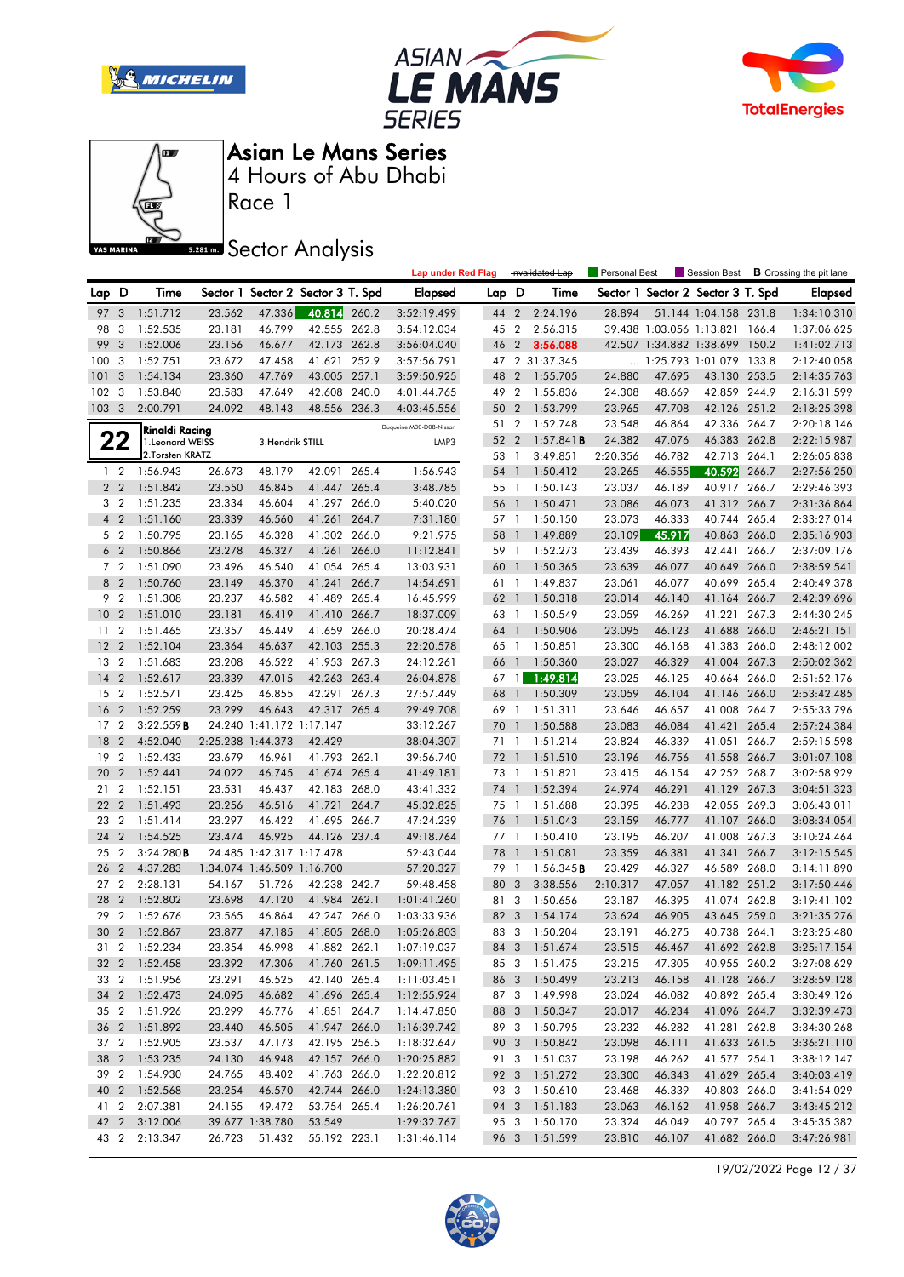







Race 1

## **Sector Analysis**

|                |                  |                  |        |                            |                                   |       | <b>Lap under Red Flag</b> |       |                | Invalidated Lap | Personal Best |        | Session Best                      |       | <b>B</b> Crossing the pit lane |
|----------------|------------------|------------------|--------|----------------------------|-----------------------------------|-------|---------------------------|-------|----------------|-----------------|---------------|--------|-----------------------------------|-------|--------------------------------|
| Lap D          |                  | Time             |        |                            | Sector 1 Sector 2 Sector 3 T. Spd |       | <b>Elapsed</b>            | Lap D |                | Time            |               |        | Sector 1 Sector 2 Sector 3 T. Spd |       | <b>Elapsed</b>                 |
| 97             | 3                | 1:51.712         | 23.562 | 47.336                     | 40.814 260.2                      |       | 3:52:19.499               | 44    | $\overline{2}$ | 2:24.196        | 28.894        |        | 51.144 1:04.158 231.8             |       | 1:34:10.310                    |
| 98             | 3                | 1:52.535         | 23.181 | 46.799                     | 42.555 262.8                      |       | 3:54:12.034               | 45    | $\overline{2}$ | 2:56.315        |               |        | 39.438 1:03.056 1:13.821          | 166.4 | 1:37:06.625                    |
| 99             | 3                | 1:52.006         | 23.156 | 46.677                     | 42.173 262.8                      |       | 3:56:04.040               | 46    | $\overline{2}$ | 3:56.088        |               |        | 42.507 1:34.882 1:38.699 150.2    |       | 1:41:02.713                    |
| 100            | 3                | 1:52.751         | 23.672 | 47.458                     | 41.621 252.9                      |       | 3:57:56.791               |       |                | 47 2 31:37.345  |               |        | 1:25.793 1:01.079 133.8           |       | 2:12:40.058                    |
| 101            | 3                | 1:54.134         | 23.360 | 47.769                     | 43.005                            | 257.1 | 3:59:50.925               | 48    | $\overline{2}$ | 1:55.705        | 24.880        | 47.695 | 43.130 253.5                      |       | 2:14:35.763                    |
| 102            | 3                | 1:53.840         | 23.583 | 47.649                     | 42.608 240.0                      |       | 4:01:44.765               | 49    | $\overline{2}$ | 1:55.836        | 24.308        | 48.669 | 42.859 244.9                      |       | 2:16:31.599                    |
| 103            | $\overline{3}$   | 2:00.791         | 24.092 | 48.143                     | 48.556 236.3                      |       | 4:03:45.556               | 50    | $\overline{2}$ | 1:53.799        | 23.965        | 47.708 | 42.126 251.2                      |       | 2:18:25.398                    |
|                |                  | Rinaldi Racina   |        |                            |                                   |       | Duqueine M30-D08-Nissan   | 51 2  |                | 1:52.748        | 23.548        | 46.864 | 42.336 264.7                      |       | 2:20:18.146                    |
|                | 22               | 1.Leonard WEISS  |        | 3. Hendrik STILL           |                                   |       | LMP3                      | 52 2  |                | $1:57.841$ B    | 24.382        | 47.076 | 46.383 262.8                      |       | 2:22:15.987                    |
|                |                  | 2. Torsten KRATZ |        |                            |                                   |       |                           | 53    | -1             | 3:49.851        | 2:20.356      | 46.782 | 42.713 264.1                      |       | 2:26:05.838                    |
| $1\quad 2$     |                  | 1:56.943         | 26.673 | 48.179                     | 42.091 265.4                      |       | 1:56.943                  | 54    | $\overline{1}$ | 1:50.412        | 23.265        | 46.555 | 40.592                            | 266.7 | 2:27:56.250                    |
|                | 2 <sub>2</sub>   | 1:51.842         | 23.550 | 46.845                     | 41.447 265.4                      |       | 3:48.785                  | 55    | $\overline{1}$ | 1:50.143        | 23.037        | 46.189 | 40.917 266.7                      |       | 2:29:46.393                    |
| 3              | $\overline{2}$   | 1:51.235         | 23.334 | 46.604                     | 41.297 266.0                      |       | 5:40.020                  | 56    | $\overline{1}$ | 1:50.471        | 23.086        | 46.073 | 41.312 266.7                      |       | 2:31:36.864                    |
| 4 <sub>2</sub> |                  | 1:51.160         | 23.339 | 46.560                     | 41.261 264.7                      |       | 7:31.180                  | 57 1  |                | 1:50.150        | 23.073        | 46.333 | 40.744 265.4                      |       | 2:33:27.014                    |
|                | 5 2              | 1:50.795         | 23.165 | 46.328                     | 41.302 266.0                      |       | 9:21.975                  | 58    | $\overline{1}$ | 1:49.889        | 23.109        | 45.917 | 40.863 266.0                      |       | 2:35:16.903                    |
|                | 6 <sub>2</sub>   | 1:50.866         | 23.278 | 46.327                     | 41.261                            | 266.0 | 11:12.841                 | 59 1  |                | 1:52.273        | 23.439        | 46.393 | 42.441 266.7                      |       | 2:37:09.176                    |
| 7 <sub>2</sub> |                  | 1:51.090         | 23.496 | 46.540                     | 41.054 265.4                      |       | 13:03.931                 | 60    | $\overline{1}$ | 1:50.365        | 23.639        | 46.077 | 40.649                            | 266.0 | 2:38:59.541                    |
| 8 2            |                  | 1:50.760         | 23.149 | 46.370                     | 41.241                            | 266.7 | 14:54.691                 | 61    | $\overline{1}$ | 1:49.837        | 23.061        | 46.077 | 40.699 265.4                      |       | 2:40:49.378                    |
| 9              | $\overline{2}$   | 1:51.308         | 23.237 | 46.582                     | 41.489 265.4                      |       | 16:45.999                 | 62 1  |                | 1:50.318        | 23.014        | 46.140 | 41.164 266.7                      |       | 2:42:39.696                    |
| 10             | $\overline{2}$   | 1:51.010         | 23.181 | 46.419                     | 41.410 266.7                      |       | 18:37.009                 | 63 1  |                | 1:50.549        | 23.059        | 46.269 | 41.221 267.3                      |       | 2:44:30.245                    |
| 11             | $\overline{2}$   | 1:51.465         | 23.357 | 46.449                     | 41.659 266.0                      |       | 20:28.474                 | 64    | $\overline{1}$ | 1:50.906        | 23.095        | 46.123 | 41.688 266.0                      |       | 2:46:21.151                    |
| 12             | $\overline{2}$   | 1:52.104         | 23.364 | 46.637                     | 42.103 255.3                      |       | 22:20.578                 | 65 1  |                | 1:50.851        | 23.300        | 46.168 | 41.383 266.0                      |       | 2:48:12.002                    |
| 13             | $\overline{2}$   | 1:51.683         | 23.208 | 46.522                     | 41.953 267.3                      |       | 24:12.261                 | 66 1  |                | 1:50.360        | 23.027        | 46.329 | 41.004 267.3                      |       | 2:50:02.362                    |
| 14             | $\overline{2}$   | 1:52.617         | 23.339 | 47.015                     | 42.263 263.4                      |       | 26:04.878                 | 67    | $\overline{1}$ | 1:49.814        | 23.025        | 46.125 | 40.664 266.0                      |       | 2:51:52.176                    |
| 15             | $\overline{2}$   | 1:52.571         | 23.425 | 46.855                     | 42.291 267.3                      |       | 27:57.449                 | 68    | $\overline{1}$ | 1:50.309        | 23.059        | 46.104 | 41.146 266.0                      |       | 2:53:42.485                    |
| 16             | $\overline{2}$   | 1:52.259         | 23.299 | 46.643                     | 42.317 265.4                      |       | 29:49.708                 | 69    | $\overline{1}$ | 1:51.311        | 23.646        | 46.657 | 41.008 264.7                      |       | 2:55:33.796                    |
| 17             | $\overline{2}$   | 3:22.559B        |        | 24.240 1:41.172 1:17.147   |                                   |       | 33:12.267                 | 70    | $\overline{1}$ | 1:50.588        | 23.083        | 46.084 | 41.421                            | 265.4 | 2:57:24.384                    |
| 18             | $\overline{2}$   | 4:52.040         |        | 2:25.238 1:44.373          | 42.429                            |       | 38:04.307                 | 71    | $\overline{1}$ | 1:51.214        | 23.824        | 46.339 | 41.051                            | 266.7 | 2:59:15.598                    |
| 19             | $\boldsymbol{2}$ | 1:52.433         | 23.679 | 46.961                     | 41.793 262.1                      |       | 39:56.740                 | 72    | $\overline{1}$ | 1:51.510        | 23.196        | 46.756 | 41.558 266.7                      |       | 3:01:07.108                    |
| 20             | $\overline{2}$   | 1:52.441         | 24.022 | 46.745                     | 41.674 265.4                      |       | 41:49.181                 | 73 1  |                | 1:51.821        | 23.415        | 46.154 | 42.252 268.7                      |       | 3:02:58.929                    |
| 21             | 2                | 1:52.151         | 23.531 | 46.437                     | 42.183 268.0                      |       | 43:41.332                 | 74 1  |                | 1:52.394        | 24.974        | 46.291 | 41.129 267.3                      |       | 3:04:51.323                    |
| 22             | $\overline{2}$   | 1:51.493         | 23.256 | 46.516                     | 41.721 264.7                      |       | 45:32.825                 | 75    | $\overline{1}$ | 1:51.688        | 23.395        | 46.238 | 42.055 269.3                      |       | 3:06:43.011                    |
| 23             | $\overline{2}$   | 1:51.414         | 23.297 | 46.422                     | 41.695 266.7                      |       | 47:24.239                 | 76    | $\overline{1}$ | 1:51.043        | 23.159        | 46.777 | 41.107 266.0                      |       | 3:08:34.054                    |
| 24             | $\overline{2}$   | 1:54.525         | 23.474 | 46.925                     | 44.126 237.4                      |       | 49:18.764                 | 77 1  |                | 1:50.410        | 23.195        | 46.207 | 41.008 267.3                      |       | 3:10:24.464                    |
| 25             | $\overline{2}$   | 3:24.280B        |        | 24.485 1:42.317 1:17.478   |                                   |       | 52:43.044                 | 78    | $\overline{1}$ | 1:51.081        | 23.359        | 46.381 | 41.341                            | 266.7 | 3:12:15.545                    |
| 26             | $\overline{2}$   | 4:37.283         |        | 1:34.074 1:46.509 1:16.700 |                                   |       | 57:20.327                 | 79    | $\overline{1}$ | $1:56.345$ B    | 23.429        | 46.327 | 46.589 268.0                      |       | 3:14:11.890                    |
| 27             | $\overline{2}$   | 2:28.131         | 54.167 | 51.726                     | 42.238 242.7                      |       | 59:48.458                 | 80    | 3              | 3:38.556        | 2:10.317      | 47.057 | 41.182 251.2                      |       | 3:17:50.446                    |
| 28             | $\overline{2}$   | 1:52.802         | 23.698 | 47.120                     | 41.984 262.1                      |       | 1:01:41.260               | 81 3  |                | 1:50.656        | 23.187        | 46.395 | 41.074 262.8                      |       | 3:19:41.102                    |
| 29             | $\overline{2}$   | 1:52.676         | 23.565 | 46.864                     | 42.247 266.0                      |       | 1:03:33.936               | 82 3  |                | 1:54.174        | 23.624        | 46.905 | 43.645 259.0                      |       | 3:21:35.276                    |
| 30             | $\overline{2}$   | 1:52.867         | 23.877 | 47.185                     | 41.805 268.0                      |       | 1:05:26.803               | 83 3  |                | 1:50.204        | 23.191        | 46.275 | 40.738 264.1                      |       | 3:23:25.480                    |
|                |                  | 31 2 1:52.234    | 23.354 | 46.998                     | 41.882 262.1                      |       | 1:07:19.037               |       |                | 84 3 1:51.674   | 23.515        | 46.467 | 41.692 262.8                      |       | 3:25:17.154                    |
|                |                  | 32 2 1:52.458    | 23.392 | 47.306                     | 41.760 261.5                      |       | 1:09:11.495               |       |                | 85 3 1:51.475   | 23.215        | 47.305 | 40.955 260.2                      |       | 3:27:08.629                    |
|                |                  | 33 2 1:51.956    | 23.291 | 46.525                     | 42.140 265.4                      |       | 1:11:03.451               |       |                | 86 3 1:50.499   | 23.213        | 46.158 | 41.128 266.7                      |       | 3:28:59.128                    |
|                |                  | 34 2 1:52.473    | 24.095 | 46.682                     | 41.696 265.4                      |       | 1:12:55.924               |       |                | 87 3 1:49.998   | 23.024        | 46.082 | 40.892 265.4                      |       | 3:30:49.126                    |
|                |                  | 35 2 1:51.926    | 23.299 | 46.776                     | 41.851 264.7                      |       | 1:14:47.850               |       |                | 88 3 1:50.347   | 23.017        | 46.234 | 41.096 264.7                      |       | 3:32:39.473                    |
|                |                  | 36 2 1:51.892    | 23.440 | 46.505                     | 41.947 266.0                      |       | 1:16:39.742               |       |                | 89 3 1:50.795   | 23.232        | 46.282 | 41.281 262.8                      |       | 3:34:30.268                    |
|                |                  | 37 2 1:52.905    | 23.537 | 47.173                     | 42.195 256.5                      |       | 1:18:32.647               |       |                | 90 3 1:50.842   | 23.098        | 46.111 | 41.633 261.5                      |       | 3:36:21.110                    |
|                |                  | 38 2 1:53.235    | 24.130 | 46.948                     | 42.157 266.0                      |       | 1:20:25.882               |       |                | 91 3 1:51.037   | 23.198        | 46.262 | 41.577 254.1                      |       | 3:38:12.147                    |
|                |                  | 39 2 1:54.930    | 24.765 | 48.402                     | 41.763 266.0                      |       | 1:22:20.812               |       |                | 92 3 1:51.272   | 23.300        | 46.343 | 41.629 265.4                      |       | 3:40:03.419                    |
|                |                  | 40 2 1:52.568    | 23.254 | 46.570                     | 42.744 266.0                      |       | 1:24:13.380               |       |                | 93 3 1:50.610   | 23.468        | 46.339 | 40.803 266.0                      |       | 3:41:54.029                    |
|                |                  | 41 2 2:07.381    | 24.155 | 49.472                     | 53.754 265.4                      |       | 1:26:20.761               |       |                | 94 3 1:51.183   | 23.063        | 46.162 | 41.958 266.7                      |       | 3:43:45.212                    |
|                |                  | 42 2 3:12.006    |        | 39.677 1:38.780            | 53.549                            |       | 1:29:32.767               |       |                | 95 3 1:50.170   | 23.324        | 46.049 | 40.797 265.4                      |       | 3:45:35.382                    |
|                |                  | 43 2 2:13.347    | 26.723 | 51.432                     | 55.192 223.1                      |       | 1:31:46.114               |       |                | 96 3 1:51.599   | 23.810        | 46.107 | 41.682 266.0                      |       | 3:47:26.981                    |

19/02/2022 Page 12 / 37

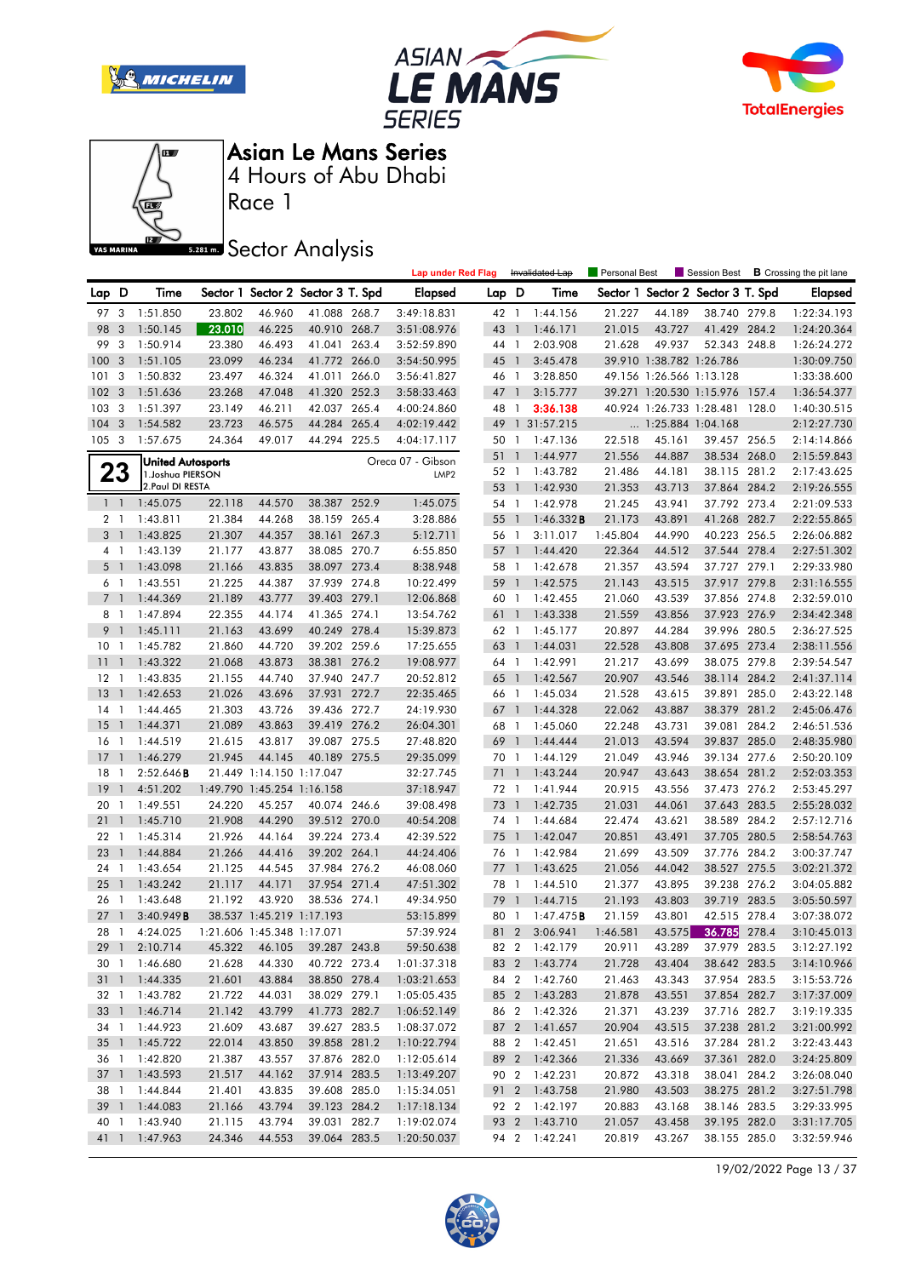







Race 1

# **S281ms** Sector Analysis

|                |                |                          |        |                            |                                   |       | <b>Lap under Red Flag</b> |       |                | Invalidated Lap | <b>Personal Best</b> |                          | Session Best                      |       | <b>B</b> Crossing the pit lane |
|----------------|----------------|--------------------------|--------|----------------------------|-----------------------------------|-------|---------------------------|-------|----------------|-----------------|----------------------|--------------------------|-----------------------------------|-------|--------------------------------|
| Lap D          |                | Time                     |        |                            | Sector 1 Sector 2 Sector 3 T. Spd |       | <b>Elapsed</b>            | Lap D |                | Time            |                      |                          | Sector 1 Sector 2 Sector 3 T. Spd |       | <b>Elapsed</b>                 |
| 97             | $\mathbf{3}$   | 1:51.850                 | 23.802 | 46.960                     | 41.088 268.7                      |       | 3:49:18.831               | 42 1  |                | 1:44.156        | 21.227               | 44.189                   | 38.740 279.8                      |       | 1:22:34.193                    |
| 98             | 3              | 1:50.145                 | 23.010 | 46.225                     | 40.910 268.7                      |       | 3:51:08.976               | 43 1  |                | 1:46.171        | 21.015               | 43.727                   | 41.429 284.2                      |       | 1:24:20.364                    |
| 99             | 3              | 1:50.914                 | 23.380 | 46.493                     | 41.041 263.4                      |       | 3:52:59.890               | 44 1  |                | 2:03.908        | 21.628               | 49.937                   | 52.343 248.8                      |       | 1:26:24.272                    |
| 100            | 3              | 1:51.105                 | 23.099 | 46.234                     | 41.772 266.0                      |       | 3:54:50.995               | 45 1  |                | 3:45.478        |                      | 39.910 1:38.782 1:26.786 |                                   |       | 1:30:09.750                    |
| 101            | 3              | 1:50.832                 | 23.497 | 46.324                     | 41.011                            | 266.0 | 3:56:41.827               | 46 1  |                | 3:28.850        |                      | 49.156 1:26.566 1:13.128 |                                   |       | 1:33:38.600                    |
| 102            | $\overline{3}$ | 1:51.636                 | 23.268 | 47.048                     | 41.320 252.3                      |       | 3:58:33.463               | 47    | $\overline{1}$ | 3:15.777        |                      |                          | 39.271 1:20.530 1:15.976 157.4    |       | 1:36:54.377                    |
| 103            | 3              | 1:51.397                 | 23.149 | 46.211                     | 42.037 265.4                      |       | 4:00:24.860               | 48 1  |                | 3:36.138        |                      |                          | 40.924 1:26.733 1:28.481 128.0    |       | 1:40:30.515                    |
| 104            | 3              | 1:54.582                 | 23.723 | 46.575                     | 44.284 265.4                      |       | 4:02:19.442               |       |                | 49 1 31:57.215  |                      | 1:25.884 1:04.168        |                                   |       | 2:12:27.730                    |
| 105            | 3              | 1:57.675                 | 24.364 | 49.017                     | 44.294 225.5                      |       | 4:04:17.117               | 50 1  |                | 1:47.136        | 22.518               | 45.161                   | 39.457 256.5                      |       | 2:14:14.866                    |
|                |                | <b>United Autosports</b> |        |                            |                                   |       | Oreca 07 - Gibson         | 51    | $\overline{1}$ | 1:44.977        | 21.556               | 44.887                   | 38.534 268.0                      |       | 2:15:59.843                    |
|                | 23             | 1. Joshua PIERSON        |        |                            |                                   |       | LMP <sub>2</sub>          | 52 1  |                | 1:43.782        | 21.486               | 44.181                   | 38.115 281.2                      |       | 2:17:43.625                    |
|                |                | 2.Paul DI RESTA          |        |                            |                                   |       |                           | 53 1  |                | 1:42.930        | 21.353               | 43.713                   | 37.864 284.2                      |       | 2:19:26.555                    |
|                | $1\quad$       | 1:45.075                 | 22.118 | 44.570                     | 38.387 252.9                      |       | 1:45.075                  | 54 1  |                | 1:42.978        | 21.245               | 43.941                   | 37.792 273.4                      |       | 2:21:09.533                    |
|                | 2 1            | 1:43.811                 | 21.384 | 44.268                     | 38.159 265.4                      |       | 3:28.886                  | 55    | $\mathbf{1}$   | 1:46.332B       | 21.173               | 43.891                   | 41.268 282.7                      |       | 2:22:55.865                    |
| 3 <sup>1</sup> |                | 1:43.825                 | 21.307 | 44.357                     | 38.161 267.3                      |       | 5:12.711                  | 56 1  |                | 3:11.017        | 1:45.804             | 44.990                   | 40.223 256.5                      |       | 2:26:06.882                    |
|                | $4-1$          | 1:43.139                 | 21.177 | 43.877                     | 38.085 270.7                      |       | 6:55.850                  | 57 1  |                | 1:44.420        | 22.364               | 44.512                   | 37.544 278.4                      |       | 2:27:51.302                    |
| 5              | $\overline{1}$ | 1:43.098                 | 21.166 | 43.835                     | 38.097 273.4                      |       | 8:38.948                  | 58 1  |                | 1:42.678        | 21.357               | 43.594                   | 37.727                            | 279.1 | 2:29:33.980                    |
| 6              | $\overline{1}$ | 1:43.551                 | 21.225 | 44.387                     | 37.939 274.8                      |       | 10:22.499                 | 59    | $\mathbf{1}$   | 1:42.575        | 21.143               | 43.515                   | 37.917 279.8                      |       | 2:31:16.555                    |
|                | 7 <sub>1</sub> | 1:44.369                 | 21.189 | 43.777                     | 39.403 279.1                      |       | 12:06.868                 | 60 1  |                | 1:42.455        | 21.060               | 43.539                   | 37.856 274.8                      |       | 2:32:59.010                    |
|                | 8 1            | 1:47.894                 | 22.355 | 44.174                     | 41.365 274.1                      |       | 13:54.762                 | 61 1  |                | 1:43.338        | 21.559               | 43.856                   | 37.923 276.9                      |       | 2:34:42.348                    |
| 9              | $\overline{1}$ | 1:45.111                 | 21.163 | 43.699                     | 40.249 278.4                      |       | 15:39.873                 | 62 1  |                | 1:45.177        | 20.897               | 44.284                   | 39.996 280.5                      |       | 2:36:27.525                    |
| 10             | $\overline{1}$ | 1:45.782                 | 21.860 | 44.720                     | 39.202 259.6                      |       | 17:25.655                 | 63    | $\overline{1}$ | 1:44.031        | 22.528               | 43.808                   | 37.695 273.4                      |       | 2:38:11.556                    |
| 11             | $\mathbf{1}$   | 1:43.322                 | 21.068 | 43.873                     | 38.381 276.2                      |       | 19:08.977                 | 64 1  |                | 1:42.991        | 21.217               | 43.699                   | 38.075 279.8                      |       | 2:39:54.547                    |
| $12 \,$        | $\overline{1}$ | 1:43.835                 | 21.155 | 44.740                     | 37.940 247.7                      |       | 20:52.812                 | 65 1  |                | 1:42.567        | 20.907               | 43.546                   | 38.114 284.2                      |       | 2:41:37.114                    |
| 13             | $\overline{1}$ | 1:42.653                 | 21.026 | 43.696                     | 37.931 272.7                      |       | 22:35.465                 | 66 1  |                | 1:45.034        | 21.528               | 43.615                   | 39.891                            | 285.0 | 2:43:22.148                    |
| 14             | $\overline{1}$ | 1:44.465                 | 21.303 | 43.726                     | 39.436 272.7                      |       | 24:19.930                 | 67    | $\overline{1}$ | 1:44.328        | 22.062               | 43.887                   | 38.379 281.2                      |       | 2:45:06.476                    |
| 15             | $\mathbf{1}$   | 1:44.371                 | 21.089 | 43.863                     | 39.419 276.2                      |       | 26:04.301                 | 68 1  |                | 1:45.060        | 22.248               | 43.731                   | 39.081 284.2                      |       | 2:46:51.536                    |
| 16             | $\overline{1}$ | 1:44.519                 | 21.615 | 43.817                     | 39.087 275.5                      |       | 27:48.820                 | 69    | $\overline{1}$ | 1:44.444        | 21.013               | 43.594                   | 39.837                            | 285.0 | 2:48:35.980                    |
| 17             | $\mathbf{1}$   | 1:46.279                 | 21.945 | 44.145                     | 40.189 275.5                      |       | 29:35.099                 | 70 1  |                | 1:44.129        | 21.049               | 43.946                   | 39.134 277.6                      |       | 2:50:20.109                    |
| 18             | $\overline{1}$ | 2:52.646B                |        | 21.449 1:14.150 1:17.047   |                                   |       | 32:27.745                 | 71    | $\overline{1}$ | 1:43.244        | 20.947               | 43.643                   | 38.654 281.2                      |       | 2:52:03.353                    |
| 19             | $\mathbf{1}$   | 4:51.202                 |        | 1:49.790 1:45.254 1:16.158 |                                   |       | 37:18.947                 | 72 1  |                | 1:41.944        | 20.915               | 43.556                   | 37.473 276.2                      |       | 2:53:45.297                    |
| 20             | $\mathbf{1}$   | 1:49.551                 | 24.220 | 45.257                     | 40.074 246.6                      |       | 39:08.498                 | 73    | $\overline{1}$ | 1:42.735        | 21.031               | 44.061                   | 37.643                            | 283.5 | 2:55:28.032                    |
| 21             | $\mathbf{1}$   | 1:45.710                 | 21.908 | 44.290                     | 39.512 270.0                      |       | 40:54.208                 | 74 1  |                | 1:44.684        | 22.474               | 43.621                   | 38.589                            | 284.2 | 2:57:12.716                    |
| 22             | $\overline{1}$ | 1:45.314                 | 21.926 | 44.164                     | 39.224 273.4                      |       | 42:39.522                 | 75    | $\mathbf{1}$   | 1:42.047        | 20.851               | 43.491                   | 37.705 280.5                      |       | 2:58:54.763                    |
| 23             | $\mathbf{1}$   | 1:44.884                 | 21.266 | 44.416                     | 39.202 264.1                      |       | 44:24.406                 | 76 1  |                | 1:42.984        | 21.699               | 43.509                   | 37.776 284.2                      |       | 3:00:37.747                    |
| 24             | $\overline{1}$ | 1:43.654                 | 21.125 | 44.545                     | 37.984 276.2                      |       | 46:08.060                 | 77    | $\overline{1}$ | 1:43.625        | 21.056               | 44.042                   | 38.527                            | 275.5 | 3:02:21.372                    |
| 25             | $\mathbf{1}$   | 1:43.242                 | 21.117 | 44.171                     | 37.954 271.4                      |       | 47:51.302                 | 78    | $\overline{1}$ | 1:44.510        | 21.377               | 43.895                   | 39.238 276.2                      |       | 3:04:05.882                    |
| 26             | $\overline{1}$ | 1:43.648                 | 21.192 | 43.920                     | 38.536 274.1                      |       | 49:34.950                 | 79    | $\overline{1}$ | 1:44.715        | 21.193               | 43.803                   | 39.719 283.5                      |       | 3:05:50.597                    |
| 27             | $\mathbf{1}$   | 3:40.949B                |        | 38.537 1:45.219 1:17.193   |                                   |       | 53:15.899                 | 80 1  |                | 1:47.475B       | 21.159               | 43.801                   | 42.515 278.4                      |       | 3:07:38.072                    |
| 28             | $\overline{1}$ | 4:24.025                 |        | 1:21.606 1:45.348 1:17.071 |                                   |       | 57:39.924                 | 81 2  |                | 3:06.941        | 1:46.581             | 43.575                   | 36.785 278.4                      |       | 3:10:45.013                    |
| $29\,$         | $\overline{1}$ | 2:10.714                 |        |                            | 45.322  46.105  39.287  243.8     |       | 59:50.638                 |       |                | 82 2 1:42.179   | 20.911               | 43.289                   | 37.979 283.5                      |       | 3:12:27.192                    |
|                |                | 30 1 1:46.680            | 21.628 | 44.330                     | 40.722 273.4                      |       | 1:01:37.318               |       |                | 83 2 1:43.774   | 21.728               | 43.404                   | 38.642 283.5                      |       | 3:14:10.966                    |
|                |                | 31 1 1:44.335            | 21.601 | 43.884                     | 38.850 278.4                      |       | 1:03:21.653               |       |                | 84 2 1:42.760   | 21.463               | 43.343                   | 37.954 283.5                      |       | 3:15:53.726                    |
|                |                | 32 1 1:43.782            | 21.722 | 44.031                     | 38.029 279.1                      |       | 1:05:05.435               |       |                | 85 2 1:43.283   | 21.878               | 43.551                   | 37.854 282.7                      |       | 3:17:37.009                    |
|                |                | 33 1 1:46.714            | 21.142 | 43.799                     | 41.773 282.7                      |       | 1:06:52.149               |       |                | 86 2 1:42.326   | 21.371               | 43.239                   | 37.716 282.7                      |       | 3:19:19.335                    |
|                |                | 34 1 1:44.923            | 21.609 | 43.687                     | 39.627 283.5                      |       | 1:08:37.072               |       |                | 87 2 1:41.657   | 20.904               | 43.515                   | 37.238 281.2                      |       | 3:21:00.992                    |
|                |                | 35 1 1:45.722            | 22.014 | 43.850                     | 39.858 281.2                      |       | 1:10:22.794               |       |                | 88 2 1:42.451   | 21.651               | 43.516                   | 37.284 281.2                      |       | 3:22:43.443                    |
|                |                | 36 1 1:42.820            | 21.387 | 43.557                     | 37.876 282.0                      |       | 1:12:05.614               |       |                | 89 2 1:42.366   | 21.336               | 43.669                   | 37.361 282.0                      |       | 3:24:25.809                    |
|                |                | 37 1 1:43.593            | 21.517 | 44.162                     | 37.914 283.5                      |       | 1:13:49.207               |       |                | 90 2 1:42.231   | 20.872               | 43.318                   | 38.041 284.2                      |       | 3:26:08.040                    |
|                |                | 38 1 1:44.844            | 21.401 | 43.835                     | 39.608 285.0                      |       | 1:15:34.051               |       |                | 91 2 1:43.758   | 21.980               | 43.503                   | 38.275 281.2                      |       | 3:27:51.798                    |
|                |                | 39 1 1:44.083            | 21.166 | 43.794                     | 39.123 284.2                      |       | 1:17:18.134               |       |                | 92 2 1:42.197   | 20.883               | 43.168                   | 38.146 283.5                      |       | 3:29:33.995                    |
| 40 1           |                | 1:43.940                 | 21.115 | 43.794                     | 39.031 282.7                      |       | 1:19:02.074               |       |                | 93 2 1:43.710   | 21.057               | 43.458                   | 39.195 282.0                      |       | 3:31:17.705                    |
|                |                | 41 1 1:47.963            | 24.346 | 44.553                     | 39.064 283.5                      |       | 1:20:50.037               |       |                | 94 2 1:42.241   | 20.819               | 43.267                   | 38.155 285.0                      |       | 3:32:59.946                    |

19/02/2022 Page 13 / 37

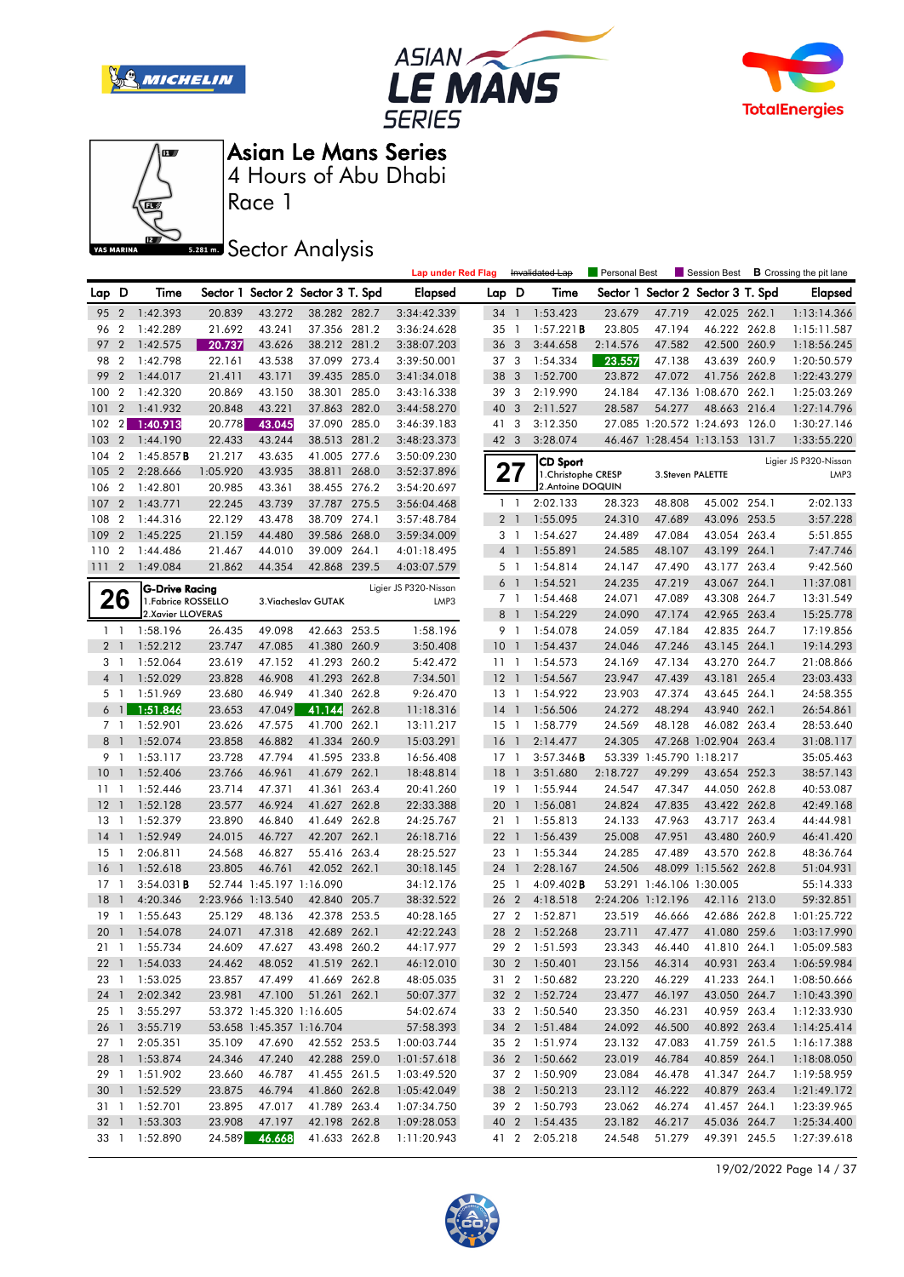







Race 1

**Sector Analysis** 

|                 |                |                     |          |                          |                                   |       | <b>Lap under Red Flag</b> |        |                | Invalidated Lap     | <b>Personal Best</b> |                          | Session Best                   |       | <b>B</b> Crossing the pit lane |
|-----------------|----------------|---------------------|----------|--------------------------|-----------------------------------|-------|---------------------------|--------|----------------|---------------------|----------------------|--------------------------|--------------------------------|-------|--------------------------------|
| Lap D           |                | Time                |          |                          | Sector 1 Sector 2 Sector 3 T. Spd |       | <b>Elapsed</b>            | Lap D  |                | Time                | Sector 1             |                          | Sector 2 Sector 3 T. Spd       |       | <b>Elapsed</b>                 |
| 95              | $\overline{2}$ | 1:42.393            | 20.839   | 43.272                   | 38.282 282.7                      |       | 3:34:42.339               | 34 1   |                | 1:53.423            | 23.679               | 47.719                   | 42.025 262.1                   |       | 1:13:14.366                    |
| 96              | $\overline{2}$ | 1:42.289            | 21.692   | 43.241                   | 37.356 281.2                      |       | 3:36:24.628               | 35     | $\overline{1}$ | 1:57.221B           | 23.805               | 47.194                   | 46.222 262.8                   |       | 1:15:11.587                    |
| 97              | $\overline{2}$ | 1:42.575            | 20.737   | 43.626                   | 38.212 281.2                      |       | 3:38:07.203               | 36     | 3              | 3:44.658            | 2:14.576             | 47.582                   | 42.500 260.9                   |       | 1:18:56.245                    |
| 98              | $\overline{2}$ | 1:42.798            | 22.161   | 43.538                   | 37.099 273.4                      |       | 3:39:50.001               | 37 3   |                | 1:54.334            | 23.557               | 47.138                   | 43.639 260.9                   |       | 1:20:50.579                    |
| 99              | $\overline{2}$ | 1:44.017            | 21.411   | 43.171                   | 39.435                            | 285.0 | 3:41:34.018               | 38     | 3              | 1:52.700            | 23.872               | 47.072                   | 41.756 262.8                   |       | 1:22:43.279                    |
| 100             | $\overline{2}$ | 1:42.320            | 20.869   | 43.150                   | 38.301 285.0                      |       | 3:43:16.338               | 39     | -3             | 2:19.990            | 24.184               |                          | 47.136 1:08.670 262.1          |       | 1:25:03.269                    |
| 101             | $\overline{2}$ | 1:41.932            | 20.848   | 43.221                   | 37.863 282.0                      |       | 3:44:58.270               | 40     | 3              | 2:11.527            | 28.587               | 54.277                   | 48.663 216.4                   |       | 1:27:14.796                    |
| 102             | 2 <sup>1</sup> | 1:40.913            | 20.778   | 43.045                   | 37.090 285.0                      |       | 3:46:39.183               | 41     | -3             | 3:12.350            |                      |                          | 27.085 1:20.572 1:24.693 126.0 |       | 1:30:27.146                    |
| 103             | $\overline{2}$ | 1:44.190            | 22.433   | 43.244                   | 38.513 281.2                      |       | 3:48:23.373               | 42 3   |                | 3:28.074            |                      |                          | 46.467 1:28.454 1:13.153 131.7 |       | 1:33:55.220                    |
| 104             | $\overline{2}$ | 1:45.857B           | 21.217   | 43.635                   | 41.005 277.6                      |       | 3:50:09.230               |        |                | <b>CD Sport</b>     |                      |                          |                                |       | Ligier JS P320-Nissan          |
| 105             | $\overline{2}$ | 2:28.666            | 1:05.920 | 43.935                   | 38.811 268.0                      |       | 3:52:37.896               |        | 27             | 1. Christophe CRESP |                      |                          | 3. Steven PALETTE              |       | LMP3                           |
| 106             | $\overline{2}$ | 1:42.801            | 20.985   | 43.361                   | 38.455 276.2                      |       | 3:54:20.697               |        |                | 2. Antoine DOQUIN   |                      |                          |                                |       |                                |
| 107             | $\overline{2}$ | 1:43.771            | 22.245   | 43.739                   | 37.787 275.5                      |       | 3:56:04.468               |        | $1\quad$       | 2:02.133            | 28.323               | 48.808                   | 45.002 254.1                   |       | 2:02.133                       |
| 108             | $\overline{2}$ | 1:44.316            | 22.129   | 43.478                   | 38.709 274.1                      |       | 3:57:48.784               |        | 2 <sub>1</sub> | 1:55.095            | 24.310               | 47.689                   | 43.096 253.5                   |       | 3:57.228                       |
| 109             | $\overline{2}$ | 1:45.225            | 21.159   | 44.480                   | 39.586 268.0                      |       | 3:59:34.009               |        | 3 1            | 1:54.627            | 24.489               | 47.084                   | 43.054 263.4                   |       | 5:51.855                       |
| 110             | $\overline{2}$ | 1:44.486            | 21.467   | 44.010                   | 39.009 264.1                      |       | 4:01:18.495               |        | 4 <sup>1</sup> | 1:55.891            | 24.585               | 48.107                   | 43.199 264.1                   |       | 7:47.746                       |
| 111             | $\overline{2}$ | 1:49.084            | 21.862   | 44.354                   | 42.868 239.5                      |       | 4:03:07.579               |        | 5 <sub>1</sub> | 1:54.814            | 24.147               | 47.490                   | 43.177 263.4                   |       | 9:42.560                       |
|                 |                | G-Drive Racing      |          |                          |                                   |       | Ligier JS P320-Nissan     | 6      | $\overline{1}$ | 1:54.521            | 24.235               | 47.219                   | 43.067 264.1                   |       | 11:37.081                      |
|                 | 26             | 1. Fabrice ROSSELLO |          |                          | 3. Viacheslav GUTAK               |       | LMP3                      |        | 7 <sub>1</sub> | 1:54.468            | 24.071               | 47.089                   | 43.308 264.7                   |       | 13:31.549                      |
|                 |                | 2. Xavier LLOVERAS  |          |                          |                                   |       |                           |        | 8 <sup>1</sup> | 1:54.229            | 24.090               | 47.174                   | 42.965 263.4                   |       | 15:25.778                      |
|                 | $1 \quad 1$    | 1:58.196            | 26.435   | 49.098                   | 42.663 253.5                      |       | 1:58.196                  |        | 9 1            | 1:54.078            | 24.059               | 47.184                   | 42.835 264.7                   |       | 17:19.856                      |
|                 | 2 <sub>1</sub> | 1:52.212            | 23.747   | 47.085                   | 41.380 260.9                      |       | 3:50.408                  | 10     | $\overline{1}$ | 1:54.437            | 24.046               | 47.246                   | 43.145 264.1                   |       | 19:14.293                      |
|                 | 3 1            | 1:52.064            | 23.619   | 47.152                   | 41.293 260.2                      |       | 5:42.472                  | 111    |                | 1:54.573            | 24.169               | 47.134                   | 43.270 264.7                   |       | 21:08.866                      |
| 4 <sub>1</sub>  |                | 1:52.029            | 23.828   | 46.908                   | 41.293 262.8                      |       | 7:34.501                  | $12-1$ |                | 1:54.567            | 23.947               | 47.439                   | 43.181                         | 265.4 | 23:03.433                      |
|                 | 5 <sub>1</sub> | 1:51.969            | 23.680   | 46.949                   | 41.340 262.8                      |       | 9:26.470                  | 13 1   |                | 1:54.922            | 23.903               | 47.374                   | 43.645 264.1                   |       | 24:58.355                      |
| 6               | $\mathbf{1}$   | 1:51.846            | 23.653   | 47.049                   | 41.144                            | 262.8 | 11:18.316                 | $14-1$ |                | 1:56.506            | 24.272               | 48.294                   | 43.940 262.1                   |       | 26:54.861                      |
|                 | 7 1            | 1:52.901            | 23.626   | 47.575                   | 41.700 262.1                      |       | 13:11.217                 | $15-1$ |                | 1:58.779            | 24.569               | 48.128                   | 46.082 263.4                   |       | 28:53.640                      |
| 8               | $\overline{1}$ | 1:52.074            | 23.858   | 46.882                   | 41.334 260.9                      |       | 15:03.291                 | 16     | $\overline{1}$ | 2:14.477            | 24.305               |                          | 47.268 1:02.904 263.4          |       | 31:08.117                      |
|                 | 9 1            | 1:53.117            | 23.728   | 47.794                   | 41.595 233.8                      |       | 16:56.408                 | $17-1$ |                | 3:57.346B           |                      | 53.339 1:45.790 1:18.217 |                                |       | 35:05.463                      |
| 10              | $\overline{1}$ | 1:52.406            | 23.766   | 46.961                   | 41.679 262.1                      |       | 18:48.814                 | 18     | $\overline{1}$ | 3:51.680            | 2:18.727             | 49.299                   | 43.654 252.3                   |       | 38:57.143                      |
| 11              | -1             | 1:52.446            | 23.714   | 47.371                   | 41.361 263.4                      |       | 20:41.260                 | $19-1$ |                | 1:55.944            | 24.547               | 47.347                   | 44.050 262.8                   |       | 40:53.087                      |
| 12              | $\overline{1}$ | 1:52.128            | 23.577   | 46.924                   | 41.627 262.8                      |       | 22:33.388                 | 201    |                | 1:56.081            | 24.824               | 47.835                   | 43.422 262.8                   |       | 42:49.168                      |
| 13              | -1             | 1:52.379            | 23.890   | 46.840                   | 41.649 262.8                      |       | 24:25.767                 | 21     | $\overline{1}$ | 1:55.813            | 24.133               | 47.963                   | 43.717 263.4                   |       | 44:44.981                      |
| 14              | $\overline{1}$ | 1:52.949            | 24.015   | 46.727                   | 42.207 262.1                      |       | 26:18.716                 | 22 1   |                | 1:56.439            | 25.008               | 47.951                   | 43.480 260.9                   |       | 46:41.420                      |
| 15              | -1             | 2:06.811            | 24.568   | 46.827                   | 55.416 263.4                      |       | 28:25.527                 | 23 1   |                | 1:55.344            | 24.285               | 47.489                   | 43.570 262.8                   |       | 48:36.764                      |
| <b>16</b>       | $\overline{1}$ | 1:52.618            | 23.805   | 46.761                   | 42.052 262.1                      |       | 30:18.145                 | 24 1   |                | 2:28.167            | 24.506               |                          | 48.099 1:15.562 262.8          |       | 51:04.931                      |
| 17              | -1             | $3:54.031$ B        |          | 52.744 1:45.197 1:16.090 |                                   |       | 34:12.176                 | 25 1   |                | 4:09.402B           |                      | 53.291 1:46.106 1:30.005 |                                |       | 55:14.333                      |
| 18              | $\overline{1}$ | 4:20.346            |          | 2:23.966 1:13.540        | 42.840 205.7                      |       | 38:32.522                 | 26 2   |                | 4:18.518            |                      | 2:24.206 1:12.196        | 42.116 213.0                   |       | 59:32.851                      |
| 19              | $\overline{1}$ | 1:55.643            | 25.129   | 48.136                   | 42.378 253.5                      |       | 40:28.165                 | 27 2   |                | 1:52.871            | 23.519               | 46.666                   | 42.686 262.8                   |       | 1:01:25.722                    |
|                 |                | 20 1 1:54.078       | 24.071   | 47.318                   | 42.689 262.1                      |       | 42:22.243                 | 28 2   |                | 1:52.268            | 23.711               | 47.477                   | 41.080 259.6                   |       | 1:03:17.990                    |
|                 |                | 21 1 1:55.734       | 24.609   | 47.627                   | 43.498 260.2                      |       | 44:17.977                 |        |                | 29 2 1:51.593       | 23.343               | 46.440                   | 41.810 264.1                   |       | 1:05:09.583                    |
|                 |                | 22 1 1:54.033       | 24.462   | 48.052                   | 41.519 262.1                      |       | 46:12.010                 |        |                | 30 2 1:50.401       | 23.156               | 46.314                   | 40.931 263.4                   |       | 1:06:59.984                    |
|                 |                | 23 1 1:53.025       | 23.857   | 47.499                   | 41.669 262.8                      |       | 48:05.035                 |        |                | 31 2 1:50.682       | 23.220               | 46.229                   | 41.233 264.1                   |       | 1:08:50.666                    |
|                 |                | 24 1 2:02.342       | 23.981   | 47.100                   | 51.261 262.1                      |       | 50:07.377                 |        |                | 32 2 1:52.724       | 23.477               | 46.197                   | 43.050 264.7                   |       | 1:10:43.390                    |
| 25 1            |                | 3:55.297            |          | 53.372 1:45.320 1:16.605 |                                   |       | 54:02.674                 |        |                | 33 2 1:50.540       | 23.350               | 46.231                   | 40.959 263.4                   |       | 1:12:33.930                    |
|                 | $26-1$         | 3:55.719            |          | 53.658 1:45.357 1:16.704 |                                   |       | 57:58.393                 |        |                | 34 2 1:51.484       | 24.092               | 46.500                   | 40.892 263.4                   |       | 1:14:25.414                    |
| 27 1            |                | 2:05.351            | 35.109   | 47.690                   | 42.552 253.5                      |       | 1:00:03.744               |        |                | 35 2 1:51.974       | 23.132               | 47.083                   | 41.759 261.5                   |       | 1:16:17.388                    |
| 28 1            |                | 1:53.874            | 24.346   | 47.240                   | 42.288 259.0                      |       | 1:01:57.618               |        |                | 36 2 1:50.662       | 23.019               | 46.784                   | 40.859 264.1                   |       | 1:18:08.050                    |
| 29 1            |                | 1:51.902            | 23.660   | 46.787                   | 41.455 261.5                      |       | 1:03:49.520               |        |                | 37 2 1:50.909       | 23.084               | 46.478                   | 41.347 264.7                   |       | 1:19:58.959                    |
|                 |                | 30 1 1:52.529       | 23.875   | 46.794                   | 41.860 262.8                      |       | 1:05:42.049               |        |                | 38 2 1:50.213       | 23.112               | 46.222                   | 40.879 263.4                   |       | 1:21:49.172                    |
|                 |                | 31 1 1:52.701       | 23.895   | 47.017                   | 41.789 263.4                      |       | 1:07:34.750               |        |                | 39 2 1:50.793       | 23.062               | 46.274                   | 41.457 264.1                   |       | 1:23:39.965                    |
| 32 <sub>1</sub> |                | 1:53.303            | 23.908   | 47.197                   | 42.198 262.8                      |       | 1:09:28.053               |        |                | 40 2 1:54.435       | 23.182               | 46.217                   | 45.036 264.7                   |       | 1:25:34.400                    |
|                 |                | 33 1 1:52.890       | 24.589   | 46.668                   | 41.633 262.8                      |       | 1:11:20.943               |        |                | 41 2 2:05.218       | 24.548               | 51.279                   | 49.391 245.5                   |       | 1:27:39.618                    |

19/02/2022 Page 14 / 37

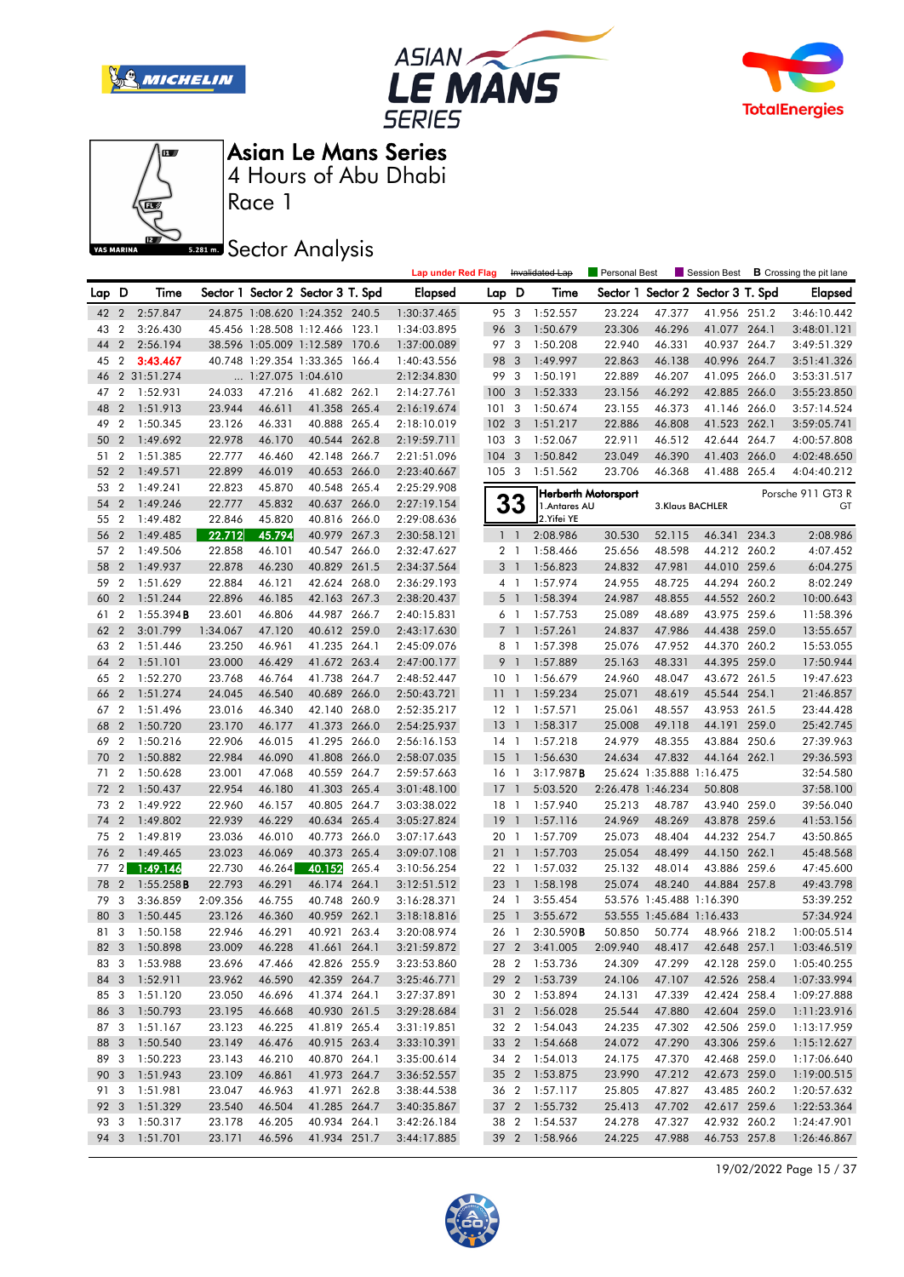







Race 1

## **Sector Analysis**

|       |                |                     |          |                   |                                   |       | <b>Lap under Red Flag</b> |                  |                | Invalidated Lap | Personal Best       |                          |                                   | Session Best <b>B</b> Crossing the pit lane |
|-------|----------------|---------------------|----------|-------------------|-----------------------------------|-------|---------------------------|------------------|----------------|-----------------|---------------------|--------------------------|-----------------------------------|---------------------------------------------|
| Lap D |                | Time                |          |                   | Sector 1 Sector 2 Sector 3 T. Spd |       | <b>Elapsed</b>            | Lap D            |                | Time            |                     |                          | Sector 1 Sector 2 Sector 3 T. Spd | Elapsed                                     |
| 42 2  |                | 2:57.847            |          |                   | 24.875 1:08.620 1:24.352 240.5    |       | 1:30:37.465               | 953              |                | 1:52.557        | 23.224              | 47.377                   | 41.956 251.2                      | 3:46:10.442                                 |
| 43    | $\overline{2}$ | 3:26.430            |          |                   | 45.456 1:28.508 1:12.466 123.1    |       | 1:34:03.895               | 96 3             |                | 1:50.679        | 23.306              | 46.296                   | 41.077 264.1                      | 3:48:01.121                                 |
| 44    | $\overline{2}$ | 2:56.194            |          |                   | 38.596 1:05.009 1:12.589          | 170.6 | 1:37:00.089               | 97 3             |                | 1:50.208        | 22.940              | 46.331                   | 40.937 264.7                      | 3:49:51.329                                 |
| 45    | $\overline{2}$ | 3:43.467            |          |                   | 40.748 1:29.354 1:33.365 166.4    |       | 1:40:43.556               | 98 3             |                | 1:49.997        | 22.863              | 46.138                   | 40.996 264.7                      | 3:51:41.326                                 |
| 46    |                | 2 31:51.274         |          | 1:27.075 1:04.610 |                                   |       | 2:12:34.830               | 993              |                | 1:50.191        | 22.889              | 46.207                   | 41.095 266.0                      | 3:53:31.517                                 |
| 47    | $\overline{2}$ | 1:52.931            | 24.033   | 47.216            | 41.682 262.1                      |       | 2:14:27.761               | 1003             |                | 1:52.333        | 23.156              | 46.292                   | 42.885 266.0                      | 3:55:23.850                                 |
| 48    | $\overline{2}$ | 1:51.913            | 23.944   | 46.611            | 41.358 265.4                      |       | 2:16:19.674               | 1013             |                | 1:50.674        | 23.155              | 46.373                   | 41.146 266.0                      | 3:57:14.524                                 |
| 49    | $\overline{2}$ | 1:50.345            | 23.126   | 46.331            | 40.888 265.4                      |       | 2:18:10.019               | 102 <sub>3</sub> |                | 1:51.217        | 22.886              | 46.808                   | 41.523 262.1                      | 3:59:05.741                                 |
| 50    | $\overline{2}$ | 1:49.692            | 22.978   | 46.170            | 40.544 262.8                      |       | 2:19:59.711               | 103 <sub>3</sub> |                | 1:52.067        | 22.911              | 46.512                   | 42.644 264.7                      | 4:00:57.808                                 |
| 51    | $\overline{2}$ | 1:51.385            | 22.777   | 46.460            | 42.148 266.7                      |       | 2:21:51.096               | $104 - 3$        |                | 1:50.842        | 23.049              | 46.390                   | 41.403 266.0                      | 4:02:48.650                                 |
| 52    | $\overline{2}$ | 1:49.571            | 22.899   | 46.019            | 40.653 266.0                      |       | 2:23:40.667               | 105 <sub>3</sub> |                | 1:51.562        | 23.706              | 46.368                   | 41.488 265.4                      | 4:04:40.212                                 |
| 53    | $\overline{2}$ | 1:49.241            | 22.823   | 45.870            | 40.548 265.4                      |       | 2:25:29.908               |                  |                |                 | Herberth Motorsport |                          |                                   | Porsche 911 GT3 R                           |
| 54    | $\overline{2}$ | 1:49.246            | 22.777   | 45.832            | 40.637 266.0                      |       | 2:27:19.154               |                  | 33             | 1. Antares AU   |                     | 3.Klaus BACHLER          |                                   | GT                                          |
| 55    | $\overline{2}$ | 1:49.482            | 22.846   | 45.820            | 40.816 266.0                      |       | 2:29:08.636               |                  |                | 2. Yifei YE     |                     |                          |                                   |                                             |
| 56    | $\overline{2}$ | 1:49.485            | 22.712   | 45.794            | 40.979 267.3                      |       | 2:30:58.121               |                  | $1 \quad 1$    | 2:08.986        | 30.530              | 52.115                   | 46.341 234.3                      | 2:08.986                                    |
| 57 2  |                | 1:49.506            | 22.858   | 46.101            | 40.547 266.0                      |       | 2:32:47.627               |                  | 2 1            | 1:58.466        | 25.656              | 48.598                   | 44.212 260.2                      | 4:07.452                                    |
| 58    | $\overline{2}$ | 1:49.937            | 22.878   | 46.230            | 40.829 261.5                      |       | 2:34:37.564               |                  | 3 <sup>1</sup> | 1:56.823        | 24.832              | 47.981                   | 44.010 259.6                      | 6:04.275                                    |
| 59    | $\overline{2}$ | 1:51.629            | 22.884   | 46.121            | 42.624 268.0                      |       | 2:36:29.193               |                  | 4 1            | 1:57.974        | 24.955              | 48.725                   | 44.294 260.2                      | 8:02.249                                    |
| 60    | $\overline{2}$ | 1:51.244            | 22.896   | 46.185            | 42.163 267.3                      |       | 2:38:20.437               |                  | $5-1$          | 1:58.394        | 24.987              | 48.855                   | 44.552 260.2                      | 10:00.643                                   |
| 61    | $\overline{2}$ | 1:55.394B           | 23.601   | 46.806            | 44.987 266.7                      |       | 2:40:15.831               |                  | 6 1            | 1:57.753        | 25.089              | 48.689                   | 43.975 259.6                      | 11:58.396                                   |
| 62    | $\overline{2}$ | 3:01.799            | 1:34.067 | 47.120            | 40.612 259.0                      |       | 2:43:17.630               |                  | 7 <sup>1</sup> | 1:57.261        | 24.837              | 47.986                   | 44.438 259.0                      | 13:55.657                                   |
| 63    | $\overline{2}$ | 1:51.446            | 23.250   | 46.961            | 41.235 264.1                      |       | 2:45:09.076               |                  | 8 1            | 1:57.398        | 25.076              | 47.952                   | 44.370 260.2                      | 15:53.055                                   |
| 64    | $\overline{2}$ | 1:51.101            | 23.000   | 46.429            | 41.672 263.4                      |       | 2:47:00.177               | 9                | $\overline{1}$ | 1:57.889        | 25.163              | 48.331                   | 44.395 259.0                      | 17:50.944                                   |
| 65 2  |                | 1:52.270            | 23.768   | 46.764            | 41.738 264.7                      |       | 2:48:52.447               | 10 <sub>1</sub>  |                | 1:56.679        | 24.960              | 48.047                   | 43.672 261.5                      | 19:47.623                                   |
| 66    | $\overline{2}$ | 1:51.274            | 24.045   | 46.540            | 40.689 266.0                      |       | 2:50:43.721               | 11 <sup>1</sup>  |                | 1:59.234        | 25.071              | 48.619                   | 45.544 254.1                      | 21:46.857                                   |
| 67    | $\overline{2}$ | 1:51.496            | 23.016   | 46.340            | 42.140 268.0                      |       | 2:52:35.217               | $12-1$           |                | 1:57.571        | 25.061              | 48.557                   | 43.953 261.5                      | 23:44.428                                   |
| 68    | $\overline{2}$ | 1:50.720            | 23.170   | 46.177            | 41.373 266.0                      |       | 2:54:25.937               | $13-1$           |                | 1:58.317        | 25.008              | 49.118                   | 44.191 259.0                      | 25:42.745                                   |
| 69    | $\overline{2}$ | 1:50.216            | 22.906   | 46.015            | 41.295 266.0                      |       | 2:56:16.153               | $14-1$           |                | 1:57.218        | 24.979              | 48.355                   | 43.884 250.6                      | 27:39.963                                   |
| 70    | $\overline{2}$ | 1:50.882            | 22.984   | 46.090            | 41.808 266.0                      |       | 2:58:07.035               | $15-1$           |                | 1:56.630        | 24.634              | 47.832                   | 44.164 262.1                      | 29:36.593                                   |
| 71    | $\overline{2}$ | 1:50.628            | 23.001   | 47.068            | 40.559 264.7                      |       | 2:59:57.663               | 16 1             |                | 3:17.987B       |                     | 25.624 1:35.888 1:16.475 |                                   | 32:54.580                                   |
| 72 2  |                | 1:50.437            | 22.954   | 46.180            | 41.303 265.4                      |       | 3:01:48.100               | 17               | $\overline{1}$ | 5:03.520        | 2:26.478 1:46.234   |                          | 50.808                            | 37:58.100                                   |
| 73 2  |                | 1:49.922            | 22.960   | 46.157            | 40.805 264.7                      |       | 3:03:38.022               | 18 1             |                | 1:57.940        | 25.213              | 48.787                   | 43.940 259.0                      | 39:56.040                                   |
| 74    | $\overline{2}$ | 1:49.802            | 22.939   | 46.229            | 40.634 265.4                      |       | 3:05:27.824               | $19-1$           |                | 1:57.116        | 24.969              | 48.269                   | 43.878 259.6                      | 41:53.156                                   |
| 75    | $\overline{2}$ | 1:49.819            | 23.036   | 46.010            | 40.773 266.0                      |       | 3:07:17.643               | 20 1             |                | 1:57.709        | 25.073              | 48.404                   | 44.232 254.7                      | 43:50.865                                   |
| 76    | $\overline{2}$ | 1:49.465            | 23.023   | 46.069            | 40.373 265.4                      |       | 3:09:07.108               | 211              |                | 1:57.703        | 25.054              | 48.499                   | 44.150 262.1                      | 45:48.568                                   |
| 77    |                | 2 1:49.146          | 22.730   | 46.264            | 40.152                            | 265.4 | 3:10:56.254               | 22 1             |                | 1:57.032        | 25.132              | 48.014                   | 43.886 259.6                      | 47:45.600                                   |
| 78    | $\overline{2}$ | $1:55.258$ <b>B</b> | 22.793   | 46.291            | 46.174 264.1                      |       | 3:12:51.512               | $23 \quad 1$     |                | 1:58.198        | 25.074              | 48.240                   | 44.884 257.8                      | 49:43.798                                   |
| 79    | 3              | 3:36.859            | 2:09.356 | 46.755            | 40.748 260.9                      |       | 3:16:28.371               | 24 1             |                | 3:55.454        |                     | 53.576 1:45.488 1:16.390 |                                   | 53:39.252                                   |
| 80    | $\overline{3}$ | 1:50.445            | 23.126   | 46.360            | 40.959 262.1                      |       | 3:18:18.816               | $25-1$           |                | 3:55.672        |                     | 53.555 1:45.684 1:16.433 |                                   | 57:34.924                                   |
| 81 3  |                | 1:50.158            | 22.946   | 46.291            | 40.921 263.4                      |       | 3:20:08.974               | 26 1             |                | 2:30.590B       | 50.850              | 50.774                   | 48.966 218.2                      | 1:00:05.514                                 |
|       |                | 82 3 1:50.898       | 23.009   | 46.228            | 41.661 264.1                      |       | 3:21:59.872               |                  |                | 27 2 3:41.005   | 2:09.940 48.417     |                          | 42.648 257.1                      | 1:03:46.519                                 |
| 83 3  |                | 1:53.988            | 23.696   | 47.466            | 42.826 255.9                      |       | 3:23:53.860               |                  |                | 28 2 1:53.736   | 24.309              | 47.299                   | 42.128 259.0                      | 1:05:40.255                                 |
| 84 3  |                | 1:52.911            | 23.962   | 46.590            | 42.359 264.7                      |       | 3:25:46.771               |                  |                | 29 2 1:53.739   | 24.106              | 47.107                   | 42.526 258.4                      | 1:07:33.994                                 |
| 85 3  |                | 1:51.120            | 23.050   | 46.696            | 41.374 264.1                      |       | 3:27:37.891               |                  |                | 30 2 1:53.894   | 24.131              | 47.339                   | 42.424 258.4                      | 1:09:27.888                                 |
| 86 3  |                | 1:50.793            | 23.195   | 46.668            | 40.930 261.5                      |       | 3:29:28.684               |                  |                | 31 2 1:56.028   | 25.544              | 47.880                   | 42.604 259.0                      | 1:11:23.916                                 |
| 87 3  |                | 1:51.167            | 23.123   | 46.225            | 41.819 265.4                      |       | 3:31:19.851               |                  |                | 32 2 1:54.043   | 24.235              | 47.302                   | 42.506 259.0                      | 1:13:17.959                                 |
| 88 3  |                | 1:50.540            | 23.149   | 46.476            | 40.915 263.4                      |       | 3:33:10.391               |                  |                | 33 2 1:54.668   | 24.072              | 47.290                   | 43.306 259.6                      | 1:15:12.627                                 |
| 89 3  |                | 1:50.223            | 23.143   | 46.210            | 40.870 264.1                      |       | 3:35:00.614               |                  |                | 34 2 1:54.013   | 24.175              | 47.370                   | 42.468 259.0                      | 1:17:06.640                                 |
| 90 3  |                | 1:51.943            | 23.109   | 46.861            | 41.973 264.7                      |       | 3:36:52.557               |                  |                | 35 2 1:53.875   | 23.990              | 47.212                   | 42.673 259.0                      | 1:19:00.515                                 |
| 91    | $\mathbf{3}$   | 1:51.981            | 23.047   | 46.963            | 41.971 262.8                      |       | 3:38:44.538               |                  |                | 36 2 1:57.117   | 25.805              | 47.827                   | 43.485 260.2                      | 1:20:57.632                                 |
| 92 3  |                | 1:51.329            | 23.540   | 46.504            | 41.285 264.7                      |       | 3:40:35.867               |                  |                | 37 2 1:55.732   | 25.413              | 47.702                   | 42.617 259.6                      | 1:22:53.364                                 |
| 93 3  |                | 1:50.317            | 23.178   | 46.205            | 40.934 264.1                      |       | 3:42:26.184               |                  |                | 38 2 1:54.537   | 24.278              | 47.327                   | 42.932 260.2                      | 1:24:47.901                                 |
|       |                | 94 3 1:51.701       | 23.171   | 46.596            | 41.934 251.7                      |       | 3:44:17.885               |                  |                | 39 2 1:58.966   | 24.225              | 47.988                   | 46.753 257.8                      | 1:26:46.867                                 |

19/02/2022 Page 15 / 37

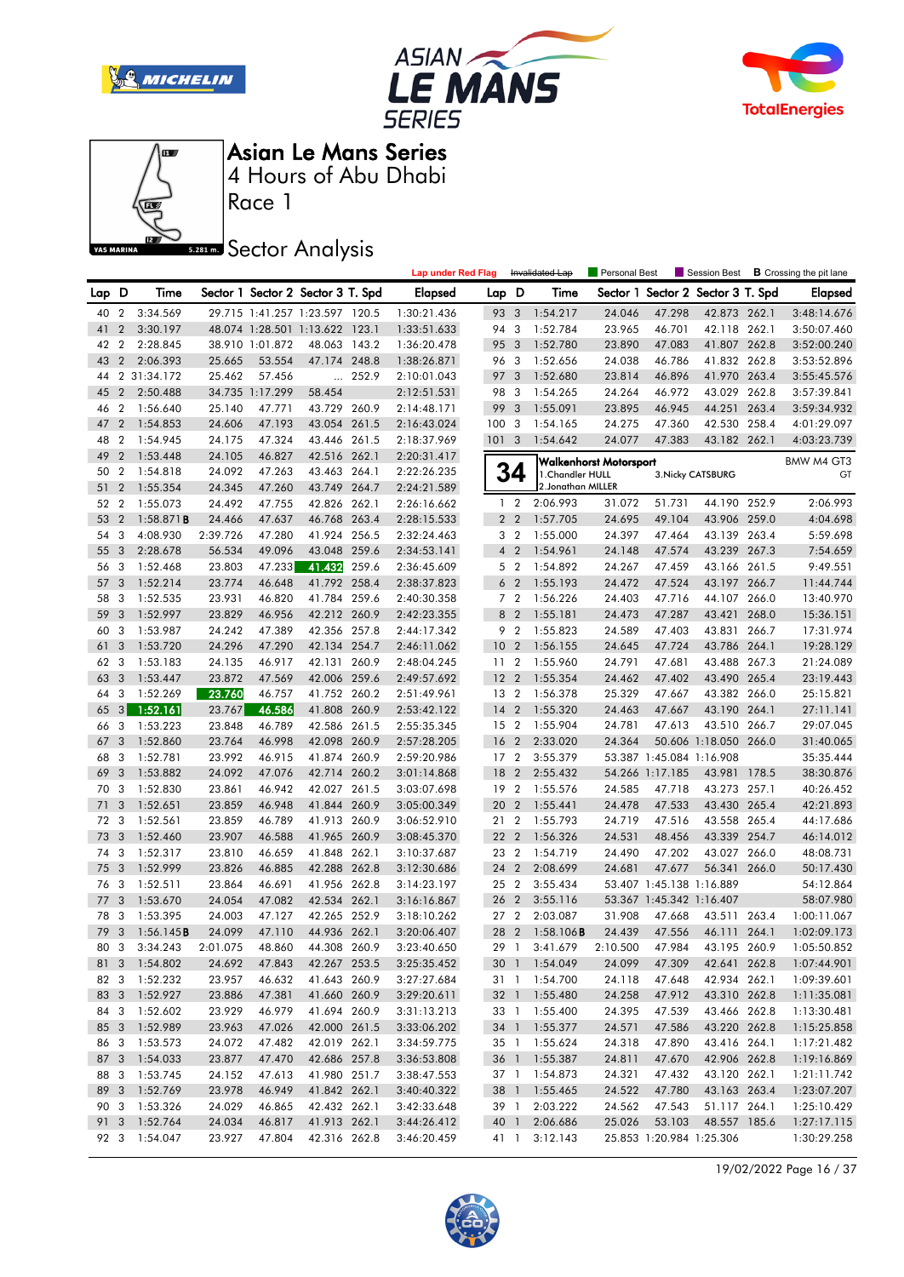







Race 1

**Sector Analysis** 

|            |                |                      |          |                 |                                   |       | <b>Lap under Red Flag</b>  |                 |                         | Invalidated Lap      | Personal Best                 |                          | Session Best                      |       | <b>B</b> Crossing the pit lane |
|------------|----------------|----------------------|----------|-----------------|-----------------------------------|-------|----------------------------|-----------------|-------------------------|----------------------|-------------------------------|--------------------------|-----------------------------------|-------|--------------------------------|
| Lap D      |                | Time                 |          |                 | Sector 1 Sector 2 Sector 3 T. Spd |       | <b>Elapsed</b>             | Lap D           |                         | Time                 |                               |                          | Sector 1 Sector 2 Sector 3 T. Spd |       | <b>Elapsed</b>                 |
| 40         | $\overline{2}$ | 3:34.569             |          |                 | 29.715 1:41.257 1:23.597 120.5    |       | 1:30:21.436                | 93 3            |                         | 1:54.217             | 24.046                        | 47.298                   | 42.873 262.1                      |       | 3:48:14.676                    |
| 41         | $\overline{2}$ | 3:30.197             |          |                 | 48.074 1:28.501 1:13.622 123.1    |       | 1:33:51.633                | 94 3            |                         | 1:52.784             | 23.965                        | 46.701                   | 42.118 262.1                      |       | 3:50:07.460                    |
| 42         | $\overline{2}$ | 2:28.845             |          | 38.910 1:01.872 | 48.063 143.2                      |       | 1:36:20.478                | 95              | $\overline{\mathbf{3}}$ | 1:52.780             | 23.890                        | 47.083                   | 41.807 262.8                      |       | 3:52:00.240                    |
| 43         | $\overline{2}$ | 2:06.393             | 25.665   | 53.554          | 47.174 248.8                      |       | 1:38:26.871                | 96 3            |                         | 1:52.656             | 24.038                        | 46.786                   | 41.832 262.8                      |       | 3:53:52.896                    |
| 44         |                | 2 31:34.172          | 25.462   | 57.456          | $\cdots$                          | 252.9 | 2:10:01.043                | 97 3            |                         | 1:52.680             | 23.814                        | 46.896                   | 41.970 263.4                      |       | 3:55:45.576                    |
| 45         | $\overline{2}$ | 2:50.488             |          | 34.735 1:17.299 | 58.454                            |       | 2:12:51.531                | 98 3            |                         | 1:54.265             | 24.264                        | 46.972                   | 43.029 262.8                      |       | 3:57:39.841                    |
| 46         | $\overline{2}$ | 1:56.640             | 25.140   | 47.771          | 43.729 260.9                      |       | 2:14:48.171                | 99              | $\overline{3}$          | 1:55.091             | 23.895                        | 46.945                   | 44.251                            | 263.4 | 3:59:34.932                    |
| 47         | $\overline{2}$ | 1:54.853             | 24.606   | 47.193          | 43.054 261.5                      |       | 2:16:43.024                | 100 3           |                         | 1:54.165             | 24.275                        | 47.360                   | 42.530 258.4                      |       | 4:01:29.097                    |
| 48         | $\overline{2}$ | 1:54.945             | 24.175   | 47.324          | 43.446 261.5                      |       | 2:18:37.969                | 1013            |                         | 1:54.642             | 24.077                        | 47.383                   | 43.182 262.1                      |       | 4:03:23.739                    |
| 49         | $\overline{2}$ | 1:53.448             | 24.105   | 46.827          | 42.516 262.1                      |       | 2:20:31.417                |                 |                         |                      |                               |                          |                                   |       |                                |
| 50         | $\overline{2}$ | 1:54.818             | 24.092   | 47.263          | 43.463 264.1                      |       | 2:22:26.235                |                 | 34                      | 1. Chandler HULL     | <b>Walkenhorst Motorsport</b> |                          | 3. Nicky CATSBURG                 |       | BMW M4 GT3<br>GT               |
| 51         | $\overline{2}$ | 1:55.354             | 24.345   | 47.260          | 43.749 264.7                      |       | 2:24:21.589                |                 |                         | 2. Jonathan MILLER   |                               |                          |                                   |       |                                |
| 52         | $\overline{2}$ | 1:55.073             | 24.492   | 47.755          | 42.826 262.1                      |       | 2:26:16.662                |                 | 1 <sub>2</sub>          | 2:06.993             | 31.072                        | 51.731                   | 44.190 252.9                      |       | 2:06.993                       |
| 53         | $\overline{2}$ | $1:58.871$ <b>B</b>  | 24.466   | 47.637          | 46.768 263.4                      |       | 2:28:15.533                | $\overline{2}$  | $\overline{2}$          | 1:57.705             | 24.695                        | 49.104                   | 43.906 259.0                      |       | 4:04.698                       |
| 54         | 3              | 4:08.930             | 2:39.726 | 47.280          | 41.924 256.5                      |       | 2:32:24.463                |                 | 3 <sub>2</sub>          | 1:55.000             | 24.397                        | 47.464                   | 43.139 263.4                      |       | 5:59.698                       |
| 55         | 3              | 2:28.678             | 56.534   | 49.096          | 43.048                            | 259.6 | 2:34:53.141                |                 | 4 <sup>2</sup>          | 1:54.961             | 24.148                        | 47.574                   | 43.239 267.3                      |       | 7:54.659                       |
| 56         | 3              | 1:52.468             | 23.803   | 47.233          | 41.432                            | 259.6 | 2:36:45.609                |                 | 5 <sub>2</sub>          | 1:54.892             | 24.267                        | 47.459                   | 43.166 261.5                      |       | 9:49.551                       |
| 57         | 3              | 1:52.214             | 23.774   | 46.648          | 41.792 258.4                      |       | 2:38:37.823                |                 | 6 <sub>2</sub>          | 1:55.193             | 24.472                        | 47.524                   | 43.197                            | 266.7 | 11:44.744                      |
| 58         | 3              | 1:52.535             | 23.931   | 46.820          | 41.784 259.6                      |       | 2:40:30.358                |                 | 7 <sub>2</sub>          | 1:56.226             | 24.403                        | 47.716                   | 44.107 266.0                      |       | 13:40.970                      |
| 59         | 3              | 1:52.997             | 23.829   | 46.956          | 42.212 260.9                      |       | 2:42:23.355                | 8               | $\overline{2}$          | 1:55.181             | 24.473                        | 47.287                   | 43.421                            | 268.0 | 15:36.151                      |
| 60         | 3              | 1:53.987             | 24.242   | 47.389          | 42.356 257.8                      |       | 2:44:17.342                |                 | 9 2                     | 1:55.823             | 24.589                        | 47.403                   | 43.831 266.7                      |       | 17:31.974                      |
| 61         | 3              | 1:53.720             | 24.296   | 47.290          | 42.134 254.7                      |       | 2:46:11.062                | 10 <sub>2</sub> |                         | 1:56.155             | 24.645                        | 47.724                   | 43.786 264.1                      |       | 19:28.129                      |
| 62         | 3              | 1:53.183             | 24.135   | 46.917          | 42.131 260.9                      |       | 2:48:04.245                | 11 <sub>2</sub> |                         | 1:55.960             | 24.791                        | 47.681                   | 43.488 267.3                      |       | 21:24.089                      |
| 63         | 3              | 1:53.447             | 23.872   | 47.569          | 42.006 259.6                      |       | 2:49:57.692                | 12 <sub>2</sub> |                         | 1:55.354             | 24.462                        | 47.402                   | 43.490 265.4                      |       | 23:19.443                      |
| 64         | 3              | 1:52.269             | 23.760   | 46.757          | 41.752 260.2                      |       | 2:51:49.961                | 13 2            |                         | 1:56.378             | 25.329                        | 47.667                   | 43.382 266.0                      |       | 25:15.821                      |
| 65         | 3              | 1:52.161             | 23.767   | 46.586          | 41.808                            | 260.9 | 2:53:42.122                | 14              | $\overline{2}$          | 1:55.320             | 24.463                        | 47.667                   | 43.190 264.1                      |       | 27:11.141                      |
| 66         | 3              | 1:53.223             | 23.848   | 46.789          | 42.586 261.5                      |       | 2:55:35.345                | 15 2            |                         | 1:55.904             | 24.781                        | 47.613                   | 43.510 266.7                      |       | 29:07.045                      |
| 67         | 3              | 1:52.860             | 23.764   | 46.998          | 42.098 260.9                      |       | 2:57:28.205                | 16              | $\overline{2}$          | 2:33.020             | 24.364                        |                          | 50.606 1:18.050 266.0             |       | 31:40.065                      |
| 68         | 3              | 1:52.781             | 23.992   | 46.915          | 41.874 260.9                      |       | 2:59:20.986                | 17 <sub>2</sub> |                         | 3:55.379             |                               | 53.387 1:45.084 1:16.908 |                                   |       | 35:35.444                      |
| 69         | 3              | 1:53.882             | 24.092   | 47.076          | 42.714 260.2                      |       | 3:01:14.868                | 18              | $\overline{2}$          | 2:55.432             |                               | 54.266 1:17.185          | 43.981 178.5                      |       | 38:30.876                      |
| 70         | 3              | 1:52.830             | 23.861   | 46.942          | 42.027 261.5                      |       | 3:03:07.698                | 19 2            |                         | 1:55.576             | 24.585                        | 47.718                   | 43.273 257.1                      |       | 40:26.452                      |
| 71         | 3              |                      | 23.859   |                 | 41.844 260.9                      |       |                            | 20              | $\overline{2}$          |                      | 24.478                        | 47.533                   | 43.430 265.4                      |       |                                |
|            | 3              | 1:52.651             | 23.859   | 46.948          |                                   |       | 3:05:00.349                | 21 2            |                         | 1:55.441<br>1:55.793 |                               |                          | 43.558 265.4                      |       | 42:21.893                      |
| 72         |                | 1:52.561             |          | 46.789          | 41.913 260.9                      |       | 3:06:52.910                | 22 2            |                         |                      | 24.719<br>24.531              | 47.516                   | 43.339 254.7                      |       | 44:17.686                      |
| 73<br>74   | 3<br>3         | 1:52.460             | 23.907   | 46.588          | 41.965 260.9                      |       | 3:08:45.370                | 23 2            |                         | 1:56.326<br>1:54.719 |                               | 48.456                   | 43.027 266.0                      |       | 46:14.012                      |
| 75         | 3              | 1:52.317<br>1:52.999 | 23.810   | 46.659          | 41.848 262.1<br>42.288 262.8      |       | 3:10:37.687<br>3:12:30.686 |                 |                         |                      | 24.490<br>24.681              | 47.202<br>47.677         | 56.341 266.0                      |       | 48:08.731                      |
| 76         | 3              |                      | 23.826   | 46.885          | 41.956 262.8                      |       |                            | 24 2<br>252     |                         | 2:08.699<br>3:55.434 |                               | 53.407 1:45.138 1:16.889 |                                   |       | 50:17.430                      |
|            | 3              | 1:52.511             | 23.864   | 46.691          |                                   |       | 3:14:23.197                |                 |                         |                      |                               | 53.367 1:45.342 1:16.407 |                                   |       | 54:12.864<br>58:07.980         |
| 77         |                | 1:53.670             | 24.054   | 47.082          | 42.534 262.1                      |       | 3:16:16.867                | 26 2<br>27 2    |                         | 3:55.116             |                               | 47.668                   |                                   |       | 1:00:11.067                    |
| 78<br>79 3 | -3             | 1:53.395             | 24.003   | 47.127          | 42.265 252.9                      |       | 3:18:10.262                |                 |                         | 2:03.087             | 31.908<br>24.439              |                          | 43.511 263.4<br>46.111 264.1      |       |                                |
|            |                | $1:56.145$ <b>B</b>  | 24.099   | 47.110          | 44.936 262.1                      |       | 3:20:06.407                | 28 2            |                         | $1:58.106$ B         |                               | 47.556                   | 43.195 260.9                      |       | 1:02:09.173                    |
|            |                | 80 3 3:34.243        | 2:01.075 | 48.860          | 44.308 260.9                      |       | 3:23:40.650                |                 |                         | 29 1 3:41.679        | 2:10.500                      | 47.984                   |                                   |       | 1:05:50.852                    |
|            |                | 81 3 1:54.802        | 24.692   | 47.843          | 42.267 253.5                      |       | 3:25:35.452                |                 |                         | 30 1 1:54.049        | 24.099                        | 47.309                   | 42.641 262.8                      |       | 1:07:44.901                    |
| 82 3       |                | 1:52.232             | 23.957   | 46.632          | 41.643 260.9                      |       | 3:27:27.684                |                 |                         | 31 1 1:54.700        | 24.118                        | 47.648                   | 42.934 262.1                      |       | 1:09:39.601                    |
| 83 3       |                | 1:52.927             | 23.886   | 47.381          | 41.660 260.9                      |       | 3:29:20.611                |                 |                         | 32 1 1:55.480        | 24.258                        | 47.912                   | 43.310 262.8                      |       | 1:11:35.081                    |
| 84 3       |                | 1:52.602             | 23.929   | 46.979          | 41.694 260.9                      |       | 3:31:13.213                |                 |                         | 33 1 1:55.400        | 24.395                        | 47.539                   | 43.466 262.8                      |       | 1:13:30.481                    |
| 85 3       |                | 1:52.989             | 23.963   | 47.026          | 42.000 261.5                      |       | 3:33:06.202                |                 |                         | 34 1 1:55.377        | 24.571                        | 47.586                   | 43.220 262.8                      |       | 1:15:25.858                    |
| 86 3       |                | 1:53.573             | 24.072   | 47.482          | 42.019 262.1                      |       | 3:34:59.775                |                 |                         | 35 1 1:55.624        | 24.318                        | 47.890                   | 43.416 264.1                      |       | 1:17:21.482                    |
|            |                | 87 3 1:54.033        | 23.877   | 47.470          | 42.686 257.8                      |       | 3:36:53.808                |                 |                         | 36 1 1:55.387        | 24.811                        | 47.670                   | 42.906 262.8                      |       | 1:19:16.869                    |
| 88 3       |                | 1:53.745             | 24.152   | 47.613          | 41.980 251.7                      |       | 3:38:47.553                |                 |                         | 37 1 1:54.873        | 24.321                        | 47.432                   | 43.120 262.1                      |       | 1:21:11.742                    |
| 89 3       |                | 1:52.769             | 23.978   | 46.949          | 41.842 262.1                      |       | 3:40:40.322                |                 |                         | 38 1 1:55.465        | 24.522                        | 47.780                   | 43.163 263.4                      |       | 1:23:07.207                    |
| 90 3       |                | 1:53.326             | 24.029   | 46.865          | 42.432 262.1                      |       | 3:42:33.648                |                 |                         | 39 1 2:03.222        | 24.562                        | 47.543                   | 51.117 264.1                      |       | 1:25:10.429                    |
| 91 3       |                | 1:52.764             | 24.034   | 46.817          | 41.913 262.1                      |       | 3:44:26.412                |                 | 40 1                    | 2:06.686             | 25.026                        | 53.103                   | 48.557 185.6                      |       | 1:27:17.115                    |
| 92 3       |                | 1:54.047             | 23.927   | 47.804          | 42.316 262.8                      |       | 3:46:20.459                |                 |                         | 41 1 3:12.143        |                               | 25.853 1:20.984 1:25.306 |                                   |       | 1:30:29.258                    |

19/02/2022 Page 16 / 37

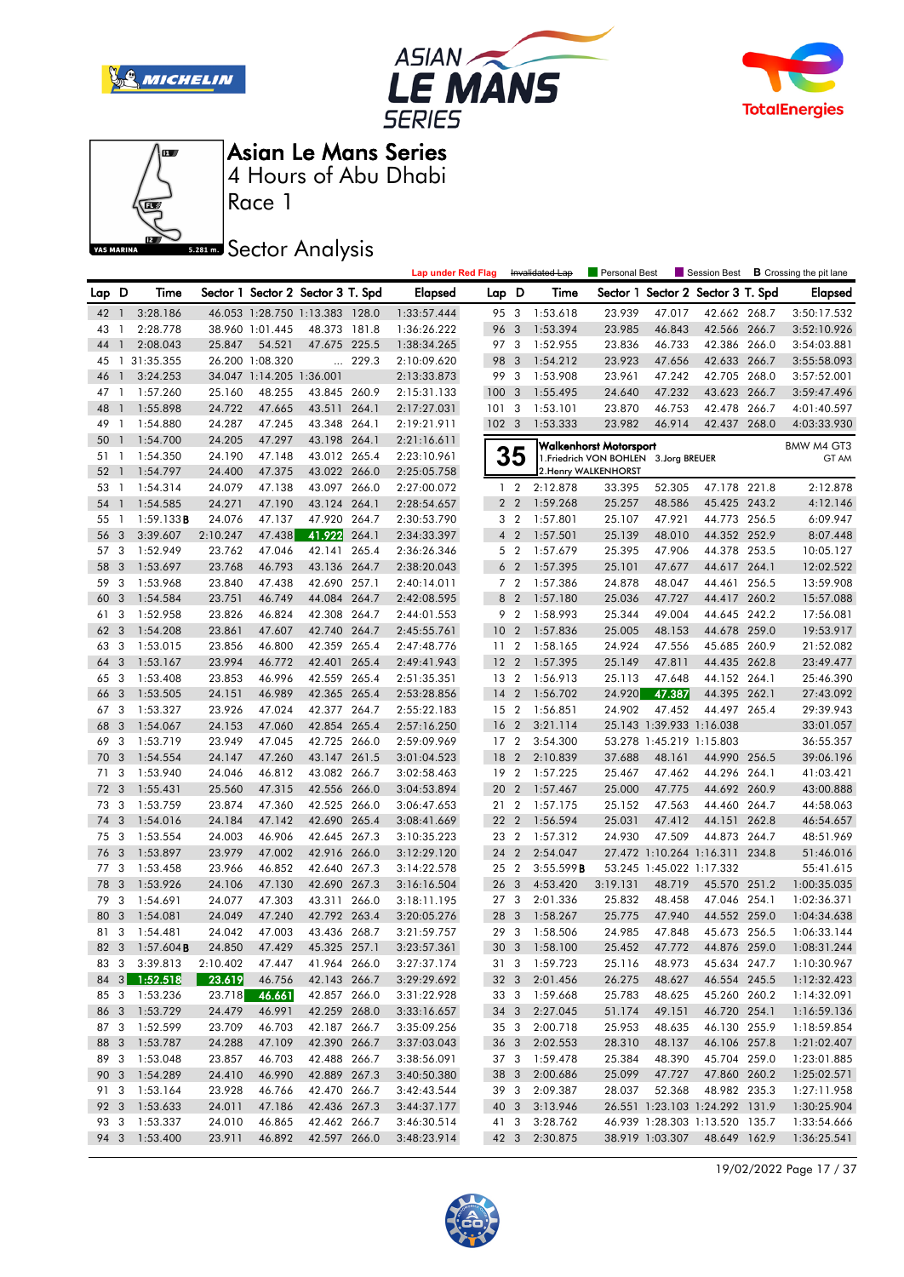







Race 1

# **Sector Analysis**

|          |                |                        |                  |                          |                                   |       | <b>Lap under Red Flag</b>  |                  |                 | Invalidated Lap      | Personal Best                          |                          | Session Best                                   |       | <b>B</b> Crossing the pit lane |
|----------|----------------|------------------------|------------------|--------------------------|-----------------------------------|-------|----------------------------|------------------|-----------------|----------------------|----------------------------------------|--------------------------|------------------------------------------------|-------|--------------------------------|
| Lap D    |                | Time                   |                  |                          | Sector 1 Sector 2 Sector 3 T. Spd |       | <b>Elapsed</b>             | Lap D            |                 | Time                 |                                        |                          | Sector 1 Sector 2 Sector 3 T. Spd              |       | <b>Elapsed</b>                 |
| 42 1     |                | 3:28.186               |                  |                          | 46.053 1:28.750 1:13.383 128.0    |       | 1:33:57.444                | 95 3             |                 | 1:53.618             | 23.939                                 | 47.017                   | 42.662 268.7                                   |       | 3:50:17.532                    |
| 43       | $\mathbf{1}$   | 2:28.778               |                  | 38.960 1:01.445          | 48.373 181.8                      |       | 1:36:26.222                | 96 3             |                 | 1:53.394             | 23.985                                 | 46.843                   | 42.566 266.7                                   |       | 3:52:10.926                    |
| 44       | $\mathbf{1}$   | 2:08.043               | 25.847           | 54.521                   | 47.675 225.5                      |       | 1:38:34.265                | 97 3             |                 | 1:52.955             | 23.836                                 | 46.733                   | 42.386 266.0                                   |       | 3:54:03.881                    |
| 45       |                | 1 31:35.355            |                  | 26.200 1:08.320          |                                   | 229.3 | 2:10:09.620                | 98               | 3               | 1:54.212             | 23.923                                 | 47.656                   | 42.633 266.7                                   |       | 3:55:58.093                    |
| 46       | $\mathbf{1}$   | 3:24.253               |                  | 34.047 1:14.205 1:36.001 |                                   |       | 2:13:33.873                | 99 3             |                 | 1:53.908             | 23.961                                 | 47.242                   | 42.705 268.0                                   |       | 3:57:52.001                    |
| 47       | $\mathbf{1}$   | 1:57.260               | 25.160           | 48.255                   | 43.845 260.9                      |       | 2:15:31.133                | 100 <sub>1</sub> | 3               | 1:55.495             | 24.640                                 | 47.232                   | 43.623 266.7                                   |       | 3:59:47.496                    |
| 48       | $\mathbf{1}$   | 1:55.898               | 24.722           | 47.665                   | 43.511 264.1                      |       | 2:17:27.031                | 101              | 3               | 1:53.101             | 23.870                                 | 46.753                   | 42.478 266.7                                   |       | 4:01:40.597                    |
| 49       | $\overline{1}$ | 1:54.880               | 24.287           | 47.245                   | 43.348 264.1                      |       | 2:19:21.911                | $102 \quad 3$    |                 | 1:53.333             | 23.982                                 | 46.914                   | 42.437 268.0                                   |       | 4:03:33.930                    |
| 50       | $\mathbf{1}$   | 1:54.700               | 24.205           | 47.297                   | 43.198 264.1                      |       | 2:21:16.611                |                  |                 |                      | <b>Walkenhorst Motorsport</b>          |                          |                                                |       | BMW M4 GT3                     |
| 51       | $\mathbf{1}$   | 1:54.350               | 24.190           | 47.148                   | 43.012 265.4                      |       | 2:23:10.961                |                  | 35              |                      | 1. Friedrich VON BOHLEN 3. Jorg BREUER |                          |                                                |       | GT AM                          |
| 52       | $\mathbf{1}$   | 1:54.797               | 24.400           | 47.375                   | 43.022 266.0                      |       | 2:25:05.758                |                  |                 |                      | 2. Henry WALKENHORST                   |                          |                                                |       |                                |
| 53       | $\overline{1}$ | 1:54.314               | 24.079           | 47.138                   | 43.097 266.0                      |       | 2:27:00.072                |                  | 1 <sub>2</sub>  | 2:12.878             | 33.395                                 | 52.305                   | 47.178 221.8                                   |       | 2:12.878                       |
| 54       | $\mathbf{1}$   | 1:54.585               | 24.271           | 47.190                   | 43.124                            | 264.1 | 2:28:54.657                |                  | 2 <sub>2</sub>  | 1:59.268             | 25.257                                 | 48.586                   | 45.425 243.2                                   |       | 4:12.146                       |
| 55       | $\mathbf{1}$   | $1:59.133$ <b>B</b>    | 24.076           | 47.137                   | 47.920 264.7                      |       | 2:30:53.790                |                  | 3 <sub>2</sub>  | 1:57.801             | 25.107                                 | 47.921                   | 44.773 256.5                                   |       | 6:09.947                       |
| 56       | 3              | 3:39.607               | 2:10.247         | 47.438                   | 41.922                            | 264.1 | 2:34:33.397                |                  | 4 <sup>2</sup>  | 1:57.501             | 25.139                                 | 48.010                   | 44.352 252.9                                   |       | 8:07.448                       |
| 57       | - 3            | 1:52.949               | 23.762           | 47.046                   | 42.141 265.4                      |       | 2:36:26.346                |                  | 5 <sub>2</sub>  | 1:57.679             | 25.395                                 | 47.906                   | 44.378 253.5                                   |       | 10:05.127                      |
| 58       | 3              | 1:53.697               | 23.768           | 46.793                   | 43.136 264.7                      |       | 2:38:20.043                |                  | 6 <sub>2</sub>  | 1:57.395             | 25.101                                 | 47.677                   | 44.617 264.1                                   |       | 12:02.522                      |
| 59       | 3              | 1:53.968               | 23.840           | 47.438                   | 42.690 257.1                      |       | 2:40:14.011                |                  | 7 <sub>2</sub>  | 1:57.386             | 24.878                                 | 48.047                   | 44.461                                         | 256.5 | 13:59.908                      |
| 60       | 3              | 1:54.584               | 23.751           | 46.749                   | 44.084                            | 264.7 | 2:42:08.595                |                  | 8 2             | 1:57.180             | 25.036                                 | 47.727                   | 44.417 260.2                                   |       | 15:57.088                      |
| 61       | 3              | 1:52.958               | 23.826           | 46.824                   | 42.308 264.7                      |       | 2:44:01.553                |                  | 9 <sub>2</sub>  | 1:58.993             | 25.344                                 | 49.004                   | 44.645 242.2                                   |       | 17:56.081                      |
| 62       | 3              | 1:54.208               | 23.861           | 47.607                   | 42.740 264.7                      |       | 2:45:55.761                | 10 <sub>2</sub>  |                 | 1:57.836             | 25.005                                 | 48.153                   | 44.678 259.0                                   |       | 19:53.917                      |
| 63       | 3              | 1:53.015               | 23.856           | 46.800                   | 42.359 265.4                      |       | 2:47:48.776                | 11 <sub>2</sub>  |                 | 1:58.165             | 24.924                                 | 47.556                   | 45.685 260.9                                   |       | 21:52.082                      |
| 64       | 3              | 1:53.167               | 23.994           | 46.772                   | 42.401                            | 265.4 | 2:49:41.943                | 12 <sub>2</sub>  |                 | 1:57.395             | 25.149                                 | 47.811                   | 44.435 262.8                                   |       | 23:49.477                      |
| 65       | 3              | 1:53.408               | 23.853           | 46.996                   | 42.559 265.4                      |       | 2:51:35.351                | 13 2             |                 | 1:56.913             | 25.113                                 | 47.648                   | 44.152 264.1                                   |       | 25:46.390                      |
| 66       | 3              | 1:53.505               | 24.151           | 46.989                   | 42.365 265.4                      |       | 2:53:28.856                | $14 \quad 2$     |                 | 1:56.702             | 24.920                                 | 47.387                   | 44.395 262.1                                   |       | 27:43.092                      |
| 67       | 3              | 1:53.327               | 23.926           | 47.024                   | 42.377 264.7                      |       | 2:55:22.183                | 15 <sup>2</sup>  |                 | 1:56.851             | 24.902                                 | 47.452                   | 44.497 265.4                                   |       | 29:39.943                      |
| 68       | 3              | 1:54.067               | 24.153           | 47.060                   | 42.854 265.4                      |       | 2:57:16.250                | 16 <sub>2</sub>  |                 | 3:21.114             |                                        | 25.143 1:39.933 1:16.038 |                                                |       | 33:01.057                      |
| 69       | 3              | 1:53.719               | 23.949           | 47.045                   | 42.725 266.0                      |       | 2:59:09.969                | 17 <sup>2</sup>  |                 | 3:54.300             |                                        | 53.278 1:45.219 1:15.803 |                                                |       | 36:55.357                      |
| 70       | 3              | 1:54.554               | 24.147           | 47.260                   | 43.147                            | 261.5 | 3:01:04.523                | 18 2             |                 | 2:10.839             | 37.688                                 | 48.161                   | 44.990 256.5                                   |       | 39:06.196                      |
| 71       | 3              | 1:53.940               | 24.046           | 46.812                   | 43.082 266.7                      |       | 3:02:58.463                | 19 2             |                 | 1:57.225             | 25.467                                 | 47.462                   | 44.296                                         | 264.1 | 41:03.421                      |
| 72       | -3             | 1:55.431               | 25.560           | 47.315                   | 42.556 266.0                      |       | 3:04:53.894                | 20               | $\overline{2}$  | 1:57.467             | 25.000                                 | 47.775                   | 44.692 260.9                                   |       | 43:00.888                      |
| 73       | -3             | 1:53.759               | 23.874           | 47.360                   | 42.525 266.0                      |       | 3:06:47.653                | 21 2             |                 | 1:57.175             | 25.152                                 | 47.563                   | 44.460 264.7                                   |       | 44:58.063                      |
| 74       | 3              | 1:54.016               | 24.184           | 47.142                   | 42.690 265.4                      |       | 3:08:41.669                | 22 2<br>23 2     |                 | 1:56.594             | 25.031<br>24.930                       | 47.412<br>47.509         | 44.151                                         | 262.8 | 46:54.657                      |
| 75<br>76 | 3<br>-3        | 1:53.554<br>1:53.897   | 24.003<br>23.979 | 46.906<br>47.002         | 42.645 267.3<br>42.916 266.0      |       | 3:10:35.223<br>3:12:29.120 | 24               | $\overline{2}$  | 1:57.312<br>2:54.047 |                                        |                          | 44.873 264.7<br>27.472 1:10.264 1:16.311 234.8 |       | 48:51.969<br>51:46.016         |
| 77       | -3             | 1:53.458               | 23.966           | 46.852                   | 42.640 267.3                      |       | 3:14:22.578                | 25 2             |                 | 3:55.599B            |                                        | 53.245 1:45.022 1:17.332 |                                                |       | 55:41.615                      |
| 78       | 3              | 1:53.926               | 24.106           | 47.130                   | 42.690 267.3                      |       | 3:16:16.504                | 26               | 3               | 4:53.420             | 3:19.131                               | 48.719                   | 45.570 251.2                                   |       | 1:00:35.035                    |
| 79       | 3              | 1:54.691               | 24.077           | 47.303                   | 43.311                            | 266.0 | 3:18:11.195                | 27 <sub>3</sub>  |                 | 2:01.336             | 25.832                                 | 48.458                   | 47.046 254.1                                   |       | 1:02:36.371                    |
| 80       | 3              | 1:54.081               | 24.049           | 47.240                   | 42.792 263.4                      |       | 3:20:05.276                | 28               | 3               | 1:58.267             | 25.775                                 | 47.940                   | 44.552 259.0                                   |       | 1:04:34.638                    |
| 81 3     |                | 1:54.481               | 24.042           | 47.003                   | 43.436 268.7                      |       | 3:21:59.757                | 29 3             |                 | 1:58.506             | 24.985                                 | 47.848                   | 45.673 256.5                                   |       | 1:06:33.144                    |
|          |                | 82 3 1:57.604 <b>B</b> | 24.850           | 47.429                   | 45.325 257.1                      |       | 3:23:57.361                |                  |                 | 30 3 1:58.100        | 25.452                                 | 47.772                   | 44.876 259.0                                   |       | 1:08:31.244                    |
| 83 3     |                | 3:39.813               | 2:10.402         | 47.447                   | 41.964 266.0                      |       | 3:27:37.174                |                  |                 | 31 3 1:59.723        | 25.116                                 | 48.973                   | 45.634 247.7                                   |       | 1:10:30.967                    |
|          |                | 84 3 1:52.518          | 23.619           | 46.756                   | 42.143 266.7                      |       | 3:29:29.692                |                  |                 | 32 3 2:01.456        | 26.275                                 | 48.627                   | 46.554 245.5                                   |       | 1:12:32.423                    |
|          |                | 85 3 1:53.236          | 23.718           | 46.661                   | 42.857 266.0                      |       | 3:31:22.928                |                  |                 | 33 3 1:59.668        | 25.783                                 | 48.625                   | 45.260 260.2                                   |       | 1:14:32.091                    |
|          |                | 86 3 1:53.729          | 24.479           | 46.991                   | 42.259 268.0                      |       | 3:33:16.657                |                  |                 | 34 3 2:27.045        | 51.174                                 | 49.151                   | 46.720 254.1                                   |       | 1:16:59.136                    |
|          |                | 87 3 1:52.599          | 23.709           | 46.703                   | 42.187 266.7                      |       | 3:35:09.256                | 35 3             |                 | 2:00.718             | 25.953                                 | 48.635                   | 46.130 255.9                                   |       | 1:18:59.854                    |
|          |                | 88 3 1:53.787          | 24.288           | 47.109                   | 42.390 266.7                      |       | 3:37:03.043                |                  | 36 <sub>3</sub> | 2:02.553             | 28.310                                 | 48.137                   | 46.106 257.8                                   |       | 1:21:02.407                    |
|          |                | 89 3 1:53.048          | 23.857           | 46.703                   | 42.488 266.7                      |       | 3:38:56.091                |                  |                 | 37 3 1:59.478        | 25.384                                 | 48.390                   | 45.704 259.0                                   |       | 1:23:01.885                    |
|          |                | 90 3 1:54.289          | 24.410           | 46.990                   | 42.889 267.3                      |       | 3:40:50.380                |                  |                 | 38 3 2:00.686        | 25.099                                 | 47.727                   | 47.860 260.2                                   |       | 1:25:02.571                    |
| 91 3     |                | 1:53.164               | 23.928           | 46.766                   | 42.470 266.7                      |       | 3:42:43.544                | 39 3             |                 | 2:09.387             | 28.037                                 | 52.368                   | 48.982 235.3                                   |       | 1:27:11.958                    |
| 92 3     |                | 1:53.633               | 24.011           | 47.186                   | 42.436 267.3                      |       | 3:44:37.177                | 40 3             |                 | 3:13.946             |                                        |                          | 26.551 1:23.103 1:24.292 131.9                 |       | 1:30:25.904                    |
|          |                | 93 3 1:53.337          | 24.010           | 46.865                   | 42.462 266.7                      |       | 3:46:30.514                | 41 3             |                 | 3:28.762             |                                        |                          | 46.939 1:28.303 1:13.520 135.7                 |       | 1:33:54.666                    |
|          |                | 94 3 1:53.400          | 23.911           | 46.892                   | 42.597 266.0                      |       | 3:48:23.914                |                  |                 | 42 3 2:30.875        |                                        | 38.919 1:03.307          | 48.649 162.9                                   |       | 1:36:25.541                    |
|          |                |                        |                  |                          |                                   |       |                            |                  |                 |                      |                                        |                          |                                                |       |                                |

19/02/2022 Page 17 / 37

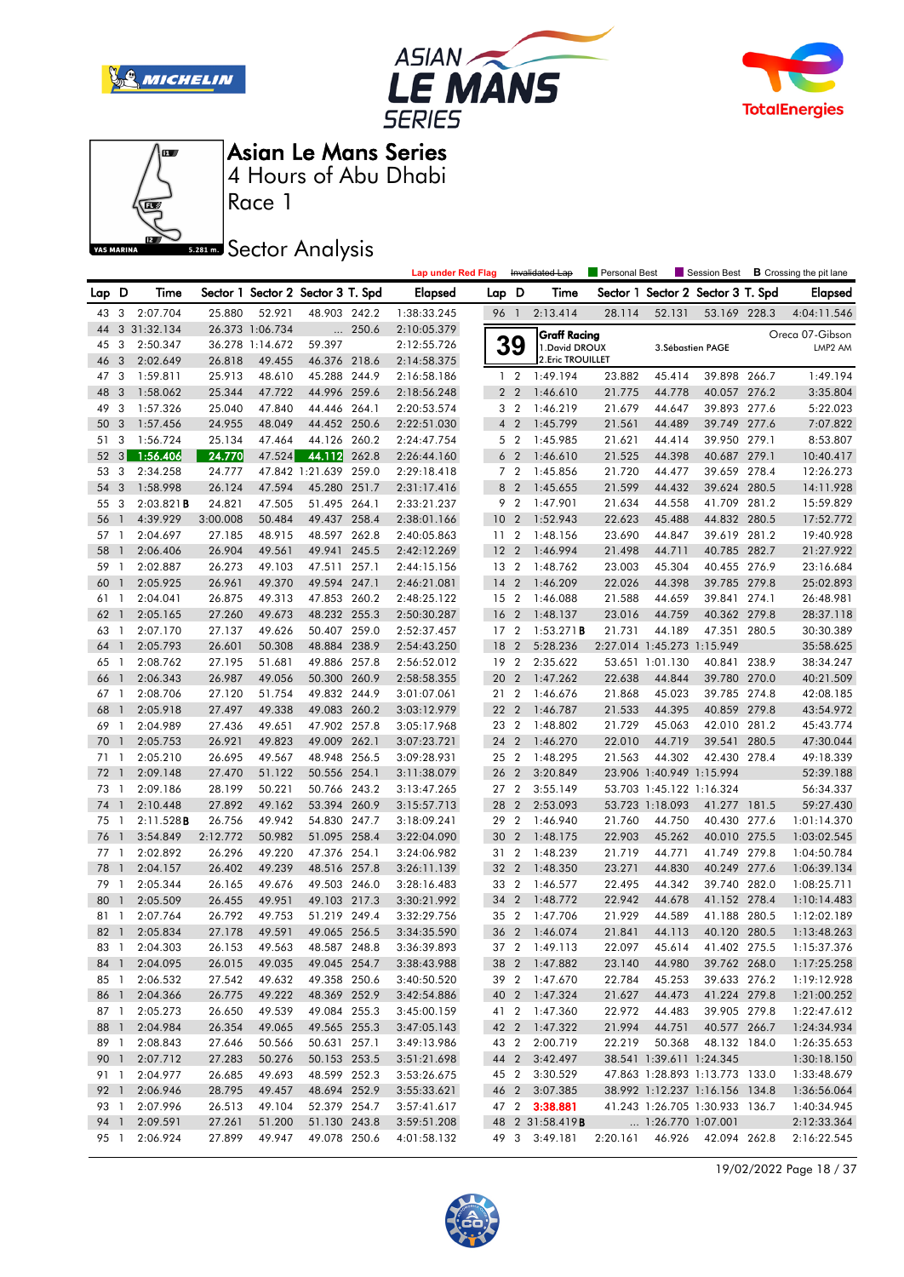







Race 1

**Sector Analysis** 

|      |                |                                |          |                 |                                   |       | <b>Lap under Red Flag</b> |                 |                | Invalidated Lap           | Personal Best |                            |                                   |       | Session Best <b>B</b> Crossing the pit lane |
|------|----------------|--------------------------------|----------|-----------------|-----------------------------------|-------|---------------------------|-----------------|----------------|---------------------------|---------------|----------------------------|-----------------------------------|-------|---------------------------------------------|
| Lap  | D              | Time                           |          |                 | Sector 1 Sector 2 Sector 3 T. Spd |       | <b>Elapsed</b>            | Lap D           |                | Time                      |               |                            | Sector 1 Sector 2 Sector 3 T. Spd |       | <b>Elapsed</b>                              |
| 43 3 |                | 2:07.704                       | 25.880   | 52.921          | 48.903 242.2                      |       | 1:38:33.245               | 96 1            |                | 2:13.414                  | 28.114        | 52.131                     | 53.169 228.3                      |       | 4:04:11.546                                 |
| 44   |                | 3 31:32.134                    |          | 26.373 1:06.734 |                                   | 250.6 | 2:10:05.379               |                 |                | <b>Graff Racing</b>       |               |                            |                                   |       | Oreca 07-Gibson                             |
| 45   | 3              | 2:50.347                       |          | 36.278 1:14.672 | 59.397                            |       | 2:12:55.726               |                 | <b>39</b>      | 1. David DROUX            |               |                            | 3. Sébastien PAGE                 |       | LMP2 AM                                     |
| 46   | 3              | 2:02.649                       | 26.818   | 49.455          | 46.376 218.6                      |       | 2:14:58.375               |                 |                | 2. Eric TROUILLET         |               |                            |                                   |       |                                             |
| 47   | -3             | 1:59.811                       | 25.913   | 48.610          | 45.288 244.9                      |       | 2:16:58.186               |                 | 1 <sub>2</sub> | 1:49.194                  | 23.882        | 45.414                     | 39.898 266.7                      |       | 1:49.194                                    |
| 48   | 3              | 1:58.062                       | 25.344   | 47.722          | 44.996 259.6                      |       | 2:18:56.248               |                 | 2 <sub>2</sub> | 1:46.610                  | 21.775        | 44.778                     | 40.057 276.2                      |       | 3:35.804                                    |
| 49   | 3              | 1:57.326                       | 25.040   | 47.840          | 44.446 264.1                      |       | 2:20:53.574               |                 | 3 <sub>2</sub> | 1:46.219                  | 21.679        | 44.647                     | 39.893 277.6                      |       | 5:22.023                                    |
| 50   | 3              | 1:57.456                       | 24.955   | 48.049          | 44.452 250.6                      |       | 2:22:51.030               |                 | 4 <sup>2</sup> | 1:45.799                  | 21.561        | 44.489                     | 39.749 277.6                      |       | 7:07.822                                    |
| 51   | 3              | 1:56.724                       | 25.134   | 47.464          | 44.126 260.2                      |       | 2:24:47.754               |                 | 5 <sub>2</sub> | 1:45.985                  | 21.621        | 44.414                     | 39.950 279.1                      |       | 8:53.807                                    |
| 52   | 3              | 1:56.406                       | 24.770   | 47.524          | 44.112                            | 262.8 | 2:26:44.160               |                 | 6 <sub>2</sub> | 1:46.610                  | 21.525        | 44.398                     | 40.687 279.1                      |       | 10:40.417                                   |
| 53   | 3              | 2:34.258                       | 24.777   |                 | 47.842 1:21.639 259.0             |       | 2:29:18.418               |                 | 7 <sub>2</sub> | 1:45.856                  | 21.720        | 44.477                     | 39.659                            | 278.4 | 12:26.273                                   |
| 54   | 3              | 1:58.998                       | 26.124   | 47.594          | 45.280 251.7                      |       | 2:31:17.416               |                 | 8 2            | 1:45.655                  | 21.599        | 44.432                     | 39.624 280.5                      |       | 14:11.928                                   |
| 55   | 3              | $2:03.821$ B                   | 24.821   | 47.505          | 51.495 264.1                      |       | 2:33:21.237               |                 | 9 <sub>2</sub> | 1:47.901                  | 21.634        | 44.558                     | 41.709 281.2                      |       | 15:59.829                                   |
| 56   | $\mathbf{1}$   | 4:39.929                       | 3:00.008 | 50.484          | 49.437 258.4                      |       | 2:38:01.166               | 10 <sub>2</sub> |                | 1:52.943                  | 22.623        | 45.488                     | 44.832 280.5                      |       | 17:52.772                                   |
| 57   | $\mathbf{1}$   | 2:04.697                       | 27.185   | 48.915          | 48.597 262.8                      |       | 2:40:05.863               | 11              | $\overline{2}$ | 1:48.156                  | 23.690        | 44.847                     | 39.619                            | 281.2 | 19:40.928                                   |
| 58   | -1             | 2:06.406                       | 26.904   | 49.561          | 49.941 245.5                      |       | 2:42:12.269               | 12              | $\overline{2}$ | 1:46.994                  | 21.498        | 44.711                     | 40.785 282.7                      |       | 21:27.922                                   |
| 59   | -1             | 2:02.887                       | 26.273   | 49.103          | 47.511                            | 257.1 | 2:44:15.156               | 13 2            |                | 1:48.762                  | 23.003        | 45.304                     | 40.455 276.9                      |       | 23:16.684                                   |
| 60   | $\mathbf{1}$   | 2:05.925                       | 26.961   | 49.370          | 49.594 247.1                      |       | 2:46:21.081               | 14              | $\overline{2}$ | 1:46.209                  | 22.026        | 44.398                     | 39.785 279.8                      |       | 25:02.893                                   |
| 61   | 1              | 2:04.041                       | 26.875   | 49.313          | 47.853                            | 260.2 | 2:48:25.122               | 15 2            |                | 1:46.088                  | 21.588        | 44.659                     | 39.841 274.1                      |       | 26:48.981                                   |
| 62   | -1             | 2:05.165                       | 27.260   | 49.673          | 48.232 255.3                      |       | 2:50:30.287               | 16              | $\overline{2}$ | 1:48.137                  | 23.016        | 44.759                     | 40.362 279.8                      |       | 28:37.118                                   |
| 63   | $\mathbf{1}$   | 2:07.170                       | 27.137   | 49.626          | 50.407 259.0                      |       | 2:52:37.457               | 17 <sub>2</sub> |                | 1:53.271B                 | 21.731        | 44.189                     | 47.351 280.5                      |       | 30:30.389                                   |
| 64   | $\overline{1}$ | 2:05.793                       | 26.601   | 50.308          | 48.884                            | 238.9 | 2:54:43.250               | 18              | $\overline{2}$ | 5:28.236                  |               | 2:27.014 1:45.273 1:15.949 |                                   |       | 35:58.625                                   |
| 65   | -1             | 2:08.762                       | 27.195   | 51.681          | 49.886 257.8                      |       | 2:56:52.012               | 19 2            |                | 2:35.622                  |               | 53.651 1:01.130            | 40.841 238.9                      |       | 38:34.247                                   |
| 66   | $\overline{1}$ | 2:06.343                       | 26.987   | 49.056          | 50.300 260.9                      |       | 2:58:58.355               | 20              | $\overline{2}$ | 1:47.262                  | 22.638        | 44.844                     | 39.780 270.0                      |       | 40:21.509                                   |
| 67   | $\mathbf{1}$   | 2:08.706                       | 27.120   | 51.754          | 49.832 244.9                      |       | 3:01:07.061               | 21 2            |                | 1:46.676                  | 21.868        | 45.023                     | 39.785 274.8                      |       | 42:08.185                                   |
| 68   | $\mathbf{1}$   | 2:05.918                       | 27.497   | 49.338          | 49.083 260.2                      |       | 3:03:12.979               | 22              | $\overline{2}$ | 1:46.787                  | 21.533        | 44.395                     | 40.859                            | 279.8 | 43:54.972                                   |
| 69   | 1              | 2:04.989                       | 27.436   | 49.651          | 47.902 257.8                      |       | 3:05:17.968               | 23 2            |                | 1:48.802                  | 21.729        | 45.063                     | 42.010 281.2                      |       | 45:43.774                                   |
| 70   | $\mathbf{1}$   | 2:05.753                       | 26.921   | 49.823          | 49.009 262.1                      |       | 3:07:23.721               | 24              | $\overline{2}$ | 1:46.270                  | 22.010        | 44.719                     | 39.541                            | 280.5 | 47:30.044                                   |
| 71   | $\mathbf{1}$   | 2:05.210                       | 26.695   | 49.567          | 48.948 256.5                      |       | 3:09:28.931               | 25 2            |                | 1:48.295                  | 21.563        | 44.302                     | 42.430 278.4                      |       | 49:18.339                                   |
| 72   | $\overline{1}$ | 2:09.148                       | 27.470   | 51.122          | 50.556 254.1                      |       | 3:11:38.079               | 26              | $\overline{2}$ | 3:20.849                  |               | 23.906 1:40.949 1:15.994   |                                   |       | 52:39.188                                   |
| 73   | -1             | 2:09.186                       | 28.199   | 50.221          | 50.766 243.2                      |       | 3:13:47.265               | 27 <sub>2</sub> |                | 3:55.149                  |               | 53.703 1:45.122 1:16.324   |                                   |       | 56:34.337                                   |
| 74   | -1             | 2:10.448                       | 27.892   | 49.162          | 53.394 260.9                      |       | 3:15:57.713               | 28              | $\overline{2}$ | 2:53.093                  |               | 53.723 1:18.093            | 41.277 181.5                      |       | 59:27.430                                   |
| 75   | $\mathbf{1}$   | 2:11.528B                      | 26.756   | 49.942          | 54.830 247.7                      |       | 3:18:09.241               | 29 2            |                | 1:46.940                  | 21.760        | 44.750                     | 40.430 277.6                      |       | 1:01:14.370                                 |
| 76   | $\mathbf{1}$   | 3:54.849                       | 2:12.772 | 50.982          | 51.095 258.4                      |       | 3:22:04.090               | 30              | $\overline{2}$ | 1:48.175                  | 22.903        | 45.262                     | 40.010 275.5                      |       | 1:03:02.545                                 |
| 77   | $\overline{1}$ | 2:02.892                       | 26.296   | 49.220          | 47.376 254.1                      |       | 3:24:06.982               | 31 2            |                | 1:48.239                  | 21.719        | 44.771                     | 41.749 279.8                      |       | 1:04:50.784                                 |
| 78   | $\mathbf{1}$   | 2:04.157                       | 26.402   | 49.239          | 48.516 257.8                      |       | 3:26:11.139               | 32 2            |                | 1:48.350                  | 23.271        | 44.830                     | 40.249 277.6                      |       | 1:06:39.134                                 |
| 79   | $\overline{1}$ | 2:05.344                       | 26.165   | 49.676          | 49.503 246.0                      |       | 3:28:16.483               | 33 2            |                | 1:46.577                  | 22.495        | 44.342                     | 39.740 282.0                      |       | 1:08:25.711                                 |
| 80   | $\mathbf{1}$   | 2:05.509                       | 26.455   | 49.951          | 49.103 217.3                      |       | 3:30:21.992               | 34              | $\overline{2}$ | 1:48.772                  | 22.942        | 44.678                     | 41.152 278.4                      |       | 1:10:14.483                                 |
| 81   | -1             | 2:07.764                       | 26.792   | 49.753          | 51.219 249.4                      |       | 3:32:29.756               | 35 2            |                | 1:47.706                  | 21.929        | 44.589                     | 41.188 280.5                      |       | 1:12:02.189                                 |
| 82 1 |                | 2:05.834                       | 27.178   | 49.591          | 49.065 256.5                      |       | 3:34:35.590               |                 |                | 36 2 1:46.074             | 21.841        | 44.113                     | 40.120 280.5                      |       | 1:13:48.263                                 |
|      |                | 83 1 2:04.303                  | 26.153   | 49.563          | 48.587 248.8                      |       | 3:36:39.893               |                 |                | 37 2 1:49.113             | 22.097        | 45.614                     | 41.402 275.5                      |       | 1:15:37.376                                 |
|      |                | 84 1 2:04.095                  | 26.015   | 49.035          | 49.045 254.7                      |       | 3:38:43.988               |                 |                | 38 2 1:47.882             | 23.140        | 44.980                     | 39.762 268.0                      |       | 1:17:25.258                                 |
|      |                | 85 1 2:06.532                  | 27.542   | 49.632          | 49.358 250.6                      |       | 3:40:50.520               |                 |                | 39 2 1:47.670             | 22.784        | 45.253                     | 39.633 276.2                      |       | 1:19:12.928                                 |
|      |                | 86 1 2:04.366                  | 26.775   | 49.222          | 48.369 252.9                      |       | 3:42:54.886               |                 |                | 40 2 1:47.324             | 21.627        | 44.473                     | 41.224 279.8                      |       | 1:21:00.252                                 |
|      |                | 87 1 2:05.273                  | 26.650   | 49.539          | 49.084 255.3                      |       | 3:45:00.159               |                 |                | 41 2 1:47.360             | 22.972        | 44.483                     | 39.905 279.8                      |       | 1:22:47.612                                 |
|      |                | 88 1 2:04.984                  | 26.354   | 49.065          | 49.565 255.3                      |       |                           |                 |                | 42 2 1:47.322             | 21.994        | 44.751                     | 40.577 266.7                      |       |                                             |
|      |                | 89 1 2:08.843                  |          | 50.566          |                                   |       | 3:47:05.143               |                 |                | 43 2 2:00.719             | 22.219        | 50.368                     |                                   |       | 1:24:34.934                                 |
|      |                |                                | 27.646   |                 | 50.631 257.1                      |       | 3:49:13.986               |                 |                |                           |               |                            | 48.132 184.0                      |       | 1:26:35.653                                 |
|      |                | 90 1 2:07.712                  | 27.283   | 50.276          | 50.153 253.5                      |       | 3:51:21.698               |                 |                | 44 2 3:42.497             |               | 38.541 1:39.611 1:24.345   |                                   |       | 1:30:18.150                                 |
|      |                | 91 1 2:04.977<br>92 1 2:06.946 | 26.685   | 49.693          | 48.599 252.3                      |       | 3:53:26.675               |                 | 45 2           | 3:30.529<br>46 2 3:07.385 |               |                            | 47.863 1:28.893 1:13.773 133.0    |       | 1:33:48.679                                 |
|      |                |                                | 28.795   | 49.457          | 48.694 252.9                      |       | 3:55:33.621               |                 |                |                           |               |                            | 38.992 1:12.237 1:16.156 134.8    |       | 1:36:56.064                                 |
|      |                | 93 1 2:07.996                  | 26.513   | 49.104          | 52.379 254.7                      |       | 3:57:41.617               |                 |                | 47 2 3:38.881             |               |                            | 41.243 1:26.705 1:30.933 136.7    |       | 1:40:34.945                                 |
|      |                | 94 1 2:09.591                  | 27.261   | 51.200          | 51.130 243.8                      |       | 3:59:51.208               |                 |                | 48 2 31:58.419B           |               | $\ldots$ 1:26.770 1:07.001 |                                   |       | 2:12:33.364                                 |
|      |                | 95 1 2:06.924                  | 27.899   | 49.947          | 49.078 250.6                      |       | 4:01:58.132               |                 |                | 49 3 3:49.181             |               |                            | 2:20.161 46.926 42.094 262.8      |       | 2:16:22.545                                 |

19/02/2022 Page 18 / 37

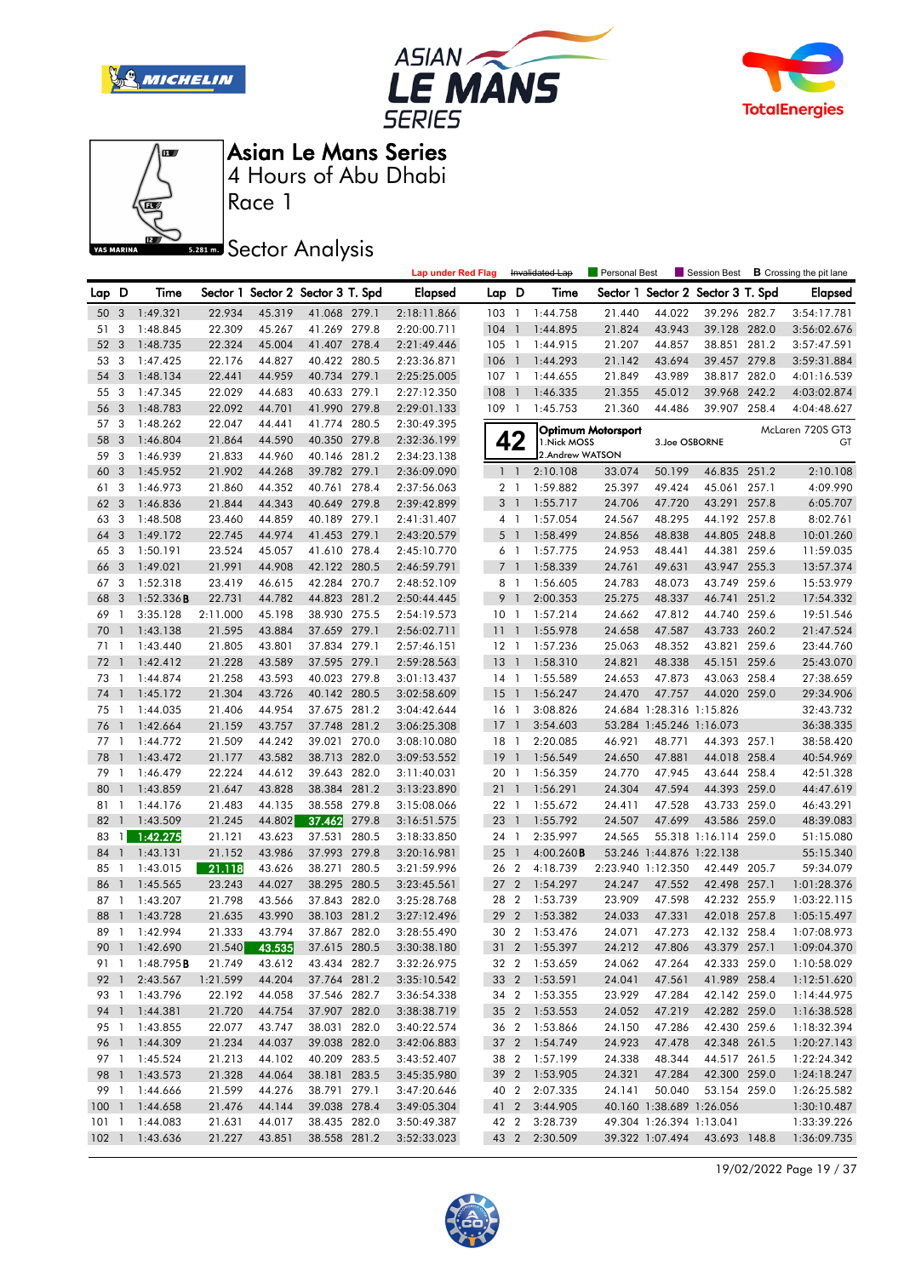







Race 1

# **Sector Analysis**

|       |                     |                                         |                    |                  |                                   |       | <b>Lap under Red Flag</b>  |                  |                | Invalidated Lap           | Personal Best             |                          | Session Best                      |       | <b>B</b> Crossing the pit lane |
|-------|---------------------|-----------------------------------------|--------------------|------------------|-----------------------------------|-------|----------------------------|------------------|----------------|---------------------------|---------------------------|--------------------------|-----------------------------------|-------|--------------------------------|
| Lap D |                     | Time                                    |                    |                  | Sector 1 Sector 2 Sector 3 T. Spd |       | Elapsed                    | Lap D            |                | Time                      |                           |                          | Sector 1 Sector 2 Sector 3 T. Spd |       | <b>Elapsed</b>                 |
| 50 3  |                     | 1:49.321                                | 22.934             | 45.319           | 41.068 279.1                      |       | 2:18:11.866                | $103 \quad 1$    |                | 1:44.758                  | 21.440                    | 44.022                   | 39.296 282.7                      |       | 3:54:17.781                    |
| 51    | 3                   | 1:48.845                                | 22.309             | 45.267           | 41.269 279.8                      |       | 2:20:00.711                | $104$ 1          |                | 1:44.895                  | 21.824                    | 43.943                   | 39.128 282.0                      |       | 3:56:02.676                    |
| 52    | 3                   | 1:48.735                                | 22.324             | 45.004           | 41.407 278.4                      |       | 2:21:49.446                | $105-1$          |                | 1:44.915                  | 21.207                    | 44.857                   | 38.851                            | 281.2 | 3:57:47.591                    |
| 53    | -3                  | 1:47.425                                | 22.176             | 44.827           | 40.422 280.5                      |       | 2:23:36.871                | 106              | $\overline{1}$ | 1:44.293                  | 21.142                    | 43.694                   | 39.457 279.8                      |       | 3:59:31.884                    |
| 54    | 3                   | 1:48.134                                | 22.441             | 44.959           | 40.734 279.1                      |       | 2:25:25.005                | 107 <sub>1</sub> |                | 1:44.655                  | 21.849                    | 43.989                   | 38.817 282.0                      |       | 4:01:16.539                    |
| 55    | 3                   | 1:47.345                                | 22.029             | 44.683           | 40.633 279.1                      |       | 2:27:12.350                | 108              | $\overline{1}$ | 1:46.335                  | 21.355                    | 45.012                   | 39.968 242.2                      |       | 4:03:02.874                    |
| 56    | 3                   | 1:48.783                                | 22.092             | 44.701           | 41.990 279.8                      |       | 2:29:01.133                | 109 1            |                | 1:45.753                  | 21.360                    | 44.486                   | 39.907 258.4                      |       | 4:04:48.627                    |
| 57    | - 3                 | 1:48.262                                | 22.047             | 44.441           | 41.774 280.5                      |       | 2:30:49.395                |                  |                |                           | <b>Optimum Motorsport</b> |                          |                                   |       | McLaren 720S GT3               |
| 58    | 3                   | 1:46.804                                | 21.864             | 44.590           | 40.350 279.8                      |       | 2:32:36.199                |                  | 42             | 1. Nick MOSS              |                           | 3.Joe OSBORNE            |                                   |       | GT                             |
| 59    | 3                   | 1:46.939                                | 21.833             | 44.960           | 40.146 281.2                      |       | 2:34:23.138                |                  |                | 2.Andrew WATSON           |                           |                          |                                   |       |                                |
| 60    | 3                   | 1:45.952                                | 21.902             | 44.268           | 39.782 279.1                      |       | 2:36:09.090                |                  | $1\quad1$      | 2:10.108                  | 33.074                    | 50.199                   | 46.835 251.2                      |       | 2:10.108                       |
| 61    | 3                   | 1:46.973                                | 21.860             | 44.352           | 40.761 278.4                      |       | 2:37:56.063                | 2 <sub>1</sub>   |                | 1:59.882                  | 25.397                    | 49.424                   | 45.061 257.1                      |       | 4:09.990                       |
| 62    | 3                   | 1:46.836                                | 21.844             | 44.343           | 40.649 279.8                      |       | 2:39:42.899                | 3 <sup>1</sup>   |                | 1:55.717                  | 24.706                    | 47.720                   | 43.291 257.8                      |       | 6:05.707                       |
| 63    | 3                   | 1:48.508                                | 23.460             | 44.859           | 40.189 279.1                      |       | 2:41:31.407                | $4-1$            |                | 1:57.054                  | 24.567                    | 48.295                   | 44.192 257.8                      |       | 8:02.761                       |
| 64    | 3                   | 1:49.172                                | 22.745             | 44.974           | 41.453 279.1                      |       | 2:43:20.579                | 5 <sup>1</sup>   |                | 1:58.499                  | 24.856                    | 48.838                   | 44.805 248.8                      |       | 10:01.260                      |
| 65    | -3                  | 1:50.191                                | 23.524             | 45.057           | 41.610 278.4                      |       | 2:45:10.770                |                  | 6 1            | 1:57.775                  | 24.953                    | 48.441                   | 44.381 259.6                      |       | 11:59.035                      |
| 66    | 3                   | 1:49.021                                | 21.991             | 44.908           | 42.122 280.5                      |       | 2:46:59.791                | 7 <sup>1</sup>   |                | 1:58.339                  | 24.761                    | 49.631                   | 43.947 255.3                      |       | 13:57.374                      |
| 67    | 3                   | 1:52.318                                | 23.419             | 46.615           | 42.284 270.7                      |       | 2:48:52.109                | $8-1$            |                | 1:56.605                  | 24.783                    | 48.073                   | 43.749 259.6                      |       | 15:53.979                      |
| 68    | 3                   | 1:52.336B                               | 22.731             | 44.782           | 44.823 281.2                      |       | 2:50:44.445                | 9                | $\overline{1}$ | 2:00.353                  | 25.275                    | 48.337                   | 46.741                            | 251.2 | 17:54.332                      |
| 69    | $\overline{1}$      | 3:35.128                                | 2:11.000           | 45.198           | 38.930 275.5                      |       | 2:54:19.573                | 10 <sub>1</sub>  |                | 1:57.214                  | 24.662                    | 47.812                   | 44.740 259.6                      |       | 19:51.546                      |
| 70    | $\overline{1}$      | 1:43.138                                | 21.595             | 43.884           | 37.659 279.1                      |       | 2:56:02.711                | 111              |                | 1:55.978                  | 24.658                    | 47.587                   | 43.733 260.2                      |       | 21:47.524                      |
| 71    | $\overline{1}$      | 1:43.440                                | 21.805             | 43.801           | 37.834 279.1                      |       | 2:57:46.151                | 12 <sub>1</sub>  |                | 1:57.236                  | 25.063                    | 48.352                   | 43.821                            | 259.6 | 23:44.760                      |
| 72    | -1                  | 1:42.412                                | 21.228             | 43.589           | 37.595 279.1                      |       | 2:59:28.563                | $13-1$           |                | 1:58.310                  | 24.821                    | 48.338                   | 45.151 259.6                      |       | 25:43.070                      |
| 73 1  |                     | 1:44.874                                | 21.258             | 43.593           | 40.023 279.8                      |       | 3:01:13.437                | $14-1$           |                | 1:55.589                  | 24.653                    | 47.873                   | 43.063 258.4                      |       | 27:38.659                      |
| 74    | $\overline{1}$      | 1:45.172                                | 21.304             | 43.726           | 40.142 280.5                      |       | 3:02:58.609                | $15-1$           |                | 1:56.247                  | 24.470                    | 47.757                   | 44.020 259.0                      |       | 29:34.906                      |
| 75    | $\overline{1}$      | 1:44.035                                | 21.406             | 44.954           | 37.675 281.2                      |       | 3:04:42.644                | 16 1             |                | 3:08.826                  |                           | 24.684 1:28.316 1:15.826 |                                   |       | 32:43.732                      |
| 76    | $\overline{1}$      | 1:42.664                                | 21.159             | 43.757           | 37.748 281.2                      |       | 3:06:25.308                | 17               | $\blacksquare$ | 3:54.603                  |                           | 53.284 1:45.246 1:16.073 |                                   |       | 36:38.335                      |
| 77 1  |                     | 1:44.772                                | 21.509             | 44.242           | 39.021 270.0                      |       | 3:08:10.080                | 18 1             |                | 2:20.085                  | 46.921                    | 48.771                   | 44.393 257.1                      |       | 38:58.420                      |
| 78    | $\overline{1}$      | 1:43.472                                | 21.177             | 43.582           | 38.713 282.0                      |       | 3:09:53.552                | 19               | $\overline{1}$ | 1:56.549                  | 24.650                    | 47.881                   | 44.018 258.4                      |       | 40:54.969                      |
| 79    | $\overline{1}$      | 1:46.479                                | 22.224             | 44.612           | 39.643 282.0                      |       | 3:11:40.031                | 20 1             |                | 1:56.359                  | 24.770                    | 47.945                   | 43.644 258.4                      |       | 42:51.328                      |
| 80    | $\overline{1}$      | 1:43.859                                | 21.647             | 43.828           | 38.384 281.2                      |       | 3:13:23.890                | 211              |                | 1:56.291                  | 24.304                    | 47.594                   | 44.393 259.0                      |       | 44:47.619                      |
| 81 1  |                     | 1:44.176                                | 21.483             | 44.135           | 38.558 279.8                      |       | 3:15:08.066                | 22 1             |                | 1:55.672                  | 24.411                    | 47.528                   | 43.733 259.0                      |       | 46:43.291                      |
| 82    | $\overline{1}$      | 1:43.509                                | 21.245             | 44.802           | 37.462                            | 279.8 | 3:16:51.575                | 23 1             |                | 1:55.792                  | 24.507                    | 47.699                   | 43.586 259.0                      |       | 48:39.083                      |
| 83    | $\overline{1}$      | 1:42.275                                | 21.121             | 43.623           | 37.531                            | 280.5 | 3:18:33.850                | 24 1             |                | 2:35.997                  | 24.565                    |                          | 55.318 1:16.114 259.0             |       | 51:15.080                      |
| 84    | $\overline{1}$      | 1:43.131                                | 21.152             | 43.986           | 37.993 279.8                      |       | 3:20:16.981                | $25-1$           |                | $4:00.260$ B              |                           | 53.246 1:44.876 1:22.138 |                                   |       | 55:15.340                      |
| 85    | - 1                 | 1:43.015                                | 21.118             | 43.626           | 38.271 280.5                      |       | 3:21:59.996                | 26 2             |                | 4:18.739                  | 2:23.940 1:12.350         |                          | 42.449 205.7                      |       | 59:34.079                      |
| 86    | $\overline{1}$      | 1:45.565                                | 23.243             | 44.027           | 38.295 280.5                      |       | 3:23:45.561                | 27 <sub>2</sub>  |                | 1:54.297                  | 24.247                    | 47.552                   | 42.498 257.1                      |       | 1:01:28.376                    |
| 87    | - 1<br>$\mathbf{1}$ | 1:43.207                                | 21.798             | 43.566           | 37.843 282.0                      |       | 3:25:28.768                | 28 2             |                | 1:53.739                  | 23.909                    | 47.598                   | 42.232 255.9<br>42.018 257.8      |       | 1:03:22.115                    |
| 88    |                     | 1:43.728                                | 21.635             | 43.990<br>43.794 | 38.103 281.2<br>37.867 282.0      |       | 3:27:12.496                | 29               | $\overline{2}$ | 1:53.382                  | 24.033<br>24.071          | 47.331                   |                                   |       | 1:05:15.497                    |
| 89 1  |                     | 1:42.994<br>90 1 1:42.690               | 21.333             | 21.540 43.535    | 37.615 280.5                      |       | 3:28:55.490                | 30 2             |                | 1:53.476<br>31 2 1:55.397 | 24.212                    | 47.273                   | 42.132 258.4<br>43.379 257.1      |       | 1:07:08.973                    |
|       |                     |                                         |                    |                  |                                   |       | 3:30:38.180                |                  |                | 32 2 1:53.659             | 24.062                    | 47.806<br>47.264         | 42.333 259.0                      |       | 1:09:04.370<br>1:10:58.029     |
|       |                     | 91 1 1:48.795 <b>B</b><br>92 1 2:43.567 | 21.749<br>1:21.599 | 43.612<br>44.204 | 43.434 282.7<br>37.764 281.2      |       | 3:32:26.975<br>3:35:10.542 |                  |                | 33 2 1:53.591             | 24.041                    | 47.561                   | 41.989 258.4                      |       |                                |
|       |                     | 93 1 1:43.796                           | 22.192             | 44.058           | 37.546 282.7                      |       |                            |                  |                | 34 2 1:53.355             | 23.929                    | 47.284                   | 42.142 259.0                      |       | 1:12:51.620<br>1:14:44.975     |
|       |                     | 94 1 1:44.381                           | 21.720             | 44.754           | 37.907 282.0                      |       | 3:36:54.338<br>3:38:38.719 |                  |                | 35 2 1:53.553             | 24.052                    | 47.219                   | 42.282 259.0                      |       | 1:16:38.528                    |
|       |                     | 95 1 1:43.855                           | 22.077             | 43.747           | 38.031 282.0                      |       | 3:40:22.574                |                  |                | 36 2 1:53.866             | 24.150                    | 47.286                   | 42.430 259.6                      |       | 1:18:32.394                    |
|       |                     | 96 1 1:44.309                           | 21.234             | 44.037           | 39.038 282.0                      |       | 3:42:06.883                |                  |                | 37 2 1:54.749             | 24.923                    | 47.478                   | 42.348 261.5                      |       | 1:20:27.143                    |
|       |                     | 97 1 1:45.524                           | 21.213             | 44.102           | 40.209 283.5                      |       | 3:43:52.407                |                  |                | 38 2 1:57.199             | 24.338                    | 48.344                   | 44.517 261.5                      |       | 1:22:24.342                    |
|       |                     | 98 1 1:43.573                           | 21.328             | 44.064           | 38.181 283.5                      |       | 3:45:35.980                |                  |                | 39 2 1:53.905             | 24.321                    | 47.284                   | 42.300 259.0                      |       | 1:24:18.247                    |
|       |                     | 99 1 1:44.666                           | 21.599             | 44.276           | 38.791 279.1                      |       | 3:47:20.646                |                  | 40 2           | 2:07.335                  | 24.141                    | 50.040                   | 53.154 259.0                      |       | 1:26:25.582                    |
|       |                     | 100 1 1:44.658                          | 21.476             | 44.144           | 39.038 278.4                      |       | 3:49:05.304                |                  |                | 41 2 3:44.905             |                           | 40.160 1:38.689 1:26.056 |                                   |       | 1:30:10.487                    |
|       |                     | 101 1:44.083                            | 21.631             | 44.017           | 38.435 282.0                      |       | 3:50:49.387                |                  |                | 42 2 3:28.739             |                           | 49.304 1:26.394 1:13.041 |                                   |       | 1:33:39.226                    |
|       |                     | 102 1 1:43.636                          | 21.227             | 43.851           | 38.558 281.2                      |       | 3:52:33.023                |                  |                | 43 2 2:30.509             |                           | 39.322 1:07.494          | 43.693 148.8                      |       | 1:36:09.735                    |
|       |                     |                                         |                    |                  |                                   |       |                            |                  |                |                           |                           |                          |                                   |       |                                |

19/02/2022 Page 19 / 37

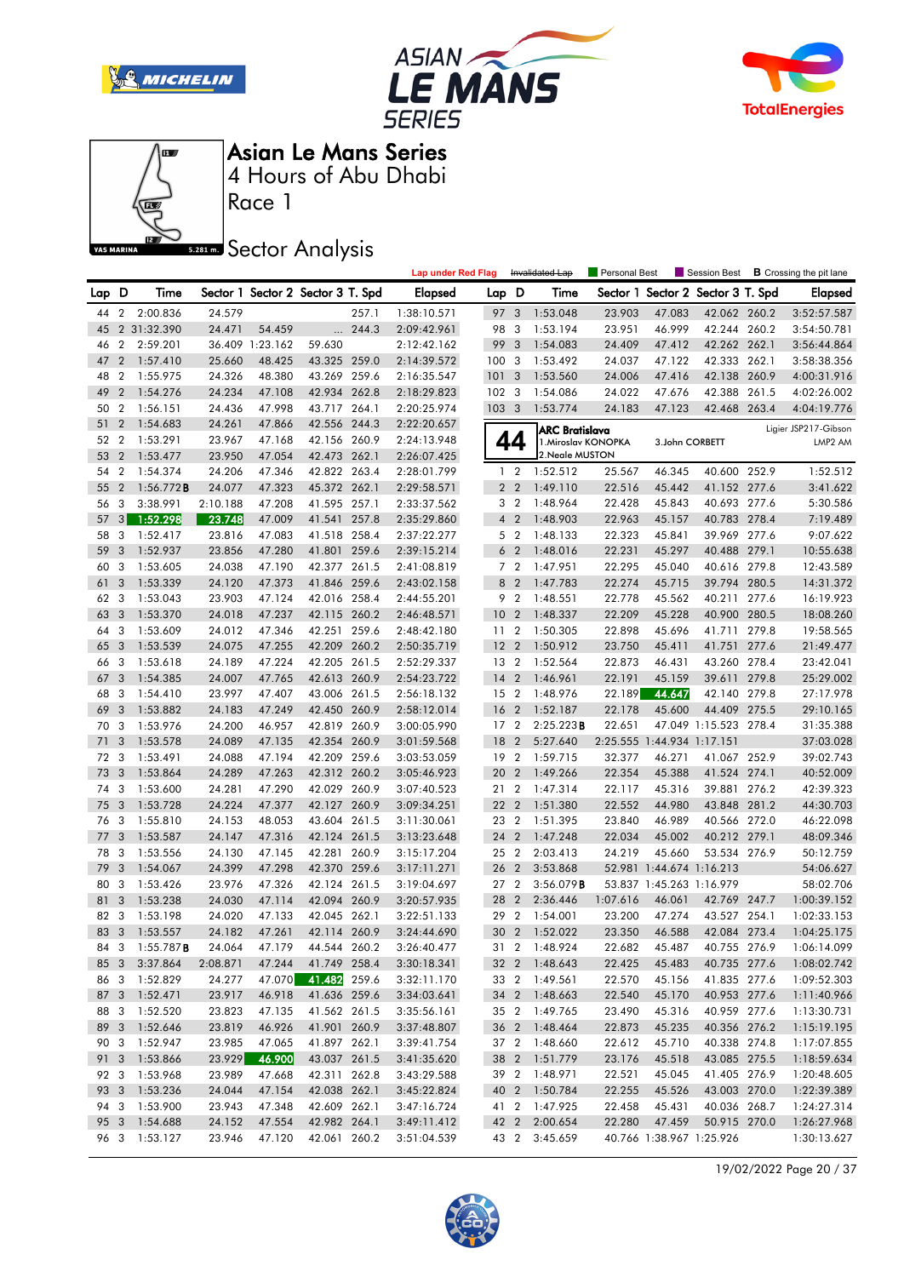







Race 1

## **Sector Analysis**

|          |                |                      |                  |                  |                                   |       | <b>Lap under Red Flag</b>  |                 |                         | Invalidated Lap       | Personal Best |                            | Session Best             |       | <b>B</b> Crossing the pit lane |
|----------|----------------|----------------------|------------------|------------------|-----------------------------------|-------|----------------------------|-----------------|-------------------------|-----------------------|---------------|----------------------------|--------------------------|-------|--------------------------------|
| Lap D    |                | Time                 |                  |                  | Sector 1 Sector 2 Sector 3 T. Spd |       | <b>Elapsed</b>             | Lap D           |                         | Time                  | Sector 1      |                            | Sector 2 Sector 3 T. Spd |       | <b>Elapsed</b>                 |
| 44       | 2              | 2:00.836             | 24.579           |                  |                                   | 257.1 | 1:38:10.571                | 97              | $\mathbf{3}$            | 1:53.048              | 23.903        | 47.083                     | 42.062 260.2             |       | 3:52:57.587                    |
| 45       |                | 2 31:32.390          | 24.471           | 54.459           | $\ddotsc$                         | 244.3 | 2:09:42.961                | 98              | 3                       | 1:53.194              | 23.951        | 46.999                     | 42.244 260.2             |       | 3:54:50.781                    |
| 46       | $\overline{2}$ | 2:59.201             |                  | 36.409 1:23.162  | 59.630                            |       | 2:12:42.162                | 99              | 3                       | 1:54.083              | 24.409        | 47.412                     | 42.262 262.1             |       | 3:56:44.864                    |
| 47       | $\overline{2}$ | 1:57.410             | 25.660           | 48.425           | 43.325 259.0                      |       | 2:14:39.572                | 100             | 3                       | 1:53.492              | 24.037        | 47.122                     | 42.333 262.1             |       | 3:58:38.356                    |
| 48       | $\overline{2}$ | 1:55.975             | 24.326           | 48.380           | 43.269 259.6                      |       | 2:16:35.547                | 101             | $\overline{\mathbf{3}}$ | 1:53.560              | 24.006        | 47.416                     | 42.138 260.9             |       | 4:00:31.916                    |
| 49       | $\overline{2}$ | 1:54.276             | 24.234           | 47.108           | 42.934 262.8                      |       | 2:18:29.823                | 1023            |                         | 1:54.086              | 24.022        | 47.676                     | 42.388 261.5             |       | 4:02:26.002                    |
| 50       | $\overline{2}$ | 1:56.151             | 24.436           | 47.998           | 43.717 264.1                      |       | 2:20:25.974                | 1033            |                         | 1:53.774              | 24.183        | 47.123                     | 42.468 263.4             |       | 4:04:19.776                    |
| 51       | $\overline{2}$ | 1:54.683             | 24.261           | 47.866           | 42.556 244.3                      |       | 2:22:20.657                |                 |                         | <b>ARC Bratislava</b> |               |                            |                          |       | Ligier JSP217-Gibson           |
| 52       | $\overline{2}$ | 1:53.291             | 23.967           | 47.168           | 42.156 260.9                      |       | 2:24:13.948                |                 | 44                      | 1. Miroslav KONOPKA   |               | 3.John CORBETT             |                          |       | LMP2 AM                        |
| 53       | $\overline{2}$ | 1:53.477             | 23.950           | 47.054           | 42.473 262.1                      |       | 2:26:07.425                |                 |                         | 2. Neale MUSTON       |               |                            |                          |       |                                |
| 54       | $\overline{2}$ | 1:54.374             | 24.206           | 47.346           | 42.822 263.4                      |       | 2:28:01.799                |                 | $1\quad 2$              | 1:52.512              | 25.567        | 46.345                     | 40.600 252.9             |       | 1:52.512                       |
| 55       | $\overline{2}$ | 1:56.772B            | 24.077           | 47.323           | 45.372 262.1                      |       | 2:29:58.571                |                 | 2 <sub>2</sub>          | 1:49.110              | 22.516        | 45.442                     | 41.152 277.6             |       | 3:41.622                       |
| 56       | 3              | 3:38.991             | 2:10.188         | 47.208           | 41.595 257.1                      |       | 2:33:37.562                | 3               | $\overline{2}$          | 1:48.964              | 22.428        | 45.843                     | 40.693 277.6             |       | 5:30.586                       |
| 57       | 3              | 1:52.298             | 23.748           | 47.009           | 41.541 257.8                      |       | 2:35:29.860                |                 | 4 <sup>2</sup>          | 1:48.903              | 22.963        | 45.157                     | 40.783 278.4             |       | 7:19.489                       |
| 58       | 3              | 1:52.417             | 23.816           | 47.083           | 41.518 258.4                      |       | 2:37:22.277                |                 | 5 <sub>2</sub>          | 1:48.133              | 22.323        | 45.841                     | 39.969 277.6             |       | 9:07.622                       |
| 59       | 3              | 1:52.937             | 23.856           | 47.280           | 41.801 259.6                      |       | 2:39:15.214                |                 | 6 <sub>2</sub>          | 1:48.016              | 22.231        | 45.297                     | 40.488 279.1             |       | 10:55.638                      |
| 60       | 3              | 1:53.605             | 24.038           | 47.190           | 42.377 261.5                      |       | 2:41:08.819                |                 | 7 <sub>2</sub>          | 1:47.951              | 22.295        | 45.040                     | 40.616 279.8             |       | 12:43.589                      |
| 61       | 3              | 1:53.339             | 24.120           | 47.373           | 41.846 259.6                      |       | 2:43:02.158                | 8               | $\overline{2}$          | 1:47.783              | 22.274        | 45.715                     | 39.794 280.5             |       | 14:31.372                      |
| 62       | 3              | 1:53.043             | 23.903           | 47.124           | 42.016 258.4                      |       | 2:44:55.201                |                 | 9 2                     | 1:48.551              | 22.778        | 45.562                     | 40.211 277.6             |       | 16:19.923                      |
| 63       | 3              | 1:53.370             | 24.018           | 47.237           | 42.115 260.2                      |       | 2:46:48.571                | 10 <sub>2</sub> |                         | 1:48.337              | 22.209        | 45.228                     | 40.900 280.5             |       | 18:08.260                      |
| 64       | 3              | 1:53.609             | 24.012           | 47.346           | 42.251 259.6                      |       | 2:48:42.180                | 11              | $\overline{2}$          | 1:50.305              | 22.898        | 45.696                     | 41.711 279.8             |       | 19:58.565                      |
| 65       | -3             | 1:53.539             | 24.075           | 47.255           | 42.209 260.2                      |       | 2:50:35.719                | 12              | $\overline{2}$          | 1:50.912              | 23.750        | 45.411                     | 41.751 277.6             |       | 21:49.477                      |
| 66       | 3              | 1:53.618             | 24.189           | 47.224           | 42.205 261.5                      |       | 2:52:29.337                | 13 2            |                         | 1:52.564              | 22.873        | 46.431                     | 43.260 278.4             |       | 23:42.041                      |
| 67       | 3              | 1:54.385             | 24.007           | 47.765           | 42.613 260.9                      |       | 2:54:23.722                | 14              | $\overline{2}$          | 1:46.961              | 22.191        | 45.159                     | 39.611                   | 279.8 | 25:29.002                      |
| 68       | 3              | 1:54.410             | 23.997           | 47.407           | 43.006 261.5                      |       | 2:56:18.132                | 15 <sub>2</sub> |                         | 1:48.976              | 22.189        | 44.647                     | 42.140 279.8             |       | 27:17.978                      |
| 69       | 3              | 1:53.882             | 24.183           | 47.249           | 42.450 260.9                      |       | 2:58:12.014                | 16              | $\overline{2}$          | 1:52.187              | 22.178        | 45.600                     | 44.409 275.5             |       | 29:10.165                      |
| 70       | -3<br>3        | 1:53.976             | 24.200<br>24.089 | 46.957           | 42.819 260.9                      |       | 3:00:05.990                | 17 <sub>2</sub> | $\overline{2}$          | 2:25.223B             | 22.651        | 2:25.555 1:44.934 1:17.151 | 47.049 1:15.523 278.4    |       | 31:35.388                      |
| 71<br>72 | 3              | 1:53.578<br>1:53.491 | 24.088           | 47.135<br>47.194 | 42.354 260.9<br>42.209 259.6      |       | 3:01:59.568<br>3:03:53.059 | 18<br>19        | $\overline{2}$          | 5:27.640<br>1:59.715  | 32.377        | 46.271                     | 41.067 252.9             |       | 37:03.028<br>39:02.743         |
| 73       | 3              | 1:53.864             | 24.289           | 47.263           | 42.312 260.2                      |       | 3:05:46.923                | 20              | $\overline{2}$          | 1:49.266              | 22.354        | 45.388                     | 41.524 274.1             |       | 40:52.009                      |
| 74       | 3              | 1:53.600             | 24.281           | 47.290           | 42.029 260.9                      |       | 3:07:40.523                | 21 2            |                         | 1:47.314              | 22.117        | 45.316                     | 39.881 276.2             |       | 42:39.323                      |
| 75       | 3              | 1:53.728             | 24.224           | 47.377           | 42.127 260.9                      |       | 3:09:34.251                | 22              | $\overline{2}$          | 1:51.380              | 22.552        | 44.980                     | 43.848 281.2             |       | 44:30.703                      |
| 76       | 3              | 1:55.810             | 24.153           | 48.053           | 43.604 261.5                      |       | 3:11:30.061                | 23 2            |                         | 1:51.395              | 23.840        | 46.989                     | 40.566 272.0             |       | 46:22.098                      |
| 77       | 3              | 1:53.587             | 24.147           | 47.316           | 42.124 261.5                      |       | 3:13:23.648                | 24              | $\overline{2}$          | 1:47.248              | 22.034        | 45.002                     | 40.212 279.1             |       | 48:09.346                      |
| 78       | 3              | 1:53.556             | 24.130           | 47.145           | 42.281 260.9                      |       | 3:15:17.204                | 25 2            |                         | 2:03.413              | 24.219        | 45.660                     | 53.534 276.9             |       | 50:12.759                      |
| 79       | 3              | 1:54.067             | 24.399           | 47.298           | 42.370 259.6                      |       | 3:17:11.271                | 26 2            |                         | 3:53.868              |               | 52.981 1:44.674 1:16.213   |                          |       | 54:06.627                      |
| 80       | 3              | 1:53.426             | 23.976           | 47.326           | 42.124 261.5                      |       | 3:19:04.697                | 27 2            |                         | 3:56.079B             |               | 53.837 1:45.263 1:16.979   |                          |       | 58:02.706                      |
| 81       | 3              | 1:53.238             | 24.030           | 47.114           | 42.094 260.9                      |       | 3:20:57.935                | 28              | $\overline{2}$          | 2:36.446              | 1:07.616      | 46.061                     | 42.769 247.7             |       | 1:00:39.152                    |
| 82       | 3              | 1:53.198             | 24.020           | 47.133           | 42.045 262.1                      |       | 3:22:51.133                | 29 2            |                         | 1:54.001              | 23.200        | 47.274                     | 43.527 254.1             |       | 1:02:33.153                    |
| 83       | $\overline{3}$ | 1:53.557             | 24.182           | 47.261           | 42.114 260.9                      |       | 3:24:44.690                | 30 2            |                         | 1:52.022              | 23.350        | 46.588                     | 42.084 273.4             |       | 1:04:25.175                    |
| 84       |                | 3 1:55.787 <b>B</b>  | 24.064           | 47.179           | 44.544 260.2                      |       | 3:26:40.477                |                 |                         | 31 2 1:48.924         | 22.682        | 45.487                     | 40.755 276.9             |       | 1:06:14.099                    |
| 85 3     |                | 3:37.864             | 2:08.871         | 47.244           | 41.749 258.4                      |       | 3:30:18.341                |                 |                         | 32 2 1:48.643         | 22.425        | 45.483                     | 40.735 277.6             |       | 1:08:02.742                    |
| 86 3     |                | 1:52.829             | 24.277           | 47.070           | 41.482 259.6                      |       | 3:32:11.170                |                 |                         | 33 2 1:49.561         | 22.570        | 45.156                     | 41.835 277.6             |       | 1:09:52.303                    |
| 87 3     |                | 1:52.471             | 23.917           | 46.918           | 41.636 259.6                      |       | 3:34:03.641                |                 |                         | 34 2 1:48.663         | 22.540        | 45.170                     | 40.953 277.6             |       | 1:11:40.966                    |
| 88 3     |                | 1:52.520             | 23.823           | 47.135           | 41.562 261.5                      |       | 3:35:56.161                |                 |                         | 35 2 1:49.765         | 23.490        | 45.316                     | 40.959 277.6             |       | 1:13:30.731                    |
| 89 3     |                | 1:52.646             | 23.819           | 46.926           | 41.901 260.9                      |       | 3:37:48.807                |                 |                         | 36 2 1:48.464         | 22.873        | 45.235                     | 40.356 276.2             |       | 1:15:19.195                    |
| 90 3     |                | 1:52.947             | 23.985           | 47.065           | 41.897 262.1                      |       | 3:39:41.754                |                 |                         | 37 2 1:48.660         | 22.612        | 45.710                     | 40.338 274.8             |       | 1:17:07.855                    |
| 91 3     |                | 1:53.866             | 23.929           | 46.900           | 43.037 261.5                      |       | 3:41:35.620                |                 |                         | 38 2 1:51.779         | 23.176        | 45.518                     | 43.085 275.5             |       | 1:18:59.634                    |
| 92 3     |                | 1:53.968             | 23.989           | 47.668           | 42.311 262.8                      |       | 3:43:29.588                |                 |                         | 39 2 1:48.971         | 22.521        | 45.045                     | 41.405 276.9             |       | 1:20:48.605                    |
| 93       | $\mathbf{3}$   | 1:53.236             | 24.044           | 47.154           | 42.038 262.1                      |       | 3:45:22.824                |                 |                         | 40 2 1:50.784         | 22.255        | 45.526                     | 43.003 270.0             |       | 1:22:39.389                    |
| 94 3     |                | 1:53.900             | 23.943           | 47.348           | 42.609 262.1                      |       | 3:47:16.724                |                 |                         | 41 2 1:47.925         | 22.458        | 45.431                     | 40.036 268.7             |       | 1:24:27.314                    |
| 95 3     |                | 1:54.688             | 24.152           | 47.554           | 42.982 264.1                      |       | 3:49:11.412                |                 |                         | 42 2 2:00.654         | 22.280        | 47.459                     | 50.915 270.0             |       | 1:26:27.968                    |
| 96 3     |                | 1:53.127             | 23.946           | 47.120           | 42.061 260.2                      |       | 3:51:04.539                |                 |                         | 43 2 3:45.659         |               | 40.766 1:38.967 1:25.926   |                          |       | 1:30:13.627                    |

19/02/2022 Page 20 / 37

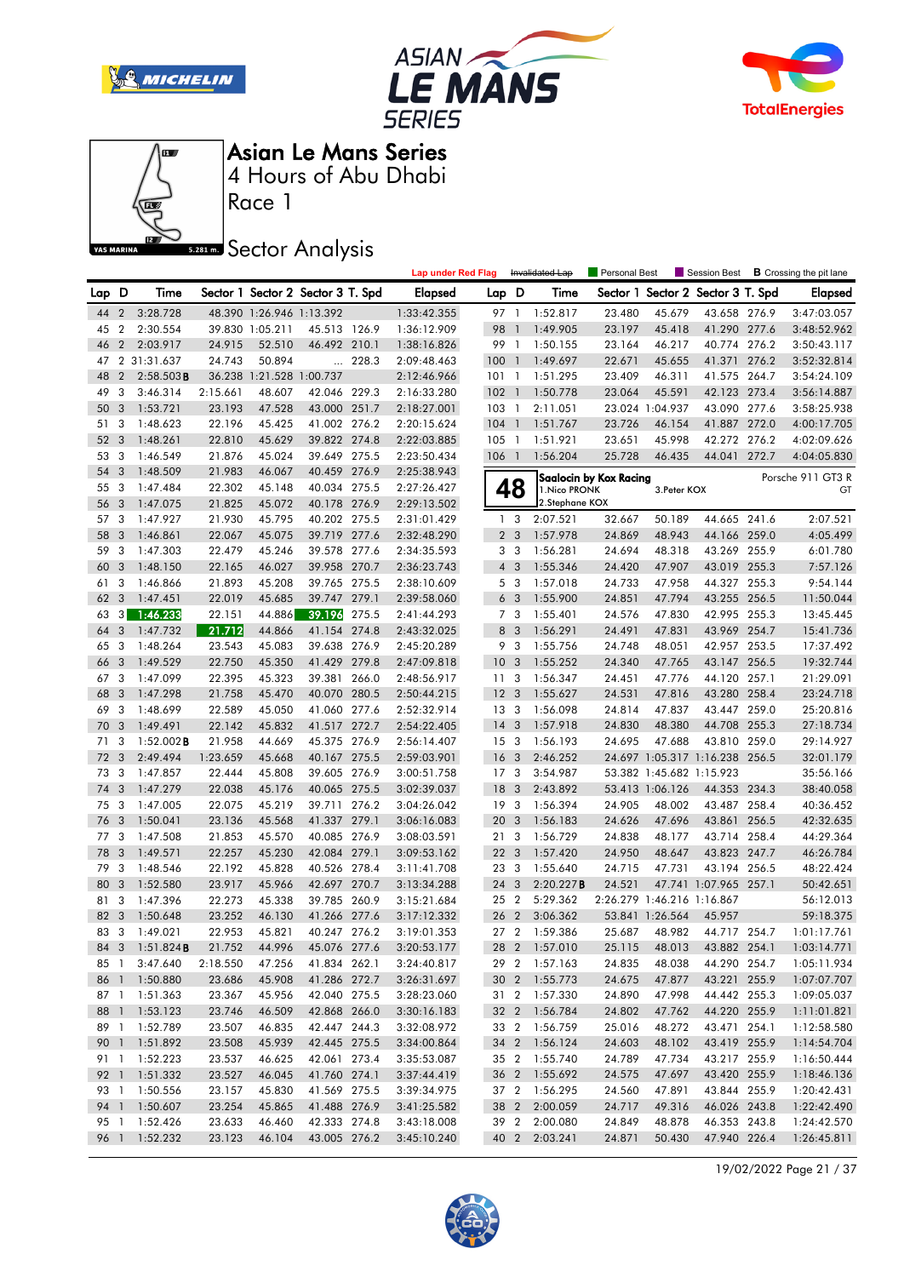







Race 1

## **Sector Analysis**

|       |                |                     |          |                          |                                   |       | <b>Lap under Red Flag</b> |                 |                         | Invalidated Lap | Personal Best          |                            |                                   |       | Session Best <b>B</b> Crossing the pit lane |
|-------|----------------|---------------------|----------|--------------------------|-----------------------------------|-------|---------------------------|-----------------|-------------------------|-----------------|------------------------|----------------------------|-----------------------------------|-------|---------------------------------------------|
| Lap D |                | Time                |          |                          | Sector 1 Sector 2 Sector 3 T. Spd |       | <b>Elapsed</b>            | Lap D           |                         | Time            |                        |                            | Sector 1 Sector 2 Sector 3 T. Spd |       | <b>Elapsed</b>                              |
| 44 2  |                | 3:28.728            |          | 48.390 1:26.946 1:13.392 |                                   |       | 1:33:42.355               | 97 1            |                         | 1:52.817        | 23.480                 | 45.679                     | 43.658 276.9                      |       | 3:47:03.057                                 |
| 45    | $\overline{2}$ | 2:30.554            |          | 39.830 1:05.211          | 45.513 126.9                      |       | 1:36:12.909               | 98 1            |                         | 1:49.905        | 23.197                 | 45.418                     | 41.290 277.6                      |       | 3:48:52.962                                 |
| 46    | $\overline{2}$ | 2:03.917            | 24.915   | 52.510                   | 46.492 210.1                      |       | 1:38:16.826               | 99 1            |                         | 1:50.155        | 23.164                 | 46.217                     | 40.774 276.2                      |       | 3:50:43.117                                 |
| 47    |                | 2 31:31.637         | 24.743   | 50.894                   |                                   | 228.3 | 2:09:48.463               | 100             | $\overline{1}$          | 1:49.697        | 22.671                 | 45.655                     | 41.371 276.2                      |       | 3:52:32.814                                 |
| 48    | $\overline{2}$ | $2:58.503$ <b>B</b> |          | 36.238 1:21.528 1:00.737 |                                   |       | 2:12:46.966               | 1011            |                         | 1:51.295        | 23.409                 | 46.311                     | 41.575 264.7                      |       | 3:54:24.109                                 |
| 49    | 3              | 3:46.314            | 2:15.661 | 48.607                   | 42.046 229.3                      |       | 2:16:33.280               | 102             | $\overline{1}$          | 1:50.778        | 23.064                 | 45.591                     | 42.123 273.4                      |       | 3:56:14.887                                 |
| 50    | 3              | 1:53.721            | 23.193   | 47.528                   | 43.000 251.7                      |       | 2:18:27.001               | $103-1$         |                         | 2:11.051        |                        | 23.024 1:04.937            | 43.090 277.6                      |       | 3:58:25.938                                 |
| 51    | -3             | 1:48.623            | 22.196   | 45.425                   | 41.002 276.2                      |       | 2:20:15.624               | $104$ 1         |                         | 1:51.767        | 23.726                 | 46.154                     | 41.887 272.0                      |       | 4:00:17.705                                 |
| 52    | 3              | 1:48.261            | 22.810   | 45.629                   | 39.822 274.8                      |       | 2:22:03.885               | $105$ 1         |                         | 1:51.921        | 23.651                 | 45.998                     | 42.272 276.2                      |       | 4:02:09.626                                 |
| 53    | 3              | 1:46.549            | 21.876   | 45.024                   | 39.649 275.5                      |       | 2:23:50.434               | 106 1           |                         | 1:56.204        | 25.728                 | 46.435                     | 44.041 272.7                      |       | 4:04:05.830                                 |
| 54    | 3              | 1:48.509            | 21.983   | 46.067                   | 40.459 276.9                      |       | 2:25:38.943               |                 |                         |                 | Saalocin by Kox Racing |                            |                                   |       | Porsche 911 GT3 R                           |
| 55    | -3             | 1:47.484            | 22.302   | 45.148                   | 40.034 275.5                      |       | 2:27:26.427               |                 | 48                      | 1. Nico PRONK   |                        | 3. Peter KOX               |                                   |       | GT                                          |
| 56    | 3              | 1:47.075            | 21.825   | 45.072                   | 40.178 276.9                      |       | 2:29:13.502               |                 |                         | 2.Stephane KOX  |                        |                            |                                   |       |                                             |
| 57    | 3              | 1:47.927            | 21.930   | 45.795                   | 40.202 275.5                      |       | 2:31:01.429               |                 | 1 <sub>3</sub>          | 2:07.521        | 32.667                 | 50.189                     | 44.665 241.6                      |       | 2:07.521                                    |
| 58    | 3              | 1:46.861            | 22.067   | 45.075                   | 39.719 277.6                      |       | 2:32:48.290               |                 | 2 <sub>3</sub>          | 1:57.978        | 24.869                 | 48.943                     | 44.166 259.0                      |       | 4:05.499                                    |
| 59    | -3             | 1:47.303            | 22.479   | 45.246                   | 39.578 277.6                      |       | 2:34:35.593               |                 | 3 <sub>3</sub>          | 1:56.281        | 24.694                 | 48.318                     | 43.269 255.9                      |       | 6:01.780                                    |
| 60    | 3              | 1:48.150            | 22.165   | 46.027                   | 39.958 270.7                      |       | 2:36:23.743               |                 | $4 \quad 3$             | 1:55.346        | 24.420                 | 47.907                     | 43.019 255.3                      |       | 7:57.126                                    |
| 61    | 3              | 1:46.866            | 21.893   | 45.208                   | 39.765 275.5                      |       | 2:38:10.609               |                 | 5 <sub>3</sub>          | 1:57.018        | 24.733                 | 47.958                     | 44.327 255.3                      |       | 9:54.144                                    |
| 62    | 3              | 1:47.451            | 22.019   | 45.685                   | 39.747 279.1                      |       | 2:39:58.060               |                 | 6 <sub>3</sub>          | 1:55.900        | 24.851                 | 47.794                     | 43.255 256.5                      |       | 11:50.044                                   |
| 63    | 3              | 1:46.233            | 22.151   | 44.886                   | 39.196                            | 275.5 | 2:41:44.293               |                 | 7 <sub>3</sub>          | 1:55.401        | 24.576                 | 47.830                     | 42.995 255.3                      |       | 13:45.445                                   |
| 64    | 3              | 1:47.732            | 21.712   | 44.866                   | 41.154                            | 274.8 | 2:43:32.025               | 8               | $\overline{\mathbf{3}}$ | 1:56.291        | 24.491                 | 47.831                     | 43.969 254.7                      |       | 15:41.736                                   |
| 65    | 3              | 1:48.264            | 23.543   | 45.083                   | 39.638                            | 276.9 | 2:45:20.289               | 9               | 3                       | 1:55.756        | 24.748                 | 48.051                     | 42.957 253.5                      |       | 17:37.492                                   |
| 66    | 3              | 1:49.529            | 22.750   | 45.350                   | 41.429 279.8                      |       | 2:47:09.818               | 10              | $\overline{\mathbf{3}}$ | 1:55.252        | 24.340                 | 47.765                     | 43.147 256.5                      |       | 19:32.744                                   |
| 67    | -3             | 1:47.099            | 22.395   | 45.323                   | 39.381 266.0                      |       | 2:48:56.917               | 11 <sub>3</sub> |                         | 1:56.347        | 24.451                 | 47.776                     | 44.120 257.1                      |       | 21:29.091                                   |
| 68    | 3              | 1:47.298            | 21.758   | 45.470                   | 40.070 280.5                      |       | 2:50:44.215               | 12 <sup>3</sup> |                         | 1:55.627        | 24.531                 | 47.816                     | 43.280 258.4                      |       | 23:24.718                                   |
| 69    | 3              | 1:48.699            | 22.589   | 45.050                   | 41.060 277.6                      |       | 2:52:32.914               | 13 <sub>3</sub> |                         | 1:56.098        | 24.814                 | 47.837                     | 43.447                            | 259.0 | 25:20.816                                   |
| 70    | 3              | 1:49.491            | 22.142   | 45.832                   | 41.517 272.7                      |       | 2:54:22.405               | 14 <sup>3</sup> |                         | 1:57.918        | 24.830                 | 48.380                     | 44.708 255.3                      |       | 27:18.734                                   |
| 71    | -3             | $1:52.002$ <b>B</b> | 21.958   | 44.669                   | 45.375 276.9                      |       | 2:56:14.407               | 15 <sup>3</sup> |                         | 1:56.193        | 24.695                 | 47.688                     | 43.810 259.0                      |       | 29:14.927                                   |
| 72    | 3              | 2:49.494            | 1:23.659 | 45.668                   | 40.167 275.5                      |       | 2:59:03.901               | 16              | 3                       | 2:46.252        |                        |                            | 24.697 1:05.317 1:16.238 256.5    |       | 32:01.179                                   |
| 73    | 3              | 1:47.857            | 22.444   | 45.808                   | 39.605 276.9                      |       | 3:00:51.758               | 17 <sub>3</sub> |                         | 3:54.987        |                        | 53.382 1:45.682 1:15.923   |                                   |       | 35:56.166                                   |
| 74    | 3              | 1:47.279            | 22.038   | 45.176                   | 40.065 275.5                      |       | 3:02:39.037               | 18              | $\overline{\mathbf{3}}$ | 2:43.892        |                        | 53.413 1:06.126            | 44.353 234.3                      |       | 38:40.058                                   |
| 75 3  |                | 1:47.005            | 22.075   | 45.219                   | 39.711 276.2                      |       | 3:04:26.042               | 19 <sup>3</sup> |                         | 1:56.394        | 24.905                 | 48.002                     | 43.487 258.4                      |       | 40:36.452                                   |
| 76    | 3              | 1:50.041            | 23.136   | 45.568                   | 41.337 279.1                      |       | 3:06:16.083               | 20 3            |                         | 1:56.183        | 24.626                 | 47.696                     | 43.861                            | 256.5 | 42:32.635                                   |
| 77    | 3              | 1:47.508            | 21.853   | 45.570                   | 40.085 276.9                      |       | 3:08:03.591               | 21 3            |                         | 1:56.729        | 24.838                 | 48.177                     | 43.714 258.4                      |       | 44:29.364                                   |
| 78    | -3             | 1:49.571            | 22.257   | 45.230                   | 42.084 279.1                      |       | 3:09:53.162               | 22              | 3                       | 1:57.420        | 24.950                 | 48.647                     | 43.823 247.7                      |       | 46:26.784                                   |
| 79    | -3             | 1:48.546            | 22.192   | 45.828                   | 40.526 278.4                      |       | 3:11:41.708               | 23 3            |                         | 1:55.640        | 24.715                 | 47.731                     | 43.194 256.5                      |       | 48:22.424                                   |
| 80    | 3              | 1:52.580            | 23.917   | 45.966                   | 42.697 270.7                      |       | 3:13:34.288               | 24 3            |                         | 2:20.227B       | 24.521                 |                            | 47.741 1:07.965 257.1             |       | 50:42.651                                   |
| 81    | 3              | 1:47.396            | 22.273   | 45.338                   | 39.785 260.9                      |       | 3:15:21.684               | 25 2            |                         | 5:29.362        |                        | 2:26.279 1:46.216 1:16.867 |                                   |       | 56:12.013                                   |
| 82    | $\overline{3}$ | 1:50.648            | 23.252   | 46.130                   | 41.266 277.6                      |       | 3:17:12.332               | 26              | $\overline{2}$          | 3:06.362        |                        | 53.841 1:26.564            | 45.957                            |       | 59:18.375                                   |
| 83 3  |                | 1:49.021            | 22.953   | 45.821                   | 40.247 276.2                      |       | 3:19:01.353               | 27 2            |                         | 1:59.386        | 25.687                 | 48.982                     | 44.717 254.7                      |       | 1:01:17.761                                 |
|       |                | 84 3 1:51.824B      | 21.752   | 44.996                   | 45.076 277.6                      |       | 3:20:53.177               |                 |                         | 28 2 1:57.010   | 25.115                 | 48.013                     | 43.882 254.1                      |       | 1:03:14.771                                 |
| 85 1  |                | 3:47.640            | 2:18.550 | 47.256                   | 41.834 262.1                      |       | 3:24:40.817               |                 |                         | 29 2 1:57.163   | 24.835                 | 48.038                     | 44.290 254.7                      |       | 1:05:11.934                                 |
|       |                | 86 1 1:50.880       | 23.686   | 45.908                   | 41.286 272.7                      |       | 3:26:31.697               |                 |                         | 30 2 1:55.773   | 24.675                 | 47.877                     | 43.221 255.9                      |       | 1:07:07.707                                 |
|       |                | 87 1 1:51.363       | 23.367   | 45.956                   | 42.040 275.5                      |       | 3:28:23.060               |                 |                         | 31 2 1:57.330   | 24.890                 | 47.998                     | 44.442 255.3                      |       | 1:09:05.037                                 |
|       |                | 88 1 1:53.123       | 23.746   | 46.509                   | 42.868 266.0                      |       | 3:30:16.183               |                 |                         | 32 2 1:56.784   | 24.802                 | 47.762                     | 44.220 255.9                      |       | 1:11:01.821                                 |
|       |                | 89 1 1:52.789       | 23.507   | 46.835                   | 42.447 244.3                      |       | 3:32:08.972               |                 |                         | 33 2 1:56.759   | 25.016                 | 48.272                     | 43.471 254.1                      |       | 1:12:58.580                                 |
|       |                | 90 1 1:51.892       | 23.508   | 45.939                   | 42.445 275.5                      |       | 3:34:00.864               |                 |                         | 34 2 1:56.124   | 24.603                 | 48.102                     | 43.419 255.9                      |       | 1:14:54.704                                 |
|       |                | 91 1 1:52.223       | 23.537   | 46.625                   | 42.061 273.4                      |       | 3:35:53.087               |                 |                         | 35 2 1:55.740   | 24.789                 | 47.734                     | 43.217 255.9                      |       | 1:16:50.444                                 |
|       |                | 92 1 1:51.332       | 23.527   | 46.045                   | 41.760 274.1                      |       | 3:37:44.419               |                 |                         | 36 2 1:55.692   | 24.575                 | 47.697                     | 43.420 255.9                      |       | 1:18:46.136                                 |
| 93 1  |                | 1:50.556            | 23.157   | 45.830                   | 41.569 275.5                      |       | 3:39:34.975               |                 |                         | 37 2 1:56.295   | 24.560                 | 47.891                     | 43.844 255.9                      |       | 1:20:42.431                                 |
|       |                | 94 1 1:50.607       | 23.254   | 45.865                   | 41.488 276.9                      |       | 3:41:25.582               |                 |                         | 38 2 2:00.059   | 24.717                 | 49.316                     | 46.026 243.8                      |       | 1:22:42.490                                 |
|       |                | 95 1 1:52.426       | 23.633   | 46.460                   | 42.333 274.8                      |       | 3:43:18.008               |                 |                         | 39 2 2:00.080   | 24.849                 | 48.878                     | 46.353 243.8                      |       | 1:24:42.570                                 |
|       |                | 96 1 1:52.232       | 23.123   | 46.104                   | 43.005 276.2                      |       | 3:45:10.240               |                 |                         | 40 2 2:03.241   | 24.871                 | 50.430                     | 47.940 226.4                      |       | 1:26:45.811                                 |
|       |                |                     |          |                          |                                   |       |                           |                 |                         |                 |                        |                            |                                   |       |                                             |

19/02/2022 Page 21 / 37

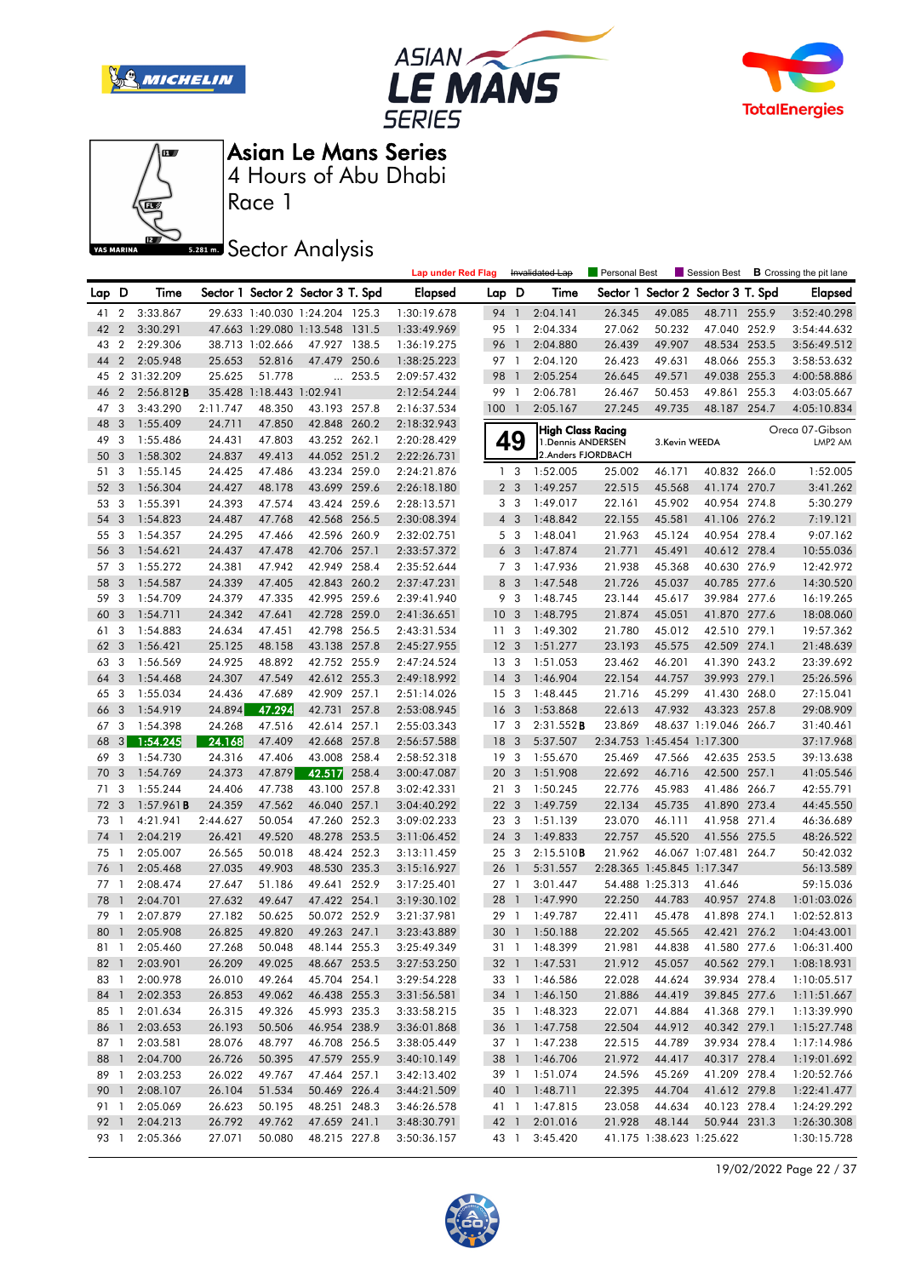







Race 1

**Sector Analysis** 

|              |                |                           |          |                          |                                   |       | <b>Lap under Red Flag</b> |                 |                         | Invalidated Lap    | Personal Best |                            | Session Best                      |       | <b>B</b> Crossing the pit lane |
|--------------|----------------|---------------------------|----------|--------------------------|-----------------------------------|-------|---------------------------|-----------------|-------------------------|--------------------|---------------|----------------------------|-----------------------------------|-------|--------------------------------|
| Lap D        |                | Time                      |          |                          | Sector 1 Sector 2 Sector 3 T. Spd |       | <b>Elapsed</b>            | Lap D           |                         | Time               |               |                            | Sector 1 Sector 2 Sector 3 T. Spd |       | <b>Elapsed</b>                 |
| 41           | $\overline{2}$ | 3:33.867                  |          |                          | 29.633 1:40.030 1:24.204 125.3    |       | 1:30:19.678               | 94 1            |                         | 2:04.141           | 26.345        | 49.085                     | 48.711 255.9                      |       | 3:52:40.298                    |
| 42           | $\overline{2}$ | 3:30.291                  |          |                          | 47.663 1:29.080 1:13.548 131.5    |       | 1:33:49.969               | 95              | $\overline{1}$          | 2:04.334           | 27.062        | 50.232                     | 47.040 252.9                      |       | 3:54:44.632                    |
| 43           | $\overline{2}$ | 2:29.306                  |          | 38.713 1:02.666          | 47.927 138.5                      |       | 1:36:19.275               | 96              | $\overline{1}$          | 2:04.880           | 26.439        | 49.907                     | 48.534 253.5                      |       | 3:56:49.512                    |
| 44           | $\overline{2}$ | 2:05.948                  | 25.653   | 52.816                   | 47.479 250.6                      |       | 1:38:25.223               | 97 1            |                         | 2:04.120           | 26.423        | 49.631                     | 48.066 255.3                      |       | 3:58:53.632                    |
| 45           |                | 2 31:32.209               | 25.625   | 51.778                   | $\cdots$                          | 253.5 | 2:09:57.432               | 98              | $\overline{1}$          | 2:05.254           | 26.645        | 49.571                     | 49.038 255.3                      |       | 4:00:58.886                    |
| 46           | $\overline{2}$ | 2:56.812B                 |          | 35.428 1:18.443 1:02.941 |                                   |       | 2:12:54.244               | 99              | $\overline{1}$          | 2:06.781           | 26.467        | 50.453                     | 49.861                            | 255.3 | 4:03:05.667                    |
| 47           | 3              | 3:43.290                  | 2:11.747 | 48.350                   | 43.193 257.8                      |       | 2:16:37.534               | 100             | $\overline{1}$          | 2:05.167           | 27.245        | 49.735                     | 48.187 254.7                      |       | 4:05:10.834                    |
| 48           | 3              | 1:55.409                  | 24.711   | 47.850                   | 42.848 260.2                      |       | 2:18:32.943               |                 |                         | Hiah Class Racina  |               |                            |                                   |       | Oreca 07-Gibson                |
| 49           | 3              | 1:55.486                  | 24.431   | 47.803                   | 43.252 262.1                      |       | 2:20:28.429               |                 | 49                      | 1. Dennis ANDERSEN |               | 3.Kevin WEEDA              |                                   |       | LMP2 AM                        |
| 50           | 3              | 1:58.302                  | 24.837   | 49.413                   | 44.052 251.2                      |       | 2:22:26.731               |                 |                         | 2.Anders FJORDBACH |               |                            |                                   |       |                                |
| 51           | 3              | 1:55.145                  | 24.425   | 47.486                   | 43.234 259.0                      |       | 2:24:21.876               |                 | 1 <sub>3</sub>          | 1:52.005           | 25.002        | 46.171                     | 40.832 266.0                      |       | 1:52.005                       |
| 52           | 3              | 1:56.304                  | 24.427   | 48.178                   | 43.699 259.6                      |       | 2:26:18.180               |                 | 2 <sub>3</sub>          | 1:49.257           | 22.515        | 45.568                     | 41.174 270.7                      |       | 3:41.262                       |
| 53           | 3              | 1:55.391                  | 24.393   | 47.574                   | 43.424 259.6                      |       | 2:28:13.571               |                 | 3 <sub>3</sub>          | 1:49.017           | 22.161        | 45.902                     | 40.954 274.8                      |       | 5:30.279                       |
| 54           | 3              | 1:54.823                  | 24.487   | 47.768                   | 42.568 256.5                      |       | 2:30:08.394               | $\overline{4}$  | 3                       | 1:48.842           | 22.155        | 45.581                     | 41.106 276.2                      |       | 7:19.121                       |
| 55           | 3              | 1:54.357                  | 24.295   | 47.466                   | 42.596 260.9                      |       | 2:32:02.751               |                 | 5 <sub>3</sub>          | 1:48.041           | 21.963        | 45.124                     | 40.954 278.4                      |       | 9:07.162                       |
| 56           | 3              | 1:54.621                  | 24.437   | 47.478                   | 42.706 257.1                      |       | 2:33:57.372               |                 | 6 <sub>3</sub>          | 1:47.874           | 21.771        | 45.491                     | 40.612 278.4                      |       | 10:55.036                      |
| 57           | 3              | 1:55.272                  | 24.381   | 47.942                   | 42.949 258.4                      |       | 2:35:52.644               |                 | 7 <sub>3</sub>          | 1:47.936           | 21.938        | 45.368                     | 40.630 276.9                      |       | 12:42.972                      |
| 58           | 3              | 1:54.587                  | 24.339   | 47.405                   | 42.843 260.2                      |       | 2:37:47.231               | 8               | $\overline{3}$          | 1:47.548           | 21.726        | 45.037                     | 40.785 277.6                      |       | 14:30.520                      |
| 59           | 3              | 1:54.709                  | 24.379   | 47.335                   | 42.995 259.6                      |       | 2:39:41.940               | 9               | $\overline{\mathbf{3}}$ | 1:48.745           | 23.144        | 45.617                     | 39.984 277.6                      |       | 16:19.265                      |
| 60           | 3              | 1:54.711                  | 24.342   | 47.641                   | 42.728 259.0                      |       | 2:41:36.651               | 10              | $\overline{3}$          | 1:48.795           | 21.874        | 45.051                     | 41.870 277.6                      |       | 18:08.060                      |
| 61           | 3              | 1:54.883                  | 24.634   | 47.451                   | 42.798 256.5                      |       | 2:43:31.534               | 11              | -3                      | 1:49.302           | 21.780        | 45.012                     | 42.510 279.1                      |       | 19:57.362                      |
| 62           | 3              | 1:56.421                  | 25.125   | 48.158                   | 43.138 257.8                      |       | 2:45:27.955               | 12              | $\overline{\mathbf{3}}$ | 1:51.277           | 23.193        | 45.575                     | 42.509 274.1                      |       | 21:48.639                      |
| 63           | 3              | 1:56.569                  | 24.925   | 48.892                   | 42.752 255.9                      |       | 2:47:24.524               | 13 <sub>3</sub> |                         | 1:51.053           | 23.462        | 46.201                     | 41.390 243.2                      |       | 23:39.692                      |
| 64           | 3              | 1:54.468                  | 24.307   | 47.549                   | 42.612 255.3                      |       | 2:49:18.992               | 14              | 3                       | 1:46.904           | 22.154        | 44.757                     | 39.993 279.1                      |       | 25:26.596                      |
| 65           | 3              | 1:55.034                  | 24.436   | 47.689                   | 42.909 257.1                      |       | 2:51:14.026               | 15              | $\mathbf{3}$            | 1:48.445           | 21.716        | 45.299                     | 41.430 268.0                      |       | 27:15.041                      |
| 66           | 3              | 1:54.919                  | 24.894   | 47.294                   | 42.731 257.8                      |       | 2:53:08.945               | 16              | $\overline{\mathbf{3}}$ | 1:53.868           | 22.613        | 47.932                     | 43.323 257.8                      |       | 29:08.909                      |
| 67           | 3              | 1:54.398                  | 24.268   | 47.516                   | 42.614 257.1                      |       | 2:55:03.343               | 17 <sub>3</sub> |                         | 2:31.552B          | 23.869        |                            | 48.637 1:19.046 266.7             |       | 31:40.461                      |
| 68           | 3              | 1:54.245                  | 24.168   | 47.409                   | 42.668 257.8                      |       | 2:56:57.588               | 18              | 3                       | 5:37.507           |               | 2:34.753 1:45.454 1:17.300 |                                   |       | 37:17.968                      |
| 69           | 3              | 1:54.730                  | 24.316   | 47.406                   | 43.008 258.4                      |       | 2:58:52.318               | 19              | $\overline{\mathbf{3}}$ | 1:55.670           | 25.469        | 47.566                     | 42.635 253.5                      |       | 39:13.638                      |
| 70           | 3              | 1:54.769                  | 24.373   | 47.879                   | 42.517                            | 258.4 | 3:00:47.087               | 20              | 3                       | 1:51.908           | 22.692        | 46.716                     | 42.500 257.1                      |       | 41:05.546                      |
| 71           | 3              | 1:55.244                  | 24.406   | 47.738                   | 43.100 257.8                      |       | 3:02:42.331               | 21 3            |                         | 1:50.245           | 22.776        | 45.983                     | 41.486 266.7                      |       | 42:55.791                      |
| 72           | 3              | 1:57.961B                 | 24.359   | 47.562                   | 46.040 257.1                      |       | 3:04:40.292               | 22 3            |                         | 1:49.759           | 22.134        | 45.735                     | 41.890 273.4                      |       | 44:45.550                      |
| 73           | $\mathbf{1}$   | 4:21.941                  | 2:44.627 | 50.054                   | 47.260 252.3                      |       | 3:09:02.233               | 23 3            |                         | 1:51.139           | 23.070        | 46.111                     | 41.958 271.4                      |       | 46:36.689                      |
| 74           | $\overline{1}$ | 2:04.219                  | 26.421   | 49.520                   | 48.278                            | 253.5 | 3:11:06.452               | 24 3            |                         | 1:49.833           | 22.757        | 45.520                     | 41.556 275.5                      |       | 48:26.522                      |
| 75           | $\overline{1}$ | 2:05.007                  | 26.565   | 50.018                   | 48.424 252.3                      |       | 3:13:11.459               | 25 3            |                         | 2:15.510B          | 21.962        |                            | 46.067 1:07.481 264.7             |       | 50:42.032                      |
| 76           | $\overline{1}$ | 2:05.468                  | 27.035   | 49.903                   | 48.530 235.3                      |       | 3:15:16.927               | 26              | $\overline{1}$          | 5:31.557           |               | 2:28.365 1:45.845 1:17.347 |                                   |       | 56:13.589                      |
| 77           | $\overline{1}$ | 2:08.474                  | 27.647   | 51.186                   | 49.641 252.9                      |       | 3:17:25.401               | 27 1            |                         | 3:01.447           |               | 54.488 1:25.313            | 41.646                            |       | 59:15.036                      |
| 78           | $\mathbf{1}$   | 2:04.701                  | 27.632   | 49.647                   | 47.422 254.1                      |       | 3:19:30.102               | 28              | $\overline{1}$          | 1:47.990           | 22.250        | 44.783                     | 40.957 274.8                      |       | 1:01:03.026                    |
| 79           | -1             | 2:07.879                  | 27.182   | 50.625                   | 50.072 252.9                      |       | 3:21:37.981               | 29              | $\overline{1}$          | 1:49.787           | 22.411        | 45.478                     | 41.898 274.1                      |       | 1:02:52.813                    |
| 80           | $\overline{1}$ | 2:05.908                  | 26.825   | 49.820                   | 49.263 247.1                      |       | 3:23:43.889               |                 |                         | 30 1 1:50.188      | 22.202        | 45.565                     | 42.421 276.2                      |       | 1:04:43.001                    |
|              |                | 81 1 2:05.460             | 27.268   | 50.048                   | 48.144 255.3                      |       | 3:25:49.349               |                 |                         | 31 1 1:48.399      | 21.981        | 44.838                     | 41.580 277.6                      |       | 1:06:31.400                    |
| 82 1         |                | 2:03.901                  | 26.209   | 49.025                   | 48.667 253.5                      |       | 3:27:53.250               |                 |                         | 32 1 1:47.531      | 21.912        | 45.057                     | 40.562 279.1                      |       | 1:08:18.931                    |
| 83 1         |                | 2:00.978                  | 26.010   | 49.264                   | 45.704 254.1                      |       | 3:29:54.228               |                 |                         | 33 1 1:46.586      | 22.028        | 44.624                     | 39.934 278.4                      |       | 1:10:05.517                    |
| 84 1         |                | 2:02.353                  | 26.853   | 49.062                   | 46.438 255.3                      |       | 3:31:56.581               |                 |                         | 34 1 1:46.150      | 21.886        | 44.419                     | 39.845 277.6                      |       | 1:11:51.667                    |
| 85 1         |                | 2:01.634                  | 26.315   |                          | 45.993 235.3                      |       | 3:33:58.215               |                 |                         | 35 1 1:48.323      | 22.071        | 44.884                     | 41.368 279.1                      |       |                                |
|              |                |                           | 26.193   | 49.326                   | 46.954 238.9                      |       |                           |                 |                         |                    | 22.504        |                            | 40.342 279.1                      |       | 1:13:39.990                    |
| 86 1         |                | 2:03.653<br>87 1 2:03.581 |          | 50.506                   | 46.708 256.5                      |       | 3:36:01.868               |                 |                         | 36 1 1:47.758      |               | 44.912                     |                                   |       | 1:15:27.748                    |
|              |                |                           | 28.076   | 48.797                   |                                   |       | 3:38:05.449               |                 |                         | 37 1 1:47.238      | 22.515        | 44.789                     | 39.934 278.4                      |       | 1:17:14.986                    |
| 88 1         |                | 2:04.700                  | 26.726   | 50.395                   | 47.579 255.9                      |       | 3:40:10.149               |                 |                         | 38 1 1:46.706      | 21.972        | 44.417                     | 40.317 278.4                      |       | 1:19:01.692                    |
| 89 1<br>90 1 |                | 2:03.253                  | 26.022   | 49.767                   | 47.464 257.1                      |       | 3:42:13.402               |                 |                         | 39 1 1:51.074      | 24.596        | 45.269                     | 41.209 278.4<br>41.612 279.8      |       | 1:20:52.766                    |
|              |                | 2:08.107                  | 26.104   | 51.534                   | 50.469 226.4                      |       | 3:44:21.509               |                 |                         | 40 1 1:48.711      | 22.395        | 44.704                     |                                   |       | 1:22:41.477                    |
|              |                | 91 1 2:05.069             | 26.623   | 50.195                   | 48.251 248.3                      |       | 3:46:26.578               |                 |                         | 41 1 1:47.815      | 23.058        | 44.634                     | 40.123 278.4                      |       | 1:24:29.292                    |
| 92 1         |                | 2:04.213                  | 26.792   | 49.762                   | 47.659 241.1                      |       | 3:48:30.791               | 42 1            |                         | 2:01.016           | 21.928        | 48.144                     | 50.944 231.3                      |       | 1:26:30.308                    |
|              |                | 93 1 2:05.366             | 27.071   | 50.080                   | 48.215 227.8                      |       | 3:50:36.157               |                 |                         | 43 1 3:45.420      |               | 41.175 1:38.623 1:25.622   |                                   |       | 1:30:15.728                    |

19/02/2022 Page 22 / 37

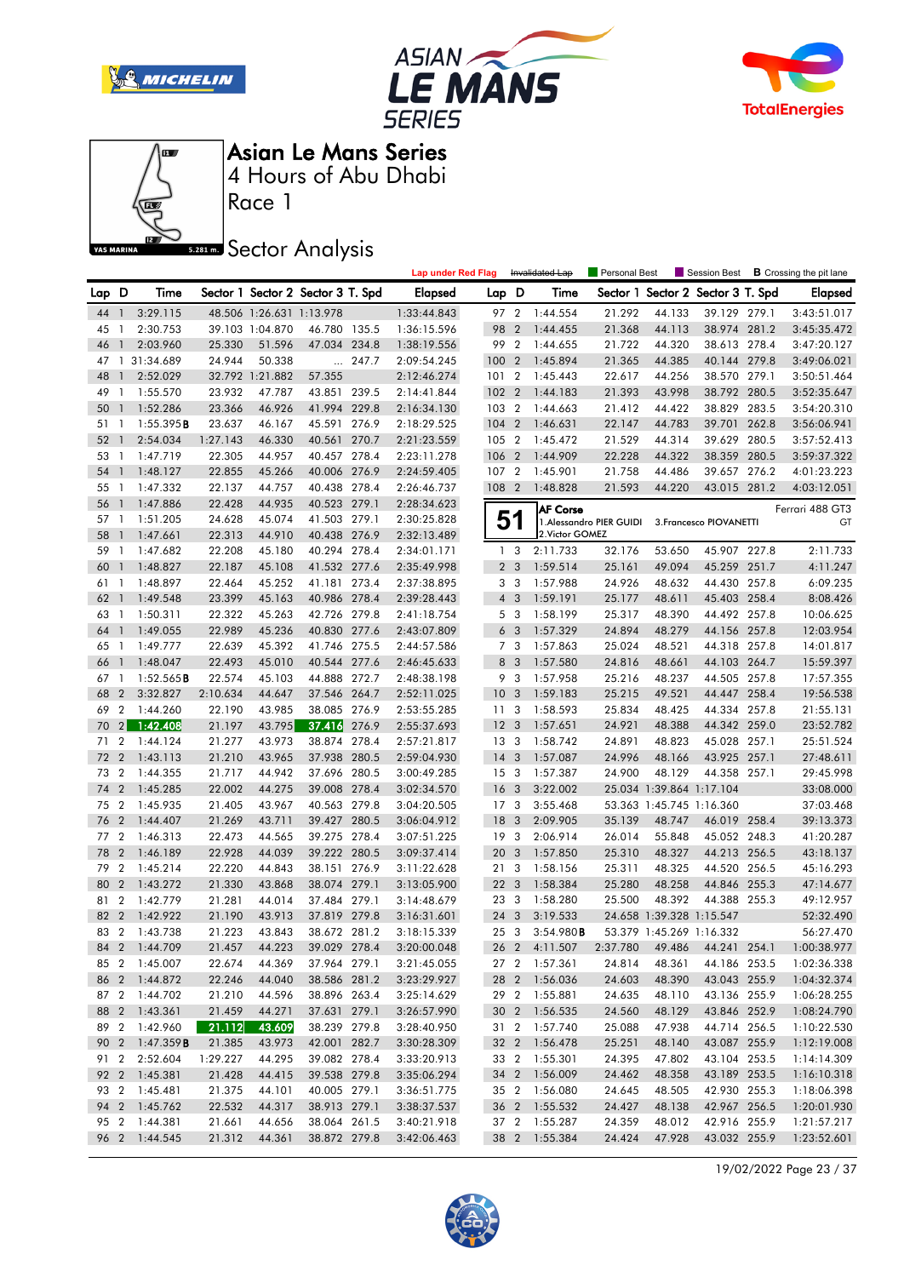







Race 1

**Sector Analysis** 

|          |                                  |                      |                  |                          |                                   |       | <b>Lap under Red Flag</b>  |                 |                         | Invalidated Lap      | Personal Best            |                          |                                   |       | Session Best <b>B</b> Crossing the pit lane |
|----------|----------------------------------|----------------------|------------------|--------------------------|-----------------------------------|-------|----------------------------|-----------------|-------------------------|----------------------|--------------------------|--------------------------|-----------------------------------|-------|---------------------------------------------|
| Lap D    |                                  | Time                 |                  |                          | Sector 1 Sector 2 Sector 3 T. Spd |       | <b>Elapsed</b>             | Lap D           |                         | Time                 |                          |                          | Sector 1 Sector 2 Sector 3 T. Spd |       | <b>Elapsed</b>                              |
| 44 1     |                                  | 3:29.115             |                  | 48.506 1:26.631 1:13.978 |                                   |       | 1:33:44.843                | 97 2            |                         | 1:44.554             | 21.292                   | 44.133                   | 39.129 279.1                      |       | 3:43:51.017                                 |
| 45       | -1                               | 2:30.753             |                  | 39.103 1:04.870          | 46.780 135.5                      |       | 1:36:15.596                | 98 2            |                         | 1:44.455             | 21.368                   | 44.113                   | 38.974 281.2                      |       | 3:45:35.472                                 |
| 46       | $\overline{1}$                   | 2:03.960             | 25.330           | 51.596                   | 47.034 234.8                      |       | 1:38:19.556                | 99              | $\overline{2}$          | 1:44.655             | 21.722                   | 44.320                   | 38.613 278.4                      |       | 3:47:20.127                                 |
| 47       |                                  | 1 31:34.689          | 24.944           | 50.338                   |                                   | 247.7 | 2:09:54.245                | 100             | $\overline{2}$          | 1:45.894             | 21.365                   | 44.385                   | 40.144 279.8                      |       | 3:49:06.021                                 |
| 48       | $\mathbf{1}$                     | 2:52.029             |                  | 32.792 1:21.882          | 57.355                            |       | 2:12:46.274                | 1012            |                         | 1:45.443             | 22.617                   | 44.256                   | 38.570 279.1                      |       | 3:50:51.464                                 |
| 49       | -1                               | 1:55.570             | 23.932           | 47.787                   | 43.851 239.5                      |       | 2:14:41.844                | 102 2           |                         | 1:44.183             | 21.393                   | 43.998                   | 38.792 280.5                      |       | 3:52:35.647                                 |
| 50       | $\overline{1}$                   | 1:52.286             | 23.366           | 46.926                   | 41.994 229.8                      |       | 2:16:34.130                | 103 2           |                         | 1:44.663             | 21.412                   | 44.422                   | 38.829 283.5                      |       | 3:54:20.310                                 |
| 51 1     |                                  | 1:55.395B            | 23.637           | 46.167                   | 45.591 276.9                      |       | 2:18:29.525                | 1042            |                         | 1:46.631             | 22.147                   | 44.783                   | 39.701 262.8                      |       | 3:56:06.941                                 |
| 52       | $\overline{1}$                   | 2:54.034             | 1:27.143         | 46.330                   | 40.561 270.7                      |       | 2:21:23.559                | 105 2           |                         | 1:45.472             | 21.529                   | 44.314                   | 39.629 280.5                      |       | 3:57:52.413                                 |
| 53       | $\overline{1}$                   | 1:47.719             | 22.305           | 44.957                   | 40.457 278.4                      |       | 2:23:11.278                | 106 2           |                         | 1:44.909             | 22.228                   | 44.322                   | 38.359                            | 280.5 | 3:59:37.322                                 |
| 54       | $\overline{1}$                   | 1:48.127             | 22.855           | 45.266                   | 40.006 276.9                      |       | 2:24:59.405                | 107 2           |                         | 1:45.901             | 21.758                   | 44.486                   | 39.657 276.2                      |       | 4:01:23.223                                 |
| 55       | $\overline{1}$                   | 1:47.332             | 22.137           | 44.757                   | 40.438 278.4                      |       | 2:26:46.737                | 108 2           |                         | 1:48.828             | 21.593                   | 44.220                   | 43.015 281.2                      |       | 4:03:12.051                                 |
| 56       | $\overline{1}$                   | 1:47.886             | 22.428           | 44.935                   | 40.523 279.1                      |       | 2:28:34.623                |                 |                         | <b>AF Corse</b>      |                          |                          |                                   |       | Ferrari 488 GT3                             |
| 57       | $\overline{1}$                   | 1:51.205             | 24.628           | 45.074                   | 41.503 279.1                      |       | 2:30:25.828                | 51              |                         |                      | 1. Alessandro PIER GUIDI |                          | 3. Francesco PIOVANETTI           |       | GT                                          |
| 58       | $\mathbf{1}$                     | 1:47.661             | 22.313           | 44.910                   | 40.438 276.9                      |       | 2:32:13.489                |                 |                         | 2. Victor GOMEZ      |                          |                          |                                   |       |                                             |
| 59       | $\overline{1}$                   | 1:47.682             | 22.208           | 45.180                   | 40.294 278.4                      |       | 2:34:01.171                |                 | 1 <sub>3</sub>          | 2:11.733             | 32.176                   | 53.650                   | 45.907 227.8                      |       | 2:11.733                                    |
| 60       | $\mathbf{1}$                     | 1:48.827             | 22.187           | 45.108                   | 41.532 277.6                      |       | 2:35:49.998                |                 | 2 <sub>3</sub>          | 1:59.514             | 25.161                   | 49.094                   | 45.259 251.7                      |       | 4:11.247                                    |
| 61       | -1                               | 1:48.897             | 22.464           | 45.252                   | 41.181 273.4                      |       | 2:37:38.895                |                 | 3 <sub>3</sub>          | 1:57.988             | 24.926                   | 48.632                   | 44.430 257.8                      |       | 6:09.235                                    |
| 62       | $\mathbf{1}$                     | 1:49.548             | 23.399           | 45.163                   | 40.986 278.4                      |       | 2:39:28.443                |                 | $4 \quad 3$             | 1:59.191             | 25.177                   | 48.611                   | 45.403 258.4                      |       | 8:08.426                                    |
| 63       | $\overline{1}$                   | 1:50.311             | 22.322           | 45.263                   | 42.726 279.8                      |       | 2:41:18.754                |                 | 5 3                     | 1:58.199             | 25.317                   | 48.390                   | 44.492 257.8                      |       | 10:06.625                                   |
| 64       | $\overline{1}$                   | 1:49.055             | 22.989           | 45.236                   | 40.830 277.6                      |       | 2:43:07.809                |                 | 6 <sub>3</sub>          | 1:57.329             | 24.894                   | 48.279                   | 44.156 257.8                      |       | 12:03.954                                   |
| 65       | $\overline{1}$                   | 1:49.777             | 22.639           | 45.392                   | 41.746 275.5                      |       | 2:44:57.586                |                 | 7 <sub>3</sub>          | 1:57.863             | 25.024                   | 48.521                   | 44.318 257.8                      |       | 14:01.817                                   |
| 66       | $\overline{1}$                   | 1:48.047             | 22.493           | 45.010                   | 40.544 277.6                      |       | 2:46:45.633                |                 | 8 3                     | 1:57.580             | 24.816                   | 48.661                   | 44.103 264.7                      |       | 15:59.397                                   |
| 67 1     |                                  | 1:52.565B            | 22.574           | 45.103                   | 44.888 272.7                      |       | 2:48:38.198                |                 | 9 3                     | 1:57.958             | 25.216                   | 48.237                   | 44.505 257.8                      |       | 17:57.355                                   |
| 68       | $\overline{2}$                   | 3:32.827             | 2:10.634         | 44.647                   | 37.546 264.7                      |       | 2:52:11.025                | 10 <sub>3</sub> |                         | 1:59.183             | 25.215                   | 49.521                   | 44.447 258.4                      |       | 19:56.538                                   |
| 69       | $\overline{2}$                   | 1:44.260             | 22.190           | 43.985                   | 38.085 276.9                      |       | 2:53:55.285                | 11              | $\overline{\mathbf{3}}$ | 1:58.593             | 25.834                   | 48.425                   | 44.334 257.8                      |       | 21:55.131                                   |
| 70       | 2 <sub>1</sub>                   | 1:42.408             | 21.197           | 43.795                   | 37.416                            | 276.9 | 2:55:37.693                | 12 <sup>3</sup> |                         | 1:57.651             | 24.921                   | 48.388                   | 44.342 259.0                      |       | 23:52.782                                   |
| 71       | $\overline{2}$                   | 1:44.124             | 21.277           | 43.973                   | 38.874 278.4                      |       | 2:57:21.817                | 13 <sub>3</sub> |                         | 1:58.742             | 24.891                   | 48.823                   | 45.028 257.1                      |       | 25:51.524                                   |
| 72       | $\overline{2}$                   | 1:43.113             | 21.210           | 43.965                   | 37.938 280.5                      |       | 2:59:04.930                | $14 \quad 3$    |                         | 1:57.087             | 24.996                   | 48.166                   | 43.925 257.1                      |       | 27:48.611                                   |
| 73       | $\overline{2}$                   | 1:44.355             | 21.717           | 44.942                   | 37.696 280.5                      |       | 3:00:49.285                | 15 3            |                         | 1:57.387             | 24.900                   | 48.129                   | 44.358 257.1                      |       | 29:45.998                                   |
| 74       | $\overline{2}$                   | 1:45.285             | 22.002           | 44.275                   | 39.008 278.4                      |       | 3:02:34.570                | 16 <sub>3</sub> |                         | 3:22.002             |                          | 25.034 1:39.864 1:17.104 |                                   |       | 33:08.000                                   |
| 75 2     |                                  | 1:45.935             | 21.405           | 43.967                   | 40.563 279.8                      |       | 3:04:20.505                | 17 <sub>3</sub> |                         | 3:55.468             |                          | 53.363 1:45.745 1:16.360 |                                   |       | 37:03.468                                   |
| 76       | $\overline{2}$                   | 1:44.407             | 21.269           | 43.711                   | 39.427 280.5                      |       | 3:06:04.912                | 18 <sup>3</sup> |                         | 2:09.905             | 35.139                   | 48.747                   | 46.019 258.4                      |       | 39:13.373                                   |
| 77       | $\overline{2}$                   | 1:46.313             | 22.473           | 44.565                   | 39.275 278.4                      |       | 3:07:51.225                | 19 <sup>3</sup> |                         | 2:06.914             | 26.014                   | 55.848                   | 45.052 248.3                      |       | 41:20.287                                   |
| 78       | $\overline{2}$                   | 1:46.189             | 22.928           | 44.039                   | 39.222 280.5                      |       | 3:09:37.414                | 20              | 3                       | 1:57.850             | 25.310                   | 48.327                   | 44.213 256.5                      |       | 43:18.137                                   |
| 79       | $\overline{2}$                   | 1:45.214             | 22.220           | 44.843                   | 38.151 276.9                      |       | 3:11:22.628                | 213             |                         | 1:58.156             | 25.311                   | 48.325                   | 44.520 256.5                      |       | 45:16.293                                   |
| 80       | $\overline{2}$<br>$\overline{2}$ | 1:43.272             | 21.330           | 43.868                   | 38.074 279.1                      |       | 3:13:05.900                | 22 3<br>23 3    |                         | 1:58.384             | 25.280                   | 48.258<br>48.392         | 44.846 255.3                      |       | 47:14.677<br>49:12.957                      |
| 81<br>82 | $\overline{2}$                   | 1:42.779<br>1:42.922 | 21.281<br>21.190 | 44.014<br>43.913         | 37.484 279.1<br>37.819 279.8      |       | 3:14:48.679<br>3:16:31.601 | 24              | 3                       | 1:58.280<br>3:19.533 | 25.500                   | 24.658 1:39.328 1:15.547 | 44.388 255.3                      |       | 52:32.490                                   |
| 83 2     |                                  | 1:43.738             | 21.223           | 43.843                   | 38.672 281.2                      |       | 3:18:15.339                | 25 3            |                         | 3:54.980B            |                          | 53.379 1:45.269 1:16.332 |                                   |       | 56:27.470                                   |
|          |                                  | 84 2 1:44.709        | 21.457           | 44.223                   | 39.029 278.4                      |       | 3:20:00.048                |                 |                         | 26 2 4:11.507        | 2:37.780                 | 49.486                   |                                   |       | 44.241 254.1 1:00:38.977                    |
|          |                                  | 85 2 1:45.007        | 22.674           | 44.369                   | 37.964 279.1                      |       | 3:21:45.055                |                 |                         | 27 2 1:57.361        | 24.814                   | 48.361                   | 44.186 253.5                      |       | 1:02:36.338                                 |
|          |                                  | 86 2 1:44.872        | 22.246           | 44.040                   | 38.586 281.2                      |       | 3:23:29.927                |                 |                         | 28 2 1:56.036        | 24.603                   | 48.390                   | 43.043 255.9                      |       | 1:04:32.374                                 |
|          |                                  | 87 2 1:44.702        | 21.210           | 44.596                   | 38.896 263.4                      |       | 3:25:14.629                |                 |                         | 29 2 1:55.881        | 24.635                   | 48.110                   | 43.136 255.9                      |       | 1:06:28.255                                 |
|          |                                  | 88 2 1:43.361        | 21.459           | 44.271                   | 37.631 279.1                      |       | 3:26:57.990                |                 |                         | 30 2 1:56.535        | 24.560                   | 48.129                   | 43.846 252.9                      |       | 1:08:24.790                                 |
|          |                                  | 89 2 1:42.960        | 21.112           | 43.609                   | 38.239 279.8                      |       | 3:28:40.950                |                 |                         | 31 2 1:57.740        | 25.088                   | 47.938                   | 44.714 256.5                      |       | 1:10:22.530                                 |
|          |                                  | 90 2 1:47.359B       | 21.385           | 43.973                   | 42.001 282.7                      |       | 3:30:28.309                |                 |                         | 32 2 1:56.478        | 25.251                   | 48.140                   | 43.087 255.9                      |       | 1:12:19.008                                 |
|          |                                  | 91 2 2:52.604        | 1:29.227         | 44.295                   | 39.082 278.4                      |       | 3:33:20.913                |                 |                         | 33 2 1:55.301        | 24.395                   | 47.802                   | 43.104 253.5                      |       | 1:14:14.309                                 |
|          |                                  | 92 2 1:45.381        | 21.428           | 44.415                   | 39.538 279.8                      |       | 3:35:06.294                |                 |                         | 34 2 1:56.009        | 24.462                   | 48.358                   | 43.189 253.5                      |       | 1:16:10.318                                 |
| 93 2     |                                  | 1:45.481             | 21.375           | 44.101                   | 40.005 279.1                      |       | 3:36:51.775                |                 |                         | 35 2 1:56.080        | 24.645                   | 48.505                   | 42.930 255.3                      |       | 1:18:06.398                                 |
|          |                                  | 94 2 1:45.762        | 22.532           | 44.317                   | 38.913 279.1                      |       | 3:38:37.537                |                 |                         | 36 2 1:55.532        | 24.427                   | 48.138                   | 42.967 256.5                      |       | 1:20:01.930                                 |
|          |                                  | 95 2 1:44.381        | 21.661           | 44.656                   | 38.064 261.5                      |       | 3:40:21.918                |                 |                         | 37 2 1:55.287        | 24.359                   | 48.012                   | 42.916 255.9                      |       | 1:21:57.217                                 |
|          |                                  | 96 2 1:44.545        | 21.312           | 44.361                   | 38.872 279.8                      |       | 3:42:06.463                |                 |                         | 38 2 1:55.384        | 24.424                   | 47.928                   | 43.032 255.9                      |       | 1:23:52.601                                 |
|          |                                  |                      |                  |                          |                                   |       |                            |                 |                         |                      |                          |                          |                                   |       |                                             |

19/02/2022 Page 23 / 37

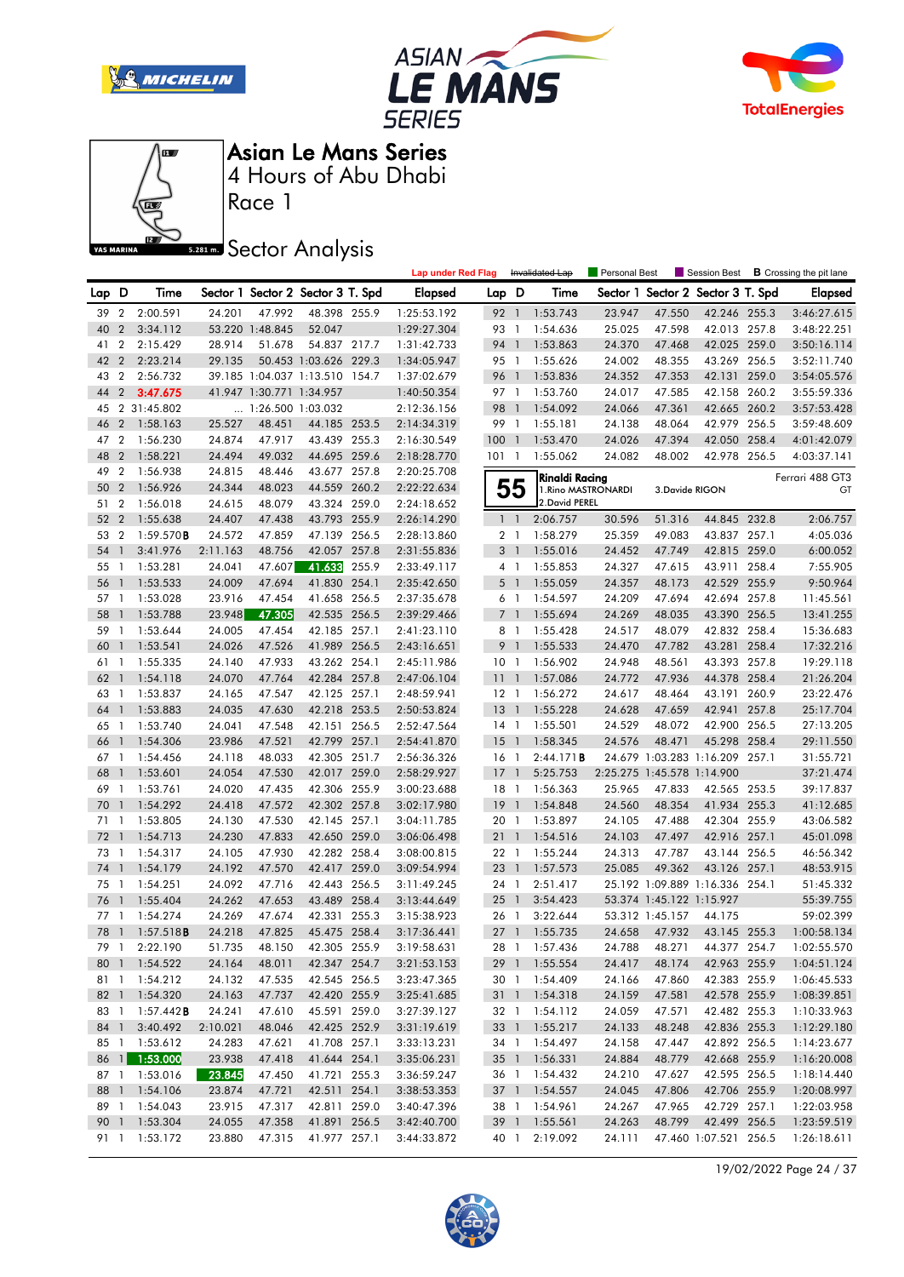







Race 1

## **Sector Analysis**

|       |                |                        |          |                            |                                   |       | <b>Lap under Red Flag</b> |                 |                | Invalidated Lap     | Personal Best |                            |                                   |       | Session Best <b>B</b> Crossing the pit lane |
|-------|----------------|------------------------|----------|----------------------------|-----------------------------------|-------|---------------------------|-----------------|----------------|---------------------|---------------|----------------------------|-----------------------------------|-------|---------------------------------------------|
| Lap D |                | Time                   |          |                            | Sector 1 Sector 2 Sector 3 T. Spd |       | <b>Elapsed</b>            | Lap D           |                | Time                |               |                            | Sector 1 Sector 2 Sector 3 T. Spd |       | <b>Elapsed</b>                              |
| 39 2  |                | 2:00.591               | 24.201   | 47.992                     | 48.398 255.9                      |       | 1:25:53.192               |                 | 92 1           | 1:53.743            | 23.947        | 47.550                     | 42.246 255.3                      |       | 3:46:27.615                                 |
| 40    | $\overline{2}$ | 3:34.112               |          | 53.220 1:48.845            | 52.047                            |       | 1:29:27.304               | 93 1            |                | 1:54.636            | 25.025        | 47.598                     | 42.013 257.8                      |       | 3:48:22.251                                 |
| 41    | $\overline{2}$ | 2:15.429               | 28.914   | 51.678                     | 54.837 217.7                      |       | 1:31:42.733               | 94 1            |                | 1:53.863            | 24.370        | 47.468                     | 42.025 259.0                      |       | 3:50:16.114                                 |
| 42    | $\overline{2}$ | 2:23.214               | 29.135   |                            | 50.453 1:03.626 229.3             |       | 1:34:05.947               | 95 1            |                | 1:55.626            | 24.002        | 48.355                     | 43.269 256.5                      |       | 3:52:11.740                                 |
| 43    | $\overline{2}$ | 2:56.732               |          |                            | 39.185 1:04.037 1:13.510 154.7    |       | 1:37:02.679               | 96 1            |                | 1:53.836            | 24.352        | 47.353                     | 42.131 259.0                      |       | 3:54:05.576                                 |
| 44    | $\overline{2}$ | 3:47.675               |          | 41.947 1:30.771 1:34.957   |                                   |       | 1:40:50.354               | 97 1            |                | 1:53.760            | 24.017        | 47.585                     | 42.158 260.2                      |       | 3:55:59.336                                 |
| 45    |                | 2 31:45.802            |          | $\ldots$ 1:26.500 1:03.032 |                                   |       | 2:12:36.156               | 98 1            |                | 1:54.092            | 24.066        | 47.361                     | 42.665 260.2                      |       | 3:57:53.428                                 |
| 46    | $\overline{2}$ | 1:58.163               | 25.527   | 48.451                     | 44.185 253.5                      |       | 2:14:34.319               | 99 1            |                | 1:55.181            | 24.138        | 48.064                     | 42.979 256.5                      |       | 3:59:48.609                                 |
| 47    | $\overline{2}$ | 1:56.230               | 24.874   | 47.917                     | 43.439 255.3                      |       | 2:16:30.549               | 1001            |                | 1:53.470            | 24.026        | 47.394                     | 42.050 258.4                      |       | 4:01:42.079                                 |
| 48    | $\overline{2}$ | 1:58.221               | 24.494   | 49.032                     | 44.695 259.6                      |       | 2:18:28.770               | 101 1           |                | 1:55.062            | 24.082        | 48.002                     | 42.978 256.5                      |       | 4:03:37.141                                 |
| 49    | $\overline{2}$ | 1:56.938               | 24.815   | 48.446                     | 43.677 257.8                      |       | 2:20:25.708               |                 |                | Rinaldi Racing      |               |                            |                                   |       | Ferrari 488 GT3                             |
| 50    | $\overline{2}$ | 1:56.926               | 24.344   | 48.023                     | 44.559 260.2                      |       | 2:22:22.634               |                 | 55             | 1. Rino MASTRONARDI |               | 3.Davide RIGON             |                                   |       | GT                                          |
| 51    | $\overline{2}$ | 1:56.018               | 24.615   | 48.079                     | 43.324 259.0                      |       | 2:24:18.652               |                 |                | 2. David PEREL      |               |                            |                                   |       |                                             |
| 52    | $\overline{2}$ | 1:55.638               | 24.407   | 47.438                     | 43.793 255.9                      |       | 2:26:14.290               |                 | $1\quad1$      | 2:06.757            | 30.596        | 51.316                     | 44.845 232.8                      |       | 2:06.757                                    |
| 53    | $\overline{2}$ | 1:59.570B              | 24.572   | 47.859                     | 47.139 256.5                      |       | 2:28:13.860               |                 | 2 <sub>1</sub> | 1:58.279            | 25.359        | 49.083                     | 43.837 257.1                      |       | 4:05.036                                    |
| 54    | $\mathbf{1}$   | 3:41.976               | 2:11.163 | 48.756                     | 42.057 257.8                      |       | 2:31:55.836               |                 | 3 <sup>1</sup> | 1:55.016            | 24.452        | 47.749                     | 42.815 259.0                      |       | 6:00.052                                    |
| 55    | $\overline{1}$ | 1:53.281               | 24.041   | 47.607                     | 41.633                            | 255.9 | 2:33:49.117               |                 | $4-1$          | 1:55.853            | 24.327        | 47.615                     | 43.911 258.4                      |       | 7:55.905                                    |
| 56    | $\overline{1}$ | 1:53.533               | 24.009   | 47.694                     | 41.830 254.1                      |       | 2:35:42.650               |                 | 5 <sub>1</sub> | 1:55.059            | 24.357        | 48.173                     | 42.529 255.9                      |       | 9:50.964                                    |
| 57    | -1             | 1:53.028               | 23.916   | 47.454                     | 41.658                            | 256.5 | 2:37:35.678               |                 | 6 1            | 1:54.597            | 24.209        | 47.694                     | 42.694 257.8                      |       | 11:45.561                                   |
| 58    | $\mathbf{1}$   | 1:53.788               | 23.948   | 47.305                     | 42.535 256.5                      |       | 2:39:29.466               |                 | 7 <sup>1</sup> | 1:55.694            | 24.269        | 48.035                     | 43.390 256.5                      |       | 13:41.255                                   |
| 59    | -1             | 1:53.644               | 24.005   | 47.454                     | 42.185 257.1                      |       | 2:41:23.110               |                 | 8 1            | 1:55.428            | 24.517        | 48.079                     | 42.832 258.4                      |       | 15:36.683                                   |
| 60    | $\overline{1}$ | 1:53.541               | 24.026   | 47.526                     | 41.989 256.5                      |       | 2:43:16.651               | 9               | $\overline{1}$ | 1:55.533            | 24.470        | 47.782                     | 43.281 258.4                      |       | 17:32.216                                   |
| 61    | -1             | 1:55.335               | 24.140   | 47.933                     | 43.262 254.1                      |       | 2:45:11.986               | 10 <sub>1</sub> |                | 1:56.902            | 24.948        | 48.561                     | 43.393 257.8                      |       | 19:29.118                                   |
| 62    | -1             | 1:54.118               | 24.070   | 47.764                     | 42.284 257.8                      |       | 2:47:06.104               | 11 <sub>1</sub> |                | 1:57.086            | 24.772        | 47.936                     | 44.378 258.4                      |       | 21:26.204                                   |
| 63    | -1             | 1:53.837               | 24.165   | 47.547                     | 42.125 257.1                      |       | 2:48:59.941               | $12-1$          |                | 1:56.272            | 24.617        | 48.464                     | 43.191 260.9                      |       | 23:22.476                                   |
| 64    | $\overline{1}$ | 1:53.883               | 24.035   | 47.630                     | 42.218 253.5                      |       | 2:50:53.824               | 13              | $\overline{1}$ | 1:55.228            | 24.628        | 47.659                     | 42.941                            | 257.8 | 25:17.704                                   |
| 65    | -1             | 1:53.740               | 24.041   | 47.548                     | 42.151 256.5                      |       | 2:52:47.564               | $14-1$          |                | 1:55.501            | 24.529        | 48.072                     | 42.900 256.5                      |       | 27:13.205                                   |
| 66    | $\overline{1}$ | 1:54.306               | 23.986   | 47.521                     | 42.799 257.1                      |       | 2:54:41.870               | $15-1$          |                | 1:58.345            | 24.576        | 48.471                     | 45.298 258.4                      |       | 29:11.550                                   |
| 67    | -1             | 1:54.456               | 24.118   | 48.033                     | 42.305 251.7                      |       | 2:56:36.326               | 16 1            |                | 2:44.171B           |               |                            | 24.679 1:03.283 1:16.209 257.1    |       | 31:55.721                                   |
| 68    | $\overline{1}$ | 1:53.601               | 24.054   | 47.530                     | 42.017 259.0                      |       | 2:58:29.927               | 17              | $\overline{1}$ | 5:25.753            |               | 2:25.275 1:45.578 1:14.900 |                                   |       | 37:21.474                                   |
| 69    | -1             | 1:53.761               | 24.020   | 47.435                     | 42.306 255.9                      |       | 3:00:23.688               | 18 1            |                | 1:56.363            | 25.965        | 47.833                     | 42.565 253.5                      |       | 39:17.837                                   |
| 70    | $\overline{1}$ | 1:54.292               | 24.418   | 47.572                     | 42.302 257.8                      |       | 3:02:17.980               | $19-1$          |                | 1:54.848            | 24.560        | 48.354                     | 41.934 255.3                      |       | 41:12.685                                   |
| 71    | -1             | 1:53.805               | 24.130   | 47.530                     | 42.145 257.1                      |       | 3:04:11.785               | 20 1            |                | 1:53.897            | 24.105        | 47.488                     | 42.304 255.9                      |       | 43:06.582                                   |
| 72    | $\overline{1}$ | 1:54.713               | 24.230   | 47.833                     | 42.650 259.0                      |       | 3:06:06.498               | 211             |                | 1:54.516            | 24.103        | 47.497                     | 42.916 257.1                      |       | 45:01.098                                   |
| 73    | $\overline{1}$ | 1:54.317               | 24.105   | 47.930                     | 42.282 258.4                      |       | 3:08:00.815               | 22 1            |                | 1:55.244            | 24.313        | 47.787                     | 43.144 256.5                      |       | 46:56.342                                   |
| 74    | $\overline{1}$ | 1:54.179               | 24.192   | 47.570                     | 42.417 259.0                      |       | 3:09:54.994               | 23 1            |                | 1:57.573            | 25.085        | 49.362                     | 43.126 257.1                      |       | 48:53.915                                   |
| 75    | $\overline{1}$ | 1:54.251               | 24.092   | 47.716                     | 42.443 256.5                      |       | 3:11:49.245               | 24 1            |                | 2:51.417            |               |                            | 25.192 1:09.889 1:16.336 254.1    |       | 51:45.332                                   |
| 76    | $\overline{1}$ | 1:55.404               | 24.262   | 47.653                     | 43.489 258.4                      |       | 3:13:44.649               | $25 \quad 1$    |                | 3:54.423            |               | 53.374 1:45.122 1:15.927   |                                   |       | 55:39.755                                   |
| 77 1  |                | 1:54.274               | 24.269   | 47.674                     | 42.331 255.3                      |       | 3:15:38.923               | 26 1            |                | 3:22.644            |               | 53.312 1:45.157            | 44.175                            |       | 59:02.399                                   |
|       |                | 78 1 1:57.518 <b>B</b> | 24.218   | 47.825                     | 45.475 258.4                      |       | 3:17:36.441               |                 |                | 27 1 1:55.735       | 24.658        | 47.932                     | 43.145 255.3                      |       | 1:00:58.134                                 |
|       |                | 79 1 2:22.190          | 51.735   | 48.150                     | 42.305 255.9                      |       | 3:19:58.631               |                 |                | 28 1 1:57.436       |               | 24.788 48.271              | 44.377 254.7                      |       | 1:02:55.570                                 |
|       |                | 80 1 1:54.522          | 24.164   | 48.011                     | 42.347 254.7                      |       | 3:21:53.153               |                 |                | 29 1 1:55.554       | 24.417        | 48.174                     | 42.963 255.9                      |       | 1:04:51.124                                 |
|       |                | 81 1 1:54.212          | 24.132   | 47.535                     | 42.545 256.5                      |       | 3:23:47.365               |                 |                | 30 1 1:54.409       | 24.166        | 47.860                     | 42.383 255.9                      |       | 1:06:45.533                                 |
|       |                | 82 1 1:54.320          | 24.163   | 47.737                     | 42.420 255.9                      |       | 3:25:41.685               |                 |                | 31 1 1:54.318       | 24.159        | 47.581                     | 42.578 255.9                      |       | 1:08:39.851                                 |
|       |                | 83 1 1:57.442 <b>B</b> | 24.241   | 47.610                     | 45.591 259.0                      |       | 3:27:39.127               |                 |                | 32 1 1:54.112       | 24.059        | 47.571                     | 42.482 255.3                      |       | 1:10:33.963                                 |
|       |                | 84 1 3:40.492          | 2:10.021 | 48.046                     | 42.425 252.9                      |       | 3:31:19.619               |                 |                | 33 1 1:55.217       | 24.133        | 48.248                     | 42.836 255.3                      |       | 1:12:29.180                                 |
|       |                | 85 1 1:53.612          | 24.283   | 47.621                     | 41.708 257.1                      |       | 3:33:13.231               |                 |                | 34 1 1:54.497       | 24.158        | 47.447                     | 42.892 256.5                      |       | 1:14:23.677                                 |
|       |                | 86 1 1:53.000          | 23.938   | 47.418                     | 41.644 254.1                      |       | 3:35:06.231               |                 |                | 35 1 1:56.331       | 24.884        | 48.779                     | 42.668 255.9                      |       | 1:16:20.008                                 |
|       |                | 87 1 1:53.016          | 23.845   | 47.450                     | 41.721 255.3                      |       | 3:36:59.247               |                 |                | 36 1 1:54.432       | 24.210        | 47.627                     | 42.595 256.5                      |       | 1:18:14.440                                 |
|       |                | 88 1 1:54.106          | 23.874   | 47.721                     | 42.511 254.1                      |       | 3:38:53.353               |                 |                | 37 1 1:54.557       | 24.045        | 47.806                     | 42.706 255.9                      |       | 1:20:08.997                                 |
|       |                | 89 1 1:54.043          | 23.915   | 47.317                     | 42.811 259.0                      |       | 3:40:47.396               |                 |                | 38 1 1:54.961       | 24.267        | 47.965                     | 42.729 257.1                      |       | 1:22:03.958                                 |
|       |                | 90 1 1:53.304          | 24.055   | 47.358                     | 41.891 256.5                      |       | 3:42:40.700               |                 |                | 39 1 1:55.561       | 24.263        | 48.799                     | 42.499 256.5                      |       | 1:23:59.519                                 |
|       |                | 91 1 1:53.172          | 23.880   | 47.315                     | 41.977 257.1                      |       | 3:44:33.872               |                 |                | 40 1 2:19.092       | 24.111        |                            | 47.460 1:07.521 256.5             |       | 1:26:18.611                                 |

19/02/2022 Page 24 / 37

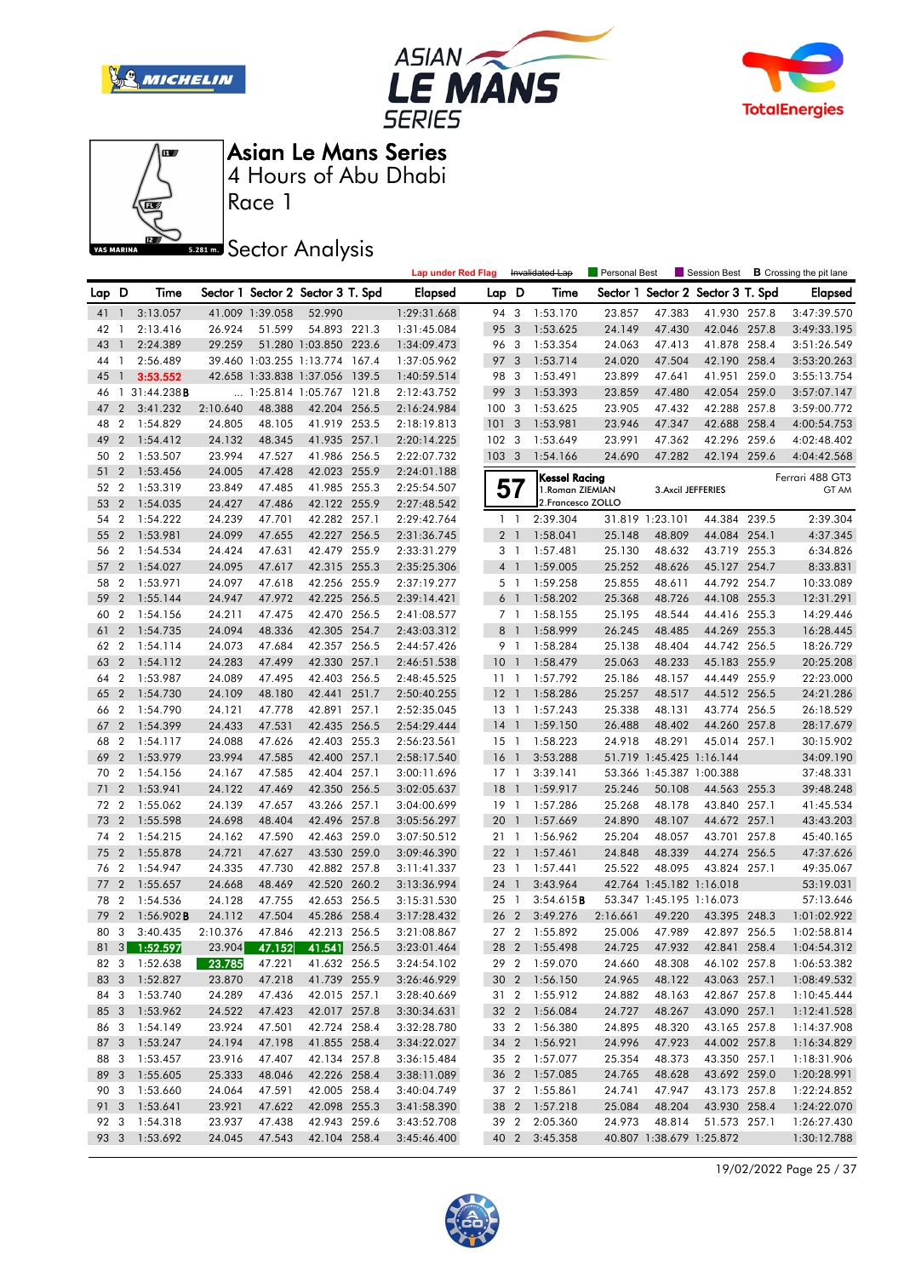







Race 1

## **Sector Analysis**

|          |                                  |                         |          |                  |                                   |       | <b>Lap under Red Flag</b>  |                         |                | Invalidated Lap           | Personal Best      |                          |                                   |       | Session Best <b>B</b> Crossing the pit lane |
|----------|----------------------------------|-------------------------|----------|------------------|-----------------------------------|-------|----------------------------|-------------------------|----------------|---------------------------|--------------------|--------------------------|-----------------------------------|-------|---------------------------------------------|
| Lap D    |                                  | Time                    |          |                  | Sector 1 Sector 2 Sector 3 T. Spd |       | <b>Elapsed</b>             | Lap D                   |                | Time                      |                    |                          | Sector 1 Sector 2 Sector 3 T. Spd |       | <b>Elapsed</b>                              |
| 411      |                                  | 3:13.057                |          | 41.009 1:39.058  | 52.990                            |       | 1:29:31.668                | 94 3                    |                | 1:53.170                  | 23.857             | 47.383                   | 41.930 257.8                      |       | 3:47:39.570                                 |
| 42       | $\overline{1}$                   | 2:13.416                | 26.924   | 51.599           | 54.893 221.3                      |       | 1:31:45.084                | 95 3                    |                | 1:53.625                  | 24.149             | 47.430                   | 42.046 257.8                      |       | 3:49:33.195                                 |
| 43       | $\overline{1}$                   | 2:24.389                | 29.259   |                  | 51.280 1:03.850 223.6             |       | 1:34:09.473                | 96 3                    |                | 1:53.354                  | 24.063             | 47.413                   | 41.878 258.4                      |       | 3:51:26.549                                 |
| 44       | -1                               | 2:56.489                |          |                  | 39.460 1:03.255 1:13.774 167.4    |       | 1:37:05.962                | 97                      | 3              | 1:53.714                  | 24.020             | 47.504                   | 42.190 258.4                      |       | 3:53:20.263                                 |
| 45       | $\mathbf{1}$                     | 3:53.552                |          |                  | 42.658 1:33.838 1:37.056 139.5    |       | 1:40:59.514                | 98 3                    |                | 1:53.491                  | 23.899             | 47.641                   | 41.951 259.0                      |       | 3:55:13.754                                 |
| 46       |                                  | $1 \frac{31:44.238}{B}$ |          |                  | 1:25.814 1:05.767 121.8           |       | 2:12:43.752                | 99                      | 3              | 1:53.393                  | 23.859             | 47.480                   | 42.054 259.0                      |       | 3:57:07.147                                 |
| 47       | $\overline{2}$                   | 3:41.232                | 2:10.640 | 48.388           | 42.204 256.5                      |       | 2:16:24.984                | 1003                    |                | 1:53.625                  | 23.905             | 47.432                   | 42.288 257.8                      |       | 3:59:00.772                                 |
| 48       | $\overline{2}$                   | 1:54.829                | 24.805   | 48.105           | 41.919 253.5                      |       | 2:18:19.813                | 101                     | 3              | 1:53.981                  | 23.946             | 47.347                   | 42.688 258.4                      |       | 4:00:54.753                                 |
| 49       | $\overline{2}$                   | 1:54.412                | 24.132   | 48.345           | 41.935 257.1                      |       | 2:20:14.225                | 102 <sub>3</sub>        |                | 1:53.649                  | 23.991             | 47.362                   | 42.296 259.6                      |       | 4:02:48.402                                 |
| 50       | $\overline{2}$                   | 1:53.507                | 23.994   | 47.527           | 41.986 256.5                      |       | 2:22:07.732                | 1033                    |                | 1:54.166                  | 24.690             | 47.282                   | 42.194 259.6                      |       | 4:04:42.568                                 |
| 51       | $\overline{2}$                   | 1:53.456                | 24.005   | 47.428           | 42.023 255.9                      |       | 2:24:01.188                |                         |                | <b>Kessel Racing</b>      |                    |                          |                                   |       | Ferrari 488 GT3                             |
| 52       | $\overline{2}$                   | 1:53.319                | 23.849   | 47.485           | 41.985 255.3                      |       | 2:25:54.507                |                         | 57             | 1. Roman ZIEMIAN          |                    | 3. Axcil JEFFERIES       |                                   |       | GT AM                                       |
| 53       | $\overline{2}$                   | 1:54.035                | 24.427   | 47.486           | 42.122 255.9                      |       | 2:27:48.542                |                         |                | 2. Francesco ZOLLO        |                    |                          |                                   |       |                                             |
| 54       | $\overline{2}$                   | 1:54.222                | 24.239   | 47.701           | 42.282 257.1                      |       | 2:29:42.764                |                         | $1\quad$       | 2:39.304                  |                    | 31.819 1:23.101          | 44.384 239.5                      |       | 2:39.304                                    |
| 55       | $\overline{2}$                   | 1:53.981                | 24.099   | 47.655           | 42.227 256.5                      |       | 2:31:36.745                | 2 <sup>1</sup>          |                | 1:58.041                  | 25.148             | 48.809                   | 44.084 254.1                      |       | 4:37.345                                    |
| 56       | $\overline{2}$                   | 1:54.534                | 24.424   | 47.631           | 42.479 255.9                      |       | 2:33:31.279                |                         | 3 1            | 1:57.481                  | 25.130             | 48.632                   | 43.719 255.3                      |       | 6:34.826                                    |
| 57       | $\overline{2}$                   | 1:54.027                | 24.095   | 47.617           | 42.315 255.3                      |       | 2:35:25.306                |                         | 4 <sup>1</sup> | 1:59.005                  | 25.252             | 48.626                   | 45.127 254.7                      |       | 8:33.831                                    |
| 58       | $\overline{2}$                   | 1:53.971                | 24.097   | 47.618           | 42.256 255.9                      |       | 2:37:19.277                |                         | 5 <sub>1</sub> | 1:59.258                  | 25.855             | 48.611                   | 44.792 254.7                      |       | 10:33.089                                   |
| 59       | $\overline{2}$                   | 1:55.144                | 24.947   | 47.972           | 42.225 256.5                      |       | 2:39:14.421                |                         | 6 <sup>1</sup> | 1:58.202                  | 25.368             | 48.726                   | 44.108 255.3                      |       | 12:31.291                                   |
| 60       | $\overline{2}$                   | 1:54.156                | 24.211   | 47.475           | 42.470 256.5                      |       | 2:41:08.577                |                         | 7 <sub>1</sub> | 1:58.155                  | 25.195             | 48.544                   | 44.416 255.3                      |       | 14:29.446                                   |
| 61       | $\overline{2}$                   | 1:54.735                | 24.094   | 48.336           | 42.305 254.7                      |       | 2:43:03.312                | 8 1                     |                | 1:58.999                  | 26.245             | 48.485                   | 44.269 255.3                      |       | 16:28.445                                   |
| 62       | $\overline{2}$                   | 1:54.114                | 24.073   | 47.684           | 42.357 256.5                      |       | 2:44:57.426                | 9                       | $\overline{1}$ | 1:58.284                  | 25.138             | 48.404                   | 44.742 256.5                      |       | 18:26.729                                   |
| 63       | $\overline{2}$                   | 1:54.112                | 24.283   | 47.499           | 42.330 257.1                      |       | 2:46:51.538                | 10                      | $\overline{1}$ | 1:58.479                  | 25.063             | 48.233                   | 45.183 255.9                      |       | 20:25.208                                   |
| 64       | $\overline{2}$                   | 1:53.987                | 24.089   | 47.495           | 42.403 256.5                      |       | 2:48:45.525                | 111                     |                | 1:57.792                  | 25.186             | 48.157                   | 44.449 255.9                      |       | 22:23.000                                   |
| 65       | $\overline{2}$                   | 1:54.730                | 24.109   | 48.180           | 42.441                            | 251.7 | 2:50:40.255                | $12-1$                  |                | 1:58.286                  | 25.257             | 48.517                   | 44.512 256.5                      |       | 24:21.286                                   |
| 66       | $\overline{2}$                   | 1:54.790                | 24.121   | 47.778           | 42.891 257.1                      |       | 2:52:35.045                | $13-1$                  |                | 1:57.243                  | 25.338             | 48.131                   | 43.774 256.5                      |       | 26:18.529                                   |
| 67       | $\overline{2}$                   | 1:54.399                | 24.433   | 47.531           | 42.435 256.5                      |       | 2:54:29.444                | $14-1$                  |                | 1:59.150                  | 26.488             | 48.402                   | 44.260 257.8                      |       | 28:17.679                                   |
| 68       | $\overline{2}$                   | 1:54.117                | 24.088   | 47.626           | 42.403 255.3                      |       | 2:56:23.561                | $15-1$                  |                | 1:58.223                  | 24.918             | 48.291                   | 45.014 257.1                      |       | 30:15.902                                   |
| 69       | $\overline{2}$                   | 1:53.979                | 23.994   | 47.585           | 42.400 257.1                      |       | 2:58:17.540                | 16                      | $\overline{1}$ | 3:53.288                  |                    | 51.719 1:45.425 1:16.144 |                                   |       | 34:09.190                                   |
| 70       | $\overline{2}$                   | 1:54.156                | 24.167   | 47.585           | 42.404                            | 257.1 | 3:00:11.696                | $17-1$                  |                | 3:39.141                  |                    | 53.366 1:45.387 1:00.388 |                                   |       | 37:48.331                                   |
| 71       | $\overline{2}$                   | 1:53.941                | 24.122   | 47.469           | 42.350 256.5                      |       | 3:02:05.637                | 18                      | $\overline{1}$ | 1:59.917                  | 25.246             | 50.108                   | 44.563 255.3                      |       | 39:48.248                                   |
| 72       | $\overline{2}$                   | 1:55.062                | 24.139   | 47.657           | 43.266 257.1                      |       | 3:04:00.699                | 19 1                    |                | 1:57.286                  | 25.268             | 48.178                   | 43.840 257.1                      |       | 41:45.534                                   |
| 73       | $\overline{2}$                   | 1:55.598                | 24.698   | 48.404           | 42.496 257.8                      |       | 3:05:56.297                | 201                     |                | 1:57.669                  | 24.890             | 48.107                   | 44.672 257.1                      |       | 43:43.203                                   |
| 74       | $\overline{2}$                   | 1:54.215                | 24.162   | 47.590           | 42.463 259.0                      |       | 3:07:50.512                | 21 1                    |                | 1:56.962                  | 25.204             | 48.057                   | 43.701                            | 257.8 | 45:40.165                                   |
| 75       | $\overline{2}$                   | 1:55.878                | 24.721   | 47.627           | 43.530 259.0                      |       | 3:09:46.390                | 22 1                    |                | 1:57.461                  | 24.848             | 48.339                   | 44.274 256.5                      |       | 47:37.626                                   |
| 76 2     |                                  | 1:54.947                | 24.335   | 47.730           | 42.882 257.8                      |       | 3:11:41.337                | 23 1                    |                | 1:57.441                  | 25.522             | 48.095                   | 43.824 257.1                      |       | 49:35.067                                   |
| 77       | $\overline{2}$                   | 1:55.657                | 24.668   | 48.469           | 42.520 260.2                      |       | 3:13:36.994                | 24 1                    |                | 3:43.964                  |                    | 42.764 1:45.182 1:16.018 |                                   |       | 53:19.031                                   |
| 78<br>79 | $\overline{2}$<br>$\overline{2}$ | 1:54.536                | 24.128   | 47.755           | 42.653 256.5                      |       | 3:15:31.530                | 25 1<br>26 <sub>2</sub> |                | 3:54.615B<br>3:49.276     |                    | 53.347 1:45.195 1:16.073 |                                   |       | 57:13.646                                   |
| 80 3     |                                  | 1:56.902B<br>3:40.435   | 24.112   | 47.504<br>47.846 | 45.286 258.4<br>42.213 256.5      |       | 3:17:28.432                |                         |                |                           | 2:16.661<br>25.006 | 49.220<br>47.989         | 43.395 248.3<br>42.897 256.5      |       | 1:01:02.922<br>1:02:58.814                  |
|          |                                  | 81 3 1:52.597           | 2:10.376 | 23.904 47.152    | 41.541 256.5                      |       | 3:21:08.867<br>3:23:01.464 | 27 2                    |                | 1:55.892<br>28 2 1:55.498 | 24.725             | 47.932                   | 42.841 258.4                      |       | 1:04:54.312                                 |
|          |                                  | 82 3 1:52.638           | 23.785   | 47.221           | 41.632 256.5                      |       | 3:24:54.102                |                         |                | 29 2 1:59.070             | 24.660             | 48.308                   | 46.102 257.8                      |       | 1:06:53.382                                 |
| 83 3     |                                  | 1:52.827                | 23.870   | 47.218           | 41.739 255.9                      |       | 3:26:46.929                |                         |                | 30 2 1:56.150             | 24.965             | 48.122                   | 43.063 257.1                      |       | 1:08:49.532                                 |
| 84 3     |                                  | 1:53.740                | 24.289   | 47.436           | 42.015 257.1                      |       | 3:28:40.669                |                         |                | 31 2 1:55.912             | 24.882             | 48.163                   | 42.867 257.8                      |       | 1:10:45.444                                 |
|          |                                  | 85 3 1:53.962           | 24.522   | 47.423           | 42.017 257.8                      |       | 3:30:34.631                |                         |                | 32 2 1:56.084             | 24.727             | 48.267                   | 43.090 257.1                      |       | 1:12:41.528                                 |
| 86 3     |                                  | 1:54.149                | 23.924   | 47.501           | 42.724 258.4                      |       | 3:32:28.780                |                         |                | 33 2 1:56.380             | 24.895             | 48.320                   | 43.165 257.8                      |       | 1:14:37.908                                 |
|          |                                  | 87 3 1:53.247           | 24.194   | 47.198           | 41.855 258.4                      |       | 3:34:22.027                |                         |                | 34 2 1:56.921             | 24.996             | 47.923                   | 44.002 257.8                      |       | 1:16:34.829                                 |
| 88 3     |                                  | 1:53.457                | 23.916   | 47.407           | 42.134 257.8                      |       | 3:36:15.484                |                         |                | 35 2 1:57.077             | 25.354             | 48.373                   | 43.350 257.1                      |       | 1:18:31.906                                 |
| 89 3     |                                  | 1:55.605                | 25.333   | 48.046           | 42.226 258.4                      |       | 3:38:11.089                |                         |                | 36 2 1:57.085             | 24.765             | 48.628                   | 43.692 259.0                      |       | 1:20:28.991                                 |
| 90 3     |                                  | 1:53.660                | 24.064   | 47.591           | 42.005 258.4                      |       | 3:40:04.749                |                         |                | 37 2 1:55.861             | 24.741             | 47.947                   | 43.173 257.8                      |       | 1:22:24.852                                 |
| 91 3     |                                  | 1:53.641                | 23.921   | 47.622           | 42.098 255.3                      |       | 3:41:58.390                |                         |                | 38 2 1:57.218             | 25.084             | 48.204                   | 43.930 258.4                      |       | 1:24:22.070                                 |
| 92 3     |                                  | 1:54.318                | 23.937   | 47.438           | 42.943 259.6                      |       | 3:43:52.708                |                         |                | 39 2 2:05.360             | 24.973             | 48.814                   | 51.573 257.1                      |       | 1:26:27.430                                 |
|          |                                  | 93 3 1:53.692           | 24.045   | 47.543           | 42.104 258.4                      |       | 3:45:46.400                |                         |                | 40 2 3:45.358             |                    | 40.807 1:38.679 1:25.872 |                                   |       | 1:30:12.788                                 |
|          |                                  |                         |          |                  |                                   |       |                            |                         |                |                           |                    |                          |                                   |       |                                             |

19/02/2022 Page 25 / 37

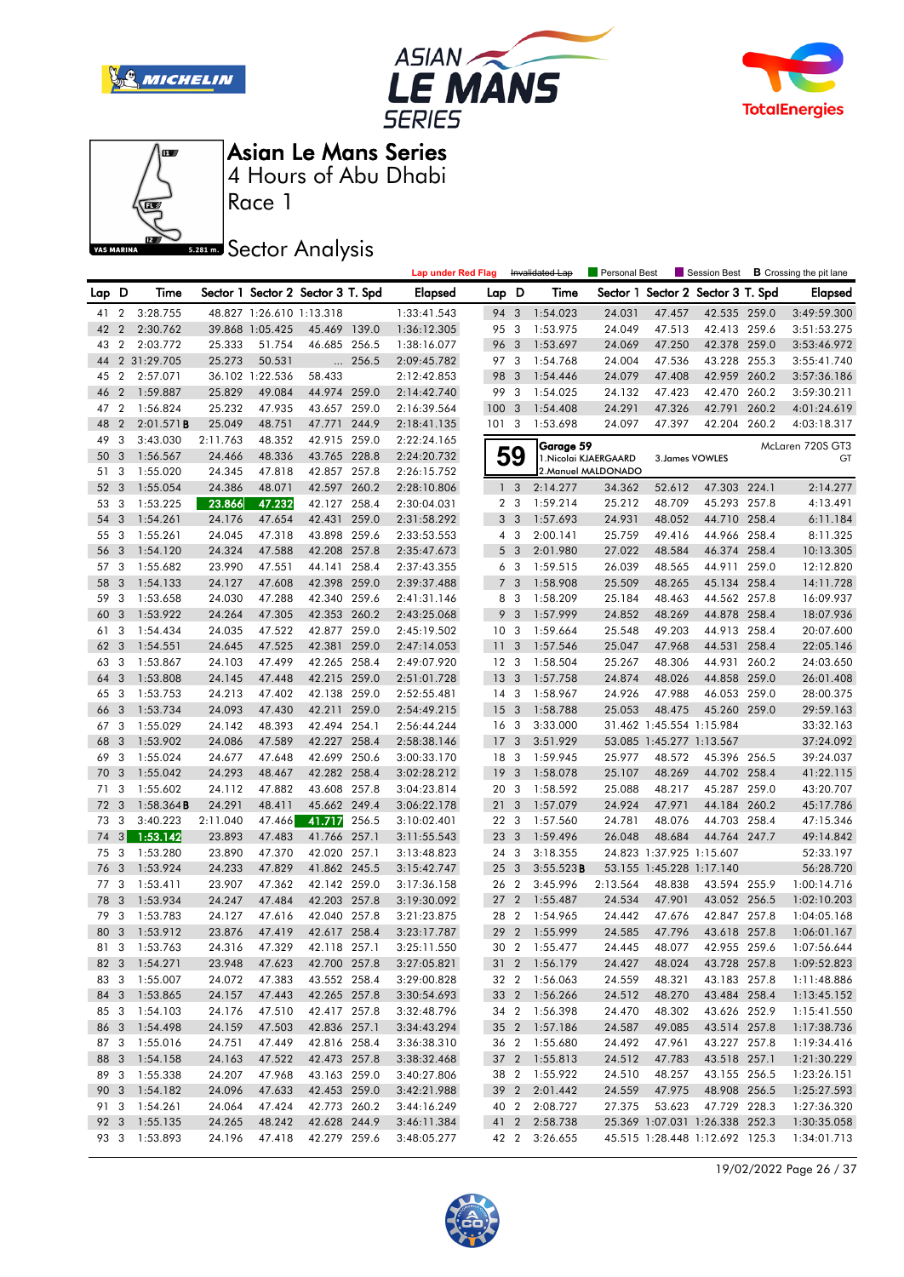







Race 1

**Sector Analysis** 

|       |                |               |          |                          |                                   |       | <b>Lap under Red Flag</b> |                 |                         | Invalidated Lap                    | Personal Best       |                          | Session Best                      |       | <b>B</b> Crossing the pit lane |
|-------|----------------|---------------|----------|--------------------------|-----------------------------------|-------|---------------------------|-----------------|-------------------------|------------------------------------|---------------------|--------------------------|-----------------------------------|-------|--------------------------------|
| Lap D |                | Time          |          |                          | Sector 1 Sector 2 Sector 3 T. Spd |       | <b>Elapsed</b>            | Lap D           |                         | Time                               |                     |                          | Sector 1 Sector 2 Sector 3 T. Spd |       | <b>Elapsed</b>                 |
| 41    | $\overline{2}$ | 3:28.755      |          | 48.827 1:26.610 1:13.318 |                                   |       | 1:33:41.543               | 94 3            |                         | 1:54.023                           | 24.031              | 47.457                   | 42.535 259.0                      |       | 3:49:59.300                    |
| 42    | $\overline{2}$ | 2:30.762      |          | 39.868 1:05.425          | 45.469                            | 139.0 | 1:36:12.305               | 95 3            |                         | 1:53.975                           | 24.049              | 47.513                   | 42.413 259.6                      |       | 3:51:53.275                    |
| 43    | $\overline{2}$ | 2:03.772      | 25.333   | 51.754                   | 46.685 256.5                      |       | 1:38:16.077               | 96 3            |                         | 1:53.697                           | 24.069              | 47.250                   | 42.378 259.0                      |       | 3:53:46.972                    |
| 44    |                | 2 31:29.705   | 25.273   | 50.531                   | $\cdots$                          | 256.5 | 2:09:45.782               | 97 3            |                         | 1:54.768                           | 24.004              | 47.536                   | 43.228 255.3                      |       | 3:55:41.740                    |
| 45    | $\overline{2}$ | 2:57.071      |          | 36.102 1:22.536          | 58.433                            |       | 2:12:42.853               | 98              | $\overline{\mathbf{3}}$ | 1:54.446                           | 24.079              | 47.408                   | 42.959 260.2                      |       | 3:57:36.186                    |
| 46    | $\overline{2}$ | 1:59.887      | 25.829   | 49.084                   | 44.974 259.0                      |       | 2:14:42.740               | 99              | -3                      | 1:54.025                           | 24.132              | 47.423                   | 42.470 260.2                      |       | 3:59:30.211                    |
| 47    | $\overline{2}$ | 1:56.824      | 25.232   | 47.935                   | 43.657 259.0                      |       | 2:16:39.564               | 100             | $\overline{3}$          | 1:54.408                           | 24.291              | 47.326                   | 42.791                            | 260.2 | 4:01:24.619                    |
| 48    | $\overline{2}$ | 2:01.571B     | 25.049   | 48.751                   | 47.771 244.9                      |       | 2:18:41.135               | 1013            |                         | 1:53.698                           | 24.097              | 47.397                   | 42.204 260.2                      |       | 4:03:18.317                    |
| 49    | 3              | 3:43.030      | 2:11.763 | 48.352                   | 42.915 259.0                      |       | 2:22:24.165               |                 |                         |                                    |                     |                          |                                   |       |                                |
| 50    | 3              | 1:56.567      | 24.466   | 48.336                   | 43.765 228.8                      |       | 2:24:20.732               |                 | 59                      | Garage 59<br>1. Nicolai KJAERGAARD |                     | 3. James VOWLES          |                                   |       | McLaren 720S GT3<br>GT         |
| 51    | 3              | 1:55.020      | 24.345   | 47.818                   | 42.857 257.8                      |       | 2:26:15.752               |                 |                         |                                    | 2. Manuel MALDONADO |                          |                                   |       |                                |
| 52    | 3              | 1:55.054      | 24.386   | 48.071                   | 42.597 260.2                      |       | 2:28:10.806               |                 | 1 <sub>3</sub>          | 2:14.277                           | 34.362              | 52.612                   | 47.303 224.1                      |       | 2:14.277                       |
| 53    | 3              | 1:53.225      | 23.866   | 47.232                   | 42.127 258.4                      |       | 2:30:04.031               |                 | 2 <sub>3</sub>          | 1:59.214                           | 25.212              | 48.709                   | 45.293 257.8                      |       | 4:13.491                       |
| 54    | 3              | 1:54.261      | 24.176   | 47.654                   | 42.431                            | 259.0 | 2:31:58.292               | 3               | $\overline{\mathbf{3}}$ | 1:57.693                           | 24.931              | 48.052                   | 44.710 258.4                      |       | 6:11.184                       |
| 55    | 3              | 1:55.261      | 24.045   | 47.318                   | 43.898                            | 259.6 | 2:33:53.553               | 4               | -3                      | 2:00.141                           | 25.759              | 49.416                   | 44.966 258.4                      |       | 8:11.325                       |
| 56    | 3              | 1:54.120      | 24.324   | 47.588                   | 42.208 257.8                      |       | 2:35:47.673               | 5               | $\overline{\mathbf{3}}$ | 2:01.980                           | 27.022              | 48.584                   | 46.374 258.4                      |       | 10:13.305                      |
| 57    | 3              | 1:55.682      | 23.990   | 47.551                   | 44.141 258.4                      |       | 2:37:43.355               |                 | 6 <sub>3</sub>          | 1:59.515                           | 26.039              | 48.565                   | 44.911 259.0                      |       | 12:12.820                      |
| 58    | 3              | 1:54.133      | 24.127   | 47.608                   | 42.398 259.0                      |       | 2:39:37.488               | $\overline{7}$  | 3                       | 1:58.908                           | 25.509              | 48.265                   | 45.134                            | 258.4 | 14:11.728                      |
| 59    | 3              | 1:53.658      | 24.030   | 47.288                   | 42.340 259.6                      |       | 2:41:31.146               | 8               | $\overline{\mathbf{3}}$ | 1:58.209                           | 25.184              | 48.463                   | 44.562 257.8                      |       | 16:09.937                      |
| 60    | 3              | 1:53.922      | 24.264   | 47.305                   | 42.353 260.2                      |       | 2:43:25.068               | 9               | 3                       | 1:57.999                           | 24.852              | 48.269                   | 44.878 258.4                      |       | 18:07.936                      |
| 61    | 3              | 1:54.434      | 24.035   | 47.522                   | 42.877 259.0                      |       | 2:45:19.502               | 10 <sub>3</sub> |                         | 1:59.664                           | 25.548              | 49.203                   | 44.913 258.4                      |       | 20:07.600                      |
| 62    | 3              | 1:54.551      | 24.645   | 47.525                   | 42.381 259.0                      |       | 2:47:14.053               | 11              | 3                       | 1:57.546                           | 25.047              | 47.968                   | 44.531                            | 258.4 | 22:05.146                      |
| 63    | 3              | 1:53.867      | 24.103   | 47.499                   | 42.265 258.4                      |       | 2:49:07.920               | 12 <sup>3</sup> |                         | 1:58.504                           | 25.267              | 48.306                   | 44.931 260.2                      |       | 24:03.650                      |
| 64    | 3              | 1:53.808      | 24.145   | 47.448                   | 42.215 259.0                      |       | 2:51:01.728               | 13              | $\overline{\mathbf{3}}$ | 1:57.758                           | 24.874              | 48.026                   | 44.858 259.0                      |       | 26:01.408                      |
| 65    | 3              | 1:53.753      | 24.213   | 47.402                   | 42.138 259.0                      |       | 2:52:55.481               | 14              | 3                       | 1:58.967                           | 24.926              | 47.988                   | 46.053 259.0                      |       | 28:00.375                      |
| 66    | 3              | 1:53.734      | 24.093   | 47.430                   | 42.211 259.0                      |       | 2:54:49.215               | 15              | $\overline{\mathbf{3}}$ | 1:58.788                           | 25.053              | 48.475                   | 45.260 259.0                      |       | 29:59.163                      |
| 67    | 3              | 1:55.029      | 24.142   | 48.393                   | 42.494 254.1                      |       | 2:56:44.244               | 16 <sub>3</sub> |                         | 3:33.000                           |                     | 31.462 1:45.554 1:15.984 |                                   |       | 33:32.163                      |
| 68    | 3              | 1:53.902      | 24.086   | 47.589                   | 42.227                            | 258.4 | 2:58:38.146               | 17              | 3                       | 3:51.929                           |                     | 53.085 1:45.277 1:13.567 |                                   |       | 37:24.092                      |
| 69    | 3              | 1:55.024      | 24.677   | 47.648                   | 42.699 250.6                      |       | 3:00:33.170               | 18 3            |                         | 1:59.945                           | 25.977              | 48.572                   | 45.396 256.5                      |       | 39:24.037                      |
| 70    | 3              | 1:55.042      | 24.293   | 48.467                   | 42.282 258.4                      |       | 3:02:28.212               | 19              | 3                       | 1:58.078                           | 25.107              | 48.269                   | 44.702 258.4                      |       | 41:22.115                      |
| 71    | 3              | 1:55.602      | 24.112   | 47.882                   | 43.608 257.8                      |       | 3:04:23.814               | 20 3            |                         | 1:58.592                           | 25.088              | 48.217                   | 45.287 259.0                      |       | 43:20.707                      |
| 72    | 3              | 1:58.364B     | 24.291   | 48.411                   | 45.662 249.4                      |       | 3:06:22.178               | 213             |                         | 1:57.079                           | 24.924              | 47.971                   | 44.184 260.2                      |       | 45:17.786                      |
| 73    | 3              | 3:40.223      | 2:11.040 | 47.466                   | 41.717                            | 256.5 | 3:10:02.401               | 22 3            |                         | 1:57.560                           | 24.781              | 48.076                   | 44.703 258.4                      |       | 47:15.346                      |
| 74    | 3              | 1:53.142      | 23.893   | 47.483                   | 41.766                            | 257.1 | 3:11:55.543               | 23              | $\overline{\mathbf{3}}$ | 1:59.496                           | 26.048              | 48.684                   | 44.764 247.7                      |       | 49:14.842                      |
| 75    | 3              | 1:53.280      | 23.890   | 47.370                   | 42.020 257.1                      |       | 3:13:48.823               | 24 3            |                         | 3:18.355                           |                     | 24.823 1:37.925 1:15.607 |                                   |       | 52:33.197                      |
| 76    | 3              | 1:53.924      | 24.233   | 47.829                   | 41.862 245.5                      |       | 3:15:42.747               | 25              | $\overline{\mathbf{3}}$ | 3:55.523B                          |                     | 53.155 1:45.228 1:17.140 |                                   |       | 56:28.720                      |
| 77    | 3              | 1:53.411      | 23.907   | 47.362                   | 42.142 259.0                      |       | 3:17:36.158               | 26 2            |                         | 3:45.996                           | 2:13.564            | 48.838                   | 43.594 255.9                      |       | 1:00:14.716                    |
| 78    | 3              | 1:53.934      | 24.247   | 47.484                   | 42.203 257.8                      |       | 3:19:30.092               | 27              | $\overline{2}$          | 1:55.487                           | 24.534              | 47.901                   | 43.052 256.5                      |       | 1:02:10.203                    |
| 79    | 3              | 1:53.783      | 24.127   | 47.616                   | 42.040 257.8                      |       | 3:21:23.875               | 28 2            |                         | 1:54.965                           | 24.442              | 47.676                   | 42.847 257.8                      |       | 1:04:05.168                    |
| 80    | $\mathbf{3}$   | 1:53.912      | 23.876   | 47.419                   | 42.617 258.4                      |       | 3:23:17.787               |                 |                         | 29 2 1:55.999                      | 24.585              | 47.796                   | 43.618 257.8                      |       | 1:06:01.167                    |
|       |                | 81 3 1:53.763 | 24.316   | 47.329                   | 42.118 257.1                      |       | 3:25:11.550               |                 |                         | 30 2 1:55.477                      | 24.445              | 48.077                   | 42.955 259.6                      |       | 1:07:56.644                    |
|       |                | 82 3 1:54.271 | 23.948   | 47.623                   | 42.700 257.8                      |       | 3:27:05.821               |                 |                         | 31 2 1:56.179                      | 24.427              | 48.024                   | 43.728 257.8                      |       | 1:09:52.823                    |
| 83 3  |                | 1:55.007      | 24.072   | 47.383                   | 43.552 258.4                      |       | 3:29:00.828               |                 |                         | 32 2 1:56.063                      | 24.559              | 48.321                   | 43.183 257.8                      |       | 1:11:48.886                    |
| 84 3  |                | 1:53.865      | 24.157   | 47.443                   | 42.265 257.8                      |       | 3:30:54.693               |                 |                         | 33 2 1:56.266                      | 24.512              | 48.270                   | 43.484 258.4                      |       | 1:13:45.152                    |
| 85 3  |                | 1:54.103      | 24.176   | 47.510                   | 42.417 257.8                      |       | 3:32:48.796               |                 |                         | 34 2 1:56.398                      | 24.470              | 48.302                   | 43.626 252.9                      |       | 1:15:41.550                    |
| 86 3  |                | 1:54.498      | 24.159   | 47.503                   | 42.836 257.1                      |       | 3:34:43.294               |                 |                         | 35 2 1:57.186                      | 24.587              | 49.085                   | 43.514 257.8                      |       | 1:17:38.736                    |
| 87 3  |                | 1:55.016      | 24.751   | 47.449                   | 42.816 258.4                      |       | 3:36:38.310               |                 |                         | 36 2 1:55.680                      | 24.492              | 47.961                   | 43.227 257.8                      |       | 1:19:34.416                    |
|       |                | 88 3 1:54.158 | 24.163   | 47.522                   | 42.473 257.8                      |       | 3:38:32.468               |                 |                         | 37 2 1:55.813                      | 24.512              | 47.783                   | 43.518 257.1                      |       | 1:21:30.229                    |
| 89 3  |                | 1:55.338      | 24.207   | 47.968                   | 43.163 259.0                      |       | 3:40:27.806               |                 |                         | 38 2 1:55.922                      | 24.510              | 48.257                   | 43.155 256.5                      |       | 1:23:26.151                    |
| 90 3  |                | 1:54.182      | 24.096   | 47.633                   | 42.453 259.0                      |       | 3:42:21.988               | 39 2            |                         | 2:01.442                           | 24.559              | 47.975                   | 48.908 256.5                      |       | 1:25:27.593                    |
| 91 3  |                | 1:54.261      | 24.064   | 47.424                   | 42.773 260.2                      |       | 3:44:16.249               |                 |                         | 40 2 2:08.727                      | 27.375              | 53.623                   | 47.729 228.3                      |       | 1:27:36.320                    |
| 92 3  |                | 1:55.135      | 24.265   | 48.242                   | 42.628 244.9                      |       | 3:46:11.384               |                 |                         | 41 2 2:58.738                      |                     |                          | 25.369 1:07.031 1:26.338 252.3    |       | 1:30:35.058                    |
|       |                | 93 3 1:53.893 | 24.196   | 47.418                   | 42.279 259.6                      |       | 3:48:05.277               |                 |                         | 42 2 3:26.655                      |                     |                          | 45.515 1:28.448 1:12.692 125.3    |       | 1:34:01.713                    |
|       |                |               |          |                          |                                   |       |                           |                 |                         |                                    |                     |                          |                                   |       |                                |

19/02/2022 Page 26 / 37

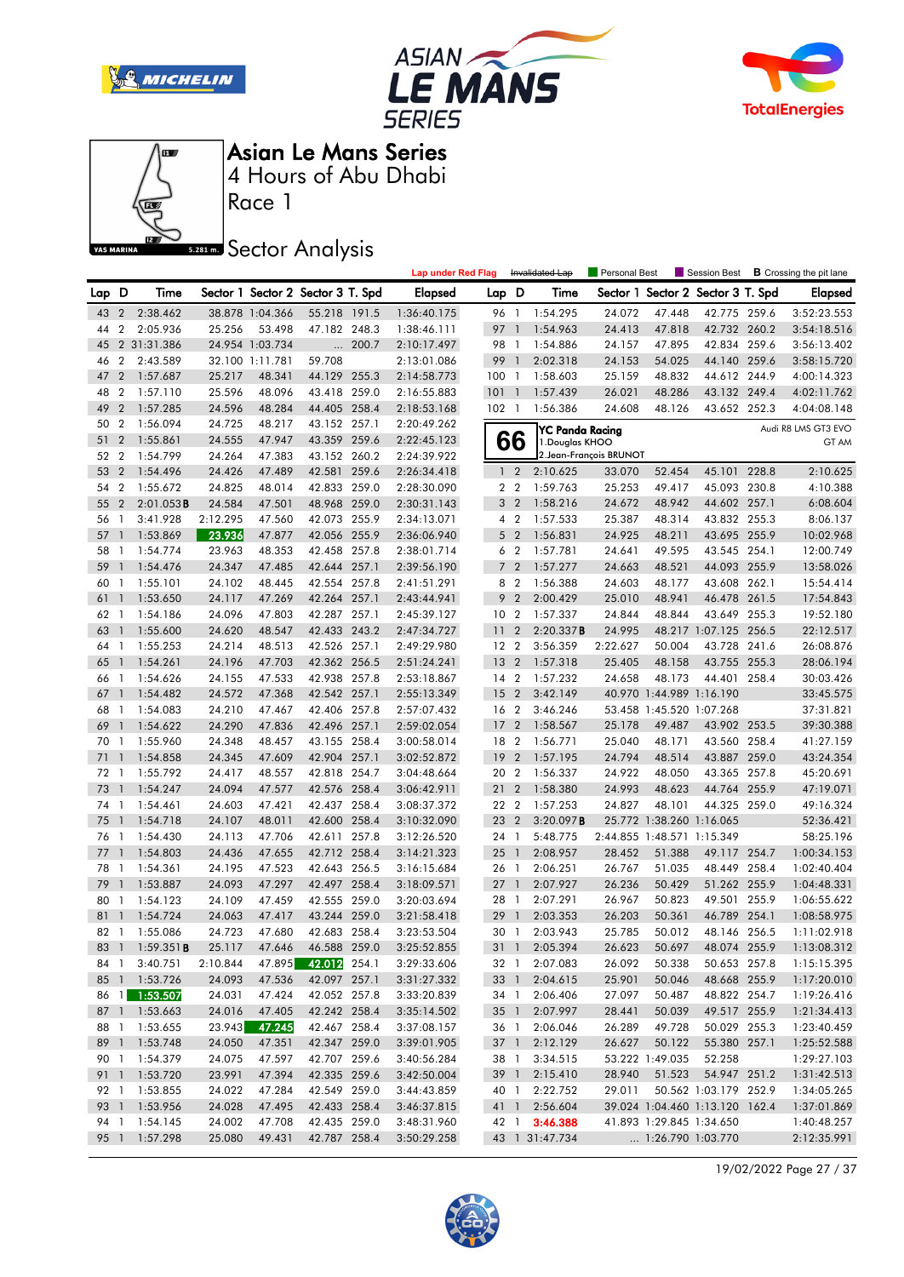







Race 1

**Sector Analysis** 

|       |                |                        |          |                                   |                              |       | <b>Lap under Red Flag</b> |                  |                | Invalidated Lap        | Personal Best           |                            | Session Best                          |       | <b>B</b> Crossing the pit lane |
|-------|----------------|------------------------|----------|-----------------------------------|------------------------------|-------|---------------------------|------------------|----------------|------------------------|-------------------------|----------------------------|---------------------------------------|-------|--------------------------------|
| Lap D |                | Time                   |          | Sector 1 Sector 2 Sector 3 T. Spd |                              |       | <b>Elapsed</b>            | Lap D            |                | Time                   |                         |                            | Sector 1 Sector 2 Sector 3 T. Spd     |       | <b>Elapsed</b>                 |
| 43 2  |                | 2:38.462               |          | 38.878 1:04.366                   | 55.218 191.5                 |       | 1:36:40.175               | 96 1             |                | 1:54.295               | 24.072                  | 47.448                     | 42.775 259.6                          |       | 3:52:23.553                    |
| 44    | $\overline{2}$ | 2:05.936               | 25.256   | 53.498                            | 47.182 248.3                 |       | 1:38:46.111               | 97 1             |                | 1:54.963               | 24.413                  | 47.818                     | 42.732 260.2                          |       | 3:54:18.516                    |
| 45    |                | 2 31:31.386            |          | 24.954 1:03.734                   | $\cdots$                     | 200.7 | 2:10:17.497               | 98 1             |                | 1:54.886               | 24.157                  | 47.895                     | 42.834 259.6                          |       | 3:56:13.402                    |
| 46    | $\overline{2}$ | 2:43.589               |          | 32.100 1:11.781                   | 59.708                       |       | 2:13:01.086               | 99               | $\mathbf{1}$   | 2:02.318               | 24.153                  | 54.025                     | 44.140 259.6                          |       | 3:58:15.720                    |
| 47    | $\overline{2}$ | 1:57.687               | 25.217   | 48.341                            | 44.129 255.3                 |       | 2:14:58.773               | 1001             |                | 1:58.603               | 25.159                  | 48.832                     | 44.612 244.9                          |       | 4:00:14.323                    |
| 48    | $\overline{2}$ | 1:57.110               | 25.596   | 48.096                            | 43.418 259.0                 |       | 2:16:55.883               | 101              | $\overline{1}$ | 1:57.439               | 26.021                  | 48.286                     | 43.132 249.4                          |       | 4:02:11.762                    |
| 49    | $\overline{2}$ | 1:57.285               | 24.596   | 48.284                            | 44.405 258.4                 |       | 2:18:53.168               | 102 <sub>1</sub> |                | 1:56.386               | 24.608                  | 48.126                     | 43.652 252.3                          |       | 4:04:08.148                    |
| 50    | $\overline{2}$ | 1:56.094               | 24.725   | 48.217                            | 43.152 257.1                 |       | 2:20:49.262               |                  |                | <b>YC Panda Racing</b> |                         |                            |                                       |       | Audi R8 LMS GT3 EVO            |
| 51    | $\overline{2}$ | 1:55.861               | 24.555   | 47.947                            | 43.359 259.6                 |       | 2:22:45.123               |                  | 66             | 1. Douglas KHOO        |                         |                            |                                       |       | GT AM                          |
| 52    | $\overline{2}$ | 1:54.799               | 24.264   | 47.383                            | 43.152 260.2                 |       | 2:24:39.922               |                  |                |                        | 2. Jean-François BRUNOT |                            |                                       |       |                                |
| 53    | $\overline{2}$ | 1:54.496               | 24.426   | 47.489                            | 42.581 259.6                 |       | 2:26:34.418               |                  | $1\quad2$      | 2:10.625               | 33.070                  | 52.454                     | 45.101 228.8                          |       | 2:10.625                       |
| 54    | $\overline{2}$ | 1:55.672               | 24.825   | 48.014                            | 42.833 259.0                 |       | 2:28:30.090               |                  | 2 <sub>2</sub> | 1:59.763               | 25.253                  | 49.417                     | 45.093 230.8                          |       | 4:10.388                       |
| 55    | $\overline{2}$ | $2:01.053$ B           | 24.584   | 47.501                            | 48.968 259.0                 |       | 2:30:31.143               |                  | 3 <sub>2</sub> | 1:58.216               | 24.672                  | 48.942                     | 44.602 257.1                          |       | 6:08.604                       |
| 56    | $\overline{1}$ | 3:41.928               | 2:12.295 | 47.560                            | 42.073 255.9                 |       | 2:34:13.071               |                  | 4 <sup>2</sup> | 1:57.533               | 25.387                  | 48.314                     | 43.832 255.3                          |       | 8:06.137                       |
| 57    | $\mathbf{1}$   | 1:53.869               | 23.936   | 47.877                            | 42.056 255.9                 |       | 2:36:06.940               |                  | 5 <sub>2</sub> | 1:56.831               | 24.925                  | 48.211                     | 43.695 255.9                          |       | 10:02.968                      |
| 58    | - 1            | 1:54.774               | 23.963   | 48.353                            | 42.458 257.8                 |       | 2:38:01.714               |                  | 6 <sub>2</sub> | 1:57.781               | 24.641                  | 49.595                     | 43.545 254.1                          |       | 12:00.749                      |
| 59    | $\mathbf{1}$   | 1:54.476               | 24.347   | 47.485                            | 42.644 257.1                 |       | 2:39:56.190               |                  | 7 <sub>2</sub> | 1:57.277               | 24.663                  | 48.521                     | 44.093 255.9                          |       | 13:58.026                      |
| 60    | -1             | 1:55.101               | 24.102   | 48.445                            | 42.554 257.8                 |       | 2:41:51.291               |                  | 8 2            | 1:56.388               | 24.603                  | 48.177                     | 43.608 262.1                          |       | 15:54.414                      |
| 61    | $\mathbf{1}$   | 1:53.650               | 24.117   | 47.269                            | 42.264 257.1                 |       | 2:43:44.941               | 9                | $\overline{2}$ | 2:00.429               | 25.010                  | 48.941                     | 46.478 261.5                          |       | 17:54.843                      |
| 62    | - 1            | 1:54.186               | 24.096   | 47.803                            | 42.287 257.1                 |       | 2:45:39.127               | 10 <sub>2</sub>  |                | 1:57.337               | 24.844                  | 48.844                     | 43.649 255.3                          |       | 19:52.180                      |
| 63    | $\mathbf{1}$   | 1:55.600               | 24.620   | 48.547                            | 42.433 243.2                 |       | 2:47:34.727               | 11               | $\overline{2}$ | 2:20.337B              | 24.995                  |                            | 48.217 1:07.125 256.5                 |       | 22:12.517                      |
| 64    | $\overline{1}$ | 1:55.253               | 24.214   | 48.513                            | 42.526 257.1                 |       | 2:49:29.980               | 12 2             |                | 3:56.359               | 2:22.627                | 50.004                     | 43.728 241.6                          |       | 26:08.876                      |
| 65    | $\mathbf{1}$   | 1:54.261               | 24.196   | 47.703                            | 42.362 256.5                 |       | 2:51:24.241               | 13 <sub>2</sub>  |                | 1:57.318               | 25.405                  | 48.158                     | 43.755 255.3                          |       | 28:06.194                      |
| 66    | $\overline{1}$ | 1:54.626               | 24.155   | 47.533                            | 42.938 257.8                 |       | 2:53:18.867               | 14 2             |                | 1:57.232               | 24.658                  | 48.173                     | 44.401 258.4                          |       | 30:03.426                      |
| 67    | $\mathbf{1}$   | 1:54.482               | 24.572   | 47.368                            | 42.542 257.1                 |       | 2:55:13.349               | 15 <sub>2</sub>  |                | 3:42.149               |                         | 40.970 1:44.989 1:16.190   |                                       |       | 33:45.575                      |
| 68    | -1             | 1:54.083               | 24.210   | 47.467                            | 42.406 257.8                 |       | 2:57:07.432               | 16 2             |                | 3:46.246               |                         | 53.458 1:45.520 1:07.268   |                                       |       | 37:31.821                      |
| 69    | $\mathbf{1}$   | 1:54.622               | 24.290   | 47.836                            | 42.496 257.1                 |       | 2:59:02.054               | 17               | $\overline{2}$ | 1:58.567               | 25.178                  | 49.487                     | 43.902 253.5                          |       | 39:30.388                      |
| 70    | $\overline{1}$ | 1:55.960               | 24.348   | 48.457                            | 43.155 258.4                 |       | 3:00:58.014               | 18 2             |                | 1:56.771               | 25.040                  | 48.171                     | 43.560 258.4                          |       | 41:27.159                      |
| 71    | $\overline{1}$ | 1:54.858               | 24.345   | 47.609                            | 42.904 257.1                 |       | 3:02:52.872               | 19               | $\overline{2}$ | 1:57.195               | 24.794                  | 48.514                     | 43.887                                | 259.0 | 43:24.354                      |
| 72    | $\overline{1}$ | 1:55.792               | 24.417   | 48.557                            | 42.818                       | 254.7 | 3:04:48.664               | 20               | $\overline{2}$ | 1:56.337               | 24.922                  | 48.050                     | 43.365 257.8                          |       | 45:20.691                      |
| 73    | $\overline{1}$ | 1:54.247               | 24.094   | 47.577                            | 42.576 258.4                 |       | 3:06:42.911               | 21               | $\overline{2}$ | 1:58.380               | 24.993                  | 48.623                     | 44.764 255.9                          |       | 47:19.071                      |
| 74 1  |                | 1:54.461               | 24.603   | 47.421                            | 42.437 258.4                 |       | 3:08:37.372               | 22 2             |                | 1:57.253               | 24.827                  | 48.101                     | 44.325 259.0                          |       | 49:16.324                      |
| 75    | $\overline{1}$ | 1:54.718               | 24.107   | 48.011                            | 42.600 258.4                 |       | 3:10:32.090               | 23 2             |                | 3:20.097B              |                         | 25.772 1:38.260 1:16.065   |                                       |       | 52:36.421                      |
| 76    | $\overline{1}$ | 1:54.430               | 24.113   | 47.706                            | 42.611                       | 257.8 | 3:12:26.520               | 24 1             |                | 5:48.775               |                         | 2:44.855 1:48.571 1:15.349 |                                       |       | 58:25.196                      |
| 77    | $\mathbf{1}$   | 1:54.803               | 24.436   | 47.655                            | 42.712 258.4                 |       | 3:14:21.323               | 25               | $\mathbf{1}$   | 2:08.957               | 28.452                  | 51.388                     | 49.117 254.7                          |       | 1:00:34.153                    |
| 78    | $\overline{1}$ | 1:54.361               | 24.195   | 47.523                            | 42.643 256.5                 |       | 3:16:15.684               | 26 1             |                | 2:06.251               | 26.767                  | 51.035                     | 48.449 258.4                          |       | 1:02:40.404                    |
| 79    | $\overline{1}$ | 1:53.887               | 24.093   | 47.297                            | 42.497 258.4                 |       | 3:18:09.571               | $27-1$           |                | 2:07.927               | 26.236                  | 50.429                     | 51.262 255.9                          |       | 1:04:48.331                    |
| 80    | $\overline{1}$ | 1:54.123               | 24.109   | 47.459                            | 42.555 259.0                 |       | 3:20:03.694               | 28 1             |                | 2:07.291               | 26.967                  | 50.823                     | 49.501                                | 255.9 | 1:06:55.622                    |
| 81    | $\mathbf{1}$   | 1:54.724               | 24.063   | 47.417                            | 43.244 259.0                 |       | 3:21:58.418               | 29               | $\mathbf{1}$   | 2:03.353               | 26.203                  | 50.361                     | 46.789 254.1                          |       | 1:08:58.975                    |
| 82 1  |                | 1:55.086               | 24.723   | 47.680                            | 42.683 258.4                 |       | 3:23:53.504               | 30 1             |                | 2:03.943               | 25.785                  | 50.012                     | 48.146 256.5                          |       | 1:11:02.918                    |
|       |                | 83 1 1:59.351 <b>B</b> | 25.117   | 47.646                            | 46.588 259.0                 |       | 3:25:52.855               |                  |                | 31 1 2:05.394          | 26.623                  | 50.697                     | 48.074 255.9                          |       | 1:13:08.312                    |
|       |                | 84 1 3:40.751          | 2:10.844 | 47.895                            | 42.012 254.1                 |       | 3:29:33.606               |                  | 32 1           | 2:07.083               | 26.092                  | 50.338                     | 50.653 257.8                          |       | 1:15:15.395                    |
|       |                | 85 1 1:53.726          | 24.093   | 47.536                            | 42.097 257.1                 |       | 3:31:27.332               |                  | 33 1           | 2:04.615               | 25.901                  | 50.046                     | 48.668 255.9                          |       | 1:17:20.010                    |
|       |                | 86 1 1:53.507          | 24.031   | 47.424                            | 42.052 257.8                 |       | 3:33:20.839               |                  | 34 1           | 2:06.406               | 27.097                  | 50.487                     | 48.822 254.7                          |       | 1:19:26.416                    |
|       |                | 87 1 1:53.663          | 24.016   | 47.405                            | 42.242 258.4                 |       | 3:35:14.502               |                  |                | 35 1 2:07.997          | 28.441                  | 50.039                     | 49.517 255.9                          |       | 1:21:34.413                    |
|       |                | 88 1 1:53.655          | 23.943   | 47.245                            | 42.467 258.4                 |       | 3:37:08.157               |                  | 36 1           | 2:06.046               | 26.289                  | 49.728                     | 50.029 255.3                          |       | 1:23:40.459                    |
|       |                | 89 1 1:53.748          | 24.050   |                                   | 42.347 259.0                 |       | 3:39:01.905               |                  |                |                        | 26.627                  | 50.122                     | 55.380 257.1                          |       |                                |
|       |                |                        |          | 47.351                            |                              |       |                           |                  |                | 37 1 2:12.129          |                         | 53.222 1:49.035            |                                       |       | 1:25:52.588                    |
|       |                | 90 1 1:54.379          | 24.075   | 47.597                            | 42.707 259.6                 |       | 3:40:56.284               |                  | 38 1           | 3:34.515               |                         | 51.523                     | 52.258                                |       | 1:29:27.103                    |
|       |                | 91 1 1:53.720          | 23.991   | 47.394                            | 42.335 259.6                 |       | 3:42:50.004               | $39 \quad 1$     |                | 2:15.410<br>2:22.752   | 28.940<br>29.011        |                            | 54.947 251.2<br>50.562 1:03.179 252.9 |       | 1:31:42.513                    |
|       |                | 92 1 1:53.855          | 24.022   | 47.284                            | 42.549 259.0                 |       | 3:44:43.859               |                  | 40 1           |                        |                         |                            | 39.024 1:04.460 1:13.120 162.4        |       | 1:34:05.265                    |
|       |                | 93 1 1:53.956          | 24.028   | 47.495                            | 42.433 258.4<br>42.435 259.0 |       | 3:46:37.815               |                  |                | 41 1 2:56.604          |                         |                            |                                       |       | 1:37:01.869                    |
|       |                | 94 1 1:54.145          | 24.002   | 47.708                            |                              |       | 3:48:31.960               |                  | 42 1           | 3:46.388               |                         | 41.893 1:29.845 1:34.650   |                                       |       | 1:40:48.257                    |
|       |                | 95 1 1:57.298          | 25.080   | 49.431                            | 42.787 258.4                 |       | 3:50:29.258               |                  |                | 43 1 31:47.734         |                         | $\ldots$ 1:26.790 1:03.770 |                                       |       | 2:12:35.991                    |

19/02/2022 Page 27 / 37

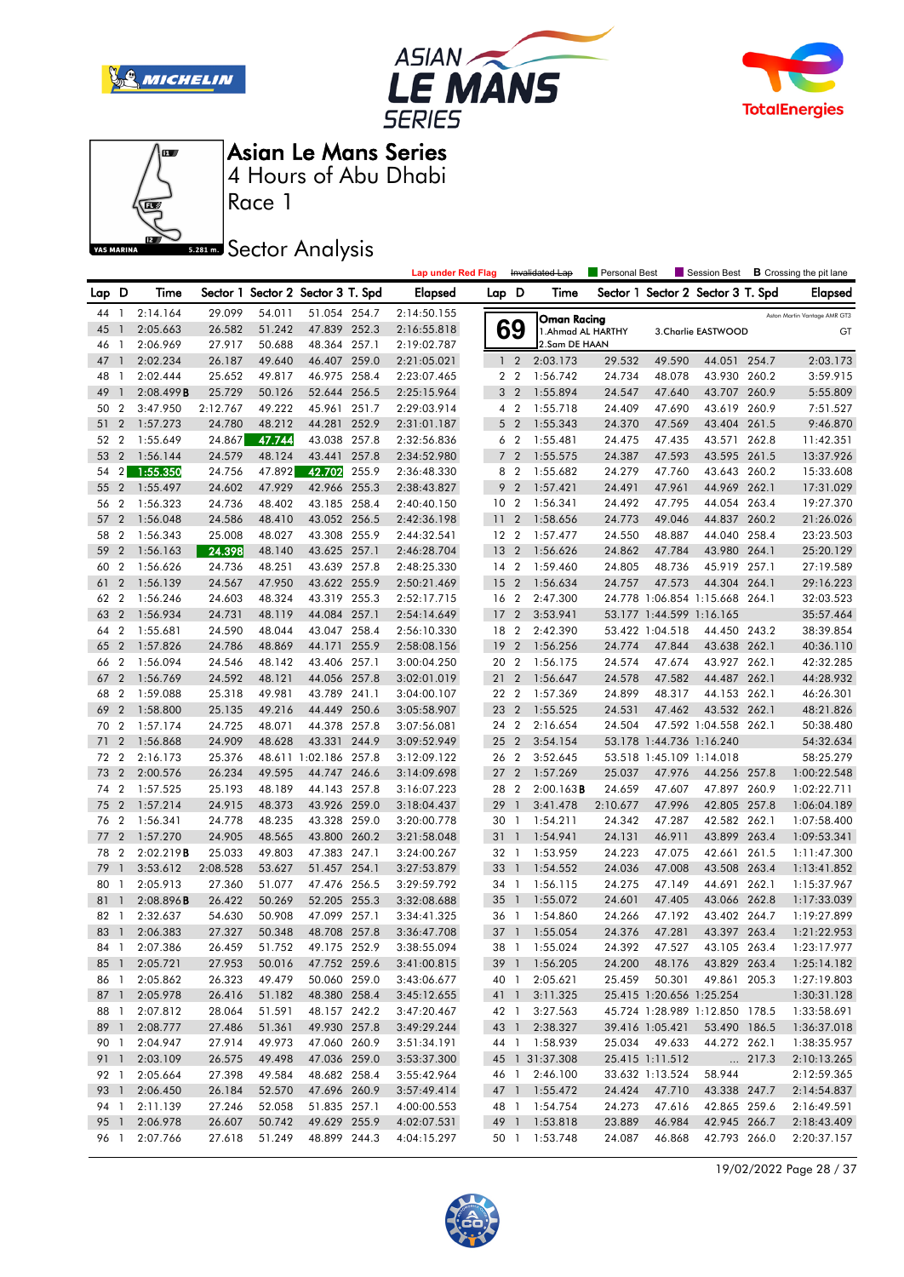







Race 1

## **Sector Analysis**

|          |                                |                       |                  |                  |                                   |       | <b>Lap under Red Flag</b>  |                 |                 | Invalidated Lap      | <b>Personal Best</b> |                          | Session Best                      |       | <b>B</b> Crossing the pit lane |
|----------|--------------------------------|-----------------------|------------------|------------------|-----------------------------------|-------|----------------------------|-----------------|-----------------|----------------------|----------------------|--------------------------|-----------------------------------|-------|--------------------------------|
| Lap D    |                                | Time                  |                  |                  | Sector 1 Sector 2 Sector 3 T. Spd |       | <b>Elapsed</b>             | Lap D           |                 | Time                 |                      |                          | Sector 1 Sector 2 Sector 3 T. Spd |       | <b>Elapsed</b>                 |
| 44 1     |                                | 2:14.164              | 29.099           | 54.011           | 51.054 254.7                      |       | 2:14:50.155                |                 |                 | Oman Racing          |                      |                          |                                   |       | Aston Martin Vantage AMR GT3   |
| 45       | $\mathbf{1}$                   | 2:05.663              | 26.582           | 51.242           | 47.839 252.3                      |       | 2:16:55.818                |                 | 69              | 1. Ahmad AL HARTHY   |                      |                          | 3. Charlie EASTWOOD               |       | GT                             |
| 46       | - 1                            | 2:06.969              | 27.917           | 50.688           | 48.364 257.1                      |       | 2:19:02.787                |                 |                 | 2.Sam DE HAAN        |                      |                          |                                   |       |                                |
| 47       | $\mathbf{1}$                   | 2:02.234              | 26.187           | 49.640           | 46.407 259.0                      |       | 2:21:05.021                |                 | 1 <sub>2</sub>  | 2:03.173             | 29.532               | 49.590                   | 44.051 254.7                      |       | 2:03.173                       |
| 48       | - 1                            | 2:02.444              | 25.652           | 49.817           | 46.975 258.4                      |       | 2:23:07.465                |                 | 2 <sub>2</sub>  | 1:56.742             | 24.734               | 48.078                   | 43.930 260.2                      |       | 3:59.915                       |
| 49       | $\mathbf{1}$                   | 2:08.499B             | 25.729           | 50.126           | 52.644 256.5                      |       | 2:25:15.964                |                 | 3 <sub>2</sub>  | 1:55.894             | 24.547               | 47.640                   | 43.707 260.9                      |       | 5:55.809                       |
| 50       | $\overline{2}$                 | 3:47.950              | 2:12.767         | 49.222           | 45.961 251.7                      |       | 2:29:03.914                |                 | 4 <sup>2</sup>  | 1:55.718             | 24.409               | 47.690                   | 43.619 260.9                      |       | 7:51.527                       |
| 51       | $\overline{2}$                 | 1:57.273              | 24.780           | 48.212           | 44.281 252.9                      |       | 2:31:01.187                |                 | 5 <sub>2</sub>  | 1:55.343             | 24.370               | 47.569                   | 43.404 261.5                      |       | 9:46.870                       |
| 52       | $\overline{2}$                 | 1:55.649              | 24.867           | 47.744           | 43.038                            | 257.8 | 2:32:56.836                |                 | 6 <sub>2</sub>  | 1:55.481             | 24.475               | 47.435                   | 43.571 262.8                      |       | 11:42.351                      |
| 53       | $\overline{2}$                 | 1:56.144              | 24.579           | 48.124           | 43.441                            | 257.8 | 2:34:52.980                | $\overline{7}$  | $\overline{2}$  | 1:55.575             | 24.387               | 47.593                   | 43.595 261.5                      |       | 13:37.926                      |
| 54       | $\overline{2}$                 | 1:55.350              | 24.756           | 47.892           | 42.702                            | 255.9 | 2:36:48.330                |                 | 8 2             | 1:55.682             | 24.279               | 47.760                   | 43.643 260.2                      |       | 15:33.608                      |
| 55       | $\overline{2}$                 | 1:55.497              | 24.602           | 47.929           | 42.966 255.3                      |       | 2:38:43.827                | 9               | $\overline{2}$  | 1:57.421             | 24.491               | 47.961                   | 44.969 262.1                      |       | 17:31.029                      |
| 56       | $\overline{2}$                 | 1:56.323              | 24.736           | 48.402           | 43.185 258.4                      |       | 2:40:40.150                |                 | 10 <sub>2</sub> | 1:56.341             | 24.492               | 47.795                   | 44.054 263.4                      |       | 19:27.370                      |
| 57       | $\overline{2}$                 | 1:56.048              | 24.586           | 48.410           | 43.052 256.5                      |       | 2:42:36.198                | 11              | $\overline{2}$  | 1:58.656             | 24.773               | 49.046                   | 44.837                            | 260.2 | 21:26.026                      |
| 58       | $\boldsymbol{2}$               | 1:56.343              | 25.008           | 48.027           | 43.308                            | 255.9 | 2:44:32.541                |                 | 12 2            | 1:57.477             | 24.550               | 48.887                   | 44.040 258.4                      |       | 23:23.503                      |
| 59       | $\overline{2}$                 | 1:56.163              | 24.398           | 48.140           | 43.625 257.1                      |       | 2:46:28.704                | 13 <sub>2</sub> |                 | 1:56.626             | 24.862               | 47.784                   | 43.980 264.1                      |       | 25:20.129                      |
| 60       | $\overline{2}$                 | 1:56.626              | 24.736           | 48.251           | 43.639 257.8                      |       | 2:48:25.330                |                 | 14 2            | 1:59.460             | 24.805               | 48.736                   | 45.919 257.1                      |       | 27:19.589                      |
| 61       | $\overline{2}$                 | 1:56.139              | 24.567           | 47.950           | 43.622 255.9                      |       | 2:50:21.469                | 15              | $\overline{2}$  | 1:56.634             | 24.757               | 47.573                   | 44.304 264.1                      |       | 29:16.223                      |
| 62       | $\overline{2}$                 | 1:56.246              | 24.603           | 48.324           | 43.319 255.3                      |       | 2:52:17.715                |                 | 16 2            | 2:47.300             |                      |                          | 24.778 1:06.854 1:15.668 264.1    |       | 32:03.523                      |
| 63       | $\overline{2}$                 | 1:56.934              | 24.731           | 48.119           | 44.084 257.1                      |       | 2:54:14.649                | 17              | $\overline{2}$  | 3:53.941             |                      | 53.177 1:44.599 1:16.165 |                                   |       | 35:57.464                      |
| 64       | $\overline{2}$                 | 1:55.681              | 24.590           | 48.044           | 43.047 258.4                      |       | 2:56:10.330                |                 | 18 2            | 2:42.390             |                      | 53.422 1:04.518          | 44.450 243.2                      |       | 38:39.854                      |
| 65       | $\overline{2}$                 | 1:57.826              | 24.786           | 48.869           | 44.171                            | 255.9 | 2:58:08.156                | 19              | $\overline{2}$  | 1:56.256             | 24.774               | 47.844                   | 43.638 262.1                      |       | 40:36.110                      |
| 66       | $\overline{2}$                 | 1:56.094              | 24.546           | 48.142           | 43.406 257.1                      |       | 3:00:04.250                |                 | 20 2            | 1:56.175             | 24.574               | 47.674                   | 43.927 262.1                      |       | 42:32.285                      |
| 67       | $\overline{2}$                 | 1:56.769              | 24.592           | 48.121           | 44.056 257.8                      |       | 3:02:01.019                | 21              | $\overline{2}$  | 1:56.647             | 24.578               | 47.582                   | 44.487 262.1                      |       | 44:28.932                      |
| 68       | $\overline{2}$                 | 1:59.088              | 25.318           | 49.981           | 43.789 241.1                      |       | 3:04:00.107                |                 | 22 2            | 1:57.369             | 24.899               | 48.317                   | 44.153 262.1                      |       | 46:26.301                      |
| 69       | $\overline{2}$                 | 1:58.800              | 25.135           | 49.216           | 44.449                            | 250.6 | 3:05:58.907                | 23 2            |                 | 1:55.525             | 24.531               | 47.462                   | 43.532 262.1                      |       | 48:21.826                      |
| 70       | $\overline{2}$                 | 1:57.174              | 24.725           | 48.071           | 44.378 257.8                      |       | 3:07:56.081                |                 | 24 2            | 2:16.654             | 24.504               |                          | 47.592 1:04.558 262.1             |       | 50:38.480                      |
| 71       | $\overline{2}$                 | 1:56.868              | 24.909           | 48.628           | 43.331                            | 244.9 | 3:09:52.949                |                 | 25 2            | 3:54.154             |                      | 53.178 1:44.736 1:16.240 |                                   |       | 54:32.634                      |
| 72       | $\overline{2}$                 | 2:16.173              | 25.376           |                  | 48.611 1:02.186 257.8             |       | 3:12:09.122                |                 | 26 2            | 3:52.645             |                      | 53.518 1:45.109 1:14.018 |                                   |       | 58:25.279                      |
| 73       | $\overline{2}$                 | 2:00.576              | 26.234           | 49.595           | 44.747 246.6                      |       | 3:14:09.698                | 27              | $\overline{2}$  | 1:57.269             | 25.037               | 47.976                   | 44.256 257.8                      |       | 1:00:22.548                    |
| 74       | $\overline{2}$                 | 1:57.525              | 25.193           | 48.189           | 44.143 257.8                      |       | 3:16:07.223                |                 | 28 2            | $2:00.163$ <b>B</b>  | 24.659               | 47.607                   | 47.897 260.9                      |       | 1:02:22.711                    |
| 75       | $\overline{2}$                 | 1:57.214              | 24.915           | 48.373           | 43.926 259.0                      |       | 3:18:04.437                | 29              | $\overline{1}$  | 3:41.478             | 2:10.677             | 47.996                   | 42.805 257.8                      |       | 1:06:04.189                    |
| 76       | $\overline{2}$                 | 1:56.341              | 24.778           | 48.235           | 43.328 259.0                      |       | 3:20:00.778                |                 | 30 1            | 1:54.211             | 24.342               | 47.287                   | 42.582 262.1                      |       | 1:07:58.400                    |
| 77       | $\overline{2}$                 | 1:57.270              | 24.905<br>25.033 | 48.565           | 43.800 260.2                      |       | 3:21:58.048                | 31              | $\overline{1}$  | 1:54.941             | 24.131               | 46.911                   | 43.899 263.4                      |       | 1:09:53.341                    |
| 78       | $\overline{2}$<br>$\mathbf{1}$ | 2:02.219B             |                  | 49.803           | 47.383 247.1                      |       | 3:24:00.267                |                 | 32 1            | 1:53.959<br>1:54.552 | 24.223               | 47.075                   | 42.661 261.5                      |       | 1:11:47.300                    |
| 79       | $\overline{1}$                 | 3:53.612              | 2:08.528         | 53.627           | 51.457 254.1                      |       | 3:27:53.879                | 33 1<br>34 1    |                 |                      | 24.036               | 47.008<br>47.149         | 43.508 263.4<br>44.691 262.1      |       | 1:13:41.852<br>1:15:37.967     |
| 80<br>81 | $\mathbf{1}$                   | 2:05.913<br>2:08.896B | 27.360           | 51.077           | 47.476 256.5<br>52.205 255.3      |       | 3:29:59.792                | 35              | $\overline{1}$  | 1:56.115             | 24.275<br>24.601     | 47.405                   |                                   |       |                                |
| 82       | -1                             | 2:32.637              | 26.422<br>54.630 | 50.269<br>50.908 | 47.099 257.1                      |       | 3:32:08.688<br>3:34:41.325 | 36 1            |                 | 1:55.072<br>1:54.860 | 24.266               | 47.192                   | 43.066 262.8<br>43.402 264.7      |       | 1:17:33.039<br>1:19:27.899     |
| 83       | $\overline{1}$                 | 2:06.383              | 27.327           | 50.348           | 48.708 257.8                      |       | 3:36:47.708                |                 |                 | 37 1 1:55.054        | 24.376               | 47.281                   | 43.397 263.4                      |       | 1:21:22.953                    |
|          |                                | 84 1 2:07.386         | 26.459           | 51.752           | 49.175 252.9                      |       | 3:38:55.094                |                 |                 | 38 1 1:55.024        | 24.392               | 47.527                   | 43.105 263.4                      |       | 1:23:17.977                    |
|          |                                | 85 1 2:05.721         | 27.953           | 50.016           | 47.752 259.6                      |       | 3:41:00.815                |                 |                 | 39 1 1:56.205        | 24.200               | 48.176                   | 43.829 263.4                      |       | 1:25:14.182                    |
| 86 1     |                                | 2:05.862              | 26.323           | 49.479           | 50.060 259.0                      |       | 3:43:06.677                |                 |                 | 40 1 2:05.621        | 25.459               | 50.301                   | 49.861 205.3                      |       | 1:27:19.803                    |
|          |                                | 87 1 2:05.978         | 26.416           | 51.182           | 48.380 258.4                      |       | 3:45:12.655                |                 |                 | 41 1 3:11.325        |                      | 25.415 1:20.656 1:25.254 |                                   |       | 1:30:31.128                    |
|          |                                | 88 1 2:07.812         | 28.064           | 51.591           | 48.157 242.2                      |       | 3:47:20.467                |                 |                 | 42 1 3:27.563        |                      |                          | 45.724 1:28.989 1:12.850 178.5    |       | 1:33:58.691                    |
|          |                                | 89 1 2:08.777         | 27.486           | 51.361           | 49.930 257.8                      |       | 3:49:29.244                |                 | 43 1            | 2:38.327             |                      | 39.416 1:05.421          | 53.490 186.5                      |       | 1:36:37.018                    |
|          |                                | 90 1 2:04.947         | 27.914           | 49.973           | 47.060 260.9                      |       | 3:51:34.191                |                 |                 | 44 1 1:58.939        |                      | 25.034 49.633            | 44.272 262.1                      |       | 1:38:35.957                    |
| 91 1     |                                | 2:03.109              | 26.575           | 49.498           | 47.036 259.0                      |       | 3:53:37.300                |                 |                 | 45 1 31:37.308       |                      | 25.415 1:11.512          |                                   | 217.3 | 2:10:13.265                    |
| 92 1     |                                | 2:05.664              | 27.398           | 49.584           | 48.682 258.4                      |       | 3:55:42.964                |                 |                 | 46 1 2:46.100        |                      | 33.632 1:13.524          | 58.944                            |       | 2:12:59.365                    |
|          | 93 1                           | 2:06.450              | 26.184           | 52.570           | 47.696 260.9                      |       | 3:57:49.414                |                 |                 | 47 1 1:55.472        | 24.424               | 47.710                   | 43.338 247.7                      |       | 2:14:54.837                    |
|          |                                | 94 1 2:11.139         | 27.246           | 52.058           | 51.835 257.1                      |       | 4:00:00.553                |                 |                 | 48 1 1:54.754        | 24.273               | 47.616                   | 42.865 259.6                      |       | 2:16:49.591                    |
| 95 1     |                                | 2:06.978              | 26.607           | 50.742           | 49.629 255.9                      |       | 4:02:07.531                |                 |                 | 49 1 1:53.818        | 23.889               | 46.984                   | 42.945 266.7                      |       | 2:18:43.409                    |
| 96 1     |                                | 2:07.766              | 27.618           | 51.249           | 48.899 244.3                      |       | 4:04:15.297                |                 |                 | 50 1 1:53.748        | 24.087               | 46.868                   | 42.793 266.0                      |       | 2:20:37.157                    |

19/02/2022 Page 28 / 37

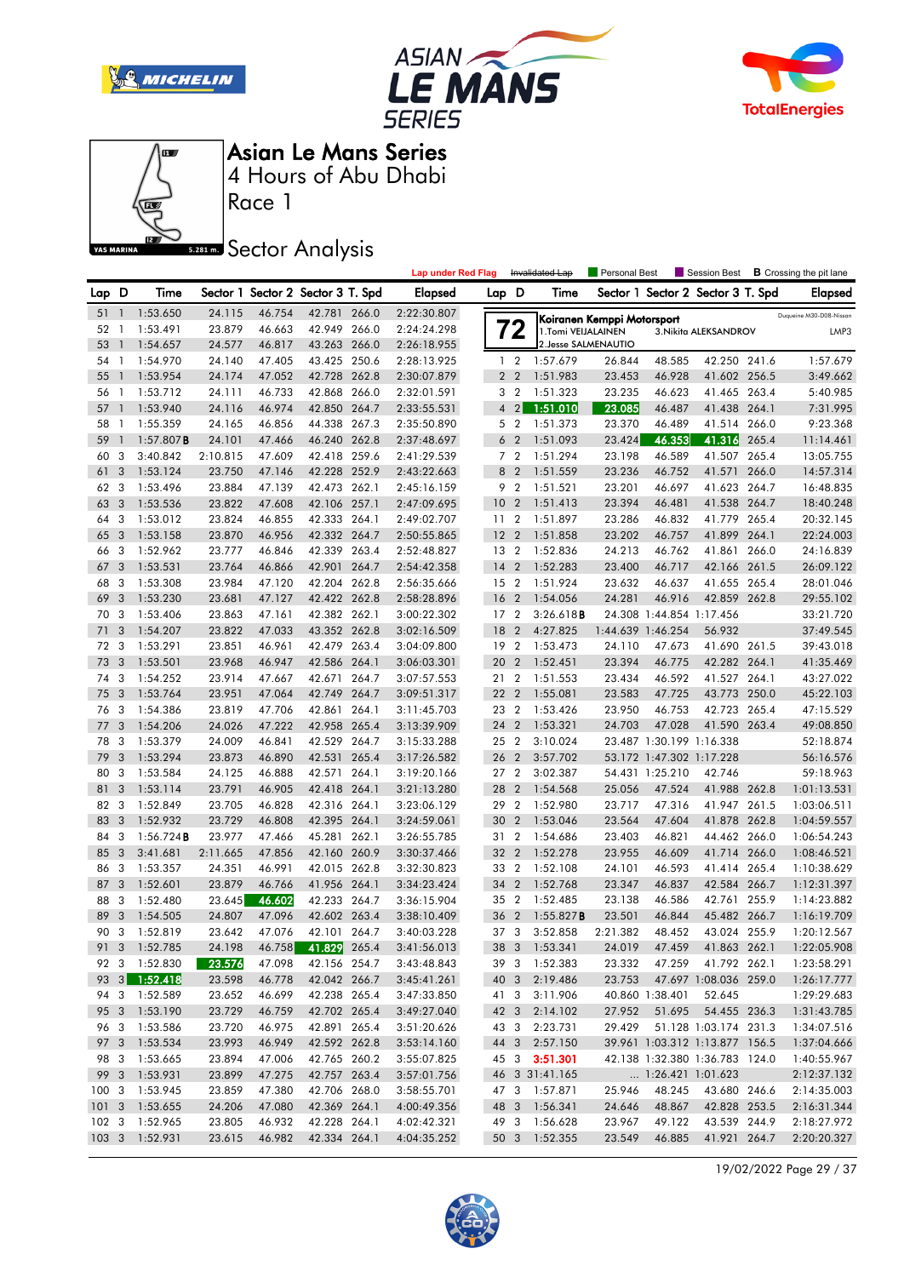







Race 1

## **Sector Analysis**

|       |                |                     |          |        |                                   |       | <b>Lap under Red Flag</b> |                 |                | Invalidated Lap      | Personal Best              |                            | Session Best                      |       | <b>B</b> Crossing the pit lane |
|-------|----------------|---------------------|----------|--------|-----------------------------------|-------|---------------------------|-----------------|----------------|----------------------|----------------------------|----------------------------|-----------------------------------|-------|--------------------------------|
| Lap D |                | Time                |          |        | Sector 1 Sector 2 Sector 3 T. Spd |       | <b>Elapsed</b>            | Lap D           |                | Time                 |                            |                            | Sector 1 Sector 2 Sector 3 T. Spd |       | <b>Elapsed</b>                 |
| 51 1  |                | 1:53.650            | 24.115   | 46.754 | 42.781 266.0                      |       | 2:22:30.807               |                 |                |                      | Koiranen Kemppi Motorsport |                            |                                   |       | Duqueine M30-D08-Nissan        |
| 52    | -1             | 1:53.491            | 23.879   | 46.663 | 42.949 266.0                      |       | 2:24:24.298               |                 | 72             | 1.Tomi VEIJALAINEN   |                            |                            | 3. Nikita ALEKSANDROV             |       | LMP3                           |
| 53    | $\overline{1}$ | 1:54.657            | 24.577   | 46.817 | 43.263 266.0                      |       | 2:26:18.955               |                 |                | 2. Jesse SALMENAUTIO |                            |                            |                                   |       |                                |
| 54    | -1             | 1:54.970            | 24.140   | 47.405 | 43.425 250.6                      |       | 2:28:13.925               |                 | 1 <sub>2</sub> | 1:57.679             | 26.844                     | 48.585                     | 42.250 241.6                      |       | 1:57.679                       |
| 55    | $\mathbf{1}$   | 1:53.954            | 24.174   | 47.052 | 42.728 262.8                      |       | 2:30:07.879               |                 | 2 <sub>2</sub> | 1:51.983             | 23.453                     | 46.928                     | 41.602 256.5                      |       | 3:49.662                       |
| 56    | -1             | 1:53.712            | 24.111   | 46.733 | 42.868 266.0                      |       | 2:32:01.591               |                 | 3 <sub>2</sub> | 1:51.323             | 23.235                     | 46.623                     | 41.465 263.4                      |       | 5:40.985                       |
| 57    | $\overline{1}$ | 1:53.940            | 24.116   | 46.974 | 42.850 264.7                      |       | 2:33:55.531               | $\overline{4}$  | $\overline{2}$ | 1:51.010             | 23.085                     | 46.487                     | 41.438 264.1                      |       | 7:31.995                       |
| 58    | - 1            | 1:55.359            | 24.165   | 46.856 | 44.338 267.3                      |       | 2:35:50.890               |                 | 5 <sub>2</sub> | 1:51.373             | 23.370                     | 46.489                     | 41.514 266.0                      |       | 9:23.368                       |
| 59    | $\mathbf{1}$   | $1:57.807$ <b>B</b> | 24.101   | 47.466 | 46.240 262.8                      |       | 2:37:48.697               |                 | 6 <sub>2</sub> | 1:51.093             | 23.424                     | 46.353                     | 41.316                            | 265.4 | 11:14.461                      |
| 60    | 3              | 3:40.842            | 2:10.815 | 47.609 | 42.418 259.6                      |       | 2:41:29.539               |                 | 7 <sub>2</sub> | 1:51.294             | 23.198                     | 46.589                     | 41.507 265.4                      |       | 13:05.755                      |
| 61    | 3              | 1:53.124            | 23.750   | 47.146 | 42.228 252.9                      |       | 2:43:22.663               | 8               | $\overline{2}$ | 1:51.559             | 23.236                     | 46.752                     | 41.571                            | 266.0 | 14:57.314                      |
| 62    | 3              | 1:53.496            | 23.884   | 47.139 | 42.473 262.1                      |       | 2:45:16.159               |                 | 9 <sub>2</sub> | 1:51.521             | 23.201                     | 46.697                     | 41.623 264.7                      |       | 16:48.835                      |
| 63    | 3              | 1:53.536            | 23.822   | 47.608 | 42.106                            | 257.1 | 2:47:09.695               | 10 <sub>2</sub> |                | 1:51.413             | 23.394                     | 46.481                     | 41.538 264.7                      |       | 18:40.248                      |
| 64    | 3              | 1:53.012            | 23.824   | 46.855 | 42.333 264.1                      |       | 2:49:02.707               | 11              | $\overline{2}$ | 1:51.897             | 23.286                     | 46.832                     | 41.779 265.4                      |       | 20:32.145                      |
| 65    | 3              | 1:53.158            | 23.870   | 46.956 | 42.332 264.7                      |       | 2:50:55.865               | 12              | $\overline{2}$ | 1:51.858             | 23.202                     | 46.757                     | 41.899                            | 264.1 | 22:24.003                      |
| 66    | -3             | 1:52.962            | 23.777   | 46.846 | 42.339 263.4                      |       | 2:52:48.827               | 13 2            |                | 1:52.836             | 24.213                     | 46.762                     | 41.861 266.0                      |       | 24:16.839                      |
| 67    | 3              | 1:53.531            | 23.764   | 46.866 | 42.901                            | 264.7 | 2:54:42.358               | $14 \quad 2$    |                | 1:52.283             | 23.400                     | 46.717                     | 42.166 261.5                      |       | 26:09.122                      |
| 68    | 3              | 1:53.308            | 23.984   | 47.120 | 42.204 262.8                      |       | 2:56:35.666               | 15 2            |                | 1:51.924             | 23.632                     | 46.637                     | 41.655 265.4                      |       | 28:01.046                      |
| 69    | 3              | 1:53.230            | 23.681   | 47.127 | 42.422 262.8                      |       | 2:58:28.896               | 16 <sub>2</sub> |                | 1:54.056             | 24.281                     | 46.916                     | 42.859 262.8                      |       | 29:55.102                      |
| 70    | 3              | 1:53.406            | 23.863   | 47.161 | 42.382 262.1                      |       | 3:00:22.302               | 17 <sub>2</sub> |                | 3:26.618B            |                            | 24.308 1:44.854 1:17.456   |                                   |       | 33:21.720                      |
| 71    | 3              | 1:54.207            | 23.822   | 47.033 | 43.352 262.8                      |       | 3:02:16.509               | 18              | $\overline{2}$ | 4:27.825             |                            | 1:44.639 1:46.254          | 56.932                            |       | 37:49.545                      |
| 72    | 3              | 1:53.291            | 23.851   | 46.961 | 42.479                            | 263.4 | 3:04:09.800               | 19              | $\overline{2}$ | 1:53.473             | 24.110                     | 47.673                     | 41.690 261.5                      |       | 39:43.018                      |
| 73    | 3              | 1:53.501            | 23.968   | 46.947 | 42.586 264.1                      |       | 3:06:03.301               | 20              | $\overline{2}$ | 1:52.451             | 23.394                     | 46.775                     | 42.282 264.1                      |       | 41:35.469                      |
| 74    | -3             | 1:54.252            | 23.914   | 47.667 | 42.671 264.7                      |       | 3:07:57.553               | 21 2            |                | 1:51.553             | 23.434                     | 46.592                     | 41.527 264.1                      |       | 43:27.022                      |
| 75    | 3              | 1:53.764            | 23.951   | 47.064 | 42.749                            | 264.7 | 3:09:51.317               | 22 2            |                | 1:55.081             | 23.583                     | 47.725                     | 43.773 250.0                      |       | 45:22.103                      |
| 76    | 3              | 1:54.386            | 23.819   | 47.706 | 42.861 264.1                      |       | 3:11:45.703               | 23 2            |                | 1:53.426             | 23.950                     | 46.753                     | 42.723 265.4                      |       | 47:15.529                      |
| 77    | 3              | 1:54.206            | 24.026   | 47.222 | 42.958 265.4                      |       | 3:13:39.909               | 24 2            |                | 1:53.321             | 24.703                     | 47.028                     | 41.590 263.4                      |       | 49:08.850                      |
| 78    | 3              | 1:53.379            | 24.009   | 46.841 | 42.529 264.7                      |       | 3:15:33.288               | 25 2            |                | 3:10.024             |                            | 23.487 1:30.199 1:16.338   |                                   |       | 52:18.874                      |
| 79    | 3              | 1:53.294            | 23.873   | 46.890 | 42.531                            | 265.4 | 3:17:26.582               | 26 2            |                | 3:57.702             |                            | 53.172 1:47.302 1:17.228   |                                   |       | 56:16.576                      |
| 80    | 3              | 1:53.584            | 24.125   | 46.888 | 42.571                            | 264.1 | 3:19:20.166               | 27 2            |                | 3:02.387             |                            | 54.431 1:25.210            | 42.746                            |       | 59:18.963                      |
| 81    | 3              | 1:53.114            | 23.791   | 46.905 | 42.418 264.1                      |       | 3:21:13.280               | 28              | $\overline{2}$ | 1:54.568             | 25.056                     | 47.524                     | 41.988 262.8                      |       | 1:01:13.531                    |
| 82    | 3              | 1:52.849            | 23.705   | 46.828 | 42.316 264.1                      |       | 3:23:06.129               | 29 2            |                | 1:52.980             | 23.717                     | 47.316                     | 41.947 261.5                      |       | 1:03:06.511                    |
| 83    | 3              | 1:52.932            | 23.729   | 46.808 | 42.395 264.1                      |       | 3:24:59.061               | 30 2            |                | 1:53.046             | 23.564                     | 47.604                     | 41.878 262.8                      |       | 1:04:59.557                    |
| 84    | 3              | 1:56.724B           | 23.977   | 47.466 | 45.281                            | 262.1 | 3:26:55.785               | 31 2            |                | 1:54.686             | 23.403                     | 46.821                     | 44.462 266.0                      |       | 1:06:54.243                    |
| 85    | 3              | 3:41.681            | 2:11.665 | 47.856 | 42.160 260.9                      |       | 3:30:37.466               | 32              | $\overline{2}$ | 1:52.278             | 23.955                     | 46.609                     | 41.714 266.0                      |       | 1:08:46.521                    |
| 86    | 3              | 1:53.357            | 24.351   | 46.991 | 42.015 262.8                      |       | 3:32:30.823               | 33 2            |                | 1:52.108             | 24.101                     | 46.593                     | 41.414 265.4                      |       | 1:10:38.629                    |
| 87    | 3              | 1:52.601            | 23.879   | 46.766 | 41.956 264.1                      |       | 3:34:23.424               | 34 2            |                | 1:52.768             | 23.347                     | 46.837                     | 42.584 266.7                      |       | 1:12:31.397                    |
| 88    | 3              | 1:52.480            | 23.645   | 46.602 | 42.233 264.7                      |       | 3:36:15.904               | 35 2            |                | 1:52.485             | 23.138                     | 46.586                     | 42.761                            | 255.9 | 1:14:23.882                    |
| 89    | 3              | 1:54.505            | 24.807   | 47.096 | 42.602 263.4                      |       | 3:38:10.409               | 36              | $\overline{2}$ | 1:55.827B            | 23.501                     | 46.844                     | 45.482 266.7                      |       | 1:16:19.709                    |
| 90 3  |                | 1:52.819            | 23.642   | 47.076 | 42.101 264.7                      |       | 3:40:03.228               | 373             |                | 3:52.858             | 2:21.382                   | 48.452                     | 43.024 255.9                      |       | 1:20:12.567                    |
|       |                | 91 3 1:52.785       | 24.198   |        | 46.758 41.829 265.4               |       | 3:41:56.013               |                 |                | 38 3 1:53.341        |                            |                            | 24.019 47.459 41.863 262.1        |       | 1:22:05.908                    |
|       |                | 92 3 1:52.830       | 23.576   | 47.098 | 42.156 254.7                      |       | 3:43:48.843               |                 |                | 39 3 1:52.383        | 23.332                     |                            | 47.259 41.792 262.1               |       | 1:23:58.291                    |
|       |                | 93 3 1:52.418       | 23.598   | 46.778 | 42.042 266.7                      |       | 3:45:41.261               |                 |                | 40 3 2:19.486        | 23.753                     |                            | 47.697 1:08.036 259.0             |       | 1:26:17.777                    |
|       |                | 94 3 1:52.589       | 23.652   | 46.699 | 42.238 265.4                      |       | 3:47:33.850               |                 |                | 41 3 3:11.906        |                            | 40.860 1:38.401            | 52.645                            |       | 1:29:29.683                    |
|       |                | 95 3 1:53.190       | 23.729   | 46.759 | 42.702 265.4                      |       | 3:49:27.040               |                 |                | 42 3 2:14.102        | 27.952                     |                            | 51.695 54.455 236.3               |       | 1:31:43.785                    |
| 96 3  |                | 1:53.586            | 23.720   | 46.975 | 42.891 265.4                      |       | 3:51:20.626               | 43 3            |                | 2:23.731             | 29.429                     |                            | 51.128 1:03.174 231.3             |       | 1:34:07.516                    |
|       |                | 97 3 1:53.534       | 23.993   | 46.949 | 42.592 262.8                      |       | 3:53:14.160               |                 |                | 44 3 2:57.150        |                            |                            | 39.961 1:03.312 1:13.877 156.5    |       | 1:37:04.666                    |
| 98 3  |                | 1:53.665            | 23.894   | 47.006 | 42.765 260.2                      |       | 3:55:07.825               |                 |                | 45 3 3:51.301        |                            |                            | 42.138 1:32.380 1:36.783 124.0    |       | 1:40:55.967                    |
|       |                | 99 3 1:53.931       | 23.899   | 47.275 | 42.757 263.4                      |       | 3:57:01.756               |                 |                | 46 3 31:41.165       |                            | $\ldots$ 1:26.421 1:01.623 |                                   |       | 2:12:37.132                    |
| 1003  |                | 1:53.945            | 23.859   | 47.380 | 42.706 268.0                      |       | 3:58:55.701               |                 |                | 47 3 1:57.871        | 25.946                     | 48.245                     | 43.680 246.6                      |       | 2:14:35.003                    |
|       |                | 101 3 1:53.655      | 24.206   | 47.080 | 42.369 264.1                      |       | 4:00:49.356               |                 |                | 48 3 1:56.341        | 24.646                     | 48.867                     | 42.828 253.5                      |       | 2:16:31.344                    |
|       |                | 102 3 1:52.965      | 23.805   | 46.932 | 42.228 264.1                      |       | 4:02:42.321               |                 |                | 49 3 1:56.628        | 23.967                     | 49.122                     | 43.539 244.9                      |       | 2:18:27.972                    |
|       |                | 103 3 1:52.931      | 23.615   | 46.982 | 42.334 264.1                      |       | 4:04:35.252               |                 |                | 50 3 1:52.355        | 23.549                     | 46.885                     | 41.921 264.7                      |       | 2:20:20.327                    |
|       |                |                     |          |        |                                   |       |                           |                 |                |                      |                            |                            |                                   |       |                                |

19/02/2022 Page 29 / 37

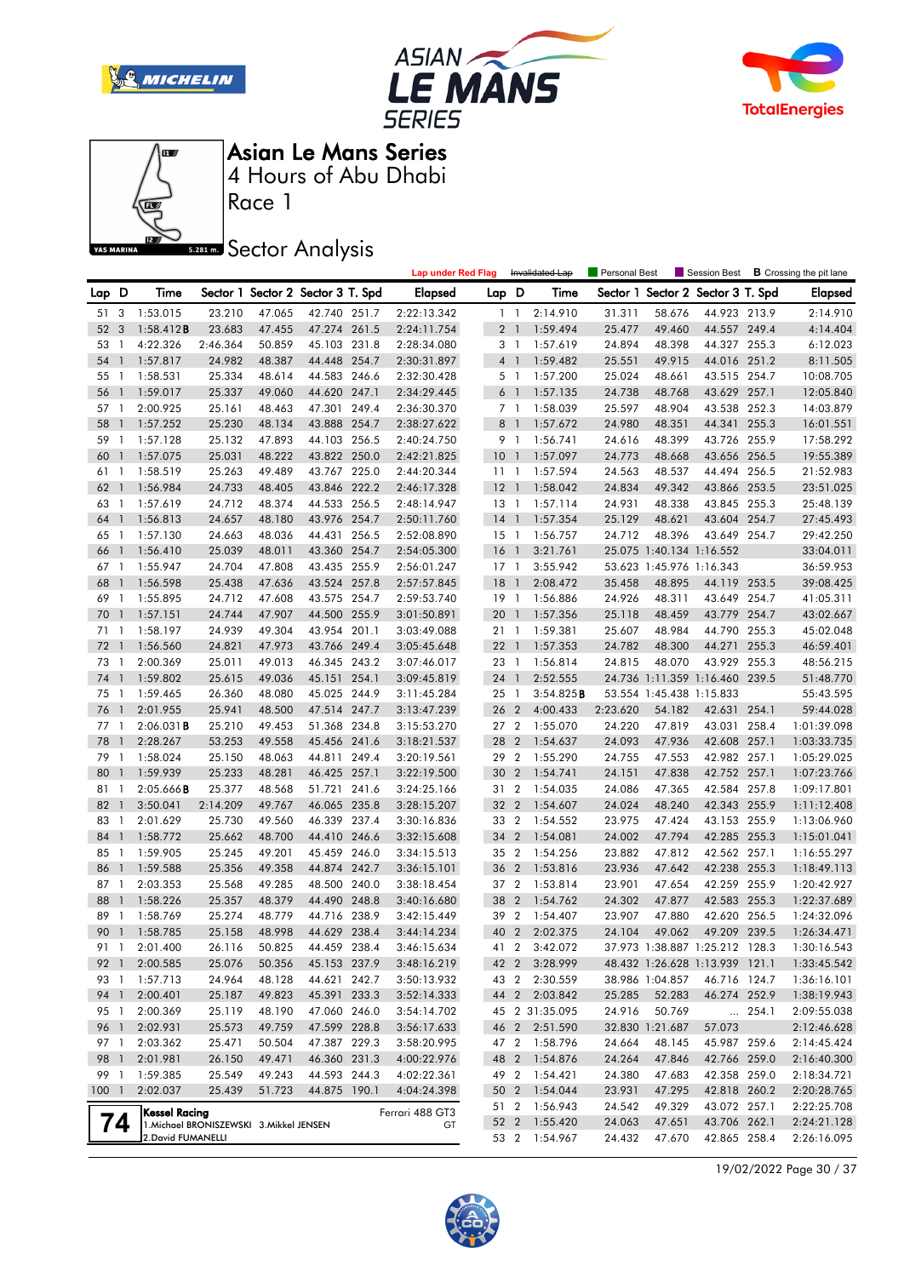







Race 1

**Sector Analysis** 

|       |                |                     |                                          |        |                                   |       | <b>Lap under Red Flag</b> |                 |                | Invalidated Lap      | Personal Best    |                          |                                   |       | Session Best <b>B</b> Crossing the pit lane |
|-------|----------------|---------------------|------------------------------------------|--------|-----------------------------------|-------|---------------------------|-----------------|----------------|----------------------|------------------|--------------------------|-----------------------------------|-------|---------------------------------------------|
| Lap D |                | Time                |                                          |        | Sector 1 Sector 2 Sector 3 T. Spd |       | <b>Elapsed</b>            | Lap D           |                | Time                 |                  |                          | Sector 1 Sector 2 Sector 3 T. Spd |       | <b>Elapsed</b>                              |
| 51    | 3              | 1:53.015            | 23.210                                   | 47.065 | 42.740 251.7                      |       | 2:22:13.342               |                 | $1\quad1$      | 2:14.910             | 31.311           | 58.676                   | 44.923 213.9                      |       | 2:14.910                                    |
| 52    | 3              | 1:58.412B           | 23.683                                   | 47.455 | 47.274 261.5                      |       | 2:24:11.754               | 2 <sub>1</sub>  |                | 1:59.494             | 25.477           | 49.460                   | 44.557 249.4                      |       | 4:14.404                                    |
| 53    | -1             | 4:22.326            | 2:46.364                                 | 50.859 | 45.103 231.8                      |       | 2:28:34.080               |                 | 3 1            | 1:57.619             | 24.894           | 48.398                   | 44.327 255.3                      |       | 6:12.023                                    |
| 54    | $\mathbf{1}$   | 1:57.817            | 24.982                                   | 48.387 | 44.448 254.7                      |       | 2:30:31.897               | $4-1$           |                | 1:59.482             | 25.551           | 49.915                   | 44.016 251.2                      |       | 8:11.505                                    |
| 55    | $\overline{1}$ | 1:58.531            | 25.334                                   | 48.614 | 44.583 246.6                      |       | 2:32:30.428               |                 | 5 <sub>1</sub> | 1:57.200             | 25.024           | 48.661                   | 43.515 254.7                      |       | 10:08.705                                   |
| 56    | $\mathbf{1}$   | 1:59.017            | 25.337                                   | 49.060 | 44.620 247.1                      |       | 2:34:29.445               | $6-1$           |                | 1:57.135             | 24.738           | 48.768                   | 43.629 257.1                      |       | 12:05.840                                   |
| 57 1  |                | 2:00.925            | 25.161                                   | 48.463 | 47.301 249.4                      |       | 2:36:30.370               |                 | 7 1            | 1:58.039             | 25.597           | 48.904                   | 43.538 252.3                      |       | 14:03.879                                   |
| 58    | $\mathbf{1}$   | 1:57.252            | 25.230                                   | 48.134 | 43.888 254.7                      |       | 2:38:27.622               | 8 <sup>1</sup>  |                | 1:57.672             | 24.980           | 48.351                   | 44.341 255.3                      |       | 16:01.551                                   |
| 59    | $\mathbf{1}$   | 1:57.128            | 25.132                                   | 47.893 | 44.103 256.5                      |       | 2:40:24.750               | 9 1             |                | 1:56.741             | 24.616           | 48.399                   | 43.726 255.9                      |       | 17:58.292                                   |
| 60    | $\mathbf{1}$   | 1:57.075            | 25.031                                   | 48.222 | 43.822 250.0                      |       | 2:42:21.825               | 10              | $\overline{1}$ | 1:57.097             | 24.773           | 48.668                   | 43.656 256.5                      |       | 19:55.389                                   |
| 61    | $\overline{1}$ | 1:58.519            | 25.263                                   | 49.489 | 43.767 225.0                      |       | 2:44:20.344               | 111             |                | 1:57.594             | 24.563           | 48.537                   | 44.494 256.5                      |       | 21:52.983                                   |
| 62    | $\mathbf{1}$   | 1:56.984            | 24.733                                   | 48.405 | 43.846 222.2                      |       | 2:46:17.328               | $12-1$          |                | 1:58.042             | 24.834           | 49.342                   | 43.866 253.5                      |       | 23:51.025                                   |
| 63    | $\mathbf{1}$   | 1:57.619            | 24.712                                   | 48.374 | 44.533 256.5                      |       | 2:48:14.947               | $13-1$          |                | 1:57.114             | 24.931           | 48.338                   | 43.845 255.3                      |       | 25:48.139                                   |
| 64    | $\mathbf{1}$   | 1:56.813            | 24.657                                   | 48.180 | 43.976 254.7                      |       | 2:50:11.760               | $14-1$          |                | 1:57.354             | 25.129           | 48.621                   | 43.604 254.7                      |       | 27:45.493                                   |
| 65 1  |                | 1:57.130            | 24.663                                   | 48.036 | 44.431 256.5                      |       | 2:52:08.890               | $15-1$          |                | 1:56.757             | 24.712           | 48.396                   | 43.649 254.7                      |       | 29:42.250                                   |
| 66    | $\mathbf{1}$   | 1:56.410            | 25.039                                   | 48.011 | 43.360 254.7                      |       | 2:54:05.300               | 16 <sub>1</sub> |                | 3:21.761             |                  | 25.075 1:40.134 1:16.552 |                                   |       | 33:04.011                                   |
| 67    | $\mathbf{1}$   | 1:55.947            | 24.704                                   | 47.808 | 43.435 255.9                      |       | 2:56:01.247               | $17-1$          |                | 3:55.942             |                  | 53.623 1:45.976 1:16.343 |                                   |       | 36:59.953                                   |
| 68    | $\mathbf{1}$   | 1:56.598            | 25.438                                   | 47.636 | 43.524 257.8                      |       | 2:57:57.845               | 18              | $\overline{1}$ | 2:08.472             | 35.458           | 48.895                   | 44.119 253.5                      |       | 39:08.425                                   |
| 69    | $\overline{1}$ | 1:55.895            | 24.712                                   | 47.608 | 43.575 254.7                      |       | 2:59:53.740               | $19-1$          |                | 1:56.886             | 24.926           | 48.311                   | 43.649 254.7                      |       | 41:05.311                                   |
| 70    | $\mathbf{1}$   | 1:57.151            | 24.744                                   | 47.907 | 44.500 255.9                      |       | 3:01:50.891               | 201             |                | 1:57.356             | 25.118           | 48.459                   | 43.779 254.7                      |       | 43:02.667                                   |
| 71    | $\overline{1}$ | 1:58.197            | 24.939                                   | 49.304 | 43.954 201.1                      |       | 3:03:49.088               | 21 1            |                | 1:59.381             | 25.607           | 48.984                   | 44.790 255.3                      |       | 45:02.048                                   |
| 72    | $\overline{1}$ | 1:56.560            | 24.821                                   | 47.973 | 43.766 249.4                      |       | 3:05:45.648               | $22 \quad 1$    |                | 1:57.353             | 24.782           | 48.300                   | 44.271 255.3                      |       | 46:59.401                                   |
| 73 1  |                | 2:00.369            | 25.011                                   | 49.013 | 46.345 243.2                      |       | 3:07:46.017               | 23 1            |                | 1:56.814             | 24.815           | 48.070                   | 43.929 255.3                      |       | 48:56.215                                   |
| 74    | $\mathbf{1}$   | 1:59.802            | 25.615                                   | 49.036 | 45.151 254.1                      |       | 3:09:45.819               | $24 \quad 1$    |                | 2:52.555             |                  |                          | 24.736 1:11.359 1:16.460 239.5    |       | 51:48.770                                   |
| 75    | $\overline{1}$ | 1:59.465            | 26.360                                   | 48.080 | 45.025 244.9                      |       | 3:11:45.284               | 25 1            |                | 3:54.825B            |                  | 53.554 1:45.438 1:15.833 |                                   |       | 55:43.595                                   |
| 76    | $\mathbf{1}$   | 2:01.955            | 25.941                                   | 48.500 | 47.514 247.7                      |       | 3:13:47.239               | 26 2            |                | 4:00.433             | 2:23.620         | 54.182                   | 42.631 254.1                      |       | 59:44.028                                   |
| 77 1  |                | $2:06.031$ <b>B</b> | 25.210                                   | 49.453 | 51.368 234.8                      |       | 3:15:53.270               | 27 <sub>2</sub> |                | 1:55.070             | 24.220           | 47.819                   | 43.031 258.4                      |       | 1:01:39.098                                 |
| 78    | $\mathbf{1}$   | 2:28.267            | 53.253                                   | 49.558 | 45.456 241.6                      |       | 3:18:21.537               | 28 2            |                | 1:54.637             | 24.093           | 47.936                   | 42.608 257.1                      |       | 1:03:33.735                                 |
| 79    | -1             | 1:58.024            | 25.150                                   | 48.063 | 44.811                            | 249.4 | 3:20:19.561               | 29 2            |                | 1:55.290             | 24.755           | 47.553                   | 42.982 257.1                      |       | 1:05:29.025                                 |
| 80    | $\mathbf{1}$   | 1:59.939            | 25.233                                   | 48.281 | 46.425 257.1                      |       | 3:22:19.500               | 30 2            |                | 1:54.741             | 24.151           | 47.838                   | 42.752 257.1                      |       | 1:07:23.766                                 |
| 81    | -1             | 2:05.666B           | 25.377                                   | 48.568 | 51.721 241.6                      |       | 3:24:25.166               | 31 2            |                | 1:54.035             | 24.086           | 47.365                   | 42.584 257.8                      |       | 1:09:17.801                                 |
| 82    | $\mathbf{1}$   | 3:50.041            | 2:14.209                                 | 49.767 | 46.065 235.8                      |       | 3:28:15.207               | 32 2            |                | 1:54.607             | 24.024           | 48.240                   | 42.343 255.9                      |       | 1:11:12.408                                 |
| 83    | -1             | 2:01.629            | 25.730                                   | 49.560 | 46.339 237.4                      |       | 3:30:16.836               | 33 2            |                | 1:54.552             | 23.975           | 47.424                   | 43.153 255.9                      |       | 1:13:06.960                                 |
| 84    | $\mathbf{1}$   | 1:58.772            | 25.662                                   | 48.700 | 44.410 246.6                      |       | 3:32:15.608               | 34 2            |                | 1:54.081             | 24.002           | 47.794                   | 42.285 255.3                      |       | 1:15:01.041                                 |
| 85    | $\mathbf{1}$   | 1:59.905            | 25.245                                   | 49.201 | 45.459 246.0                      |       | 3:34:15.513               | 35 2            |                | 1:54.256             | 23.882           | 47.812                   | 42.562 257.1                      |       | 1:16:55.297                                 |
| 86    | $\overline{1}$ | 1:59.588            | 25.356                                   | 49.358 | 44.874 242.7                      |       | 3:36:15.101               | 36 2            |                | 1:53.816             | 23.936           | 47.642                   | 42.238 255.3                      |       | 1:18:49.113                                 |
| 87    | $\mathbf{1}$   | 2:03.353            | 25.568                                   | 49.285 | 48.500 240.0                      |       | 3:38:18.454               | 37 2            |                | 1:53.814             | 23.901           | 47.654                   | 42.259 255.9                      |       | 1:20:42.927                                 |
| 88    | $\mathbf{1}$   | 1:58.226            | 25.357                                   | 48.379 | 44.490 248.8                      |       | 3:40:16.680               | 38              | $\overline{2}$ | 1:54.762             | 24.302           | 47.877                   | 42.583 255.3                      |       | 1:22:37.689                                 |
| 89    | $\mathbf{1}$   | 1:58.769            | 25.274                                   | 48.779 | 44.716 238.9                      |       | 3:42:15.449               | 39 2            |                | 1:54.407             | 23.907           | 47.880                   | 42.620 256.5                      |       | 1:24:32.096                                 |
| 90 1  |                | 1:58.785            | 25.158                                   | 48.998 | 44.629 238.4                      |       | 3:44:14.234               |                 |                | 40 2 2:02.375        | 24.104           | 49.062                   | 49.209 239.5                      |       | 1:26:34.471                                 |
| 91 1  |                | 2:01.400            | 26.116                                   | 50.825 | 44.459 238.4                      |       | 3:46:15.634               |                 |                | 41 2 3:42.072        |                  |                          | 37.973 1:38.887 1:25.212 128.3    |       | 1:30:16.543                                 |
| 92 1  |                | 2:00.585            | 25.076                                   | 50.356 | 45.153 237.9                      |       | 3:48:16.219               |                 |                | 42 2 3:28.999        |                  |                          | 48.432 1:26.628 1:13.939 121.1    |       | 1:33:45.542                                 |
| 93 1  |                | 1:57.713            | 24.964                                   | 48.128 | 44.621 242.7                      |       | 3:50:13.932               | 43 2            |                | 2:30.559             |                  | 38.986 1:04.857          | 46.716 124.7                      |       | 1:36:16.101                                 |
| 94 1  |                | 2:00.401            | 25.187                                   | 49.823 | 45.391 233.3                      |       | 3:52:14.333               |                 |                | 44 2 2:03.842        | 25.285           | 52.283                   | 46.274 252.9                      |       | 1:38:19.943                                 |
| 95 1  |                | 2:00.369            | 25.119                                   | 48.190 | 47.060 246.0                      |       | 3:54:14.702               |                 |                | 45 2 31:35.095       | 24.916           | 50.769                   |                                   | 254.1 | 2:09:55.038                                 |
| 96 1  |                | 2:02.931            | 25.573                                   | 49.759 | 47.599 228.8                      |       | 3:56:17.633               | 46 2            |                | 2:51.590             |                  | 32.830 1:21.687          | 57.073                            |       | 2:12:46.628                                 |
| 97 1  |                | 2:03.362            | 25.471                                   | 50.504 | 47.387 229.3                      |       | 3:58:20.995               | 472             |                | 1:58.796             | 24.664           | 48.145                   | 45.987 259.6                      |       | 2:14:45.424                                 |
| 98 1  |                | 2:01.981            | 26.150                                   | 49.471 | 46.360 231.3                      |       | 4:00:22.976               | 48 2            |                | 1:54.876             | 24.264           | 47.846                   | 42.766 259.0                      |       | 2:16:40.300                                 |
| 99 1  |                | 1:59.385            | 25.549                                   | 49.243 | 44.593 244.3                      |       | 4:02:22.361               | 49 2            |                | 1:54.421             | 24.380           | 47.683                   | 42.358 259.0                      |       | 2:18:34.721                                 |
| 1001  |                | 2:02.037            | 25.439                                   | 51.723 | 44.875 190.1                      |       | 4:04:24.398               | 50 2<br>51 2    |                | 1:54.044             | 23.931           | 47.295                   | 42.818 260.2                      |       | 2:20:28.765                                 |
|       |                | Kessel Racing       |                                          |        |                                   |       | Ferrari 488 GT3           | 52 2            |                | 1:56.943<br>1:55.420 | 24.542<br>24.063 | 49.329<br>47.651         | 43.072 257.1<br>43.706 262.1      |       | 2:22:25.708<br>2:24:21.128                  |
|       | 74             | 2. David FUMANELLI  | 1. Michael BRONISZEWSKI 3. Mikkel JENSEN |        |                                   |       | GT                        | 53 2            |                | 1:54.967             | 24.432           | 47.670                   | 42.865 258.4                      |       | 2:26:16.095                                 |
|       |                |                     |                                          |        |                                   |       |                           |                 |                |                      |                  |                          |                                   |       |                                             |

19/02/2022 Page 30 / 37

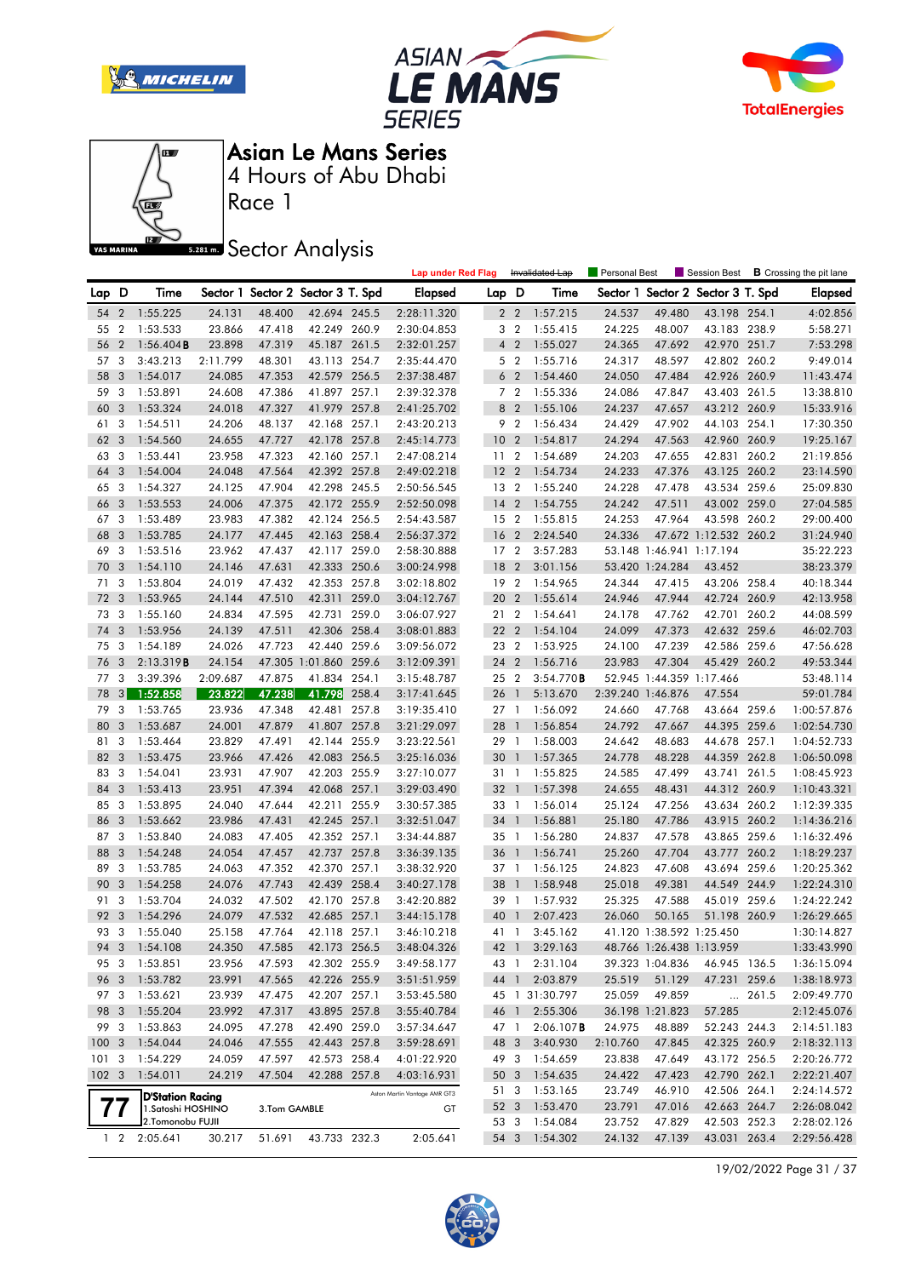







Race 1

## **Sector Analysis**

|       |                |                                         |          |              |                                   |       | <b>Lap under Red Flag</b>    |                 |                 | Invalidated Lap           | <b>Personal Best</b> |                          |                              |               | Session Best <b>B</b> Crossing the pit lane |
|-------|----------------|-----------------------------------------|----------|--------------|-----------------------------------|-------|------------------------------|-----------------|-----------------|---------------------------|----------------------|--------------------------|------------------------------|---------------|---------------------------------------------|
| Lap D |                | Time                                    |          |              | Sector 1 Sector 2 Sector 3 T. Spd |       | <b>Elapsed</b>               | Lap D           |                 | Time                      | Sector 1             |                          | Sector 2 Sector 3 T. Spd     |               | <b>Elapsed</b>                              |
| 54    | $\overline{2}$ | 1:55.225                                | 24.131   | 48.400       | 42.694 245.5                      |       | 2:28:11.320                  |                 | 2 <sub>2</sub>  | 1:57.215                  | 24.537               | 49.480                   | 43.198 254.1                 |               | 4:02.856                                    |
| 55    | $\overline{2}$ | 1:53.533                                | 23.866   | 47.418       | 42.249 260.9                      |       | 2:30:04.853                  |                 | 3 <sub>2</sub>  | 1:55.415                  | 24.225               | 48.007                   | 43.183 238.9                 |               | 5:58.271                                    |
| 56    | $\overline{2}$ | 1:56.404B                               | 23.898   | 47.319       | 45.187 261.5                      |       | 2:32:01.257                  |                 | 4 <sup>2</sup>  | 1:55.027                  | 24.365               | 47.692                   | 42.970 251.7                 |               | 7:53.298                                    |
| 57    | 3              | 3:43.213                                | 2:11.799 | 48.301       | 43.113 254.7                      |       | 2:35:44.470                  |                 | 5 <sub>2</sub>  | 1:55.716                  | 24.317               | 48.597                   | 42.802 260.2                 |               | 9:49.014                                    |
| 58    | 3              | 1:54.017                                | 24.085   | 47.353       | 42.579 256.5                      |       | 2:37:38.487                  |                 | 6 <sub>2</sub>  | 1:54.460                  | 24.050               | 47.484                   | 42.926 260.9                 |               | 11:43.474                                   |
| 59    | 3              | 1:53.891                                | 24.608   | 47.386       | 41.897 257.1                      |       | 2:39:32.378                  |                 | 7 <sup>2</sup>  | 1:55.336                  | 24.086               | 47.847                   | 43.403 261.5                 |               | 13:38.810                                   |
| 60    | 3              | 1:53.324                                | 24.018   | 47.327       | 41.979 257.8                      |       | 2:41:25.702                  |                 | 8 2             | 1:55.106                  | 24.237               | 47.657                   | 43.212 260.9                 |               | 15:33.916                                   |
| 61    | 3              | 1:54.511                                | 24.206   | 48.137       | 42.168 257.1                      |       | 2:43:20.213                  |                 | 9 <sub>2</sub>  | 1:56.434                  | 24.429               | 47.902                   | 44.103 254.1                 |               | 17:30.350                                   |
| 62    | 3              | 1:54.560                                | 24.655   | 47.727       | 42.178 257.8                      |       | 2:45:14.773                  | 10              | $\overline{2}$  | 1:54.817                  | 24.294               | 47.563                   | 42.960 260.9                 |               | 19:25.167                                   |
| 63    | 3              | 1:53.441                                | 23.958   | 47.323       | 42.160 257.1                      |       | 2:47:08.214                  | 11              | $\overline{2}$  | 1:54.689                  | 24.203               | 47.655                   | 42.831 260.2                 |               | 21:19.856                                   |
| 64    | 3              | 1:54.004                                | 24.048   | 47.564       | 42.392 257.8                      |       | 2:49:02.218                  | 12 <sub>2</sub> |                 | 1:54.734                  | 24.233               | 47.376                   | 43.125 260.2                 |               | 23:14.590                                   |
| 65    | 3              | 1:54.327                                | 24.125   | 47.904       | 42.298 245.5                      |       | 2:50:56.545                  |                 | 13 2            | 1:55.240                  | 24.228               | 47.478                   | 43.534 259.6                 |               | 25:09.830                                   |
| 66    | 3              | 1:53.553                                | 24.006   | 47.375       | 42.172 255.9                      |       | 2:52:50.098                  | 14              | $\overline{2}$  | 1:54.755                  | 24.242               | 47.511                   | 43.002 259.0                 |               | 27:04.585                                   |
| 67    | 3              | 1:53.489                                | 23.983   | 47.382       | 42.124 256.5                      |       | 2:54:43.587                  |                 | 15 <sub>2</sub> | 1:55.815                  | 24.253               | 47.964                   | 43.598 260.2                 |               | 29:00.400                                   |
| 68    | 3              | 1:53.785                                | 24.177   | 47.445       | 42.163 258.4                      |       | 2:56:37.372                  | 16              | $\overline{2}$  | 2:24.540                  | 24.336               |                          | 47.672 1:12.532 260.2        |               | 31:24.940                                   |
| 69    | 3              | 1:53.516                                | 23.962   | 47.437       | 42.117 259.0                      |       | 2:58:30.888                  |                 | 17 <sup>2</sup> | 3:57.283                  |                      | 53.148 1:46.941 1:17.194 |                              |               | 35:22.223                                   |
| 70    | 3              | 1:54.110                                | 24.146   | 47.631       | 42.333 250.6                      |       | 3:00:24.998                  | 18              | $\overline{2}$  | 3:01.156                  |                      | 53.420 1:24.284          | 43.452                       |               | 38:23.379                                   |
| 71    | 3              | 1:53.804                                | 24.019   | 47.432       | 42.353 257.8                      |       | 3:02:18.802                  | 19 2            |                 | 1:54.965                  | 24.344               | 47.415                   | 43.206 258.4                 |               | 40:18.344                                   |
| 72    | 3              | 1:53.965                                | 24.144   | 47.510       | 42.311 259.0                      |       | 3:04:12.767                  | 20              | $\overline{2}$  | 1:55.614                  | 24.946               | 47.944                   | 42.724 260.9                 |               | 42:13.958                                   |
| 73    | 3              | 1:55.160                                | 24.834   | 47.595       | 42.731 259.0                      |       | 3:06:07.927                  | 21              | $\overline{2}$  | 1:54.641                  | 24.178               | 47.762                   | 42.701 260.2                 |               | 44:08.599                                   |
| 74    | 3              | 1:53.956                                | 24.139   | 47.511       | 42.306 258.4                      |       | 3:08:01.883                  |                 | 22 2            | 1:54.104                  | 24.099               | 47.373                   | 42.632 259.6                 |               | 46:02.703                                   |
| 75    | 3              | 1:54.189                                | 24.026   | 47.723       | 42.440 259.6                      |       | 3:09:56.072                  |                 | 23 2            | 1:53.925                  | 24.100               | 47.239                   | 42.586 259.6                 |               | 47:56.628                                   |
| 76    | 3              | 2:13.319B                               | 24.154   |              | 47.305 1:01.860 259.6             |       | 3:12:09.391                  |                 | 24 2            | 1:56.716                  | 23.983               | 47.304                   | 45.429 260.2                 |               | 49:53.344                                   |
| 77    | 3              | 3:39.396                                | 2:09.687 | 47.875       | 41.834 254.1                      |       | 3:15:48.787                  |                 | 25 2            | 3:54.770B                 |                      | 52.945 1:44.359 1:17.466 |                              |               | 53:48.114                                   |
| 78    | 3              | 1:52.858                                | 23.822   | 47.238       | 41.798                            | 258.4 | 3:17:41.645                  | 26 1            |                 | 5:13.670                  | 2:39.240 1:46.876    |                          | 47.554                       |               | 59:01.784                                   |
| 79    | 3              | 1:53.765                                | 23.936   | 47.348       | 42.481 257.8                      |       | 3:19:35.410                  | 27 1            |                 | 1:56.092                  | 24.660               | 47.768                   | 43.664 259.6                 |               | 1:00:57.876                                 |
| 80    | 3              | 1:53.687                                | 24.001   | 47.879       | 41.807 257.8                      |       | 3:21:29.097                  | 28 1            |                 | 1:56.854                  | 24.792               | 47.667                   | 44.395 259.6                 |               | 1:02:54.730                                 |
| 81    | 3              | 1:53.464                                | 23.829   | 47.491       | 42.144 255.9                      |       | 3:23:22.561                  | 29 1            |                 | 1:58.003                  | 24.642               | 48.683                   | 44.678 257.1                 |               | 1:04:52.733                                 |
| 82    | 3              | 1:53.475                                | 23.966   | 47.426       | 42.083 256.5                      |       | 3:25:16.036                  | 30              | $\overline{1}$  | 1:57.365                  | 24.778               | 48.228                   | 44.359 262.8                 |               | 1:06:50.098                                 |
| 83    | 3              | 1:54.041                                | 23.931   | 47.907       | 42.203 255.9                      |       | 3:27:10.077                  | 31 1            |                 | 1:55.825                  | 24.585               | 47.499                   | 43.741 261.5                 |               | 1:08:45.923                                 |
| 84    | 3              | 1:53.413                                | 23.951   | 47.394       | 42.068 257.1                      |       | 3:29:03.490                  | 32 1            |                 | 1:57.398                  | 24.655               | 48.431                   | 44.312 260.9                 |               | 1:10:43.321                                 |
| 85    | 3              | 1:53.895                                | 24.040   | 47.644       | 42.211 255.9                      |       | 3:30:57.385                  | 33 1            |                 | 1:56.014                  | 25.124               | 47.256                   | 43.634 260.2                 |               | 1:12:39.335                                 |
| 86    | 3              | 1:53.662                                | 23.986   | 47.431       | 42.245 257.1                      |       | 3:32:51.047                  | 34 1            |                 | 1:56.881                  | 25.180               | 47.786                   | 43.915 260.2                 |               | 1:14:36.216                                 |
| 87    | 3              | 1:53.840                                | 24.083   | 47.405       | 42.352 257.1                      |       | 3:34:44.887                  | 35 1            |                 | 1:56.280                  | 24.837               | 47.578                   | 43.865 259.6                 |               | 1:16:32.496                                 |
| 88    | 3              | 1:54.248                                | 24.054   | 47.457       | 42.737 257.8                      |       | 3:36:39.135                  | 36 1            |                 | 1:56.741                  | 25.260               | 47.704                   | 43.777 260.2                 |               | 1:18:29.237                                 |
| 89    | 3              | 1:53.785                                | 24.063   | 47.352       | 42.370 257.1                      |       | 3:38:32.920                  | 37 1            |                 | 1:56.125                  | 24.823               | 47.608                   | 43.694 259.6                 |               | 1:20:25.362                                 |
| 90    | 3              | 1:54.258                                | 24.076   | 47.743       | 42.439 258.4                      |       | 3:40:27.178                  | 38              | $\overline{1}$  | 1:58.948                  | 25.018               | 49.381                   | 44.549 244.9                 |               | 1:22:24.310                                 |
| 91    | 3              | 1:53.704                                | 24.032   | 47.502       | 42.170 257.8                      |       | 3:42:20.882                  | 39 1            |                 | 1:57.932                  | 25.325               | 47.588                   | 45.019 259.6                 |               | 1:24:22.242                                 |
| 92    | 3              | 1:54.296                                | 24.079   | 47.532       | 42.685 257.1                      |       | 3:44:15.178                  | 40              | $\overline{1}$  | 2:07.423                  | 26.060               | 50.165                   | 51.198 260.9                 |               | 1:26:29.665                                 |
| 93    | 3              | 1:55.040                                | 25.158   | 47.764       | 42.118 257.1                      |       | 3:46:10.218                  | 41 1            |                 | 3:45.162                  |                      | 41.120 1:38.592 1:25.450 |                              |               | 1:30:14.827                                 |
|       |                | 94 3 1:54.108                           | 24.350   | 47.585       | 42.173 256.5                      |       | 3:48:04.326                  |                 | 42 1            | 3:29.163                  |                      | 48.766 1:26.438 1:13.959 |                              |               | 1:33:43.990                                 |
|       |                | 95 3 1:53.851                           | 23.956   | 47.593       | 42.302 255.9                      |       | 3:49:58.177                  |                 |                 | 43 1 2:31.104             |                      | 39.323 1:04.836          | 46.945 136.5                 |               | 1:36:15.094                                 |
| 96 3  |                | 1:53.782                                | 23.991   | 47.565       | 42.226 255.9                      |       | 3:51:51.959                  |                 | 44 1            | 2:03.879                  | 25.519               | 51.129                   | 47.231 259.6                 |               | 1:38:18.973                                 |
| 97 3  |                | 1:53.621                                | 23.939   | 47.475       | 42.207 257.1                      |       | 3:53:45.580                  |                 |                 | 45 1 31:30.797            | 25.059               | 49.859                   |                              | $\dots$ 261.5 | 2:09:49.770                                 |
| 98 3  |                | 1:55.204                                | 23.992   | 47.317       | 43.895 257.8                      |       | 3:55:40.784                  |                 | 46 1            | 2:55.306                  |                      | 36.198 1:21.823          | 57.285                       |               | 2:12:45.076                                 |
| 99 3  |                | 1:53.863                                | 24.095   | 47.278       | 42.490 259.0                      |       | 3:57:34.647                  |                 | 47 1            | 2:06.107 <b>B</b>         | 24.975               | 48.889                   | 52.243 244.3                 |               | 2:14:51.183                                 |
| 1003  |                | 1:54.044                                | 24.046   | 47.555       | 42.443 257.8                      |       | 3:59:28.691                  |                 | 48 3            | 3:40.930                  | 2:10.760             | 47.845                   | 42.325 260.9                 |               | 2:18:32.113                                 |
| 101 3 |                | 1:54.229                                | 24.059   | 47.597       | 42.573 258.4                      |       | 4:01:22.920                  |                 | 493             | 1:54.659                  | 23.838               | 47.649                   | 43.172 256.5                 |               | 2:20:26.772                                 |
| 1023  |                | 1:54.011                                | 24.219   | 47.504       | 42.288 257.8                      |       | 4:03:16.931                  |                 | 50 3            | 1:54.635                  | 24.422               | 47.423                   | 42.790 262.1                 |               | 2:22:21.407                                 |
|       |                | <b>D'Station Racing</b>                 |          |              |                                   |       | Aston Martin Vantage AMR GT3 |                 | 513             | 1:53.165<br>52 3 1:53.470 | 23.749<br>23.791     | 46.910                   | 42.506 264.1                 |               | 2:24:14.572                                 |
|       |                | 1. Satoshi HOSHINO<br>2. Tomonobu FUJII |          | 3.Tom GAMBLE |                                   |       | GT                           |                 |                 | 53 3 1:54.084             | 23.752               | 47.016<br>47.829         | 42.663 264.7<br>42.503 252.3 |               | 2:26:08.042                                 |
|       | $1\quad 2$     | 2:05.641                                | 30.217   | 51.691       | 43.733 232.3                      |       | 2:05.641                     |                 |                 | 54 3 1:54.302             | 24.132               | 47.139                   | 43.031 263.4                 |               | 2:28:02.126<br>2:29:56.428                  |
|       |                |                                         |          |              |                                   |       |                              |                 |                 |                           |                      |                          |                              |               |                                             |

19/02/2022 Page 31 / 37

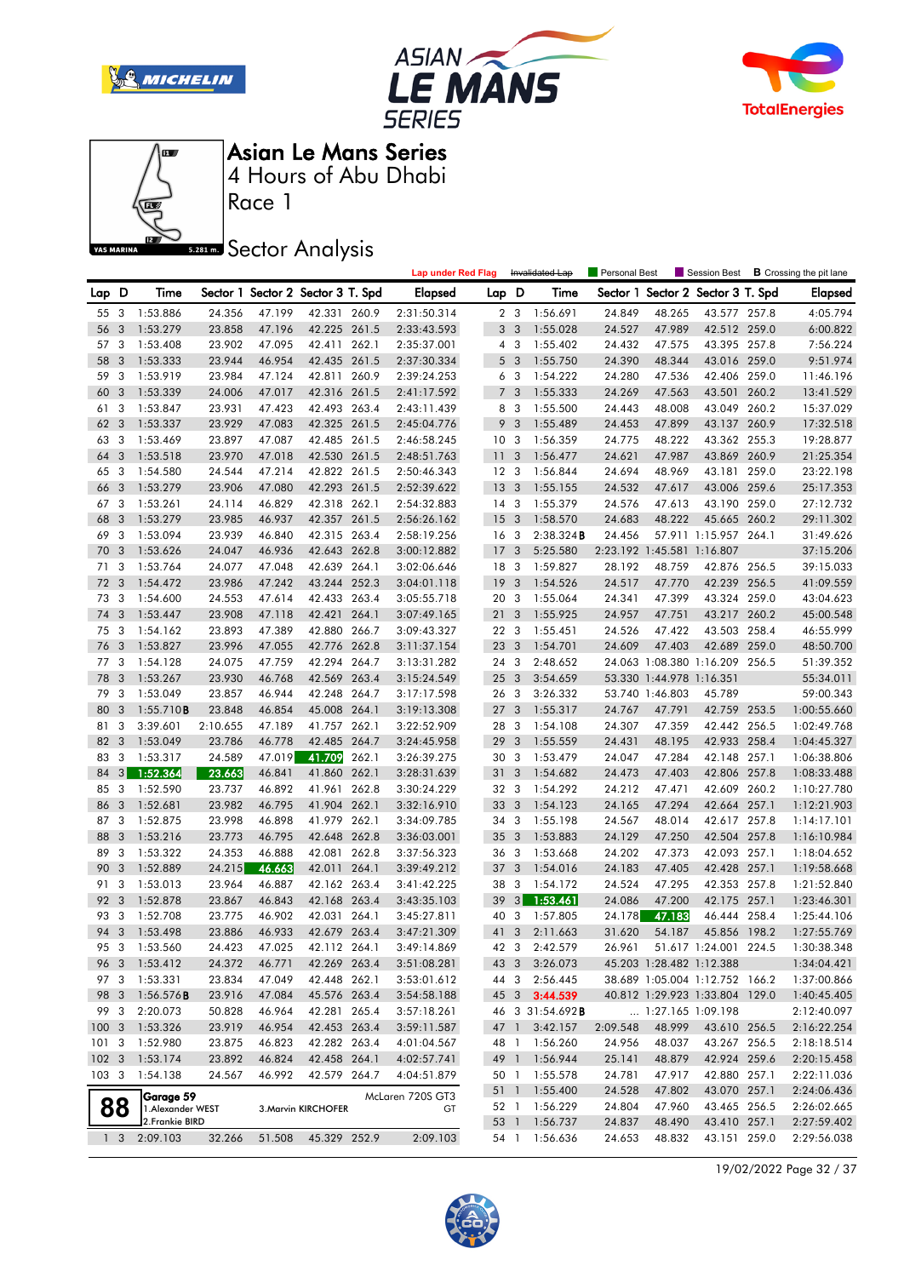







Race 1

## **Sector Analysis**

|                  |    |                   |          |        |                                   |       | <b>Lap under Red Flag</b> |                 |                         | Invalidated Lap | <b>Personal Best</b>       |                          | Session Best                   |       | <b>B</b> Crossing the pit lane |
|------------------|----|-------------------|----------|--------|-----------------------------------|-------|---------------------------|-----------------|-------------------------|-----------------|----------------------------|--------------------------|--------------------------------|-------|--------------------------------|
| Lap D            |    | Time              |          |        | Sector 1 Sector 2 Sector 3 T. Spd |       | <b>Elapsed</b>            | Lap D           |                         | Time            | Sector 1                   |                          | Sector 2 Sector 3 T. Spd       |       | <b>Elapsed</b>                 |
| 55               | 3  | 1:53.886          | 24.356   | 47.199 | 42.331 260.9                      |       | 2:31:50.314               |                 | 2 <sub>3</sub>          | 1:56.691        | 24.849                     | 48.265                   | 43.577 257.8                   |       | 4:05.794                       |
| 56               | 3  | 1:53.279          | 23.858   | 47.196 | 42.225 261.5                      |       | 2:33:43.593               | 3               | $\overline{3}$          | 1:55.028        | 24.527                     | 47.989                   | 42.512 259.0                   |       | 6:00.822                       |
| 57               | 3  | 1:53.408          | 23.902   | 47.095 | 42.411 262.1                      |       | 2:35:37.001               |                 | $4\quad 3$              | 1:55.402        | 24.432                     | 47.575                   | 43.395 257.8                   |       | 7:56.224                       |
| 58               | 3  | 1:53.333          | 23.944   | 46.954 | 42.435 261.5                      |       | 2:37:30.334               | 5               | $\overline{\mathbf{3}}$ | 1:55.750        | 24.390                     | 48.344                   | 43.016 259.0                   |       | 9:51.974                       |
| 59               | 3  | 1:53.919          | 23.984   | 47.124 | 42.811 260.9                      |       | 2:39:24.253               |                 | 6 3                     | 1:54.222        | 24.280                     | 47.536                   | 42.406 259.0                   |       | 11:46.196                      |
| 60               | 3  | 1:53.339          | 24.006   | 47.017 | 42.316 261.5                      |       | 2:41:17.592               |                 | 7 <sup>3</sup>          | 1:55.333        | 24.269                     | 47.563                   | 43.501 260.2                   |       | 13:41.529                      |
| 61               | 3  | 1:53.847          | 23.931   | 47.423 | 42.493 263.4                      |       | 2:43:11.439               |                 | 83                      | 1:55.500        | 24.443                     | 48.008                   | 43.049 260.2                   |       | 15:37.029                      |
| 62               | 3  | 1:53.337          | 23.929   | 47.083 | 42.325 261.5                      |       | 2:45:04.776               | 9               | $\mathbf{3}$            | 1:55.489        | 24.453                     | 47.899                   | 43.137 260.9                   |       | 17:32.518                      |
| 63               | 3  | 1:53.469          | 23.897   | 47.087 | 42.485 261.5                      |       | 2:46:58.245               | 10              | $\overline{3}$          | 1:56.359        | 24.775                     | 48.222                   | 43.362 255.3                   |       | 19:28.877                      |
| 64               | 3  | 1:53.518          | 23.970   | 47.018 | 42.530 261.5                      |       | 2:48:51.763               | 11              | 3                       | 1:56.477        | 24.621                     | 47.987                   | 43.869 260.9                   |       | 21:25.354                      |
| 65               | 3  | 1:54.580          | 24.544   | 47.214 | 42.822 261.5                      |       | 2:50:46.343               | 12 <sup>3</sup> |                         | 1:56.844        | 24.694                     | 48.969                   | 43.181 259.0                   |       | 23:22.198                      |
| 66               | 3  | 1:53.279          | 23.906   | 47.080 | 42.293 261.5                      |       | 2:52:39.622               | 13 <sup>3</sup> |                         | 1:55.155        | 24.532                     | 47.617                   | 43.006 259.6                   |       | 25:17.353                      |
| 67               | 3  | 1:53.261          | 24.114   | 46.829 | 42.318 262.1                      |       | 2:54:32.883               | 14 <sup>3</sup> |                         | 1:55.379        | 24.576                     | 47.613                   | 43.190 259.0                   |       | 27:12.732                      |
| 68               | 3  | 1:53.279          | 23.985   | 46.937 | 42.357 261.5                      |       | 2:56:26.162               | 15 <sub>3</sub> |                         | 1:58.570        | 24.683                     | 48.222                   | 45.665 260.2                   |       | 29:11.302                      |
| 69               | 3  | 1:53.094          | 23.939   | 46.840 | 42.315 263.4                      |       | 2:58:19.256               | 16 <sub>3</sub> |                         | 2:38.324B       | 24.456                     |                          | 57.911 1:15.957 264.1          |       | 31:49.626                      |
| 70               | 3  | 1:53.626          | 24.047   | 46.936 | 42.643 262.8                      |       | 3:00:12.882               | 17              | $\overline{3}$          | 5:25.580        | 2:23.192 1:45.581 1:16.807 |                          |                                |       | 37:15.206                      |
| 71               | 3  | 1:53.764          | 24.077   | 47.048 | 42.639 264.1                      |       | 3:02:06.646               | 18 3            |                         | 1:59.827        | 28.192                     | 48.759                   | 42.876 256.5                   |       | 39:15.033                      |
| 72               | 3  | 1:54.472          | 23.986   | 47.242 | 43.244 252.3                      |       | 3:04:01.118               | 19              | $\overline{3}$          | 1:54.526        | 24.517                     | 47.770                   | 42.239 256.5                   |       | 41:09.559                      |
| 73               | 3  | 1:54.600          | 24.553   | 47.614 | 42.433 263.4                      |       | 3:05:55.718               | 203             |                         | 1:55.064        | 24.341                     | 47.399                   | 43.324 259.0                   |       | 43:04.623                      |
| 74               | 3  | 1:53.447          | 23.908   | 47.118 | 42.421                            | 264.1 | 3:07:49.165               | 21 <sub>3</sub> |                         | 1:55.925        | 24.957                     | 47.751                   | 43.217 260.2                   |       | 45:00.548                      |
| 75               | 3  | 1:54.162          | 23.893   | 47.389 | 42.880                            | 266.7 | 3:09:43.327               | 22 3            |                         | 1:55.451        | 24.526                     | 47.422                   | 43.503 258.4                   |       | 46:55.999                      |
| 76               | 3  | 1:53.827          | 23.996   | 47.055 | 42.776 262.8                      |       | 3:11:37.154               | 23 3            |                         | 1:54.701        | 24.609                     | 47.403                   | 42.689 259.0                   |       | 48:50.700                      |
| 77               | 3  | 1:54.128          | 24.075   | 47.759 | 42.294 264.7                      |       | 3:13:31.282               | 24 3            |                         | 2:48.652        |                            |                          | 24.063 1:08.380 1:16.209 256.5 |       | 51:39.352                      |
| 78               | 3  | 1:53.267          | 23.930   | 46.768 | 42.569 263.4                      |       | 3:15:24.549               | 25 <sub>3</sub> |                         | 3:54.659        |                            | 53.330 1:44.978 1:16.351 |                                |       | 55:34.011                      |
| 79               | 3  | 1:53.049          | 23.857   | 46.944 | 42.248 264.7                      |       | 3:17:17.598               | 26 3            |                         | 3:26.332        |                            | 53.740 1:46.803          | 45.789                         |       | 59:00.343                      |
| 80               | 3  | 1:55.710B         | 23.848   | 46.854 | 45.008 264.1                      |       | 3:19:13.308               | 27              | $\overline{3}$          | 1:55.317        | 24.767                     | 47.791                   | 42.759 253.5                   |       | 1:00:55.660                    |
| 81               | 3  | 3:39.601          | 2:10.655 | 47.189 | 41.757 262.1                      |       | 3:22:52.909               | 28 3            |                         | 1:54.108        | 24.307                     | 47.359                   | 42.442 256.5                   |       | 1:02:49.768                    |
| 82               | 3  | 1:53.049          | 23.786   | 46.778 | 42.485 264.7                      |       | 3:24:45.958               | 29              | $\mathbf{3}$            | 1:55.559        | 24.431                     | 48.195                   | 42.933 258.4                   |       | 1:04:45.327                    |
| 83               | 3  | 1:53.317          | 24.589   | 47.019 | 41.709                            | 262.1 | 3:26:39.275               | 30              | 3                       | 1:53.479        | 24.047                     | 47.284                   | 42.148 257.1                   |       | 1:06:38.806                    |
| 84               | 3  | 1:52.364          | 23.663   | 46.841 | 41.860 262.1                      |       | 3:28:31.639               | 31              | 3                       | 1:54.682        | 24.473                     | 47.403                   | 42.806 257.8                   |       | 1:08:33.488                    |
| 85               | 3  | 1:52.590          | 23.737   | 46.892 | 41.961 262.8                      |       | 3:30:24.229               | 32 3            |                         | 1:54.292        | 24.212                     | 47.471                   | 42.609 260.2                   |       | 1:10:27.780                    |
| 86               | 3  | 1:52.681          | 23.982   | 46.795 | 41.904 262.1                      |       | 3:32:16.910               | 33 3            |                         | 1:54.123        | 24.165                     | 47.294                   | 42.664                         | 257.1 | 1:12:21.903                    |
| 87               | 3  | 1:52.875          | 23.998   | 46.898 | 41.979 262.1                      |       | 3:34:09.785               | 34              | 3                       | 1:55.198        | 24.567                     | 48.014                   | 42.617 257.8                   |       | 1:14:17.101                    |
| 88               | 3  | 1:53.216          | 23.773   | 46.795 | 42.648 262.8                      |       | 3:36:03.001               | 35              | $\overline{\mathbf{3}}$ | 1:53.883        | 24.129                     | 47.250                   | 42.504 257.8                   |       | 1:16:10.984                    |
| 89               | 3  | 1:53.322          | 24.353   | 46.888 | 42.081 262.8                      |       | 3:37:56.323               | 36 3            |                         | 1:53.668        | 24.202                     | 47.373                   | 42.093 257.1                   |       | 1:18:04.652                    |
| 90               | 3  | 1:52.889          | 24.215   | 46.663 | 42.011 264.1                      |       | 3:39:49.212               | 37              | $\mathbf{3}$            | 1:54.016        | 24.183                     | 47.405                   | 42.428 257.1                   |       | 1:19:58.668                    |
| 91               | 3  | 1:53.013          | 23.964   | 46.887 | 42.162 263.4                      |       | 3:41:42.225               | 38              | 3                       | 1:54.172        | 24.524                     | 47.295                   | 42.353 257.8                   |       | 1:21:52.840                    |
| 92               | 3  | 1:52.878          | 23.867   | 46.843 | 42.168 263.4                      |       | 3:43:35.103               | 39              | 3                       | 1:53.461        | 24.086                     | 47.200                   | 42.175 257.1                   |       | 1:23:46.301                    |
| 93               | 3  | 1:52.708          | 23.775   | 46.902 | 42.031 264.1                      |       | 3:45:27.811               | 40              | 3                       | 1:57.805        | 24.178                     | 47.183                   | 46.444 258.4                   |       | 1:25:44.106                    |
| 94               | 3  | 1:53.498          | 23.886   | 46.933 | 42.679 263.4                      |       | 3:47:21.309               | 41 3            |                         | 2:11.663        | 31.620                     | 54.187                   | 45.856 198.2                   |       | 1:27:55.769                    |
|                  |    | 95 3 1:53.560     | 24.423   | 47.025 | 42.112 264.1                      |       | 3:49:14.869               | 42 3            |                         | 2:42.579        | 26.961                     |                          | 51.617 1:24.001 224.5          |       | 1:30:38.348                    |
| 96 3             |    | 1:53.412          | 24.372   | 46.771 | 42.269 263.4                      |       | 3:51:08.281               |                 |                         | 43 3 3:26.073   |                            | 45.203 1:28.482 1:12.388 |                                |       | 1:34:04.421                    |
| 97 3             |    | 1:53.331          | 23.834   | 47.049 | 42.448 262.1                      |       | 3:53:01.612               | 443             |                         | 2:56.445        |                            |                          | 38.689 1:05.004 1:12.752 166.2 |       | 1:37:00.866                    |
| 98               | 3  | 1:56.576B         | 23.916   | 47.084 | 45.576 263.4                      |       | 3:54:58.188               |                 |                         | 45 3 3:44.539   |                            |                          | 40.812 1:29.923 1:33.804 129.0 |       | 1:40:45.405                    |
| 99               | 3  | 2:20.073          | 50.828   | 46.964 | 42.281 265.4                      |       | 3:57:18.261               |                 |                         | 46 3 31:54.692B |                            | 1:27.165 1:09.198        |                                |       | 2:12:40.097                    |
| 1003             |    | 1:53.326          | 23.919   | 46.954 | 42.453 263.4                      |       | 3:59:11.587               | 47 1            |                         | 3:42.157        | 2:09.548                   | 48.999                   | 43.610 256.5                   |       | 2:16:22.254                    |
| 1013             |    | 1:52.980          | 23.875   | 46.823 | 42.282 263.4                      |       | 4:01:04.567               | 48 1            |                         | 1:56.260        | 24.956                     | 48.037                   | 43.267 256.5                   |       | 2:18:18.514                    |
| 102 <sub>3</sub> |    | 1:53.174          | 23.892   | 46.824 | 42.458 264.1                      |       | 4:02:57.741               | 49 1            |                         | 1:56.944        | 25.141                     | 48.879                   | 42.924 259.6                   |       | 2:20:15.458                    |
| 103 3            |    | 1:54.138          | 24.567   | 46.992 | 42.579 264.7                      |       | 4:04:51.879               | 50 1            |                         | 1:55.578        | 24.781                     | 47.917                   | 42.880 257.1                   |       | 2:22:11.036                    |
|                  |    | Garage 59         |          |        |                                   |       | McLaren 720S GT3          | 51 1            |                         | 1:55.400        | 24.528                     | 47.802                   | 43.070 257.1                   |       | 2:24:06.436                    |
|                  | 88 | 1. Alexander WEST |          |        | 3. Marvin KIRCHOFER               |       | GT                        | 52 1            |                         | 1:56.229        | 24.804                     | 47.960                   | 43.465 256.5                   |       | 2:26:02.665                    |
|                  |    | 2. Frankie BIRD   |          |        |                                   |       |                           | 53 1            |                         | 1:56.737        | 24.837                     | 48.490                   | 43.410 257.1                   |       | 2:27:59.402                    |
| 1 <sub>3</sub>   |    | 2:09.103          | 32.266   | 51.508 | 45.329 252.9                      |       | 2:09.103                  |                 |                         | 54 1 1:56.636   | 24.653                     | 48.832                   | 43.151 259.0                   |       | 2:29:56.038                    |

19/02/2022 Page 32 / 37

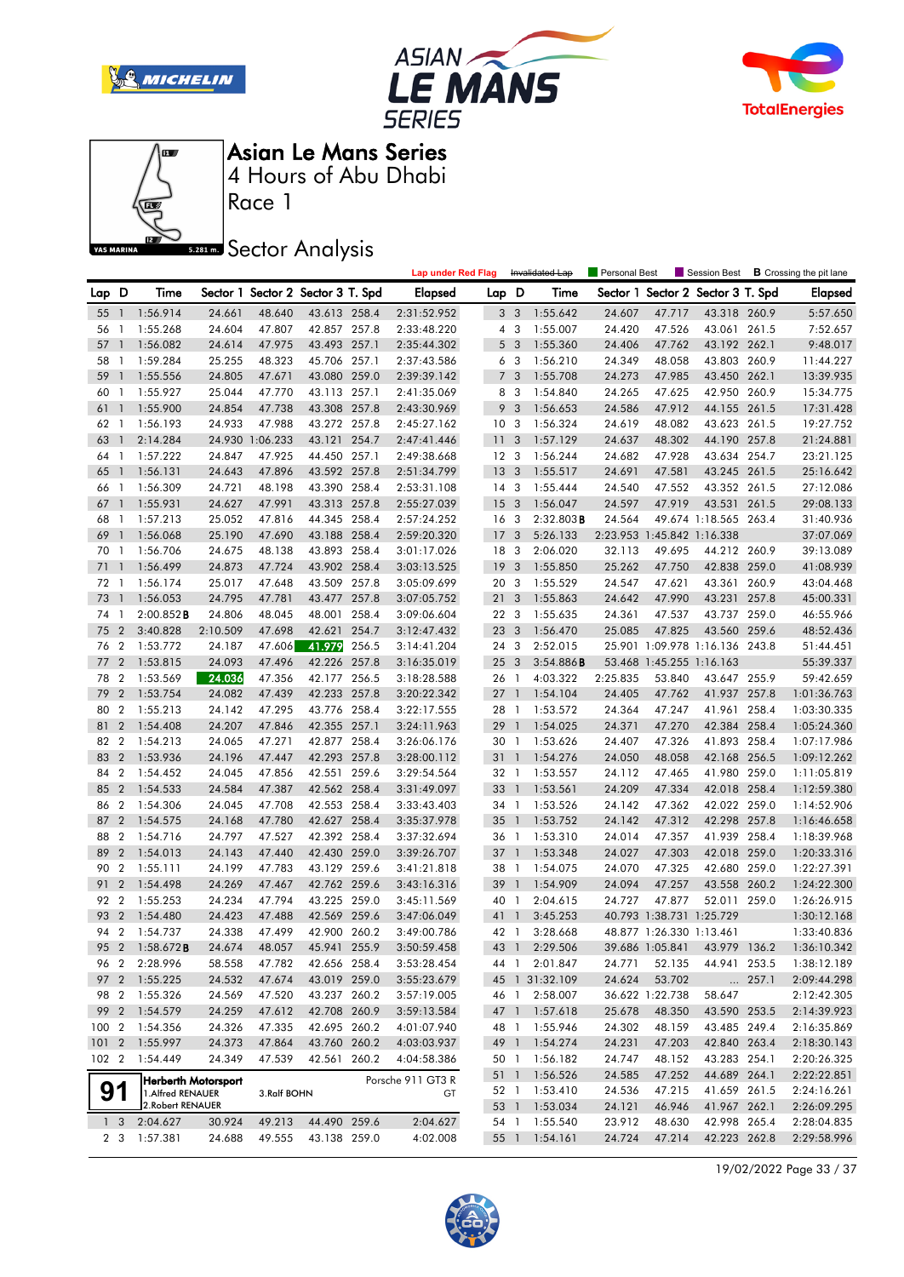







Race 1

## **Sector Analysis**

|       |                |                     |                            |                 |                                   |       | <b>Lap under Red Flag</b> |                 |                         | Invalidated Lap | Personal Best |                            | Session Best                      |       | <b>B</b> Crossing the pit lane |
|-------|----------------|---------------------|----------------------------|-----------------|-----------------------------------|-------|---------------------------|-----------------|-------------------------|-----------------|---------------|----------------------------|-----------------------------------|-------|--------------------------------|
| Lap D |                | Time                |                            |                 | Sector 1 Sector 2 Sector 3 T. Spd |       | <b>Elapsed</b>            | Lap D           |                         | Time            |               |                            | Sector 1 Sector 2 Sector 3 T. Spd |       | Elapsed                        |
| 55 1  |                | 1:56.914            | 24.661                     | 48.640          | 43.613 258.4                      |       | 2:31:52.952               |                 | 3 <sub>3</sub>          | 1:55.642        | 24.607        | 47.717                     | 43.318 260.9                      |       | 5:57.650                       |
| 56    | $\overline{1}$ | 1:55.268            | 24.604                     | 47.807          | 42.857 257.8                      |       | 2:33:48.220               |                 | $4\quad 3$              | 1:55.007        | 24.420        | 47.526                     | 43.061 261.5                      |       | 7:52.657                       |
| 57    | $\overline{1}$ | 1:56.082            | 24.614                     | 47.975          | 43.493 257.1                      |       | 2:35:44.302               |                 | 5 <sub>3</sub>          | 1:55.360        | 24.406        | 47.762                     | 43.192 262.1                      |       | 9:48.017                       |
| 58    | -1             | 1:59.284            | 25.255                     | 48.323          | 45.706 257.1                      |       | 2:37:43.586               |                 | 6 <sub>3</sub>          | 1:56.210        | 24.349        | 48.058                     | 43.803 260.9                      |       | 11:44.227                      |
| 59    | $\mathbf{1}$   | 1:55.556            | 24.805                     | 47.671          | 43.080 259.0                      |       | 2:39:39.142               |                 | 7 <sup>3</sup>          | 1:55.708        | 24.273        | 47.985                     | 43.450 262.1                      |       | 13:39.935                      |
| 60    | $\overline{1}$ | 1:55.927            | 25.044                     | 47.770          | 43.113 257.1                      |       | 2:41:35.069               |                 | 8 3                     | 1:54.840        | 24.265        | 47.625                     | 42.950 260.9                      |       | 15:34.775                      |
| 61    | $\overline{1}$ | 1:55.900            | 24.854                     | 47.738          | 43.308 257.8                      |       | 2:43:30.969               | 9               | $\overline{\mathbf{3}}$ | 1:56.653        | 24.586        | 47.912                     | 44.155 261.5                      |       | 17:31.428                      |
| 62    | - 1            | 1:56.193            | 24.933                     | 47.988          | 43.272 257.8                      |       | 2:45:27.162               | 10 <sub>3</sub> |                         | 1:56.324        | 24.619        | 48.082                     | 43.623 261.5                      |       | 19:27.752                      |
| 63    | $\overline{1}$ | 2:14.284            |                            | 24.930 1:06.233 | 43.121 254.7                      |       | 2:47:41.446               | 11 <sub>3</sub> |                         | 1:57.129        | 24.637        | 48.302                     | 44.190 257.8                      |       | 21:24.881                      |
| 64    | $\overline{1}$ | 1:57.222            | 24.847                     | 47.925          | 44.450 257.1                      |       | 2:49:38.668               | 12 <sup>3</sup> |                         | 1:56.244        | 24.682        | 47.928                     | 43.634 254.7                      |       | 23:21.125                      |
| 65    | $\mathbf{1}$   | 1:56.131            | 24.643                     | 47.896          | 43.592 257.8                      |       | 2:51:34.799               | 13 <sub>3</sub> |                         | 1:55.517        | 24.691        | 47.581                     | 43.245 261.5                      |       | 25:16.642                      |
| 66    | $\overline{1}$ | 1:56.309            | 24.721                     | 48.198          | 43.390 258.4                      |       | 2:53:31.108               | 14 3            |                         | 1:55.444        | 24.540        | 47.552                     | 43.352 261.5                      |       | 27:12.086                      |
| 67    | $\overline{1}$ | 1:55.931            | 24.627                     | 47.991          | 43.313 257.8                      |       | 2:55:27.039               | 15 <sub>3</sub> |                         | 1:56.047        | 24.597        | 47.919                     | 43.531 261.5                      |       | 29:08.133                      |
| 68    | $\overline{1}$ | 1:57.213            | 25.052                     | 47.816          | 44.345 258.4                      |       | 2:57:24.252               | 16 3            |                         | 2:32.803B       | 24.564        |                            | 49.674 1:18.565 263.4             |       | 31:40.936                      |
| 69    | $\mathbf{1}$   | 1:56.068            | 25.190                     | 47.690          | 43.188 258.4                      |       | 2:59:20.320               | 17 <sub>3</sub> |                         | 5:26.133        |               | 2:23.953 1:45.842 1:16.338 |                                   |       | 37:07.069                      |
| 70 1  |                | 1:56.706            | 24.675                     | 48.138          | 43.893 258.4                      |       | 3:01:17.026               | 18 3            |                         | 2:06.020        | 32.113        | 49.695                     | 44.212 260.9                      |       | 39:13.089                      |
| 71    | $\overline{1}$ | 1:56.499            | 24.873                     | 47.724          | 43.902 258.4                      |       | 3:03:13.525               | 19 <sup>3</sup> |                         | 1:55.850        | 25.262        | 47.750                     | 42.838 259.0                      |       | 41:08.939                      |
| 72    | $\overline{1}$ | 1:56.174            | 25.017                     | 47.648          | 43.509 257.8                      |       | 3:05:09.699               | 20 3            |                         | 1:55.529        | 24.547        | 47.621                     | 43.361 260.9                      |       | 43:04.468                      |
| 73    | $\overline{1}$ | 1:56.053            | 24.795                     | 47.781          | 43.477 257.8                      |       | 3:07:05.752               | 21 3            |                         | 1:55.863        | 24.642        | 47.990                     | 43.231 257.8                      |       | 45:00.331                      |
| 74    | $\overline{1}$ | $2:00.852$ <b>B</b> | 24.806                     | 48.045          | 48.001 258.4                      |       | 3:09:06.604               | 22 3            |                         | 1:55.635        | 24.361        | 47.537                     | 43.737 259.0                      |       | 46:55.966                      |
| 75    | $\overline{2}$ | 3:40.828            | 2:10.509                   | 47.698          | 42.621 254.7                      |       | 3:12:47.432               | 23 3            |                         | 1:56.470        | 25.085        | 47.825                     | 43.560 259.6                      |       | 48:52.436                      |
| 76    | $\overline{2}$ | 1:53.772            | 24.187                     | 47.606          | 41.979                            | 256.5 | 3:14:41.204               | 24 3            |                         | 2:52.015        |               |                            | 25.901 1:09.978 1:16.136 243.8    |       | 51:44.451                      |
| 77    | $\overline{2}$ | 1:53.815            | 24.093                     | 47.496          | 42.226 257.8                      |       | 3:16:35.019               | 25 3            |                         | $3:54.886$ B    |               | 53.468 1:45.255 1:16.163   |                                   |       | 55:39.337                      |
| 78 2  |                | 1:53.569            | 24.036                     | 47.356          | 42.177 256.5                      |       | 3:18:28.588               | 26 1            |                         | 4:03.322        | 2:25.835      | 53.840                     | 43.647 255.9                      |       | 59:42.659                      |
| 79    | $\overline{2}$ | 1:53.754            | 24.082                     | 47.439          | 42.233 257.8                      |       | 3:20:22.342               | 271             |                         | 1:54.104        | 24.405        | 47.762                     | 41.937 257.8                      |       | 1:01:36.763                    |
| 80    | $\overline{2}$ | 1:55.213            | 24.142                     | 47.295          | 43.776 258.4                      |       | 3:22:17.555               | 28 1            |                         | 1:53.572        | 24.364        | 47.247                     | 41.961 258.4                      |       | 1:03:30.335                    |
| 81    | $\overline{2}$ | 1:54.408            | 24.207                     | 47.846          | 42.355 257.1                      |       | 3:24:11.963               | 29              | $\overline{1}$          | 1:54.025        | 24.371        | 47.270                     | 42.384 258.4                      |       | 1:05:24.360                    |
| 82    | $\overline{2}$ | 1:54.213            | 24.065                     | 47.271          | 42.877 258.4                      |       | 3:26:06.176               | 30 1            |                         | 1:53.626        | 24.407        | 47.326                     | 41.893 258.4                      |       | 1:07:17.986                    |
| 83    | $\overline{2}$ | 1:53.936            | 24.196                     | 47.447          | 42.293 257.8                      |       | 3:28:00.112               | 31 <sub>1</sub> |                         | 1:54.276        | 24.050        | 48.058                     | 42.168 256.5                      |       | 1:09:12.262                    |
| 84    | $\overline{2}$ | 1:54.452            | 24.045                     | 47.856          | 42.551 259.6                      |       | 3:29:54.564               | 32 1            |                         | 1:53.557        | 24.112        | 47.465                     | 41.980 259.0                      |       | 1:11:05.819                    |
| 85    | $\overline{2}$ | 1:54.533            | 24.584                     | 47.387          | 42.562 258.4                      |       | 3:31:49.097               | 33 1            |                         | 1:53.561        | 24.209        | 47.334                     | 42.018 258.4                      |       | 1:12:59.380                    |
| 86    | $\overline{2}$ | 1:54.306            | 24.045                     | 47.708          | 42.553 258.4                      |       | 3:33:43.403               | 34 1            |                         | 1:53.526        | 24.142        | 47.362                     | 42.022 259.0                      |       | 1:14:52.906                    |
| 87    | $\overline{2}$ | 1:54.575            | 24.168                     | 47.780          | 42.627 258.4                      |       | 3:35:37.978               | $35-1$          |                         | 1:53.752        | 24.142        | 47.312                     | 42.298 257.8                      |       | 1:16:46.658                    |
| 88    | $\overline{2}$ | 1:54.716            | 24.797                     | 47.527          | 42.392 258.4                      |       | 3:37:32.694               | 36 1            |                         | 1:53.310        | 24.014        | 47.357                     | 41.939 258.4                      |       | 1:18:39.968                    |
| 89    | $\overline{2}$ | 1:54.013            | 24.143                     | 47.440          | 42.430 259.0                      |       | 3:39:26.707               | 37              | $\overline{1}$          | 1:53.348        | 24.027        | 47.303                     | 42.018 259.0                      |       | 1:20:33.316                    |
| 90    | $\overline{2}$ | 1:55.111            | 24.199                     | 47.783          | 43.129 259.6                      |       | 3:41:21.818               | 38 1            |                         | 1:54.075        | 24.070        | 47.325                     | 42.680 259.0                      |       | 1:22:27.391                    |
| 91    | $\overline{2}$ | 1:54.498            | 24.269                     | 47.467          | 42.762 259.6                      |       | 3:43:16.316               | 39 1            |                         | 1:54.909        | 24.094        | 47.257                     | 43.558 260.2                      |       | 1:24:22.300                    |
| 92    | $\overline{2}$ | 1:55.253            | 24.234                     | 47.794          | 43.225 259.0                      |       | 3:45:11.569               | 40 1            |                         | 2:04.615        | 24.727        | 47.877                     | 52.011 259.0                      |       | 1:26:26.915                    |
| 93    | $\overline{2}$ | 1:54.480            | 24.423                     | 47.488          | 42.569 259.6                      |       | 3:47:06.049               | 41              | $\mathbf{1}$            | 3:45.253        |               | 40.793 1:38.731 1:25.729   |                                   |       | 1:30:12.168                    |
| 94 2  |                | 1:54.737            | 24.338                     | 47.499          | 42.900 260.2                      |       | 3:49:00.786               | 42 1            |                         | 3:28.668        |               | 48.877 1:26.330 1:13.461   |                                   |       | 1:33:40.836                    |
|       |                | 95 2 1:58.672B      | 24.674                     | 48.057          | 45.941 255.9                      |       | 3:50:59.458               |                 |                         | 43 1 2:29.506   |               | 39.686 1:05.841            |                                   |       | 43.979 136.2 1:36:10.342       |
| 96 2  |                | 2:28.996            | 58.558                     | 47.782          | 42.656 258.4                      |       | 3:53:28.454               |                 | 44 1                    | 2:01.847        | 24.771        | 52.135                     | 44.941 253.5                      |       | 1:38:12.189                    |
| 97 2  |                | 1:55.225            | 24.532                     | 47.674          | 43.019 259.0                      |       | 3:55:23.679               |                 |                         | 45 1 31:32.109  | 24.624        | 53.702                     |                                   | 257.1 | 2:09:44.298                    |
| 98 2  |                | 1:55.326            | 24.569                     | 47.520          | 43.237 260.2                      |       | 3:57:19.005               |                 | 46 1                    | 2:58.007        |               | 36.622 1:22.738            | 58.647                            |       | 2:12:42.305                    |
| 99    | $\overline{2}$ | 1:54.579            | 24.259                     | 47.612          | 42.708 260.9                      |       | 3:59:13.584               |                 |                         | 47 1 1:57.618   | 25.678        | 48.350                     | 43.590 253.5                      |       | 2:14:39.923                    |
| 100   | $\overline{2}$ | 1:54.356            | 24.326                     | 47.335          | 42.695 260.2                      |       | 4:01:07.940               |                 | 48 1                    | 1:55.946        | 24.302        | 48.159                     | 43.485 249.4                      |       | 2:16:35.869                    |
| 1012  |                | 1:55.997            | 24.373                     | 47.864          | 43.760 260.2                      |       | 4:03:03.937               |                 | 49 1                    | 1:54.274        | 24.231        | 47.203                     | 42.840 263.4                      |       | 2:18:30.143                    |
| 102 2 |                | 1:54.449            | 24.349                     | 47.539          | 42.561 260.2                      |       | 4:04:58.386               | 50 1            |                         | 1:56.182        | 24.747        | 48.152                     | 43.283 254.1                      |       | 2:20:26.325                    |
|       |                |                     | <b>Herberth Motorsport</b> |                 |                                   |       | Porsche 911 GT3 R         |                 |                         | 51 1 1:56.526   | 24.585        | 47.252                     | 44.689 264.1                      |       | 2:22:22.851                    |
| 91    |                | 1.Alfred RENAUER    |                            | 3.Ralf BOHN     |                                   |       | GT                        | 52 1            |                         | 1:53.410        | 24.536        | 47.215                     | 41.659 261.5                      |       | 2:24:16.261                    |
|       |                | 2. Robert RENAUER   |                            |                 |                                   |       |                           |                 | 53 1                    | 1:53.034        | 24.121        | 46.946                     | 41.967 262.1                      |       | 2:26:09.295                    |
|       | 1 <sub>3</sub> | 2:04.627            | 30.924                     | 49.213          | 44.490 259.6                      |       | 2:04.627                  | 54 1            |                         | 1:55.540        | 23.912        | 48.630                     | 42.998 265.4                      |       | 2:28:04.835                    |
|       | 2 3            | 1:57.381            | 24.688                     | 49.555          | 43.138 259.0                      |       | 4:02.008                  |                 |                         | 55 1 1:54.161   | 24.724        | 47.214                     | 42.223 262.8                      |       | 2:29:58.996                    |

19/02/2022 Page 33 / 37

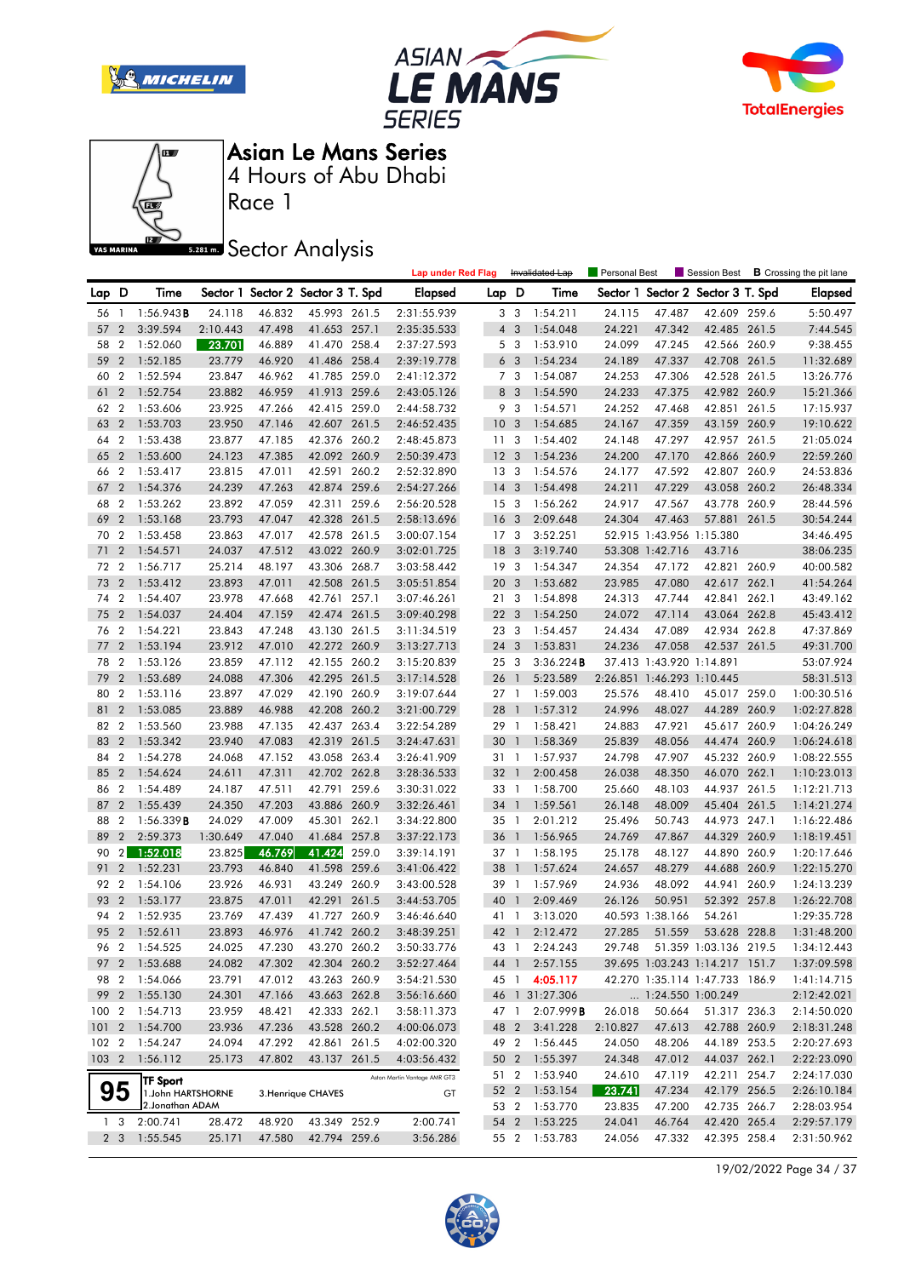







Race 1

## **Sector Analysis**

|                |                  |                     |          |                                   |                    |       | <b>Lap under Red Flag</b>    |                 |                | Invalidated Lap | Personal Best |                            |                                   |       | Session Best <b>B</b> Crossing the pit lane |
|----------------|------------------|---------------------|----------|-----------------------------------|--------------------|-------|------------------------------|-----------------|----------------|-----------------|---------------|----------------------------|-----------------------------------|-------|---------------------------------------------|
| Lap D          |                  | Time                |          | Sector 1 Sector 2 Sector 3 T. Spd |                    |       | <b>Elapsed</b>               | Lap D           |                | Time            |               |                            | Sector 1 Sector 2 Sector 3 T. Spd |       | Elapsed                                     |
| 56 1           |                  | 1:56.943B           | 24.118   | 46.832                            | 45.993 261.5       |       | 2:31:55.939                  |                 | 3 3            | 1:54.211        | 24.115        | 47.487                     | 42.609 259.6                      |       | 5:50.497                                    |
| 57             | $\overline{2}$   | 3:39.594            | 2:10.443 | 47.498                            | 41.653 257.1       |       | 2:35:35.533                  |                 | $4 \quad 3$    | 1:54.048        | 24.221        | 47.342                     | 42.485 261.5                      |       | 7:44.545                                    |
| 58             | $\overline{2}$   | 1:52.060            | 23.701   | 46.889                            | 41.470 258.4       |       | 2:37:27.593                  |                 | 5 <sub>3</sub> | 1:53.910        | 24.099        | 47.245                     | 42.566 260.9                      |       | 9:38.455                                    |
| 59             | $\overline{2}$   | 1:52.185            | 23.779   | 46.920                            | 41.486 258.4       |       | 2:39:19.778                  |                 | 6 <sub>3</sub> | 1:54.234        | 24.189        | 47.337                     | 42.708 261.5                      |       | 11:32.689                                   |
| 60             | $\overline{2}$   | 1:52.594            | 23.847   | 46.962                            | 41.785 259.0       |       | 2:41:12.372                  |                 | 7 3            | 1:54.087        | 24.253        | 47.306                     | 42.528 261.5                      |       | 13:26.776                                   |
| 61             | $\overline{2}$   | 1:52.754            | 23.882   | 46.959                            | 41.913 259.6       |       | 2:43:05.126                  |                 | 8 3            | 1:54.590        | 24.233        | 47.375                     | 42.982 260.9                      |       | 15:21.366                                   |
| 62             | $\overline{2}$   | 1:53.606            | 23.925   | 47.266                            | 42.415 259.0       |       | 2:44:58.732                  |                 | 9 3            | 1:54.571        | 24.252        | 47.468                     | 42.851 261.5                      |       | 17:15.937                                   |
| 63             | $\overline{2}$   | 1:53.703            | 23.950   | 47.146                            | 42.607 261.5       |       | 2:46:52.435                  | 10 <sub>3</sub> |                | 1:54.685        | 24.167        | 47.359                     | 43.159 260.9                      |       | 19:10.622                                   |
| 64             | $\overline{2}$   | 1:53.438            | 23.877   | 47.185                            | 42.376 260.2       |       | 2:48:45.873                  | 11 <sub>3</sub> |                | 1:54.402        | 24.148        | 47.297                     | 42.957 261.5                      |       | 21:05.024                                   |
| 65             | $\overline{2}$   | 1:53.600            | 24.123   | 47.385                            | 42.092 260.9       |       | 2:50:39.473                  | 12 <sub>3</sub> |                | 1:54.236        | 24.200        | 47.170                     | 42.866 260.9                      |       | 22:59.260                                   |
| 66             | $\overline{2}$   | 1:53.417            | 23.815   | 47.011                            | 42.591             | 260.2 | 2:52:32.890                  | 13 <sub>3</sub> |                | 1:54.576        | 24.177        | 47.592                     | 42.807 260.9                      |       | 24:53.836                                   |
| 67             | $\overline{2}$   | 1:54.376            | 24.239   | 47.263                            | 42.874 259.6       |       | 2:54:27.266                  | $14 \quad 3$    |                | 1:54.498        | 24.211        | 47.229                     | 43.058 260.2                      |       | 26:48.334                                   |
| 68             | $\overline{2}$   | 1:53.262            | 23.892   | 47.059                            | 42.311 259.6       |       | 2:56:20.528                  | 15 <sub>3</sub> |                | 1:56.262        | 24.917        | 47.567                     | 43.778 260.9                      |       | 28:44.596                                   |
| 69             | $\overline{2}$   | 1:53.168            | 23.793   | 47.047                            | 42.328 261.5       |       | 2:58:13.696                  | 16 <sub>3</sub> |                | 2:09.648        | 24.304        | 47.463                     | 57.881 261.5                      |       | 30:54.244                                   |
| 70             | $\overline{2}$   | 1:53.458            | 23.863   | 47.017                            | 42.578 261.5       |       | 3:00:07.154                  | 17 <sub>3</sub> |                | 3:52.251        |               | 52.915 1:43.956 1:15.380   |                                   |       | 34:46.495                                   |
| 71             | $\overline{2}$   | 1:54.571            | 24.037   | 47.512                            | 43.022 260.9       |       | 3:02:01.725                  | 18 <sup>3</sup> |                | 3:19.740        |               | 53.308 1:42.716            | 43.716                            |       | 38:06.235                                   |
| 72             | $\overline{2}$   | 1:56.717            | 25.214   | 48.197                            | 43.306 268.7       |       | 3:03:58.442                  | 19 <sup>3</sup> |                | 1:54.347        | 24.354        | 47.172                     | 42.821 260.9                      |       | 40:00.582                                   |
| 73             | $\overline{2}$   | 1:53.412            | 23.893   | 47.011                            | 42.508 261.5       |       | 3:05:51.854                  | 20 <sub>3</sub> |                | 1:53.682        | 23.985        | 47.080                     | 42.617 262.1                      |       | 41:54.264                                   |
| 74             | $\boldsymbol{2}$ | 1:54.407            | 23.978   | 47.668                            | 42.761             | 257.1 | 3:07:46.261                  | 21              | 3              | 1:54.898        | 24.313        | 47.744                     | 42.841                            | 262.1 | 43:49.162                                   |
| 75             | $\overline{2}$   | 1:54.037            | 24.404   | 47.159                            | 42.474 261.5       |       | 3:09:40.298                  | 22 <sub>3</sub> |                | 1:54.250        | 24.072        | 47.114                     | 43.064 262.8                      |       | 45:43.412                                   |
| 76             | $\overline{2}$   | 1:54.221            | 23.843   | 47.248                            | 43.130 261.5       |       | 3:11:34.519                  | 23 3            |                | 1:54.457        | 24.434        | 47.089                     | 42.934 262.8                      |       | 47:37.869                                   |
| 77             | $\overline{2}$   | 1:53.194            | 23.912   | 47.010                            | 42.272 260.9       |       | 3:13:27.713                  | 24 3            |                | 1:53.831        | 24.236        | 47.058                     | 42.537 261.5                      |       | 49:31.700                                   |
| 78             | $\overline{2}$   | 1:53.126            | 23.859   | 47.112                            | 42.155 260.2       |       | 3:15:20.839                  | 25 <sub>3</sub> |                | 3:36.224B       |               | 37.413 1:43.920 1:14.891   |                                   |       | 53:07.924                                   |
| 79             | $\overline{2}$   | 1:53.689            | 24.088   | 47.306                            | 42.295 261.5       |       | 3:17:14.528                  | 26              | $\overline{1}$ | 5:23.589        |               | 2:26.851 1:46.293 1:10.445 |                                   |       | 58:31.513                                   |
| 80             | $\overline{2}$   | 1:53.116            | 23.897   | 47.029                            | 42.190 260.9       |       | 3:19:07.644                  | $27-1$          |                | 1:59.003        | 25.576        | 48.410                     | 45.017 259.0                      |       | 1:00:30.516                                 |
| 81             | $\overline{2}$   | 1:53.085            | 23.889   | 46.988                            | 42.208 260.2       |       | 3:21:00.729                  | 28              | $\overline{1}$ | 1:57.312        | 24.996        | 48.027                     | 44.289 260.9                      |       | 1:02:27.828                                 |
| 82             | $\overline{2}$   | 1:53.560            | 23.988   | 47.135                            | 42.437 263.4       |       | 3:22:54.289                  | 29              | $\overline{1}$ | 1:58.421        | 24.883        | 47.921                     | 45.617 260.9                      |       | 1:04:26.249                                 |
| 83             | $\overline{2}$   | 1:53.342            | 23.940   | 47.083                            | 42.319 261.5       |       | 3:24:47.631                  | 30              | $\overline{1}$ | 1:58.369        | 25.839        | 48.056                     | 44.474 260.9                      |       | 1:06:24.618                                 |
| 84             | $\overline{2}$   | 1:54.278            | 24.068   | 47.152                            | 43.058 263.4       |       | 3:26:41.909                  | 31 1            |                | 1:57.937        | 24.798        | 47.907                     | 45.232 260.9                      |       | 1:08:22.555                                 |
| 85             | $\overline{2}$   | 1:54.624            | 24.611   | 47.311                            | 42.702 262.8       |       | 3:28:36.533                  | 32 <sub>1</sub> |                | 2:00.458        | 26.038        | 48.350                     | 46.070 262.1                      |       | 1:10:23.013                                 |
| 86             | $\overline{2}$   | 1:54.489            | 24.187   | 47.511                            | 42.791 259.6       |       | 3:30:31.022                  | 33 1            |                | 1:58.700        | 25.660        | 48.103                     | 44.937 261.5                      |       | 1:12:21.713                                 |
| 87             | $\overline{2}$   | 1:55.439            | 24.350   | 47.203                            | 43.886 260.9       |       | 3:32:26.461                  | 34 1            |                | 1:59.561        | 26.148        | 48.009                     | 45.404 261.5                      |       | 1:14:21.274                                 |
| 88             | $\overline{2}$   | $1:56.339$ <b>B</b> | 24.029   | 47.009                            | 45.301 262.1       |       | 3:34:22.800                  | 35 1            |                | 2:01.212        | 25.496        | 50.743                     | 44.973 247.1                      |       | 1:16:22.486                                 |
| 89             | $\overline{2}$   | 2:59.373            | 1:30.649 | 47.040                            | 41.684             | 257.8 | 3:37:22.173                  | 36 <sub>1</sub> |                | 1:56.965        | 24.769        | 47.867                     | 44.329 260.9                      |       | 1:18:19.451                                 |
| 90             | $\boldsymbol{2}$ | 1:52.018            | 23.825   | 46.769                            | 41.424             | 259.0 | 3:39:14.191                  | 37 1            |                | 1:58.195        | 25.178        | 48.127                     | 44.890 260.9                      |       | 1:20:17.646                                 |
| 91             | $\overline{2}$   | 1:52.231            | 23.793   | 46.840                            | 41.598 259.6       |       | 3:41:06.422                  | 38              | $\overline{1}$ | 1:57.624        | 24.657        | 48.279                     | 44.688 260.9                      |       | 1:22:15.270                                 |
| 92             | $\overline{2}$   | 1:54.106            | 23.926   | 46.931                            | 43.249 260.9       |       | 3:43:00.528                  | 39 1            |                | 1:57.969        | 24.936        | 48.092                     | 44.941 260.9                      |       | 1:24:13.239                                 |
| 93             | $\overline{2}$   | 1:53.177            | 23.875   | 47.011                            | 42.291 261.5       |       | 3:44:53.705                  | 40              | $\overline{1}$ | 2:09.469        | 26.126        | 50.951                     | 52.392 257.8                      |       | 1:26:22.708                                 |
| 94             | $\overline{2}$   | 1:52.935            | 23.769   | 47.439                            | 41.727 260.9       |       | 3:46:46.640                  | 41 1            |                | 3:13.020        |               | 40.593 1:38.166            | 54.261                            |       | 1:29:35.728                                 |
| 95 2           |                  | 1:52.611            | 23.893   | 46.976                            | 41.742 260.2       |       | 3:48:39.251                  | 42 1            |                | 2:12.472        | 27.285        | 51.559                     | 53.628 228.8                      |       | 1:31:48.200                                 |
| 96             |                  | 2 1:54.525          | 24.025   | 47.230                            | 43.270 260.2       |       | 3:50:33.776                  |                 |                | 43 1 2:24.243   |               |                            | 29.748 51.359 1:03.136 219.5      |       | 1:34:12.443                                 |
| 97 2           |                  | 1:53.688            | 24.082   | 47.302                            | 42.304 260.2       |       | 3:52:27.464                  | 44 1            |                | 2:57.155        |               |                            | 39.695 1:03.243 1:14.217 151.7    |       | 1:37:09.598                                 |
| 98 2           |                  | 1:54.066            | 23.791   | 47.012                            | 43.263 260.9       |       | 3:54:21.530                  | 45 1            |                | 4:05.117        |               |                            | 42.270 1:35.114 1:47.733 186.9    |       | 1:41:14.715                                 |
| 99             | $\overline{2}$   | 1:55.130            | 24.301   | 47.166                            | 43.663 262.8       |       | 3:56:16.660                  |                 |                | 46 1 31:27.306  |               | 1:24.550 1:00.249          |                                   |       | 2:12:42.021                                 |
| 100            | $\boldsymbol{2}$ | 1:54.713            | 23.959   | 48.421                            | 42.333 262.1       |       | 3:58:11.373                  | 47 1            |                | 2:07.999B       | 26.018        | 50.664                     | 51.317 236.3                      |       | 2:14:50.020                                 |
| 101            | $\overline{2}$   | 1:54.700            | 23.936   | 47.236                            | 43.528 260.2       |       | 4:00:06.073                  | 48 2            |                | 3:41.228        | 2:10.827      | 47.613                     | 42.788 260.9                      |       | 2:18:31.248                                 |
| 102 2          |                  | 1:54.247            | 24.094   | 47.292                            | 42.861 261.5       |       | 4:02:00.320                  |                 |                | 49 2 1:56.445   | 24.050        | 48.206                     | 44.189 253.5                      |       | 2:20:27.693                                 |
| 103 2          |                  | 1:56.112            | 25.173   | 47.802                            | 43.137 261.5       |       | 4:03:56.432                  | 50 2            |                | 1:55.397        | 24.348        | 47.012                     | 44.037 262.1                      |       | 2:22:23.090                                 |
|                |                  | <b>TF Sport</b>     |          |                                   |                    |       | Aston Martin Vantage AMR GT3 | 51 2            |                | 1:53.940        | 24.610        | 47.119                     | 42.211 254.7                      |       | 2:24:17.030                                 |
|                | 95               | 1. John HARTSHORNE  |          |                                   | 3. Henrique CHAVES |       | GT                           | 52 2            |                | 1:53.154        | 23.741        | 47.234                     | 42.179 256.5                      |       | 2:26:10.184                                 |
|                |                  | 2. Jonathan ADAM    |          |                                   |                    |       |                              |                 |                | 53 2 1:53.770   | 23.835        | 47.200                     | 42.735 266.7                      |       | 2:28:03.954                                 |
| 1 <sub>3</sub> |                  | 2:00.741            | 28.472   | 48.920                            | 43.349 252.9       |       | 2:00.741                     | 54 2            |                | 1:53.225        | 24.041        | 46.764                     | 42.420 265.4                      |       | 2:29:57.179                                 |
| 2 <sub>3</sub> |                  | 1:55.545            | 25.171   | 47.580                            | 42.794 259.6       |       | 3:56.286                     |                 |                | 55 2 1:53.783   | 24.056        | 47.332                     | 42.395 258.4                      |       | 2:31:50.962                                 |

19/02/2022 Page 34 / 37

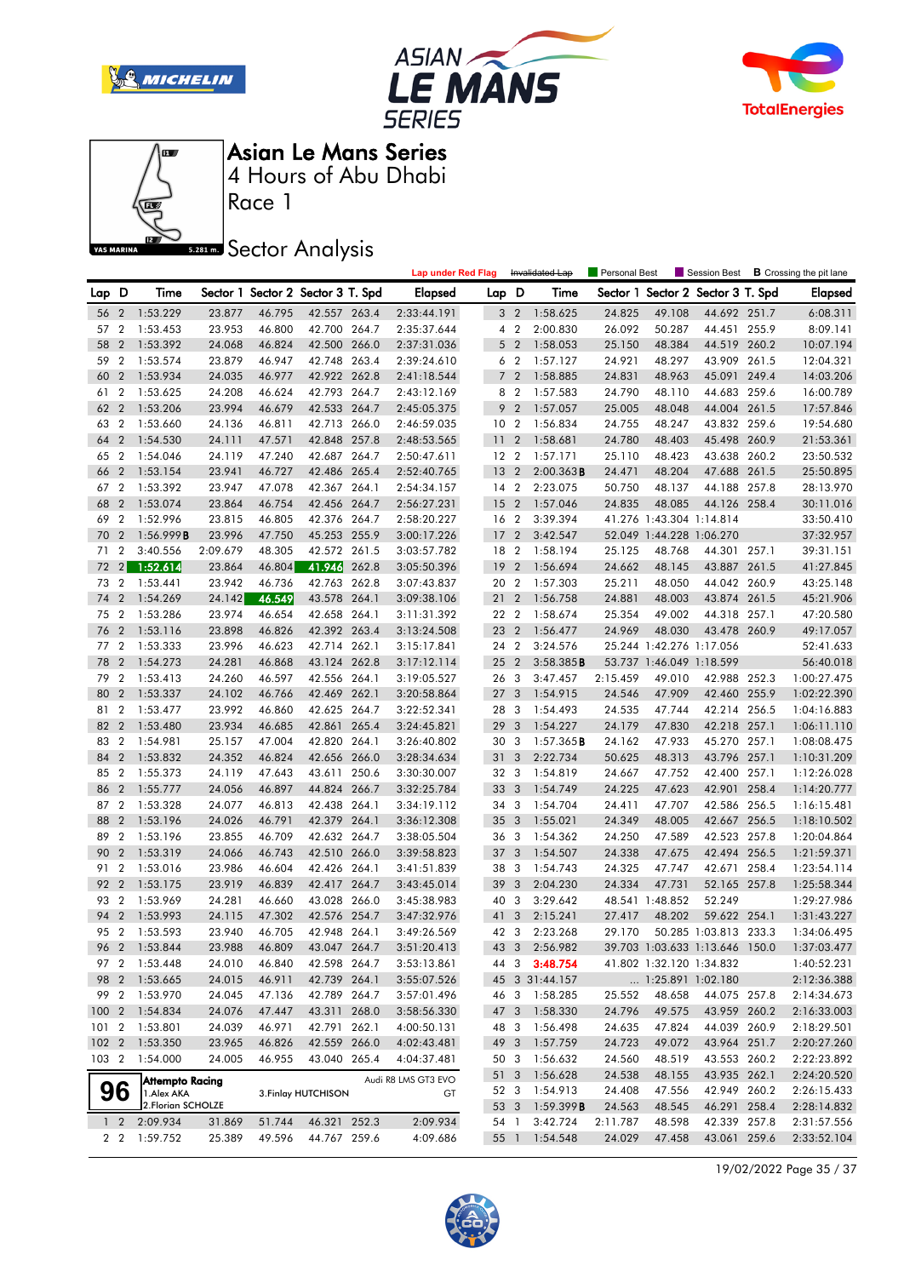







Race 1

## **Sector Analysis**

|       |                |                               |          |                                   |                     |       | <b>Lap under Red Flag</b> |                 |                         | Invalidated Lap        | <b>Personal Best</b> |                          | Session Best                      |       | <b>B</b> Crossing the pit lane |
|-------|----------------|-------------------------------|----------|-----------------------------------|---------------------|-------|---------------------------|-----------------|-------------------------|------------------------|----------------------|--------------------------|-----------------------------------|-------|--------------------------------|
| Lap D |                | Time                          |          | Sector 1 Sector 2 Sector 3 T. Spd |                     |       | <b>Elapsed</b>            | Lap D           |                         | Time                   |                      |                          | Sector 1 Sector 2 Sector 3 T. Spd |       | Elapsed                        |
| 56    | $\overline{2}$ | 1:53.229                      | 23.877   | 46.795                            | 42.557 263.4        |       | 2:33:44.191               |                 | 3 <sub>2</sub>          | 1:58.625               | 24.825               | 49.108                   | 44.692 251.7                      |       | 6:08.311                       |
| 57    | $\overline{2}$ | 1:53.453                      | 23.953   | 46.800                            | 42.700 264.7        |       | 2:35:37.644               | 4               | $\overline{2}$          | 2:00.830               | 26.092               | 50.287                   | 44.451 255.9                      |       | 8:09.141                       |
| 58    | $\overline{2}$ | 1:53.392                      | 24.068   | 46.824                            | 42.500 266.0        |       | 2:37:31.036               |                 | 5 <sub>2</sub>          | 1:58.053               | 25.150               | 48.384                   | 44.519 260.2                      |       | 10:07.194                      |
| 59    | $\overline{2}$ | 1:53.574                      | 23.879   | 46.947                            | 42.748 263.4        |       | 2:39:24.610               |                 | 6 <sub>2</sub>          | 1:57.127               | 24.921               | 48.297                   | 43.909 261.5                      |       | 12:04.321                      |
| 60    | $\overline{2}$ | 1:53.934                      | 24.035   | 46.977                            | 42.922 262.8        |       | 2:41:18.544               | $7^{\circ}$     | $\overline{2}$          | 1:58.885               | 24.831               | 48.963                   | 45.091 249.4                      |       | 14:03.206                      |
| 61    | $\overline{2}$ | 1:53.625                      | 24.208   | 46.624                            | 42.793 264.7        |       | 2:43:12.169               |                 | 8 2                     | 1:57.583               | 24.790               | 48.110                   | 44.683 259.6                      |       | 16:00.789                      |
| 62    | $\overline{2}$ | 1:53.206                      | 23.994   | 46.679                            | 42.533 264.7        |       | 2:45:05.375               | 9               | $\overline{2}$          | 1:57.057               | 25.005               | 48.048                   | 44.004 261.5                      |       | 17:57.846                      |
| 63    | $\overline{2}$ | 1:53.660                      | 24.136   | 46.811                            | 42.713 266.0        |       | 2:46:59.035               | 10 <sub>2</sub> |                         | 1:56.834               | 24.755               | 48.247                   | 43.832 259.6                      |       | 19:54.680                      |
| 64    | $\overline{2}$ | 1:54.530                      | 24.111   | 47.571                            | 42.848 257.8        |       | 2:48:53.565               | 11 <sub>2</sub> |                         | 1:58.681               | 24.780               | 48.403                   | 45.498 260.9                      |       | 21:53.361                      |
| 65    | $\overline{2}$ | 1:54.046                      | 24.119   | 47.240                            | 42.687 264.7        |       | 2:50:47.611               | 12 <sub>2</sub> |                         | 1:57.171               | 25.110               | 48.423                   | 43.638 260.2                      |       | 23:50.532                      |
| 66    | $\overline{2}$ | 1:53.154                      | 23.941   | 46.727                            | 42.486 265.4        |       | 2:52:40.765               | 13              | $\overline{2}$          | $2:00.363$ <b>B</b>    | 24.471               | 48.204                   | 47.688 261.5                      |       | 25:50.895                      |
| 67    | $\overline{2}$ | 1:53.392                      | 23.947   | 47.078                            | 42.367 264.1        |       | 2:54:34.157               | 14 2            |                         | 2:23.075               | 50.750               | 48.137                   | 44.188 257.8                      |       | 28:13.970                      |
| 68    | $\overline{2}$ | 1:53.074                      | 23.864   | 46.754                            | 42.456 264.7        |       | 2:56:27.231               | 15              | $\overline{2}$          | 1:57.046               | 24.835               | 48.085                   | 44.126 258.4                      |       | 30:11.016                      |
| 69    | $\overline{2}$ | 1:52.996                      | 23.815   | 46.805                            | 42.376 264.7        |       | 2:58:20.227               | 16 2            |                         | 3:39.394               |                      | 41.276 1:43.304 1:14.814 |                                   |       | 33:50.410                      |
| 70    | $\overline{2}$ | 1:56.999B                     | 23.996   | 47.750                            | 45.253 255.9        |       | 3:00:17.226               | 17              | $\overline{2}$          | 3:42.547               |                      | 52.049 1:44.228 1:06.270 |                                   |       | 37:32.957                      |
| 71    | 2              | 3:40.556                      | 2:09.679 | 48.305                            | 42.572 261.5        |       | 3:03:57.782               | 18 2            |                         | 1:58.194               | 25.125               | 48.768                   | 44.301 257.1                      |       | 39:31.151                      |
| 72    | 2              | 1:52.614                      | 23.864   | 46.804                            | 41.946              | 262.8 | 3:05:50.396               | 19              | $\overline{2}$          | 1:56.694               | 24.662               | 48.145                   | 43.887 261.5                      |       | 41:27.845                      |
| 73    | $\overline{2}$ | 1:53.441                      | 23.942   | 46.736                            | 42.763 262.8        |       | 3:07:43.837               | 20 2            |                         | 1:57.303               | 25.211               | 48.050                   | 44.042 260.9                      |       | 43:25.148                      |
| 74    | $\overline{2}$ | 1:54.269                      | 24.142   | 46.549                            | 43.578              | 264.1 | 3:09:38.106               | 21 2            |                         | 1:56.758               | 24.881               | 48.003                   | 43.874 261.5                      |       | 45:21.906                      |
| 75    | $\overline{2}$ | 1:53.286                      | 23.974   | 46.654                            | 42.658 264.1        |       | 3:11:31.392               | 22 2            |                         | 1:58.674               | 25.354               | 49.002                   | 44.318 257.1                      |       | 47:20.580                      |
| 76    | $\overline{2}$ | 1:53.116                      | 23.898   | 46.826                            | 42.392 263.4        |       | 3:13:24.508               | 23 2            |                         | 1:56.477               | 24.969               | 48.030                   | 43.478 260.9                      |       | 49:17.057                      |
| 77 2  |                | 1:53.333                      | 23.996   | 46.623                            | 42.714 262.1        |       | 3:15:17.841               |                 | 24 2                    | 3:24.576               |                      | 25.244 1:42.276 1:17.056 |                                   |       | 52:41.633                      |
| 78    | $\overline{2}$ | 1:54.273                      | 24.281   | 46.868                            | 43.124 262.8        |       | 3:17:12.114               | 25 <sub>2</sub> |                         | 3:58.385B              |                      | 53.737 1:46.049 1:18.599 |                                   |       | 56:40.018                      |
| 79    | $\overline{2}$ | 1:53.413                      | 24.260   | 46.597                            | 42.556 264.1        |       | 3:19:05.527               | 26 3            |                         | 3:47.457               | 2:15.459             | 49.010                   | 42.988 252.3                      |       | 1:00:27.475                    |
| 80    | $\overline{2}$ | 1:53.337                      | 24.102   | 46.766                            | 42.469 262.1        |       | 3:20:58.864               | 27 <sub>3</sub> |                         | 1:54.915               | 24.546               | 47.909                   | 42.460 255.9                      |       | 1:02:22.390                    |
| 81    | $\overline{2}$ | 1:53.477                      | 23.992   | 46.860                            | 42.625 264.7        |       | 3:22:52.341               | 28 3            |                         | 1:54.493               | 24.535               | 47.744                   | 42.214 256.5                      |       | 1:04:16.883                    |
| 82    | $\overline{2}$ | 1:53.480                      | 23.934   | 46.685                            | 42.861 265.4        |       | 3:24:45.821               | 29              | $\overline{\mathbf{3}}$ | 1:54.227               | 24.179               | 47.830                   | 42.218 257.1                      |       | 1:06:11.110                    |
| 83    | $\overline{2}$ | 1:54.981                      | 25.157   | 47.004                            | 42.820 264.1        |       | 3:26:40.802               | 30 3            |                         | $1:57.365$ B           | 24.162               | 47.933                   | 45.270 257.1                      |       | 1:08:08.475                    |
| 84    | $\overline{2}$ | 1:53.832                      | 24.352   | 46.824                            | 42.656 266.0        |       | 3:28:34.634               | 31 3            |                         | 2:22.734               | 50.625               | 48.313                   | 43.796 257.1                      |       | 1:10:31.209                    |
| 85    | $\overline{2}$ | 1:55.373                      | 24.119   | 47.643                            | 43.611 250.6        |       | 3:30:30.007               | 32 3            |                         | 1:54.819               | 24.667               | 47.752                   | 42.400 257.1                      |       | 1:12:26.028                    |
| 86    | $\overline{2}$ | 1:55.777                      | 24.056   | 46.897                            | 44.824 266.7        |       | 3:32:25.784               | 33 3            |                         | 1:54.749               | 24.225               | 47.623                   | 42.901 258.4                      |       | 1:14:20.777                    |
| 87    | $\overline{2}$ | 1:53.328                      | 24.077   | 46.813                            | 42.438 264.1        |       | 3:34:19.112               | 34 3            |                         | 1:54.704               | 24.411               | 47.707                   | 42.586 256.5                      |       | 1:16:15.481                    |
| 88    | $\overline{2}$ | 1:53.196                      | 24.026   | 46.791                            | 42.379 264.1        |       | 3:36:12.308               | 35 3            |                         | 1:55.021               | 24.349               | 48.005                   | 42.667 256.5                      |       | 1:18:10.502                    |
| 89    | $\overline{2}$ | 1:53.196                      | 23.855   | 46.709                            | 42.632 264.7        |       | 3:38:05.504               | 36 3            |                         | 1:54.362               | 24.250               | 47.589                   | 42.523 257.8                      |       | 1:20:04.864                    |
| 90    | $\overline{2}$ | 1:53.319                      | 24.066   | 46.743                            | 42.510 266.0        |       | 3:39:58.823               | 37 3            |                         | 1:54.507               | 24.338               | 47.675                   | 42.494 256.5                      |       | 1:21:59.371                    |
| 91    | $\overline{2}$ | 1:53.016                      | 23.986   | 46.604                            | 42.426 264.1        |       | 3:41:51.839               | 38 3            |                         | 1:54.743               | 24.325               | 47.747                   | 42.671                            | 258.4 | 1:23:54.114                    |
| 92    | $\overline{2}$ | 1:53.175                      | 23.919   | 46.839                            | 42.417 264.7        |       | 3:43:45.014               | 39              | $\mathbf{3}$            | 2:04.230               | 24.334               | 47.731                   | 52.165 257.8                      |       | 1:25:58.344                    |
| 93    | $\overline{2}$ | 1:53.969                      | 24.281   | 46.660                            | 43.028 266.0        |       | 3:45:38.983               | 40 3            |                         | 3:29.642               |                      | 48.541 1:48.852          | 52.249                            |       | 1:29:27.986                    |
| 94    | $\overline{2}$ | 1:53.993                      | 24.115   | 47.302                            | 42.576 254.7        |       | 3:47:32.976               | 41              | $\mathbf{3}$            | 2:15.241               | 27.417               | 48.202                   | 59.622 254.1                      |       | 1:31:43.227                    |
| 95    | $\overline{2}$ | 1:53.593                      | 23.940   | 46.705                            | 42.948 264.1        |       | 3:49:26.569               | 42 3            |                         | 2:23.268               | 29.170               |                          | 50.285 1:03.813 233.3             |       | 1:34:06.495                    |
|       |                | 96 2 1:53.844                 | 23.988   | 46.809                            | 43.047 264.7        |       | 3:51:20.413               | 43 3            |                         | 2:56.982               |                      |                          | 39.703 1:03.633 1:13.646 150.0    |       | 1:37:03.477                    |
|       |                | 97 2 1:53.448                 | 24.010   | 46.840                            | 42.598 264.7        |       | 3:53:13.861               |                 |                         | 44 3 3:48.754          |                      |                          | 41.802 1:32.120 1:34.832          |       | 1:40:52.231                    |
|       |                | 98 2 1:53.665                 | 24.015   | 46.911                            | 42.739 264.1        |       | 3:55:07.526               |                 |                         | 45 3 31:44.157         |                      |                          | 1:25.891 1:02.180                 |       | 2:12:36.388                    |
| 99    | $\overline{2}$ | 1:53.970                      | 24.045   | 47.136                            | 42.789 264.7        |       | 3:57:01.496               |                 |                         | 46 3 1:58.285          | 25.552               | 48.658                   | 44.075 257.8                      |       | 2:14:34.673                    |
| 100 2 |                | 1:54.834                      | 24.076   | 47.447                            | 43.311 268.0        |       | 3:58:56.330               |                 |                         | 47 3 1:58.330          | 24.796               | 49.575                   | 43.959 260.2                      |       | 2:16:33.003                    |
| 101 2 |                | 1:53.801                      | 24.039   | 46.971                            | 42.791 262.1        |       | 4:00:50.131               |                 |                         | 48 3 1:56.498          | 24.635               | 47.824                   | 44.039 260.9                      |       | 2:18:29.501                    |
| 1022  |                | 1:53.350                      | 23.965   | 46.826                            | 42.559 266.0        |       | 4:02:43.481               |                 |                         | 49 3 1:57.759          | 24.723               | 49.072                   | 43.964 251.7                      |       | 2:20:27.260                    |
| 103 2 |                | 1:54.000                      | 24.005   | 46.955                            | 43.040 265.4        |       | 4:04:37.481               |                 | 50 3                    | 1:56.632               | 24.560               | 48.519                   | 43.553 260.2                      |       | 2:22:23.892                    |
|       |                |                               |          |                                   |                     |       | Audi R8 LMS GT3 EVO       |                 | 51 3                    | 1:56.628               | 24.538               | 48.155                   | 43.935 262.1                      |       | 2:24:20.520                    |
|       | 96             | Attempto Racing<br>1.Alex AKA |          |                                   | 3. Finlay HUTCHISON |       | GT                        |                 | 523                     | 1:54.913               | 24.408               | 47.556                   | 42.949 260.2                      |       | 2:26:15.433                    |
|       |                | 2. Florian SCHOLZE            |          |                                   |                     |       |                           |                 |                         | 53 3 1:59.399 <b>B</b> | 24.563               | 48.545                   | 46.291 258.4                      |       | 2:28:14.832                    |
|       | $1\quad2$      | 2:09.934                      | 31.869   | 51.744                            | 46.321 252.3        |       | 2:09.934                  |                 | 54 1                    | 3:42.724               | 2:11.787             | 48.598                   | 42.339 257.8                      |       | 2:31:57.556                    |
|       |                | 2 2 1:59.752                  | 25.389   | 49.596                            | 44.767 259.6        |       | 4:09.686                  |                 |                         | 55 1 1:54.548          | 24.029               | 47.458                   | 43.061 259.6                      |       | 2:33:52.104                    |

19/02/2022 Page 35 / 37

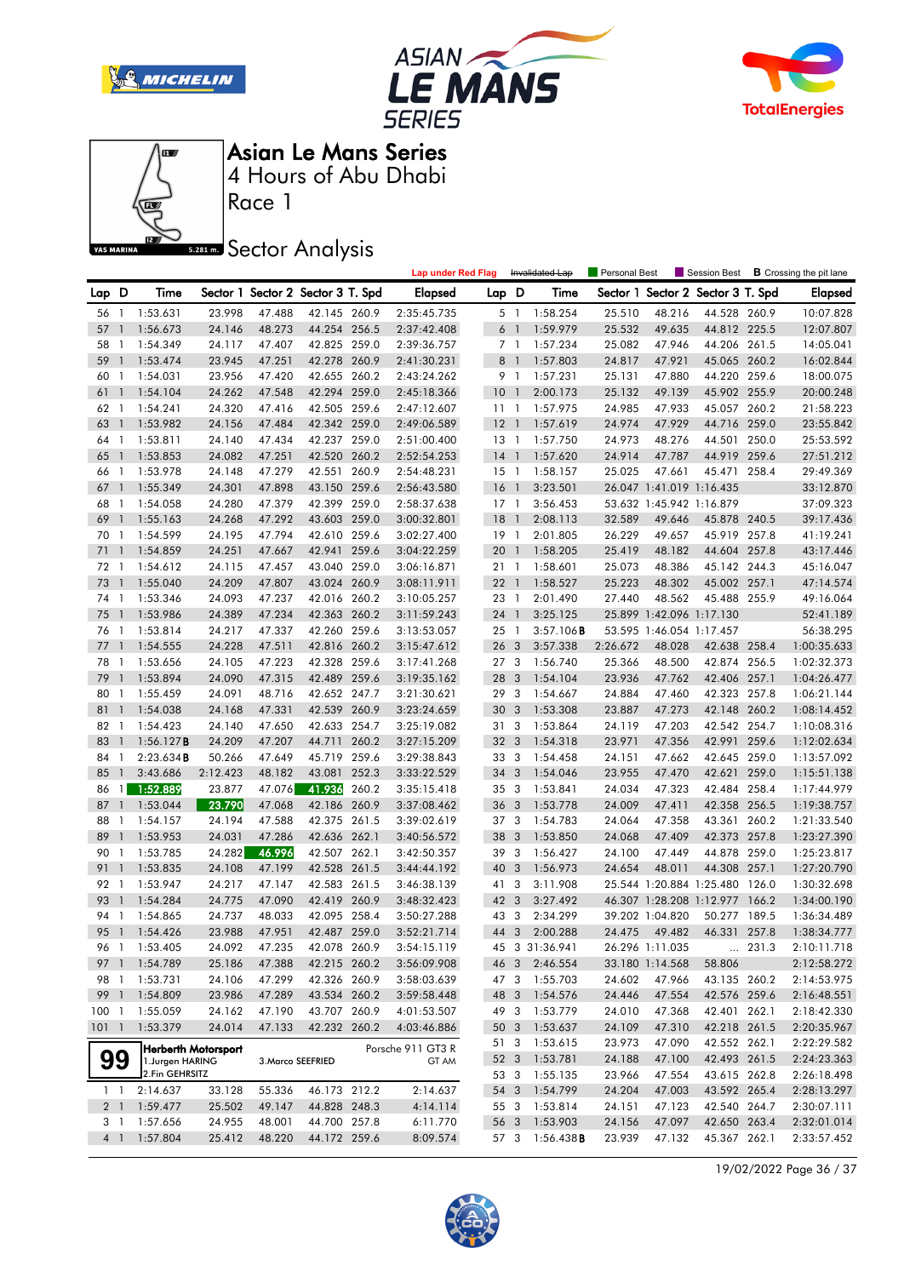







Race 1

## **Sector Analysis**

|                |                |                                   |                     |                                   |                   |       | <b>Lap under Red Flag</b> |                 | Invalidated Lap          |                        | Personal Best    |                          | Session Best                      |                | <b>B</b> Crossing the pit lane |
|----------------|----------------|-----------------------------------|---------------------|-----------------------------------|-------------------|-------|---------------------------|-----------------|--------------------------|------------------------|------------------|--------------------------|-----------------------------------|----------------|--------------------------------|
| Lap D          |                | Time                              |                     | Sector 1 Sector 2 Sector 3 T. Spd |                   |       | <b>Elapsed</b>            | Lap D           |                          | Time                   |                  |                          | Sector 1 Sector 2 Sector 3 T. Spd |                | Elapsed                        |
| 56 1           |                | 1:53.631                          | 23.998              | 47.488                            | 42.145 260.9      |       | 2:35:45.735               |                 | 5 1                      | 1:58.254               | 25.510           | 48.216                   | 44.528 260.9                      |                | 10:07.828                      |
| 57             | $\overline{1}$ | 1:56.673                          | 24.146              | 48.273                            | 44.254 256.5      |       | 2:37:42.408               | $6-1$           |                          | 1:59.979               | 25.532           | 49.635                   | 44.812 225.5                      |                | 12:07.807                      |
| 58             | $\overline{1}$ | 1:54.349                          | 24.117              | 47.407                            | 42.825 259.0      |       | 2:39:36.757               | 7 1             |                          | 1:57.234               | 25.082           | 47.946                   | 44.206 261.5                      |                | 14:05.041                      |
| 59             | $\overline{1}$ | 1:53.474                          | 23.945              | 47.251                            | 42.278 260.9      |       | 2:41:30.231               | 8               | $\overline{1}$           | 1:57.803               | 24.817           | 47.921                   | 45.065 260.2                      |                | 16:02.844                      |
| 60             | -1             | 1:54.031                          | 23.956              | 47.420                            | 42.655 260.2      |       | 2:43:24.262               | 9 1             |                          | 1:57.231               | 25.131           | 47.880                   | 44.220 259.6                      |                | 18:00.075                      |
| 61             | $\overline{1}$ | 1:54.104                          | 24.262              | 47.548                            | 42.294 259.0      |       | 2:45:18.366               | $10-1$          |                          | 2:00.173               | 25.132           | 49.139                   | 45.902 255.9                      |                | 20:00.248                      |
| 62             | $\overline{1}$ | 1:54.241                          | 24.320              | 47.416                            | 42.505 259.6      |       | 2:47:12.607               | 111             |                          | 1:57.975               | 24.985           | 47.933                   | 45.057 260.2                      |                | 21:58.223                      |
| 63             | $\overline{1}$ | 1:53.982                          | 24.156              | 47.484                            | 42.342 259.0      |       | 2:49:06.589               | $12-1$          |                          | 1:57.619               | 24.974           | 47.929                   | 44.716 259.0                      |                | 23:55.842                      |
| 64             | $\overline{1}$ | 1:53.811                          | 24.140              | 47.434                            | 42.237 259.0      |       | 2:51:00.400               | 13 1            |                          | 1:57.750               | 24.973           | 48.276                   | 44.501 250.0                      |                | 25:53.592                      |
| 65             | $\mathbf{1}$   | 1:53.853                          | 24.082              | 47.251                            | 42.520 260.2      |       | 2:52:54.253               | $14-1$          |                          | 1:57.620               | 24.914           | 47.787                   | 44.919 259.6                      |                | 27:51.212                      |
| 66             | -1             | 1:53.978                          | 24.148              | 47.279                            | 42.551 260.9      |       | 2:54:48.231               | $15-1$          |                          | 1:58.157               | 25.025           | 47.661                   | 45.471 258.4                      |                | 29:49.369                      |
| 67             | $\mathbf{1}$   | 1:55.349                          | 24.301              | 47.898                            | 43.150 259.6      |       | 2:56:43.580               | 16              | $\overline{\phantom{a}}$ | 3:23.501               |                  | 26.047 1:41.019 1:16.435 |                                   |                | 33:12.870                      |
| 68             | -1             | 1:54.058                          | 24.280              | 47.379                            | 42.399 259.0      |       | 2:58:37.638               | $17-1$          |                          | 3:56.453               |                  | 53.632 1:45.942 1:16.879 |                                   |                | 37:09.323                      |
| 69             | $\overline{1}$ | 1:55.163                          | 24.268              | 47.292                            | 43.603 259.0      |       | 3:00:32.801               | 18              | $\overline{1}$           | 2:08.113               | 32.589           | 49.646                   | 45.878 240.5                      |                | 39:17.436                      |
| 70             | -1             | 1:54.599                          | 24.195              | 47.794                            | 42.610            | 259.6 | 3:02:27.400               | 19 1            |                          | 2:01.805               | 26.229           | 49.657                   | 45.919 257.8                      |                | 41:19.241                      |
| 71             | $\overline{1}$ | 1:54.859                          | 24.251              | 47.667                            | 42.941 259.6      |       | 3:04:22.259               | 20              | $\overline{\phantom{a}}$ | 1:58.205               | 25.419           | 48.182                   | 44.604 257.8                      |                | 43:17.446                      |
| 72             | - 1            | 1:54.612                          | 24.115              | 47.457                            | 43.040 259.0      |       | 3:06:16.871               | 21 1            |                          | 1:58.601               | 25.073           | 48.386                   | 45.142 244.3                      |                | 45:16.047                      |
| 73             | $\overline{1}$ | 1:55.040                          | 24.209              | 47.807                            | 43.024 260.9      |       | 3:08:11.911               | $22 \quad 1$    |                          | 1:58.527               | 25.223           | 48.302                   | 45.002 257.1                      |                | 47:14.574                      |
| 74             | -1             | 1:53.346                          | 24.093              | 47.237                            | 42.016 260.2      |       | 3:10:05.257               | 23 1            |                          | 2:01.490               | 27.440           | 48.562                   | 45.488 255.9                      |                | 49:16.064                      |
| 75             | $\overline{1}$ | 1:53.986                          | 24.389              | 47.234                            | 42.363 260.2      |       | 3:11:59.243               | 24 1            |                          | 3:25.125               |                  | 25.899 1:42.096 1:17.130 |                                   |                | 52:41.189                      |
| 76             | $\overline{1}$ | 1:53.814                          | 24.217              | 47.337                            | 42.260 259.6      |       | 3:13:53.057               | 25 1            |                          | 3:57.106B              |                  | 53.595 1:46.054 1:17.457 |                                   |                | 56:38.295                      |
| 77             | $\overline{1}$ | 1:54.555                          | 24.228              | 47.511                            | 42.816 260.2      |       | 3:15:47.612               | 26 <sub>3</sub> |                          | 3:57.338               | 2:26.672         | 48.028                   | 42.638 258.4                      |                | 1:00:35.633                    |
| 78             | -1             | 1:53.656                          | 24.105              | 47.223                            | 42.328 259.6      |       | 3:17:41.268               | 27 3            |                          | 1:56.740               | 25.366           | 48.500                   | 42.874 256.5                      |                | 1:02:32.373                    |
| 79             | $\overline{1}$ | 1:53.894                          | 24.090              | 47.315                            | 42.489 259.6      |       | 3:19:35.162               | 28 3            |                          | 1:54.104               | 23.936           | 47.762                   | 42.406 257.1                      |                | 1:04:26.477                    |
| 80             | $\mathbf{1}$   | 1:55.459                          | 24.091              | 48.716                            | 42.652 247.7      |       | 3:21:30.621               | 29 3            |                          | 1:54.667               | 24.884           | 47.460                   | 42.323 257.8                      |                | 1:06:21.144                    |
| 81             | $\overline{1}$ | 1:54.038                          | 24.168              | 47.331                            | 42.539 260.9      |       | 3:23:24.659               | 30              | $\mathbf{3}$             | 1:53.308               | 23.887           | 47.273                   | 42.148 260.2                      |                | 1:08:14.452                    |
| 82             | -1             | 1:54.423                          | 24.140              | 47.650                            | 42.633 254.7      |       | 3:25:19.082               | 31              | 3                        | 1:53.864               | 24.119           | 47.203                   | 42.542 254.7                      |                | 1:10:08.316                    |
| 83             | $\overline{1}$ | 1:56.127B                         | 24.209              | 47.207                            | 44.711 260.2      |       | 3:27:15.209               | 32 3            |                          | 1:54.318               | 23.971           | 47.356                   | 42.991 259.6                      |                | 1:12:02.634                    |
| 84             | $\overline{1}$ | 2:23.634B                         | 50.266              | 47.649                            | 45.719 259.6      |       | 3:29:38.843               | 33 3            |                          | 1:54.458               | 24.151           | 47.662                   | 42.645 259.0                      |                | 1:13:57.092                    |
| 85             | $\overline{1}$ | 3:43.686                          | 2:12.423            | 48.182                            | 43.081            | 252.3 | 3:33:22.529               | 34 <sup>3</sup> |                          | 1:54.046               | 23.955           | 47.470                   | 42.621                            | 259.0          | 1:15:51.138                    |
| 86             | $\mathbf{1}$   | 1:52.889                          | 23.877              | 47.076                            | 41.936            | 260.2 | 3:35:15.418               | 35 3            |                          | 1:53.841               | 24.034           | 47.323                   | 42.484 258.4                      |                | 1:17:44.979                    |
| 87             | $\overline{1}$ | 1:53.044                          | 23.790              | 47.068                            | 42.186 260.9      |       | 3:37:08.462               | 36 3            |                          | 1:53.778               | 24.009           | 47.411                   | 42.358 256.5                      |                | 1:19:38.757                    |
| 88             | -1             | 1:54.157                          | 24.194              | 47.588                            | 42.375 261.5      |       | 3:39:02.619               | 37 3            |                          | 1:54.783               | 24.064           | 47.358                   | 43.361 260.2                      |                | 1:21:33.540                    |
| 89             | $\overline{1}$ | 1:53.953                          | 24.031              | 47.286                            | 42.636 262.1      |       | 3:40:56.572               | 38              | $\mathbf{3}$             | 1:53.850               | 24.068           | 47.409                   | 42.373 257.8                      |                | 1:23:27.390                    |
| 90             | $\overline{1}$ | 1:53.785                          | 24.282              | 46.996                            | 42.507 262.1      |       | 3:42:50.357               | 39 3            |                          | 1:56.427               | 24.100           | 47.449                   | 44.878 259.0                      |                | 1:25:23.817                    |
| 91             | $\overline{1}$ | 1:53.835                          | 24.108              | 47.199                            | 42.528 261.5      |       | 3:44:44.192               | 40 3            |                          | 1:56.973               | 24.654           | 48.011                   | 44.308 257.1                      |                | 1:27:20.790                    |
| 92             | $\overline{1}$ | 1:53.947                          | 24.217              | 47.147                            | 42.583 261.5      |       | 3:46:38.139               | 41 3            |                          | 3:11.908               |                  |                          | 25.544 1:20.884 1:25.480 126.0    |                | 1:30:32.698                    |
| 93             | $\overline{1}$ | 1:54.284                          | 24.775              | 47.090                            | 42.419 260.9      |       | 3:48:32.423               | 42 3            |                          | 3:27.492               |                  |                          | 46.307 1:28.208 1:12.977 166.2    |                | 1:34:00.190                    |
| 94             | $\overline{1}$ | 1:54.865                          | 24.737              | 48.033                            | 42.095 258.4      |       | 3:50:27.288               | 43 3            |                          | 2:34.299               |                  | 39.202 1:04.820          | 50.277 189.5                      |                | 1:36:34.489                    |
| 95 1           |                | 1:54.426                          | 23.988              | 47.951                            | 42.487 259.0      |       | 3:52:21.714               | 44 3            |                          | 2:00.288               | 24.475           | 49.482                   | 46.331 257.8                      |                | 1:38:34.777                    |
|                |                | 96 1 1:53.405                     | 24.092              | 47.235                            | 42.078 260.9      |       | 3:54:15.119               |                 |                          | 45 3 31:36.941         |                  | 26.296 1:11.035          |                                   | $\ldots$ 231.3 | 2:10:11.718                    |
| 97 1           |                | 1:54.789                          | 25.186              | 47.388                            | 42.215 260.2      |       | 3:56:09.908               | 46 3            |                          | 2:46.554               |                  | 33.180 1:14.568          | 58.806                            |                | 2:12:58.272                    |
| 98 1           |                | 1:53.731                          | 24.106              | 47.299                            | 42.326 260.9      |       | 3:58:03.639               | 473             |                          | 1:55.703               | 24.602           | 47.966                   | 43.135 260.2                      |                | 2:14:53.975                    |
| 99             | $\overline{1}$ | 1:54.809                          | 23.986              | 47.289                            | 43.534 260.2      |       | 3:59:58.448               | 48 3            |                          | 1:54.576               | 24.446           | 47.554                   | 42.576 259.6                      |                | 2:16:48.551                    |
| 1001           |                | 1:55.059                          | 24.162              | 47.190                            | 43.707 260.9      |       | 4:01:53.507               | 49 3            |                          | 1:53.779               | 24.010           | 47.368                   | 42.401 262.1                      |                | 2:18:42.330                    |
| 1011           |                | 1:53.379                          | 24.014              | 47.133                            | 42.232 260.2      |       | 4:03:46.886               | 50 3            |                          | 1:53.637               | 24.109           | 47.310                   | 42.218 261.5                      |                | 2:20:35.967                    |
|                |                |                                   | Herberth Motorsport |                                   |                   |       | Porsche 911 GT3 R         | 51 3            |                          | 1:53.615               | 23.973           | 47.090                   | 42.552 262.1                      |                | 2:22:29.582                    |
| 99             |                | 1.Jurgen HARING<br>2.Fin GEHRSITZ |                     |                                   | 3. Marco SEEFRIED |       | GT AM                     | 52 3            |                          | 1:53.781               | 24.188           | 47.100                   | 42.493 261.5                      |                | 2:24:23.363                    |
|                |                |                                   |                     |                                   | 46.173 212.2      |       |                           | 53 3            |                          | 1:55.135               | 23.966           | 47.554                   | 43.615 262.8                      |                | 2:26:18.498                    |
| 1 <sub>1</sub> |                | 2:14.637                          | 33.128              | 55.336                            | 44.828 248.3      |       | 2:14.637<br>4:14.114      | 54 3<br>55 3    |                          | 1:54.799               | 24.204           | 47.003                   | 43.592 265.4<br>42.540 264.7      |                | 2:28:13.297                    |
| 2 1<br>31      |                | 1:59.477<br>1:57.656              | 25.502<br>24.955    | 49.147<br>48.001                  | 44.700 257.8      |       | 6:11.770                  | 56 3            |                          | 1:53.814<br>1:53.903   | 24.151<br>24.156 | 47.123<br>47.097         | 42.650 263.4                      |                | 2:30:07.111<br>2:32:01.014     |
| 4 <sup>1</sup> |                | 1:57.804                          | 25.412              | 48.220                            | 44.172 259.6      |       | 8:09.574                  |                 |                          | 57 3 1:56.438 <b>B</b> | 23.939           | 47.132                   | 45.367 262.1                      |                | 2:33:57.452                    |
|                |                |                                   |                     |                                   |                   |       |                           |                 |                          |                        |                  |                          |                                   |                |                                |

19/02/2022 Page 36 / 37